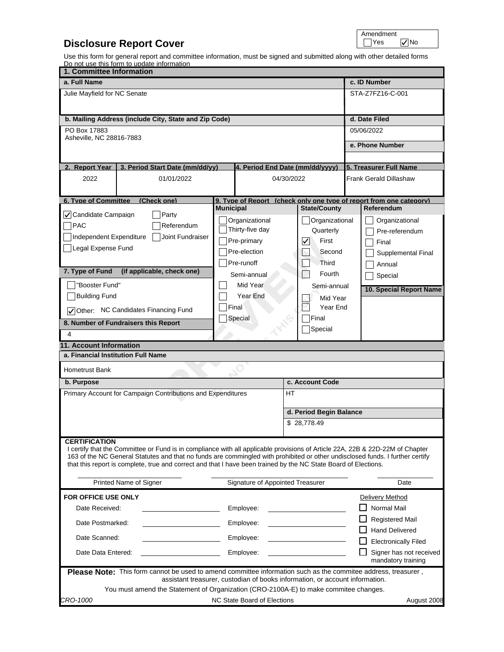## **Disclosure Report Cover**

| Amendment |     |
|-----------|-----|
|           | ۱n. |

Use this form for general report and committee information, must be signed and submitted along with other detailed forms Do not use this form to update information

| <u>Do not use this form to update information</u><br>1. Committee Information                                                                                                                                                                                                                                                                                                                             |                  |                                                                              |                                                                                          |  |
|-----------------------------------------------------------------------------------------------------------------------------------------------------------------------------------------------------------------------------------------------------------------------------------------------------------------------------------------------------------------------------------------------------------|------------------|------------------------------------------------------------------------------|------------------------------------------------------------------------------------------|--|
| a. Full Name                                                                                                                                                                                                                                                                                                                                                                                              |                  |                                                                              | c. ID Number                                                                             |  |
| Julie Mayfield for NC Senate                                                                                                                                                                                                                                                                                                                                                                              |                  |                                                                              | STA-Z7FZ16-C-001                                                                         |  |
|                                                                                                                                                                                                                                                                                                                                                                                                           |                  |                                                                              |                                                                                          |  |
| b. Mailing Address (include City, State and Zip Code)                                                                                                                                                                                                                                                                                                                                                     |                  |                                                                              | d. Date Filed                                                                            |  |
| PO Box 17883                                                                                                                                                                                                                                                                                                                                                                                              |                  |                                                                              | 05/06/2022                                                                               |  |
| Asheville, NC 28816-7883                                                                                                                                                                                                                                                                                                                                                                                  |                  |                                                                              |                                                                                          |  |
|                                                                                                                                                                                                                                                                                                                                                                                                           |                  |                                                                              | e. Phone Number                                                                          |  |
|                                                                                                                                                                                                                                                                                                                                                                                                           |                  |                                                                              |                                                                                          |  |
| 2. Report Year<br>3. Period Start Date (mm/dd/yy)                                                                                                                                                                                                                                                                                                                                                         |                  |                                                                              | 4. Period End Date (mm/dd/yyyy) 5. Treasurer Full Name                                   |  |
| 2022<br>01/01/2022                                                                                                                                                                                                                                                                                                                                                                                        |                  | 04/30/2022                                                                   | <b>Frank Gerald Dillashaw</b>                                                            |  |
|                                                                                                                                                                                                                                                                                                                                                                                                           |                  |                                                                              |                                                                                          |  |
| <b>6. Type of Committee</b><br>(Check one)                                                                                                                                                                                                                                                                                                                                                                | <b>Municipal</b> | <b>State/County</b>                                                          | 9. Tvpe of Report (check only one tvpe of report from one category)<br><b>Referendum</b> |  |
| √ Candidate Campaign<br>Party                                                                                                                                                                                                                                                                                                                                                                             | Organizational   | Organizational                                                               | Organizational                                                                           |  |
| $\n  7$ PAC<br>Referendum                                                                                                                                                                                                                                                                                                                                                                                 | Thirty-five day  | Quarterly                                                                    | Pre-referendum                                                                           |  |
| Joint Fundraiser<br>Independent Expenditure                                                                                                                                                                                                                                                                                                                                                               | Pre-primary      | $\left  \mathcal{V} \right $<br>First                                        | Final                                                                                    |  |
| Legal Expense Fund                                                                                                                                                                                                                                                                                                                                                                                        | Pre-election     | Second                                                                       | Supplemental Final                                                                       |  |
|                                                                                                                                                                                                                                                                                                                                                                                                           | Pre-runoff       | <b>Third</b>                                                                 |                                                                                          |  |
| 7. Type of Fund<br>(if applicable, check one)                                                                                                                                                                                                                                                                                                                                                             | Semi-annual      | Fourth                                                                       | Annual                                                                                   |  |
| "Booster Fund"                                                                                                                                                                                                                                                                                                                                                                                            | Mid Year         | Semi-annual                                                                  | Special                                                                                  |  |
| <b>Building Fund</b>                                                                                                                                                                                                                                                                                                                                                                                      | Year End         |                                                                              | 10. Special Report Name                                                                  |  |
|                                                                                                                                                                                                                                                                                                                                                                                                           | Final            | Mid Year<br>Year End                                                         |                                                                                          |  |
| Other: NC Candidates Financing Fund                                                                                                                                                                                                                                                                                                                                                                       | Special          | Final                                                                        |                                                                                          |  |
| 8. Number of Fundraisers this Report                                                                                                                                                                                                                                                                                                                                                                      |                  | Special                                                                      |                                                                                          |  |
| 4                                                                                                                                                                                                                                                                                                                                                                                                         |                  |                                                                              |                                                                                          |  |
| <b>11. Account Information</b>                                                                                                                                                                                                                                                                                                                                                                            |                  |                                                                              |                                                                                          |  |
| a. Financial Institution Full Name                                                                                                                                                                                                                                                                                                                                                                        |                  |                                                                              |                                                                                          |  |
| <b>Hometrust Bank</b>                                                                                                                                                                                                                                                                                                                                                                                     |                  |                                                                              |                                                                                          |  |
| b. Purpose                                                                                                                                                                                                                                                                                                                                                                                                |                  | c. Account Code                                                              |                                                                                          |  |
| Primary Account for Campaign Contributions and Expenditures                                                                                                                                                                                                                                                                                                                                               |                  | HТ                                                                           |                                                                                          |  |
|                                                                                                                                                                                                                                                                                                                                                                                                           |                  | d. Period Begin Balance                                                      |                                                                                          |  |
|                                                                                                                                                                                                                                                                                                                                                                                                           |                  | \$28,778.49                                                                  |                                                                                          |  |
|                                                                                                                                                                                                                                                                                                                                                                                                           |                  |                                                                              |                                                                                          |  |
| <b>CERTIFICATION</b><br>I certify that the Committee or Fund is in compliance with all applicable provisions of Article 22A, 22B & 22D-22M of Chapter<br>163 of the NC General Statutes and that no funds are commingled with prohibited or other undisclosed funds. I further certify<br>that this report is complete, true and correct and that I have been trained by the NC State Board of Elections. |                  |                                                                              |                                                                                          |  |
| Printed Name of Signer                                                                                                                                                                                                                                                                                                                                                                                    |                  | Signature of Appointed Treasurer                                             | Date                                                                                     |  |
| FOR OFFICE USE ONLY                                                                                                                                                                                                                                                                                                                                                                                       |                  |                                                                              | Delivery Method                                                                          |  |
| Date Received:                                                                                                                                                                                                                                                                                                                                                                                            | Emplovee:        |                                                                              | Normal Mail                                                                              |  |
| Date Postmarked:                                                                                                                                                                                                                                                                                                                                                                                          | Emplovee:        |                                                                              | <b>Registered Mail</b>                                                                   |  |
| Date Scanned:                                                                                                                                                                                                                                                                                                                                                                                             | Employee:        |                                                                              | <b>Hand Delivered</b><br><b>Electronically Filed</b>                                     |  |
| Date Data Entered:                                                                                                                                                                                                                                                                                                                                                                                        | Employee:        |                                                                              | Signer has not received                                                                  |  |
|                                                                                                                                                                                                                                                                                                                                                                                                           |                  |                                                                              | mandatory training                                                                       |  |
| Please Note: This form cannot be used to amend committee information such as the commitee address, treasurer,                                                                                                                                                                                                                                                                                             |                  | assistant treasurer, custodian of books information, or account information. |                                                                                          |  |
| You must amend the Statement of Organization (CRO-2100A-E) to make commitee changes.                                                                                                                                                                                                                                                                                                                      |                  |                                                                              |                                                                                          |  |
| NC State Board of Elections<br>CRO-1000<br>August 2008                                                                                                                                                                                                                                                                                                                                                    |                  |                                                                              |                                                                                          |  |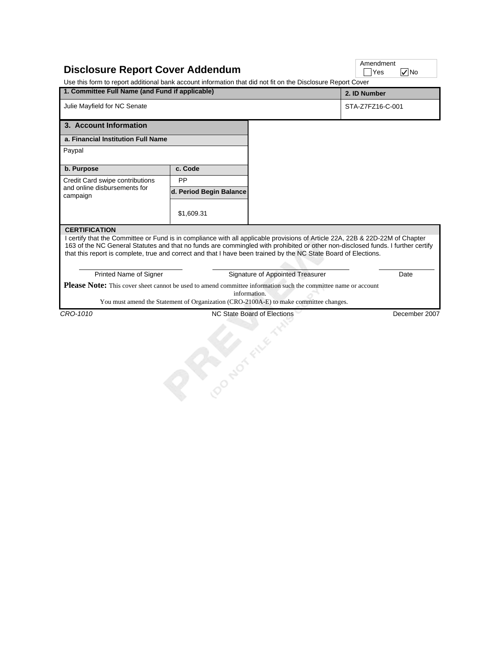| <b>Disclosure Report Cover Addendum</b><br>Use this form to report additional bank account information that did not fit on the Disclosure Report Cover                                                                                                                                                                                                                                         |                         |                                                                                                       | Amendment<br>Yes<br>$ v $ No |
|------------------------------------------------------------------------------------------------------------------------------------------------------------------------------------------------------------------------------------------------------------------------------------------------------------------------------------------------------------------------------------------------|-------------------------|-------------------------------------------------------------------------------------------------------|------------------------------|
| 1. Committee Full Name (and Fund if applicable)                                                                                                                                                                                                                                                                                                                                                |                         |                                                                                                       | 2. ID Number                 |
| Julie Mayfield for NC Senate                                                                                                                                                                                                                                                                                                                                                                   |                         |                                                                                                       | STA-Z7FZ16-C-001             |
| 3. Account Information                                                                                                                                                                                                                                                                                                                                                                         |                         |                                                                                                       |                              |
| a. Financial Institution Full Name                                                                                                                                                                                                                                                                                                                                                             |                         |                                                                                                       |                              |
| Paypal                                                                                                                                                                                                                                                                                                                                                                                         |                         |                                                                                                       |                              |
| b. Purpose                                                                                                                                                                                                                                                                                                                                                                                     | c. Code                 |                                                                                                       |                              |
| Credit Card swipe contributions                                                                                                                                                                                                                                                                                                                                                                | PP                      |                                                                                                       |                              |
| and online disbursements for<br>campaign                                                                                                                                                                                                                                                                                                                                                       | d. Period Begin Balance |                                                                                                       |                              |
|                                                                                                                                                                                                                                                                                                                                                                                                | \$1,609.31              |                                                                                                       |                              |
| 163 of the NC General Statutes and that no funds are commingled with prohibited or other non-disclosed funds. I further certify<br>that this report is complete, true and correct and that I have been trained by the NC State Board of Elections.<br>Printed Name of Signer<br>Please Note: This cover sheet cannot be used to amend committee information such the committee name or account |                         | Signature of Appointed Treasurer                                                                      | Date                         |
|                                                                                                                                                                                                                                                                                                                                                                                                |                         | information.<br>You must amend the Statement of Organization (CRO-2100A-E) to make committee changes. |                              |
| CRO-1010                                                                                                                                                                                                                                                                                                                                                                                       |                         | NC State Board of Elections                                                                           | December 2007                |
|                                                                                                                                                                                                                                                                                                                                                                                                | <b>Popular Flie</b>     |                                                                                                       |                              |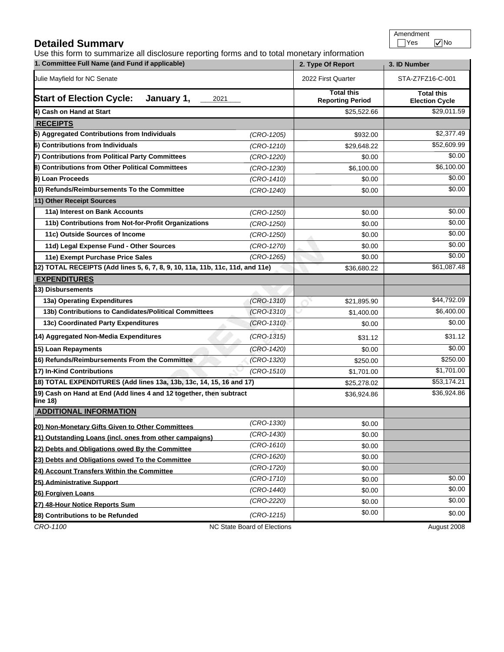## **Detailed Summary**

Use this form to summarize all disclosure reporting forms and to total monetary information

|                                                                                 | 1. Committee Full Name (and Fund if applicable) |                                              |                                            |
|---------------------------------------------------------------------------------|-------------------------------------------------|----------------------------------------------|--------------------------------------------|
| Julie Mayfield for NC Senate                                                    | 2022 First Quarter                              | STA-Z7FZ16-C-001                             |                                            |
| <b>Start of Election Cycle:</b><br>January 1,<br>2021                           |                                                 | <b>Total this</b><br><b>Reporting Period</b> | <b>Total this</b><br><b>Election Cycle</b> |
| 4) Cash on Hand at Start                                                        |                                                 | \$25,522.66                                  | \$29,011.59                                |
| <b>RECEIPTS</b>                                                                 |                                                 |                                              |                                            |
| 5) Aggregated Contributions from Individuals                                    | $(CRO-1205)$                                    | \$932.00                                     | \$2,377.49                                 |
| 6) Contributions from Individuals                                               | $(CRO-1210)$                                    | \$29,648.22                                  | \$52,609.99                                |
| 7) Contributions from Political Party Committees                                | (CRO-1220)                                      | \$0.00                                       | \$0.00                                     |
| 8) Contributions from Other Political Committees                                | (CRO-1230)                                      | \$6,100.00                                   | \$6,100.00                                 |
| 9) Loan Proceeds                                                                | $(CRO-1410)$                                    | \$0.00                                       | \$0.00                                     |
| 10) Refunds/Reimbursements To the Committee                                     | (CRO-1240)                                      | \$0.00                                       | \$0.00                                     |
| 11) Other Receipt Sources                                                       |                                                 |                                              |                                            |
| 11a) Interest on Bank Accounts                                                  | $(CRO-1250)$                                    | \$0.00                                       | \$0.00                                     |
| 11b) Contributions from Not-for-Profit Organizations                            | $(CRO-1250)$                                    | \$0.00                                       | \$0.00                                     |
| 11c) Outside Sources of Income                                                  | (CRO-1250)                                      | \$0.00                                       | \$0.00                                     |
| 11d) Legal Expense Fund - Other Sources                                         | $(CRO-1270)$                                    | \$0.00                                       | \$0.00                                     |
| 11e) Exempt Purchase Price Sales                                                | $(CRO-1265)$                                    | \$0.00                                       | \$0.00                                     |
| 2) TOTAL RECEIPTS (Add lines 5, 6, 7, 8, 9, 10, 11a, 11b, 11c, 11d, and 11e)    |                                                 | \$36,680.22                                  | \$61,087.48                                |
| <b>EXPENDITURES</b>                                                             |                                                 |                                              |                                            |
| 3) Disbursements                                                                |                                                 |                                              |                                            |
| 13a) Operating Expenditures                                                     | $(CRO-1310)$                                    | $\mathcal{S}$<br>\$21,895.90                 | \$44,792.09                                |
| 13b) Contributions to Candidates/Political Committees                           | $(CRO-1310)$                                    | \$1,400.00                                   | \$6,400.00                                 |
| 13c) Coordinated Party Expenditures                                             | $(CRO-1310)$                                    | \$0.00                                       | \$0.00                                     |
| 14) Aggregated Non-Media Expenditures                                           | $(CRO-1315)$                                    | \$31.12                                      | \$31.12                                    |
| 15) Loan Repayments                                                             | (CRO-1420)                                      | \$0.00                                       | $\sqrt{$0.00}$                             |
| 16) Refunds/Reimbursements From the Committee                                   | $(CRO-1320)$                                    | \$250.00                                     | \$250.00                                   |
| 17) In-Kind Contributions                                                       | $(CRO-1510)$                                    | \$1,701.00                                   | \$1,701.00                                 |
| 18) TOTAL EXPENDITURES (Add lines 13a, 13b, 13c, 14, 15, 16 and 17)             |                                                 | \$25,278.02                                  | \$53,174.21                                |
| 19) Cash on Hand at End (Add lines 4 and 12 together, then subtract<br>line 18) |                                                 | \$36,924.86                                  | \$36,924.86                                |
| <b>ADDITIONAL INFORMATION</b>                                                   |                                                 |                                              |                                            |
| 20) Non-Monetary Gifts Given to Other Committees                                | (CRO-1330)                                      | \$0.00                                       |                                            |
| 21) Outstanding Loans (incl. ones from other campaigns)                         | $(CRO-1430)$                                    | \$0.00                                       |                                            |
| 22) Debts and Obligations owed By the Committee                                 | $(CRO-1610)$                                    | \$0.00                                       |                                            |
| 23) Debts and Obligations owed To the Committee                                 | $(CRO-1620)$                                    | \$0.00                                       |                                            |
| 24) Account Transfers Within the Committee                                      | (CRO-1720)                                      | \$0.00                                       |                                            |
| 25) Administrative Support                                                      | (CRO-1710)                                      | \$0.00                                       | \$0.00                                     |
| 26) Forgiven Loans                                                              | (CRO-1440)                                      | \$0.00                                       | \$0.00                                     |
| 27) 48-Hour Notice Reports Sum                                                  | (CRO-2220)                                      | \$0.00                                       | \$0.00                                     |
| 28) Contributions to be Refunded                                                | $(CRO-1215)$                                    | \$0.00                                       | \$0.00                                     |
| CRO-1100                                                                        | NC State Board of Elections                     |                                              | August 2008                                |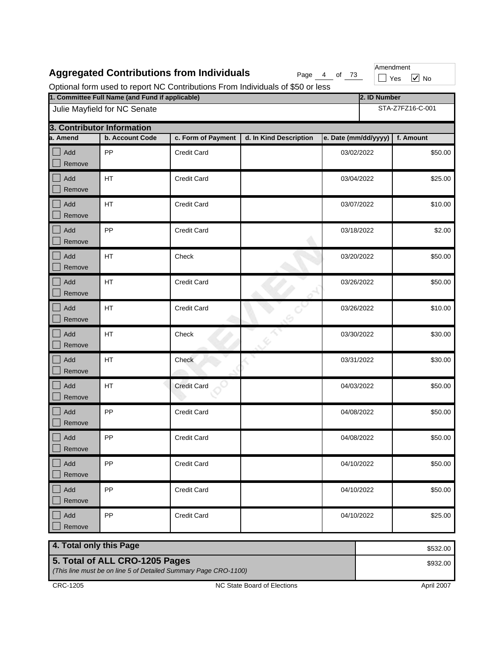|                      |                                                 | <b>Aggregated Contributions from Individuals</b> | Optional form used to report NC Contributions From Individuals of \$50 or less | Page 4 of 73         |              | Amendment<br>$\sqrt{ }$ No<br>Yes |  |
|----------------------|-------------------------------------------------|--------------------------------------------------|--------------------------------------------------------------------------------|----------------------|--------------|-----------------------------------|--|
|                      | 1. Committee Full Name (and Fund if applicable) |                                                  |                                                                                |                      | 2. ID Number |                                   |  |
|                      | Julie Mayfield for NC Senate                    |                                                  |                                                                                |                      |              | STA-Z7FZ16-C-001                  |  |
|                      | 3. Contributor Information                      |                                                  |                                                                                |                      |              |                                   |  |
| a. Amend             | b. Account Code                                 | c. Form of Payment                               | d. In Kind Description                                                         | e. Date (mm/dd/yyyy) |              | f. Amount                         |  |
| Add<br>Remove        | PP                                              | <b>Credit Card</b>                               |                                                                                | 03/02/2022           |              | \$50.00                           |  |
| Add<br>Remove        | HT                                              | <b>Credit Card</b>                               |                                                                                | 03/04/2022           |              | \$25.00                           |  |
| Add<br>Remove        | HT                                              | <b>Credit Card</b>                               |                                                                                | 03/07/2022           |              | \$10.00                           |  |
| Add<br>Remove        | PP                                              | <b>Credit Card</b>                               |                                                                                | 03/18/2022           |              | \$2.00                            |  |
| Add<br>Remove        | HT                                              | Check                                            |                                                                                | 03/20/2022           |              | \$50.00                           |  |
| Add<br>Remove        | HT                                              | <b>Credit Card</b>                               |                                                                                | 03/26/2022           |              | \$50.00                           |  |
| Add<br>Remove        | HT                                              | <b>Credit Card</b>                               |                                                                                | 03/26/2022           |              | \$10.00                           |  |
| Add<br>Remove        | HT                                              | Check                                            |                                                                                | 03/30/2022           |              | \$30.00                           |  |
| Add<br>Remove        | HT                                              | Check                                            |                                                                                | 03/31/2022           |              | \$30.00                           |  |
| Add<br>Remove        | HT                                              | <b>Credit Card</b>                               |                                                                                | 04/03/2022           |              | \$50.00                           |  |
| Add<br>Remove        | PP                                              | <b>Credit Card</b>                               |                                                                                | 04/08/2022           |              | \$50.00                           |  |
| $\int$ Add<br>Remove | PP                                              | Credit Card                                      |                                                                                | 04/08/2022           |              | \$50.00                           |  |
| Add<br>Remove        | PP                                              | <b>Credit Card</b>                               |                                                                                | 04/10/2022           |              | \$50.00                           |  |
| Add<br>Remove        | PP                                              | <b>Credit Card</b>                               |                                                                                | 04/10/2022           |              | \$50.00                           |  |
| Add<br>Remove        | PP                                              | <b>Credit Card</b>                               |                                                                                | 04/10/2022           |              | \$25.00                           |  |

**4. Total only this Page 5. Total of ALL CRO-1205 Pages** *(This line must be on line 5 of Detailed Summary Page CRO-1100)* \$532.00 \$932.00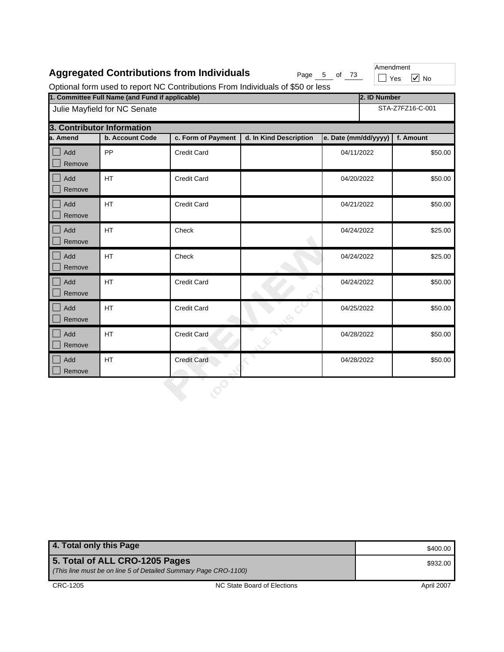|  |  | <b>Aggregated Contributions from Individuals</b> |
|--|--|--------------------------------------------------|
|--|--|--------------------------------------------------|

Page  $\frac{5}{10}$  of  $\frac{73}{10}$ 

Amendment  $\Box$  Yes  $\boxed{\checkmark}$  No

Optional form used to report NC Contributions From Individuals of \$50 or less

| 1. Committee Full Name (and Fund if applicable) |                            |                    |                        |                      | 2. ID Number     |           |  |  |
|-------------------------------------------------|----------------------------|--------------------|------------------------|----------------------|------------------|-----------|--|--|
| Julie Mayfield for NC Senate                    |                            |                    |                        |                      | STA-Z7FZ16-C-001 |           |  |  |
|                                                 | 3. Contributor Information |                    |                        |                      |                  |           |  |  |
| a. Amend                                        | b. Account Code            | c. Form of Payment | d. In Kind Description | e. Date (mm/dd/yyyy) |                  | f. Amount |  |  |
| Add<br>Remove                                   | PP                         | Credit Card        |                        | 04/11/2022           |                  | \$50.00   |  |  |
| Add<br>Remove                                   | <b>HT</b>                  | <b>Credit Card</b> |                        | 04/20/2022           |                  | \$50.00   |  |  |
| Add<br>Remove                                   | <b>HT</b>                  | <b>Credit Card</b> |                        | 04/21/2022           |                  | \$50.00   |  |  |
| Add<br>Remove                                   | <b>HT</b>                  | Check              |                        | 04/24/2022           |                  | \$25.00   |  |  |
| Add<br>Remove                                   | <b>HT</b>                  | Check              |                        | 04/24/2022           |                  | \$25.00   |  |  |
| Add<br>Remove                                   | <b>HT</b>                  | <b>Credit Card</b> |                        | 04/24/2022           |                  | \$50.00   |  |  |
| Add<br>Remove                                   | <b>HT</b>                  | <b>Credit Card</b> |                        | 04/25/2022           |                  | \$50.00   |  |  |
| Add<br>Remove                                   | <b>HT</b>                  | <b>Credit Card</b> |                        | 04/28/2022           |                  | \$50.00   |  |  |
| Add<br>Remove                                   | HT                         | <b>Credit Card</b> |                        | 04/28/2022           |                  | \$50.00   |  |  |
|                                                 |                            |                    |                        |                      |                  |           |  |  |

| 4. Total only this Page                                                                           |                             | \$400.00          |
|---------------------------------------------------------------------------------------------------|-----------------------------|-------------------|
| 5. Total of ALL CRO-1205 Pages<br>(This line must be on line 5 of Detailed Summary Page CRO-1100) |                             | \$932.00          |
| CRC-1205                                                                                          | NC State Board of Elections | <b>April 2007</b> |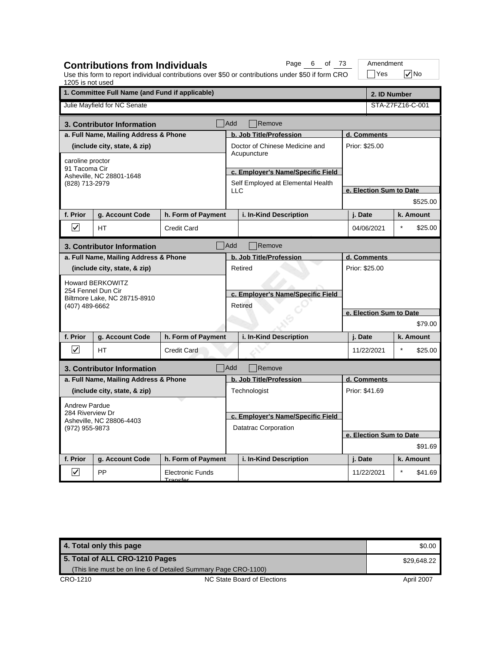| 1205 is not used         | <b>Contributions from Individuals</b>           |                                            |                | Page 6 of 73<br>Use this form to report individual contributions over \$50 or contributions under \$50 if form CRO |  | Amendment<br>Yes        |         | $\sqrt{}$ No |
|--------------------------|-------------------------------------------------|--------------------------------------------|----------------|--------------------------------------------------------------------------------------------------------------------|--|-------------------------|---------|--------------|
|                          | 1. Committee Full Name (and Fund if applicable) |                                            |                |                                                                                                                    |  | 2. ID Number            |         |              |
|                          | Julie Mayfield for NC Senate                    |                                            |                |                                                                                                                    |  | STA-Z7FZ16-C-001        |         |              |
|                          | 3. Contributor Information                      |                                            | <b>Add</b>     | Remove                                                                                                             |  |                         |         |              |
|                          | a. Full Name, Mailing Address & Phone           |                                            |                | b. Job Title/Profession                                                                                            |  | d. Comments             |         |              |
|                          | (include city, state, & zip)                    |                                            |                | Doctor of Chinese Medicine and                                                                                     |  | Prior: \$25.00          |         |              |
| caroline proctor         |                                                 |                                            |                | Acupuncture                                                                                                        |  |                         |         |              |
| 91 Tacoma Cir            |                                                 |                                            |                | c. Employer's Name/Specific Field                                                                                  |  |                         |         |              |
| (828) 713-2979           | Asheville, NC 28801-1648                        |                                            |                | Self Employed at Elemental Health                                                                                  |  |                         |         |              |
|                          |                                                 |                                            | <b>LLC</b>     |                                                                                                                    |  | e. Election Sum to Date |         |              |
|                          |                                                 |                                            |                |                                                                                                                    |  |                         |         | \$525.00     |
| f. Prior                 | g. Account Code                                 | h. Form of Payment                         |                | i. In-Kind Description                                                                                             |  | j. Date                 |         | k. Amount    |
| $\overline{\mathsf{v}}$  | <b>HT</b>                                       | <b>Credit Card</b>                         |                |                                                                                                                    |  | 04/06/2021              | $\star$ | \$25.00      |
|                          | 3. Contributor Information                      |                                            | Add            | Remove                                                                                                             |  |                         |         |              |
|                          | a. Full Name, Mailing Address & Phone           |                                            |                | b. Job Title/Profession                                                                                            |  | d. Comments             |         |              |
|                          | (include city, state, & zip)                    |                                            |                | Retired                                                                                                            |  | Prior: \$25.00          |         |              |
|                          | <b>Howard BERKOWITZ</b>                         |                                            |                |                                                                                                                    |  |                         |         |              |
|                          | 254 Fennel Dun Cir                              |                                            |                | c. Employer's Name/Specific Field                                                                                  |  |                         |         |              |
| (407) 489-6662           | Biltmore Lake, NC 28715-8910                    |                                            | <b>Retired</b> |                                                                                                                    |  |                         |         |              |
|                          |                                                 |                                            |                |                                                                                                                    |  | e. Election Sum to Date |         |              |
|                          |                                                 |                                            |                |                                                                                                                    |  |                         |         | \$79.00      |
| f. Prior                 | g. Account Code                                 | h. Form of Payment                         |                | i. In-Kind Description                                                                                             |  | j. Date                 |         | k. Amount    |
| $\overline{\mathsf{v}}$  | <b>HT</b>                                       | <b>Credit Card</b>                         |                |                                                                                                                    |  | 11/22/2021              |         | \$25.00      |
|                          | 3. Contributor Information                      |                                            | <b>Add</b>     | Remove                                                                                                             |  |                         |         |              |
|                          | a. Full Name, Mailing Address & Phone           |                                            |                | b. Job Title/Profession                                                                                            |  | d. Comments             |         |              |
|                          | (include city, state, & zip)                    |                                            |                | Technologist                                                                                                       |  | Prior: \$41.69          |         |              |
| <b>Andrew Pardue</b>     |                                                 |                                            |                |                                                                                                                    |  |                         |         |              |
| 284 Riverview Dr         |                                                 |                                            |                | c. Employer's Name/Specific Field                                                                                  |  |                         |         |              |
| (972) 955-9873           | Asheville, NC 28806-4403                        |                                            |                | <b>Datatrac Corporation</b>                                                                                        |  |                         |         |              |
|                          |                                                 |                                            |                |                                                                                                                    |  | e. Election Sum to Date |         |              |
|                          |                                                 |                                            |                |                                                                                                                    |  |                         |         | \$91.69      |
| f. Prior                 | g. Account Code                                 | h. Form of Payment                         |                | i. In-Kind Description                                                                                             |  | j. Date                 |         | k. Amount    |
| $\vert\!\!\sqrt{2}\vert$ | PP                                              | <b>Electronic Funds</b><br><u>Tranefor</u> |                |                                                                                                                    |  | 11/22/2021              | $\star$ | \$41.69      |

| 4. Total only this page        |                                                                 | \$0.00      |
|--------------------------------|-----------------------------------------------------------------|-------------|
| 5. Total of ALL CRO-1210 Pages |                                                                 | \$29.648.22 |
|                                | (This line must be on line 6 of Detailed Summary Page CRO-1100) |             |
| CRO-1210                       | NC State Board of Elections                                     | April 2007  |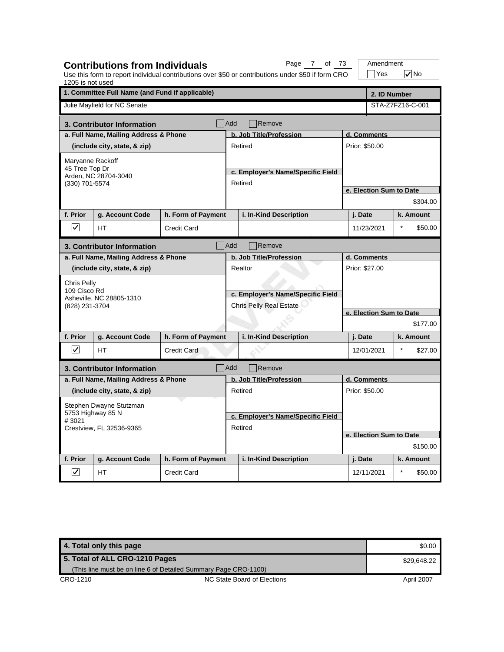| 1205 is not used        | <b>Contributions from Individuals</b>           |                    |            | Page 7 of 73<br>Use this form to report individual contributions over \$50 or contributions under \$50 if form CRO | Amendment<br>$\exists$ Yes |         | $\sqrt{}$ No |
|-------------------------|-------------------------------------------------|--------------------|------------|--------------------------------------------------------------------------------------------------------------------|----------------------------|---------|--------------|
|                         | 1. Committee Full Name (and Fund if applicable) |                    |            |                                                                                                                    | 2. ID Number               |         |              |
|                         | Julie Mayfield for NC Senate                    |                    |            |                                                                                                                    | STA-Z7FZ16-C-001           |         |              |
|                         | 3. Contributor Information                      |                    | <b>Add</b> | Remove                                                                                                             |                            |         |              |
|                         | a. Full Name, Mailing Address & Phone           |                    |            | b. Job Title/Profession                                                                                            | d. Comments                |         |              |
|                         | (include city, state, & zip)                    |                    |            | Retired                                                                                                            | Prior: \$50.00             |         |              |
| Maryanne Rackoff        |                                                 |                    |            |                                                                                                                    |                            |         |              |
| 45 Tree Top Dr          | Arden, NC 28704-3040                            |                    |            | c. Employer's Name/Specific Field                                                                                  |                            |         |              |
| (330) 701-5574          |                                                 |                    |            | Retired                                                                                                            |                            |         |              |
|                         |                                                 |                    |            |                                                                                                                    | e. Election Sum to Date    |         |              |
|                         |                                                 |                    |            |                                                                                                                    |                            |         | \$304.00     |
| f. Prior                | g. Account Code                                 | h. Form of Payment |            | i. In-Kind Description                                                                                             | j. Date                    |         | k. Amount    |
| $\boxed{\checkmark}$    | <b>HT</b>                                       | <b>Credit Card</b> |            |                                                                                                                    | 11/23/2021                 | $\star$ | \$50.00      |
|                         | 3. Contributor Information                      |                    | Add        | Remove                                                                                                             |                            |         |              |
|                         | a. Full Name, Mailing Address & Phone           |                    |            | b. Job Title/Profession                                                                                            | d. Comments                |         |              |
|                         | (include city, state, & zip)                    |                    |            | Realtor                                                                                                            | Prior: \$27.00             |         |              |
| Chris Pelly             |                                                 |                    |            |                                                                                                                    |                            |         |              |
| 109 Cisco Rd            | Asheville, NC 28805-1310                        |                    |            | c. Employer's Name/Specific Field                                                                                  |                            |         |              |
| (828) 231-3704          |                                                 |                    |            | Chris Pelly Real Estate                                                                                            |                            |         |              |
|                         |                                                 |                    |            |                                                                                                                    | e. Election Sum to Date    |         |              |
|                         |                                                 |                    |            |                                                                                                                    |                            |         | \$177.00     |
| f. Prior                | g. Account Code                                 | h. Form of Payment |            | i. In-Kind Description                                                                                             | j. Date                    |         | k. Amount    |
| $ \mathcal{V} $         | <b>HT</b>                                       | <b>Credit Card</b> |            |                                                                                                                    | 12/01/2021                 |         | \$27.00      |
|                         | 3. Contributor Information                      |                    | Add        | Remove                                                                                                             |                            |         |              |
|                         | a. Full Name, Mailing Address & Phone           |                    |            | b. Job Title/Profession                                                                                            | d. Comments                |         |              |
|                         | (include city, state, & zip)                    |                    |            | Retired                                                                                                            | Prior: \$50.00             |         |              |
|                         | Stephen Dwayne Stutzman                         |                    |            |                                                                                                                    |                            |         |              |
|                         | 5753 Highway 85 N                               |                    |            | c. Employer's Name/Specific Field                                                                                  |                            |         |              |
| #3021                   | Crestview, FL 32536-9365                        |                    |            | Retired                                                                                                            |                            |         |              |
|                         |                                                 |                    |            |                                                                                                                    | e. Election Sum to Date    |         |              |
|                         |                                                 |                    |            |                                                                                                                    |                            |         | \$150.00     |
| f. Prior                | g. Account Code                                 | h. Form of Payment |            | i. In-Kind Description                                                                                             | j. Date                    |         | k. Amount    |
| $\overline{\mathsf{v}}$ | НT                                              | <b>Credit Card</b> |            |                                                                                                                    | 12/11/2021                 |         | \$50.00      |

| 4. Total only this page        |                                                                 | \$0.00      |
|--------------------------------|-----------------------------------------------------------------|-------------|
| 5. Total of ALL CRO-1210 Pages |                                                                 | \$29.648.22 |
|                                | (This line must be on line 6 of Detailed Summary Page CRO-1100) |             |
| CRO-1210                       | NC State Board of Elections                                     | April 2007  |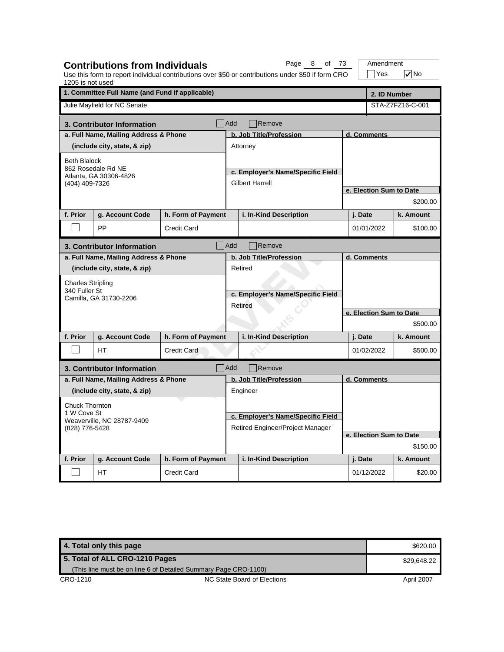| 1205 is not used                             | <b>Contributions from Individuals</b>                          |                                  |                                              | Page 8 of 73<br>Use this form to report individual contributions over \$50 or contributions under \$50 if form CRO |                         |             | Amendment<br>$\exists$ Yes | $\sqrt{}$ No            |
|----------------------------------------------|----------------------------------------------------------------|----------------------------------|----------------------------------------------|--------------------------------------------------------------------------------------------------------------------|-------------------------|-------------|----------------------------|-------------------------|
|                                              | 1. Committee Full Name (and Fund if applicable)                |                                  |                                              |                                                                                                                    |                         |             | 2. ID Number               |                         |
|                                              | Julie Mayfield for NC Senate                                   |                                  |                                              |                                                                                                                    |                         |             |                            | STA-Z7FZ16-C-001        |
|                                              | 3. Contributor Information                                     |                                  | Add                                          | Remove                                                                                                             |                         |             |                            |                         |
|                                              | a. Full Name, Mailing Address & Phone                          |                                  |                                              | b. Job Title/Profession                                                                                            | d. Comments             |             |                            |                         |
|                                              | (include city, state, & zip)                                   |                                  |                                              | Attorney                                                                                                           |                         |             |                            |                         |
| <b>Beth Blalock</b>                          |                                                                |                                  |                                              |                                                                                                                    |                         |             |                            |                         |
|                                              | 862 Rosedale Rd NE<br>Atlanta, GA 30306-4826<br>(404) 409-7326 |                                  |                                              | c. Employer's Name/Specific Field                                                                                  |                         |             |                            |                         |
|                                              |                                                                |                                  |                                              | Gilbert Harrell                                                                                                    |                         |             |                            |                         |
|                                              |                                                                |                                  |                                              |                                                                                                                    |                         |             |                            | e. Election Sum to Date |
|                                              |                                                                |                                  |                                              |                                                                                                                    |                         |             |                            | \$200.00                |
| f. Prior                                     | g. Account Code                                                | h. Form of Payment               |                                              | i. In-Kind Description                                                                                             |                         | j. Date     |                            | k. Amount               |
|                                              | PP                                                             | <b>Credit Card</b>               |                                              |                                                                                                                    |                         | 01/01/2022  |                            | \$100.00                |
|                                              | 3. Contributor Information                                     |                                  | Add                                          | Remove                                                                                                             |                         |             |                            |                         |
|                                              | a. Full Name, Mailing Address & Phone                          |                                  |                                              | b. Job Title/Profession                                                                                            |                         | d. Comments |                            |                         |
|                                              | (include city, state, & zip)                                   |                                  | Retired<br>c. Employer's Name/Specific Field |                                                                                                                    |                         |             |                            |                         |
| <b>Charles Stripling</b>                     |                                                                |                                  |                                              |                                                                                                                    |                         |             |                            |                         |
| 340 Fuller St                                |                                                                |                                  |                                              |                                                                                                                    |                         |             |                            |                         |
|                                              | Camilla, GA 31730-2206                                         |                                  |                                              | Retired                                                                                                            |                         |             |                            |                         |
|                                              |                                                                |                                  |                                              |                                                                                                                    | e. Election Sum to Date |             |                            |                         |
|                                              |                                                                |                                  |                                              |                                                                                                                    |                         |             |                            | \$500.00                |
| f. Prior                                     | g. Account Code                                                | h. Form of Payment               |                                              | i. In-Kind Description                                                                                             |                         | j. Date     |                            | k. Amount               |
|                                              | <b>HT</b>                                                      | <b>Credit Card</b>               |                                              |                                                                                                                    |                         | 01/02/2022  |                            | \$500.00                |
|                                              | 3. Contributor Information                                     |                                  | <b>Add</b>                                   | Remove                                                                                                             |                         |             |                            |                         |
|                                              | a. Full Name, Mailing Address & Phone                          |                                  |                                              | b. Job Title/Profession                                                                                            |                         | d. Comments |                            |                         |
|                                              | (include city, state, & zip)                                   |                                  |                                              | Engineer                                                                                                           |                         |             |                            |                         |
| <b>Chuck Thornton</b>                        |                                                                |                                  |                                              |                                                                                                                    |                         |             |                            |                         |
|                                              | 1 W Cove St                                                    |                                  |                                              | c. Employer's Name/Specific Field                                                                                  |                         |             |                            |                         |
| Weaverville, NC 28787-9409<br>(828) 776-5428 |                                                                | Retired Engineer/Project Manager |                                              |                                                                                                                    |                         |             |                            |                         |
|                                              |                                                                |                                  |                                              |                                                                                                                    |                         |             |                            | e. Election Sum to Date |
|                                              |                                                                |                                  |                                              |                                                                                                                    |                         |             |                            | \$150.00                |
| f. Prior                                     | g. Account Code                                                | h. Form of Payment               |                                              | i. In-Kind Description                                                                                             |                         | j. Date     |                            | k. Amount               |
|                                              | HT.                                                            | <b>Credit Card</b>               |                                              |                                                                                                                    |                         | 01/12/2022  |                            | \$20.00                 |

| 4. Total only this page        |                                                                 | \$620.00    |
|--------------------------------|-----------------------------------------------------------------|-------------|
| 5. Total of ALL CRO-1210 Pages |                                                                 | \$29.648.22 |
|                                | (This line must be on line 6 of Detailed Summary Page CRO-1100) |             |
| CRO-1210                       | NC State Board of Elections                                     | April 2007  |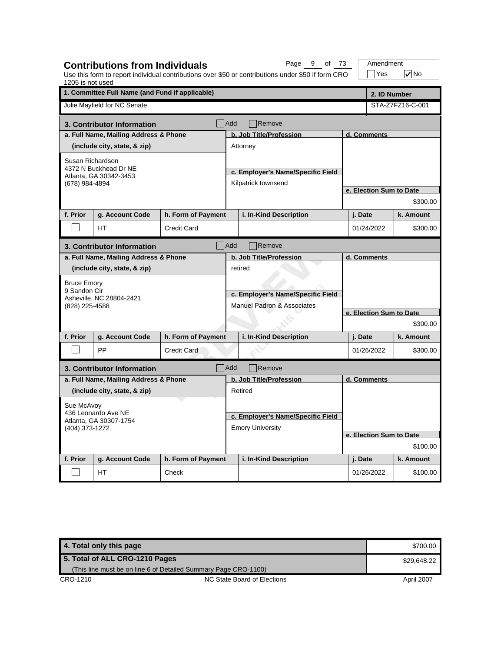| 1205 is not used    | <b>Contributions from Individuals</b>           |                    |                                                                            | Page 9 of 73<br>Use this form to report individual contributions over \$50 or contributions under \$50 if form CRO |             | Amendment<br>$\exists$ Yes | $\sqrt{}$ No     |  |  |
|---------------------|-------------------------------------------------|--------------------|----------------------------------------------------------------------------|--------------------------------------------------------------------------------------------------------------------|-------------|----------------------------|------------------|--|--|
|                     | 1. Committee Full Name (and Fund if applicable) |                    |                                                                            |                                                                                                                    |             |                            | 2. ID Number     |  |  |
|                     | Julie Mayfield for NC Senate                    |                    |                                                                            |                                                                                                                    |             |                            | STA-Z7FZ16-C-001 |  |  |
|                     | 3. Contributor Information                      |                    | <b>Add</b>                                                                 | Remove                                                                                                             |             |                            |                  |  |  |
|                     | a. Full Name, Mailing Address & Phone           |                    |                                                                            | b. Job Title/Profession                                                                                            | d. Comments |                            |                  |  |  |
|                     | (include city, state, & zip)                    |                    |                                                                            | Attorney                                                                                                           |             |                            |                  |  |  |
| Susan Richardson    |                                                 |                    |                                                                            |                                                                                                                    |             |                            |                  |  |  |
|                     | 4372 N Buckhead Dr NE<br>Atlanta, GA 30342-3453 |                    |                                                                            | c. Employer's Name/Specific Field                                                                                  |             |                            |                  |  |  |
| (678) 984-4894      |                                                 |                    |                                                                            | Kilpatrick townsend                                                                                                |             |                            |                  |  |  |
|                     |                                                 |                    |                                                                            |                                                                                                                    |             | e. Election Sum to Date    | \$300.00         |  |  |
|                     |                                                 |                    |                                                                            |                                                                                                                    |             |                            |                  |  |  |
| f. Prior            | g. Account Code                                 | h. Form of Payment |                                                                            | i. In-Kind Description                                                                                             |             | j. Date                    | k. Amount        |  |  |
|                     | <b>HT</b>                                       | <b>Credit Card</b> |                                                                            |                                                                                                                    |             | 01/24/2022                 | \$300.00         |  |  |
|                     | 3. Contributor Information                      |                    | Add                                                                        | Remove                                                                                                             |             |                            |                  |  |  |
|                     | a. Full Name, Mailing Address & Phone           |                    |                                                                            | b. Job Title/Profession                                                                                            |             | d. Comments                |                  |  |  |
|                     | (include city, state, & zip)                    |                    |                                                                            | retired                                                                                                            |             |                            |                  |  |  |
| <b>Bruce Emory</b>  |                                                 |                    | c. Employer's Name/Specific Field<br><b>Manuel Padron &amp; Associates</b> |                                                                                                                    |             |                            |                  |  |  |
| 9 Sandon Cir        | Asheville, NC 28804-2421                        |                    |                                                                            |                                                                                                                    |             |                            |                  |  |  |
| (828) 225-4588      |                                                 |                    |                                                                            |                                                                                                                    |             |                            |                  |  |  |
|                     |                                                 |                    |                                                                            |                                                                                                                    |             | e. Election Sum to Date    |                  |  |  |
|                     |                                                 |                    |                                                                            |                                                                                                                    |             |                            | \$300.00         |  |  |
| f. Prior            | g. Account Code                                 | h. Form of Payment |                                                                            | i. In-Kind Description                                                                                             |             | j. Date                    | k. Amount        |  |  |
|                     | PP                                              | <b>Credit Card</b> |                                                                            |                                                                                                                    |             | 01/26/2022                 | \$300.00         |  |  |
|                     | 3. Contributor Information                      |                    | Add                                                                        | Remove                                                                                                             |             |                            |                  |  |  |
|                     | a. Full Name, Mailing Address & Phone           |                    |                                                                            | b. Job Title/Profession                                                                                            |             | d. Comments                |                  |  |  |
|                     | (include city, state, & zip)                    |                    |                                                                            | Retired                                                                                                            |             |                            |                  |  |  |
| Sue McAvoy          |                                                 |                    |                                                                            |                                                                                                                    |             |                            |                  |  |  |
| 436 Leonardo Ave NE |                                                 |                    | c. Employer's Name/Specific Field                                          |                                                                                                                    |             |                            |                  |  |  |
|                     | Atlanta, GA 30307-1754<br>(404) 373-1272        |                    |                                                                            | <b>Emory University</b>                                                                                            |             |                            |                  |  |  |
|                     |                                                 |                    |                                                                            |                                                                                                                    |             | e. Election Sum to Date    |                  |  |  |
|                     |                                                 |                    |                                                                            |                                                                                                                    |             | \$100.00                   |                  |  |  |
| f. Prior            | g. Account Code                                 | h. Form of Payment |                                                                            | i. In-Kind Description                                                                                             |             | j. Date                    | k. Amount        |  |  |
|                     | НT                                              | Check              |                                                                            |                                                                                                                    |             | 01/26/2022                 | \$100.00         |  |  |

**4. Total only this page \$700.00 and \$700.00 and \$700.00 and \$700.00 and \$700.00 and \$700.00 and \$700.00 and \$700.00 and \$700.00 and \$700.00 and \$700.00 and \$700.00 and \$700.00 and \$700.00 and \$700.00 and \$700.00 and \$700.** CRO-1210 CRO-1210 NC State Board of Elections April 2007 **5. Total of ALL CRO-1210 Pages** (This line must be on line 6 of Detailed Summary Page CRO-1100) \$29,648.22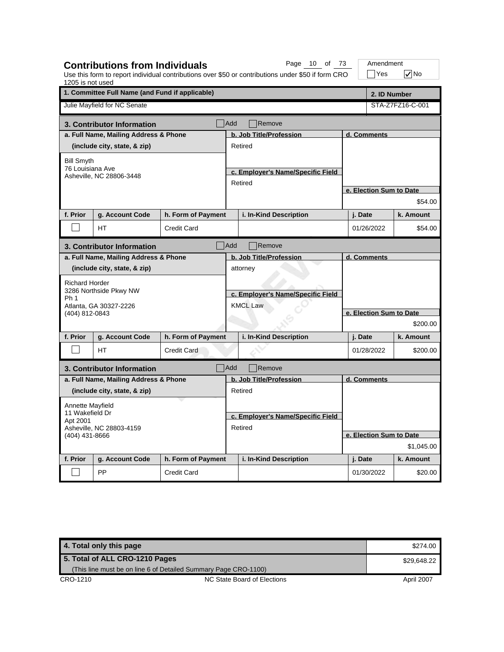| 1205 is not used      | <b>Contributions from Individuals</b>           |                    |                                                                  | Page 10 of 73<br>Use this form to report individual contributions over \$50 or contributions under \$50 if form CRO |                         | Amendment<br>Yes        | $\sqrt{}$ No     |  |  |
|-----------------------|-------------------------------------------------|--------------------|------------------------------------------------------------------|---------------------------------------------------------------------------------------------------------------------|-------------------------|-------------------------|------------------|--|--|
|                       | 1. Committee Full Name (and Fund if applicable) |                    |                                                                  |                                                                                                                     |                         | 2. ID Number            |                  |  |  |
|                       | Julie Mayfield for NC Senate                    |                    |                                                                  |                                                                                                                     |                         |                         | STA-Z7FZ16-C-001 |  |  |
|                       | 3. Contributor Information                      |                    | Add                                                              | Remove                                                                                                              |                         |                         |                  |  |  |
|                       | a. Full Name, Mailing Address & Phone           |                    |                                                                  | b. Job Title/Profession                                                                                             |                         | d. Comments             |                  |  |  |
|                       | (include city, state, & zip)                    |                    |                                                                  | Retired                                                                                                             |                         |                         |                  |  |  |
| <b>Bill Smyth</b>     |                                                 |                    |                                                                  |                                                                                                                     |                         |                         |                  |  |  |
| 76 Louisiana Ave      |                                                 |                    |                                                                  | c. Employer's Name/Specific Field                                                                                   |                         |                         |                  |  |  |
|                       | Asheville, NC 28806-3448                        |                    |                                                                  | Retired                                                                                                             |                         |                         |                  |  |  |
|                       |                                                 |                    |                                                                  |                                                                                                                     |                         | e. Election Sum to Date |                  |  |  |
|                       |                                                 |                    |                                                                  |                                                                                                                     |                         |                         | \$54.00          |  |  |
| f. Prior              | g. Account Code                                 | h. Form of Payment |                                                                  | i. In-Kind Description                                                                                              |                         | j. Date                 | k. Amount        |  |  |
|                       | HТ                                              | <b>Credit Card</b> |                                                                  |                                                                                                                     |                         | 01/26/2022              | \$54.00          |  |  |
|                       | 3. Contributor Information                      |                    | <b>Add</b>                                                       | Remove                                                                                                              |                         |                         |                  |  |  |
|                       | a. Full Name, Mailing Address & Phone           |                    |                                                                  | b. Job Title/Profession                                                                                             |                         | d. Comments             |                  |  |  |
|                       | (include city, state, & zip)                    |                    | attorney<br>c. Employer's Name/Specific Field<br><b>KMCL Law</b> |                                                                                                                     |                         |                         |                  |  |  |
| <b>Richard Horder</b> |                                                 |                    |                                                                  |                                                                                                                     |                         |                         |                  |  |  |
|                       | 3286 Northside Pkwy NW                          |                    |                                                                  |                                                                                                                     |                         |                         |                  |  |  |
| Ph <sub>1</sub>       | Atlanta, GA 30327-2226                          |                    |                                                                  |                                                                                                                     |                         |                         |                  |  |  |
| (404) 812-0843        |                                                 |                    |                                                                  |                                                                                                                     | e. Election Sum to Date |                         |                  |  |  |
|                       |                                                 |                    |                                                                  |                                                                                                                     |                         |                         | \$200.00         |  |  |
| f. Prior              | g. Account Code                                 | h. Form of Payment |                                                                  | i. In-Kind Description                                                                                              |                         | j. Date                 | k. Amount        |  |  |
|                       | <b>HT</b>                                       | <b>Credit Card</b> |                                                                  |                                                                                                                     |                         | 01/28/2022              | \$200.00         |  |  |
|                       | 3. Contributor Information                      |                    | Add                                                              | Remove                                                                                                              |                         |                         |                  |  |  |
|                       | a. Full Name, Mailing Address & Phone           |                    |                                                                  | b. Job Title/Profession                                                                                             |                         | d. Comments             |                  |  |  |
|                       | (include city, state, & zip)                    |                    |                                                                  | Retired                                                                                                             |                         |                         |                  |  |  |
| Annette Mayfield      |                                                 |                    |                                                                  |                                                                                                                     |                         |                         |                  |  |  |
| 11 Wakefield Dr       |                                                 |                    |                                                                  | c. Employer's Name/Specific Field                                                                                   |                         |                         |                  |  |  |
| Apt 2001              | Asheville, NC 28803-4159                        |                    |                                                                  | Retired                                                                                                             |                         |                         |                  |  |  |
| (404) 431-8666        |                                                 |                    |                                                                  |                                                                                                                     |                         | e. Election Sum to Date |                  |  |  |
|                       |                                                 |                    |                                                                  |                                                                                                                     |                         |                         | \$1,045.00       |  |  |
| f. Prior              | g. Account Code                                 | h. Form of Payment |                                                                  | i. In-Kind Description                                                                                              |                         | j. Date                 | k. Amount        |  |  |
|                       | PP                                              | <b>Credit Card</b> |                                                                  |                                                                                                                     |                         | 01/30/2022              | \$20.00          |  |  |

| 4. Total only this page        |                                                                 | \$274.00    |
|--------------------------------|-----------------------------------------------------------------|-------------|
| 5. Total of ALL CRO-1210 Pages |                                                                 | \$29.648.22 |
|                                | (This line must be on line 6 of Detailed Summary Page CRO-1100) |             |
| CRO-1210                       | NC State Board of Elections                                     | April 2007  |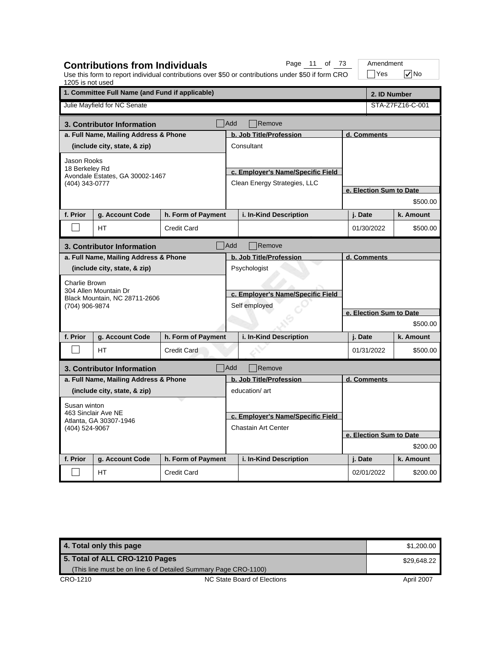| 1205 is not used                         | <b>Contributions from Individuals</b>             |                            |                                                    | Page 11 of 73<br>Use this form to report individual contributions over \$50 or contributions under \$50 if form CRO |                         | Amendment<br>$\exists$ Yes |  | $\sqrt{}$ No     |  |
|------------------------------------------|---------------------------------------------------|----------------------------|----------------------------------------------------|---------------------------------------------------------------------------------------------------------------------|-------------------------|----------------------------|--|------------------|--|
|                                          | 1. Committee Full Name (and Fund if applicable)   |                            |                                                    |                                                                                                                     |                         | 2. ID Number               |  |                  |  |
|                                          | Julie Mayfield for NC Senate                      |                            |                                                    |                                                                                                                     |                         |                            |  | STA-Z7FZ16-C-001 |  |
|                                          | 3. Contributor Information                        |                            | Add                                                | Remove                                                                                                              |                         |                            |  |                  |  |
|                                          | a. Full Name, Mailing Address & Phone             |                            |                                                    | b. Job Title/Profession                                                                                             |                         | d. Comments                |  |                  |  |
|                                          | (include city, state, & zip)                      |                            |                                                    | Consultant                                                                                                          |                         |                            |  |                  |  |
| Jason Rooks                              |                                                   |                            |                                                    |                                                                                                                     |                         |                            |  |                  |  |
|                                          | 18 Berkeley Rd<br>Avondale Estates, GA 30002-1467 |                            |                                                    | c. Employer's Name/Specific Field                                                                                   |                         |                            |  |                  |  |
| (404) 343-0777                           |                                                   |                            |                                                    | Clean Energy Strategies, LLC                                                                                        |                         |                            |  |                  |  |
|                                          |                                                   |                            |                                                    |                                                                                                                     |                         | e. Election Sum to Date    |  |                  |  |
|                                          |                                                   |                            |                                                    |                                                                                                                     |                         |                            |  | \$500.00         |  |
| f. Prior                                 | g. Account Code                                   | h. Form of Payment         |                                                    | i. In-Kind Description                                                                                              |                         | j. Date                    |  | k. Amount        |  |
|                                          | HT                                                | Credit Card                |                                                    |                                                                                                                     |                         | 01/30/2022                 |  | \$500.00         |  |
|                                          | 3. Contributor Information                        |                            | Add                                                | Remove                                                                                                              |                         |                            |  |                  |  |
|                                          | a. Full Name, Mailing Address & Phone             |                            |                                                    | b. Job Title/Profession                                                                                             |                         | d. Comments                |  |                  |  |
|                                          | (include city, state, & zip)                      |                            | Psychologist                                       |                                                                                                                     |                         |                            |  |                  |  |
| <b>Charlie Brown</b>                     |                                                   |                            | c. Employer's Name/Specific Field<br>Self employed |                                                                                                                     |                         |                            |  |                  |  |
|                                          | 304 Allen Mountain Dr                             |                            |                                                    |                                                                                                                     |                         |                            |  |                  |  |
| (704) 906-9874                           | Black Mountain, NC 28711-2606                     |                            |                                                    |                                                                                                                     |                         |                            |  |                  |  |
|                                          |                                                   |                            |                                                    |                                                                                                                     | e. Election Sum to Date |                            |  |                  |  |
|                                          |                                                   |                            |                                                    |                                                                                                                     |                         |                            |  | \$500.00         |  |
| f. Prior                                 | g. Account Code                                   | h. Form of Payment         |                                                    | i. In-Kind Description                                                                                              |                         | j. Date                    |  | k. Amount        |  |
|                                          | <b>HT</b>                                         | <b>Credit Card</b>         |                                                    |                                                                                                                     |                         | 01/31/2022                 |  | \$500.00         |  |
|                                          | 3. Contributor Information                        |                            | <b>Add</b>                                         | Remove                                                                                                              |                         |                            |  |                  |  |
|                                          | a. Full Name, Mailing Address & Phone             |                            |                                                    | b. Job Title/Profession                                                                                             |                         | d. Comments                |  |                  |  |
|                                          | (include city, state, & zip)                      |                            |                                                    | education/art                                                                                                       |                         |                            |  |                  |  |
| Susan winton                             |                                                   |                            |                                                    |                                                                                                                     |                         |                            |  |                  |  |
|                                          | 463 Sinclair Ave NE                               |                            |                                                    | c. Employer's Name/Specific Field                                                                                   |                         |                            |  |                  |  |
| Atlanta, GA 30307-1946<br>(404) 524-9067 |                                                   | <b>Chastain Art Center</b> |                                                    |                                                                                                                     |                         |                            |  |                  |  |
|                                          |                                                   |                            |                                                    |                                                                                                                     |                         | e. Election Sum to Date    |  |                  |  |
|                                          |                                                   |                            |                                                    |                                                                                                                     |                         |                            |  | \$200.00         |  |
| f. Prior                                 | g. Account Code                                   | h. Form of Payment         |                                                    | i. In-Kind Description                                                                                              |                         | j. Date                    |  | k. Amount        |  |
|                                          | HT.                                               | <b>Credit Card</b>         |                                                    |                                                                                                                     |                         | 02/01/2022                 |  | \$200.00         |  |

**4. Total only this page \$1,200.00** \$1,200.00 CRO-1210 CRO-1210 NC State Board of Elections April 2007 **5. Total of ALL CRO-1210 Pages** (This line must be on line 6 of Detailed Summary Page CRO-1100) \$29,648.22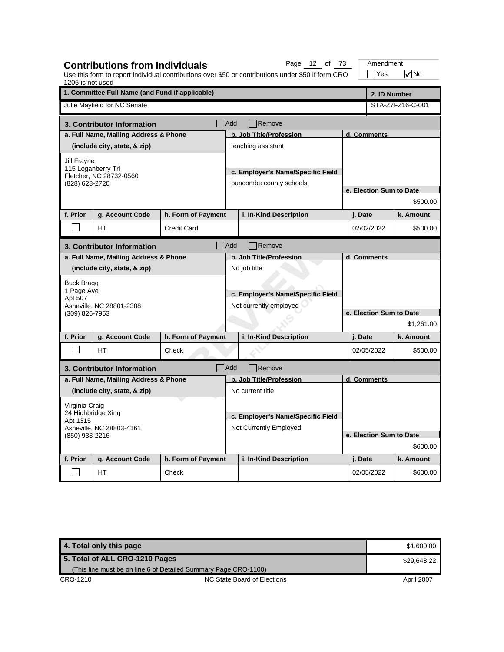| 1205 is not used                                                                      |                                                                                             |                    |                                                                             | Use this form to report individual contributions over \$50 or contributions under \$50 if form CRO |                         | Yes                     | $\sqrt{}$ No |  |  |
|---------------------------------------------------------------------------------------|---------------------------------------------------------------------------------------------|--------------------|-----------------------------------------------------------------------------|----------------------------------------------------------------------------------------------------|-------------------------|-------------------------|--------------|--|--|
|                                                                                       | 1. Committee Full Name (and Fund if applicable)                                             |                    |                                                                             |                                                                                                    |                         | 2. ID Number            |              |  |  |
|                                                                                       | Julie Mayfield for NC Senate                                                                |                    |                                                                             |                                                                                                    | STA-Z7FZ16-C-001        |                         |              |  |  |
|                                                                                       | 3. Contributor Information                                                                  |                    | Add                                                                         | Remove                                                                                             |                         |                         |              |  |  |
|                                                                                       | a. Full Name, Mailing Address & Phone                                                       |                    |                                                                             | b. Job Title/Profession                                                                            |                         | d. Comments             |              |  |  |
|                                                                                       | (include city, state, & zip)                                                                |                    |                                                                             | teaching assistant                                                                                 |                         |                         |              |  |  |
| <b>Jill Frayne</b><br>115 Loganberry Trl<br>Fletcher, NC 28732-0560<br>(828) 628-2720 |                                                                                             |                    |                                                                             | c. Employer's Name/Specific Field<br>buncombe county schools                                       |                         |                         |              |  |  |
|                                                                                       |                                                                                             |                    |                                                                             |                                                                                                    | e. Election Sum to Date |                         |              |  |  |
|                                                                                       |                                                                                             |                    |                                                                             |                                                                                                    |                         |                         | \$500.00     |  |  |
| f. Prior                                                                              | g. Account Code                                                                             | h. Form of Payment |                                                                             | i. In-Kind Description                                                                             |                         | j. Date                 | k. Amount    |  |  |
|                                                                                       | HТ                                                                                          | <b>Credit Card</b> |                                                                             |                                                                                                    |                         | 02/02/2022              | \$500.00     |  |  |
|                                                                                       | 3. Contributor Information                                                                  |                    | Add                                                                         | Remove                                                                                             |                         |                         |              |  |  |
|                                                                                       | a. Full Name, Mailing Address & Phone                                                       |                    |                                                                             | b. Job Title/Profession                                                                            |                         | d. Comments             |              |  |  |
| Apt 507                                                                               | (include city, state, & zip)<br><b>Buck Bragg</b><br>1 Page Ave<br>Asheville, NC 28801-2388 |                    | No job title<br>c. Employer's Name/Specific Field<br>Not currently employed |                                                                                                    |                         |                         |              |  |  |
| (309) 826-7953                                                                        |                                                                                             |                    |                                                                             |                                                                                                    | e. Election Sum to Date |                         |              |  |  |
|                                                                                       |                                                                                             |                    |                                                                             |                                                                                                    |                         |                         | \$1,261.00   |  |  |
| f. Prior                                                                              | g. Account Code                                                                             | h. Form of Payment |                                                                             | i. In-Kind Description                                                                             |                         | j. Date                 | k. Amount    |  |  |
|                                                                                       | HТ                                                                                          | Check              |                                                                             |                                                                                                    |                         | 02/05/2022              | \$500.00     |  |  |
|                                                                                       | 3. Contributor Information                                                                  |                    | Add                                                                         | Remove                                                                                             |                         |                         |              |  |  |
|                                                                                       | a. Full Name, Mailing Address & Phone                                                       |                    |                                                                             | b. Job Title/Profession                                                                            | d. Comments             |                         |              |  |  |
|                                                                                       | (include city, state, & zip)                                                                |                    |                                                                             | No current title                                                                                   |                         |                         |              |  |  |
| Virginia Craig                                                                        |                                                                                             |                    |                                                                             |                                                                                                    |                         |                         |              |  |  |
| 24 Highbridge Xing<br>Apt 1315                                                        |                                                                                             |                    |                                                                             | c. Employer's Name/Specific Field                                                                  |                         |                         |              |  |  |
|                                                                                       | Asheville, NC 28803-4161                                                                    |                    | Not Currently Employed                                                      |                                                                                                    |                         |                         |              |  |  |
| (850) 933-2216                                                                        |                                                                                             |                    |                                                                             |                                                                                                    |                         | e. Election Sum to Date |              |  |  |
|                                                                                       |                                                                                             |                    |                                                                             |                                                                                                    |                         |                         | \$600.00     |  |  |
| f. Prior                                                                              | g. Account Code                                                                             | h. Form of Payment |                                                                             | i. In-Kind Description                                                                             |                         | j. Date                 | k. Amount    |  |  |
|                                                                                       | <b>HT</b>                                                                                   | Check              |                                                                             |                                                                                                    |                         | 02/05/2022              | \$600.00     |  |  |

**Contributions from Individuals**

Page 12 of 73 | Amendment

**4. Total only this page \$1,600.00** \$1,600.00 CRO-1210 CRO-1210 NC State Board of Elections April 2007 **5. Total of ALL CRO-1210 Pages** (This line must be on line 6 of Detailed Summary Page CRO-1100) \$29,648.22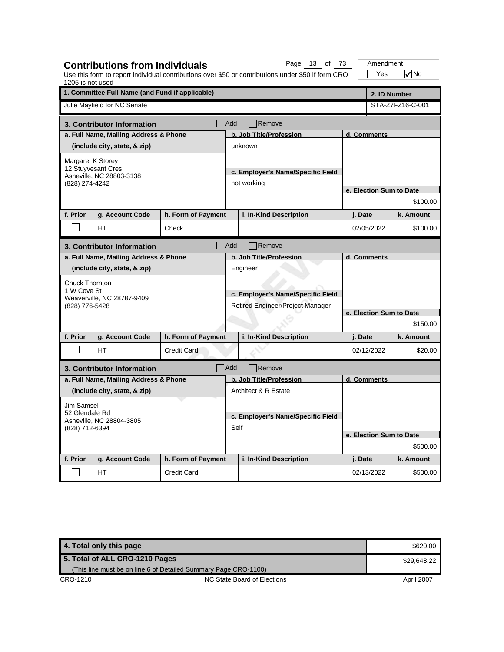| 1205 is not used      | <b>Contributions from Individuals</b>                               |                    |                                                                       | Page 13 of 73<br>Use this form to report individual contributions over \$50 or contributions under \$50 if form CRO |  | Amendment<br> Yes       | l√∣No            |  |  |
|-----------------------|---------------------------------------------------------------------|--------------------|-----------------------------------------------------------------------|---------------------------------------------------------------------------------------------------------------------|--|-------------------------|------------------|--|--|
|                       | 1. Committee Full Name (and Fund if applicable)                     |                    |                                                                       |                                                                                                                     |  |                         | 2. ID Number     |  |  |
|                       | Julie Mayfield for NC Senate                                        |                    |                                                                       |                                                                                                                     |  |                         | STA-Z7FZ16-C-001 |  |  |
|                       | 3. Contributor Information                                          |                    | <b>Add</b>                                                            | Remove                                                                                                              |  |                         |                  |  |  |
|                       | a. Full Name, Mailing Address & Phone                               |                    |                                                                       | b. Job Title/Profession                                                                                             |  | d. Comments             |                  |  |  |
|                       | (include city, state, & zip)                                        |                    |                                                                       | unknown                                                                                                             |  |                         |                  |  |  |
|                       | Margaret K Storey<br>12 Stuyvesant Cres<br>Asheville, NC 28803-3138 |                    |                                                                       |                                                                                                                     |  |                         |                  |  |  |
|                       |                                                                     |                    |                                                                       | c. Employer's Name/Specific Field                                                                                   |  |                         |                  |  |  |
| (828) 274-4242        |                                                                     |                    |                                                                       | not working                                                                                                         |  | e. Election Sum to Date |                  |  |  |
|                       |                                                                     |                    |                                                                       |                                                                                                                     |  |                         | \$100.00         |  |  |
| f. Prior              | g. Account Code                                                     | h. Form of Payment |                                                                       | i. In-Kind Description                                                                                              |  | j. Date                 | k. Amount        |  |  |
|                       |                                                                     |                    |                                                                       |                                                                                                                     |  |                         |                  |  |  |
|                       | <b>HT</b>                                                           | Check              |                                                                       |                                                                                                                     |  | 02/05/2022              | \$100.00         |  |  |
|                       | 3. Contributor Information                                          |                    | Add                                                                   | Remove                                                                                                              |  |                         |                  |  |  |
|                       | a. Full Name, Mailing Address & Phone                               |                    |                                                                       | b. Job Title/Profession                                                                                             |  | d. Comments             |                  |  |  |
|                       | (include city, state, & zip)                                        |                    |                                                                       | Engineer                                                                                                            |  |                         |                  |  |  |
| <b>Chuck Thornton</b> |                                                                     |                    | c. Employer's Name/Specific Field<br>Retired Engineer/Project Manager |                                                                                                                     |  | e. Election Sum to Date |                  |  |  |
| 1 W Cove St           | Weaverville, NC 28787-9409                                          |                    |                                                                       |                                                                                                                     |  |                         |                  |  |  |
| (828) 776-5428        |                                                                     |                    |                                                                       |                                                                                                                     |  |                         |                  |  |  |
|                       |                                                                     |                    |                                                                       |                                                                                                                     |  |                         |                  |  |  |
|                       |                                                                     |                    |                                                                       |                                                                                                                     |  |                         | \$150.00         |  |  |
| f. Prior              | g. Account Code                                                     | h. Form of Payment |                                                                       | i. In-Kind Description                                                                                              |  | j. Date                 | k. Amount        |  |  |
|                       | HT.                                                                 | <b>Credit Card</b> |                                                                       |                                                                                                                     |  | 02/12/2022              | \$20.00          |  |  |
|                       | 3. Contributor Information                                          |                    | <b>Add</b>                                                            | Remove                                                                                                              |  |                         |                  |  |  |
|                       | a. Full Name, Mailing Address & Phone                               |                    |                                                                       | b. Job Title/Profession                                                                                             |  | d. Comments             |                  |  |  |
|                       | (include city, state, & zip)                                        |                    |                                                                       | Architect & R Estate                                                                                                |  |                         |                  |  |  |
| <b>Jim Samsel</b>     |                                                                     |                    |                                                                       |                                                                                                                     |  |                         |                  |  |  |
| 52 Glendale Rd        | Asheville, NC 28804-3805                                            |                    |                                                                       | c. Employer's Name/Specific Field                                                                                   |  |                         |                  |  |  |
| (828) 712-6394        |                                                                     |                    | Self                                                                  |                                                                                                                     |  |                         |                  |  |  |
|                       |                                                                     |                    |                                                                       |                                                                                                                     |  | e. Election Sum to Date |                  |  |  |
|                       |                                                                     |                    |                                                                       |                                                                                                                     |  |                         | \$500.00         |  |  |
| f. Prior              | g. Account Code                                                     | h. Form of Payment |                                                                       | i. In-Kind Description                                                                                              |  | j. Date                 | k. Amount        |  |  |
|                       | <b>HT</b>                                                           | Credit Card        |                                                                       |                                                                                                                     |  | 02/13/2022              | \$500.00         |  |  |

| 4. Total only this page        |                                                                 | \$620.00    |
|--------------------------------|-----------------------------------------------------------------|-------------|
| 5. Total of ALL CRO-1210 Pages |                                                                 | \$29,648.22 |
|                                | (This line must be on line 6 of Detailed Summary Page CRO-1100) |             |
| CRO-1210                       | NC State Board of Elections                                     | April 2007  |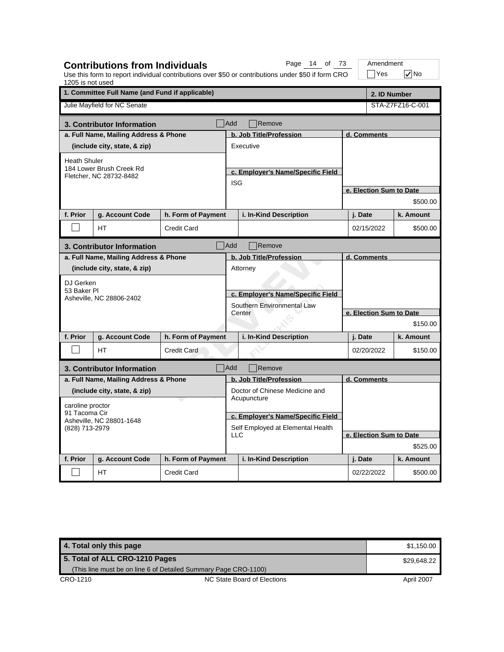| 1205 is not used    | <b>Contributions from Individuals</b>           |                    |                                                                                       | Page 14 of 73<br>Use this form to report individual contributions over \$50 or contributions under \$50 if form CRO |          | Amendment<br>Yes        |  | $\sqrt{}$ No     |  |
|---------------------|-------------------------------------------------|--------------------|---------------------------------------------------------------------------------------|---------------------------------------------------------------------------------------------------------------------|----------|-------------------------|--|------------------|--|
|                     | 1. Committee Full Name (and Fund if applicable) |                    |                                                                                       |                                                                                                                     |          | 2. ID Number            |  |                  |  |
|                     | Julie Mayfield for NC Senate                    |                    |                                                                                       |                                                                                                                     |          |                         |  | STA-Z7FZ16-C-001 |  |
|                     | 3. Contributor Information                      |                    | Add                                                                                   | Remove                                                                                                              |          |                         |  |                  |  |
|                     | a. Full Name, Mailing Address & Phone           |                    |                                                                                       | b. Job Title/Profession                                                                                             |          | d. Comments             |  |                  |  |
|                     | (include city, state, & zip)                    |                    |                                                                                       | Executive                                                                                                           |          |                         |  |                  |  |
| <b>Heath Shuler</b> |                                                 |                    |                                                                                       |                                                                                                                     |          |                         |  |                  |  |
|                     | 184 Lower Brush Creek Rd                        |                    |                                                                                       | c. Employer's Name/Specific Field                                                                                   |          |                         |  |                  |  |
|                     | Fletcher, NC 28732-8482                         |                    | <b>ISG</b>                                                                            |                                                                                                                     |          |                         |  |                  |  |
|                     |                                                 |                    |                                                                                       |                                                                                                                     |          | e. Election Sum to Date |  |                  |  |
|                     |                                                 |                    |                                                                                       |                                                                                                                     |          |                         |  | \$500.00         |  |
| f. Prior            | g. Account Code                                 | h. Form of Payment |                                                                                       | i. In-Kind Description                                                                                              |          | j. Date                 |  | k. Amount        |  |
|                     | HT                                              | <b>Credit Card</b> |                                                                                       |                                                                                                                     |          | 02/15/2022              |  | \$500.00         |  |
|                     | 3. Contributor Information                      |                    | <b>Add</b>                                                                            | Remove                                                                                                              |          |                         |  |                  |  |
|                     | a. Full Name, Mailing Address & Phone           |                    |                                                                                       | b. Job Title/Profession                                                                                             |          | d. Comments             |  |                  |  |
|                     | (include city, state, & zip)                    |                    | Attorney<br>c. Employer's Name/Specific Field<br>Southern Environmental Law<br>Center |                                                                                                                     |          |                         |  |                  |  |
| DJ Gerken           |                                                 |                    |                                                                                       |                                                                                                                     |          |                         |  |                  |  |
| 53 Baker PI         |                                                 |                    |                                                                                       |                                                                                                                     |          |                         |  |                  |  |
|                     | Asheville, NC 28806-2402                        |                    |                                                                                       |                                                                                                                     |          |                         |  |                  |  |
|                     |                                                 |                    |                                                                                       |                                                                                                                     |          | e. Election Sum to Date |  |                  |  |
|                     |                                                 |                    |                                                                                       |                                                                                                                     |          |                         |  | \$150.00         |  |
| f. Prior            | g. Account Code                                 | h. Form of Payment |                                                                                       | i. In-Kind Description                                                                                              |          | j. Date                 |  | k. Amount        |  |
|                     | HT.                                             | <b>Credit Card</b> |                                                                                       |                                                                                                                     |          | 02/20/2022              |  | \$150.00         |  |
|                     | 3. Contributor Information                      |                    | Add                                                                                   | Remove                                                                                                              |          |                         |  |                  |  |
|                     | a. Full Name, Mailing Address & Phone           |                    |                                                                                       | b. Job Title/Profession                                                                                             |          | d. Comments             |  |                  |  |
|                     | (include city, state, & zip)                    |                    |                                                                                       | Doctor of Chinese Medicine and                                                                                      |          |                         |  |                  |  |
| caroline proctor    |                                                 |                    |                                                                                       | Acupuncture                                                                                                         |          |                         |  |                  |  |
| 91 Tacoma Cir       |                                                 |                    |                                                                                       | c. Employer's Name/Specific Field                                                                                   |          |                         |  |                  |  |
| (828) 713-2979      | Asheville, NC 28801-1648                        |                    | Self Employed at Elemental Health                                                     |                                                                                                                     |          |                         |  |                  |  |
|                     |                                                 |                    | <b>LLC</b>                                                                            |                                                                                                                     |          | e. Election Sum to Date |  |                  |  |
|                     |                                                 |                    |                                                                                       |                                                                                                                     | \$525.00 |                         |  |                  |  |
| f. Prior            | g. Account Code                                 | h. Form of Payment |                                                                                       | i. In-Kind Description                                                                                              |          | j. Date                 |  | k. Amount        |  |
|                     | HT                                              | <b>Credit Card</b> |                                                                                       |                                                                                                                     |          | 02/22/2022              |  | \$500.00         |  |

| 4. Total only this page        |                                                                 | \$1.150.00  |
|--------------------------------|-----------------------------------------------------------------|-------------|
| 5. Total of ALL CRO-1210 Pages |                                                                 | \$29,648.22 |
|                                | (This line must be on line 6 of Detailed Summary Page CRO-1100) |             |
| CRO-1210                       | NC State Board of Elections                                     | April 2007  |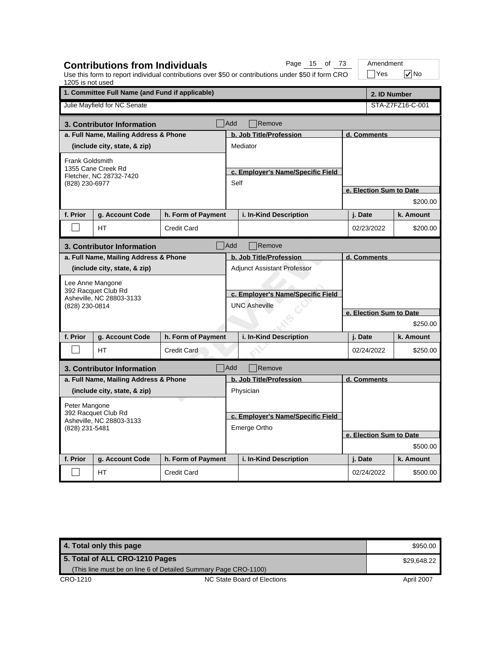| 1205 is not used                                                                   | <b>Contributions from Individuals</b>           |                    |                                                                         | Page 15 of 73<br>Use this form to report individual contributions over \$50 or contributions under \$50 if form CRO |                         |             | Amendment<br>$\exists$ Yes | $\nabla$ No             |  |
|------------------------------------------------------------------------------------|-------------------------------------------------|--------------------|-------------------------------------------------------------------------|---------------------------------------------------------------------------------------------------------------------|-------------------------|-------------|----------------------------|-------------------------|--|
|                                                                                    | 1. Committee Full Name (and Fund if applicable) |                    |                                                                         |                                                                                                                     |                         |             | 2. ID Number               |                         |  |
|                                                                                    | Julie Mayfield for NC Senate                    |                    |                                                                         |                                                                                                                     |                         |             |                            | STA-Z7FZ16-C-001        |  |
|                                                                                    | 3. Contributor Information                      |                    | <b>Add</b>                                                              | Remove                                                                                                              |                         |             |                            |                         |  |
|                                                                                    | a. Full Name, Mailing Address & Phone           |                    |                                                                         | b. Job Title/Profession                                                                                             | d. Comments             |             |                            |                         |  |
|                                                                                    | (include city, state, & zip)                    |                    |                                                                         | Mediator                                                                                                            |                         |             |                            |                         |  |
| Frank Goldsmith<br>1355 Cane Creek Rd<br>Fletcher, NC 28732-7420<br>(828) 230-6977 |                                                 |                    | Self                                                                    | c. Employer's Name/Specific Field                                                                                   |                         |             |                            |                         |  |
|                                                                                    |                                                 |                    |                                                                         |                                                                                                                     |                         |             |                            | e. Election Sum to Date |  |
|                                                                                    |                                                 |                    |                                                                         |                                                                                                                     |                         |             |                            | \$200.00                |  |
| f. Prior                                                                           | g. Account Code                                 | h. Form of Payment |                                                                         | i. In-Kind Description                                                                                              |                         | j. Date     |                            | k. Amount               |  |
|                                                                                    | <b>HT</b>                                       | <b>Credit Card</b> |                                                                         |                                                                                                                     |                         | 02/23/2022  |                            | \$200.00                |  |
| <b>Add</b><br>Remove<br>3. Contributor Information                                 |                                                 |                    |                                                                         |                                                                                                                     |                         |             |                            |                         |  |
|                                                                                    | a. Full Name, Mailing Address & Phone           |                    |                                                                         | b. Job Title/Profession                                                                                             |                         | d. Comments |                            |                         |  |
|                                                                                    | (include city, state, & zip)                    |                    | <b>Adjunct Assistant Professor</b><br>c. Employer's Name/Specific Field |                                                                                                                     |                         |             |                            |                         |  |
|                                                                                    | Lee Anne Mangone                                |                    |                                                                         |                                                                                                                     |                         |             |                            |                         |  |
|                                                                                    | 392 Racquet Club Rd                             |                    |                                                                         |                                                                                                                     |                         |             |                            |                         |  |
| (828) 230-0814                                                                     | Asheville, NC 28803-3133                        |                    |                                                                         | <b>UNC Asheville</b>                                                                                                |                         |             |                            |                         |  |
|                                                                                    |                                                 |                    |                                                                         |                                                                                                                     | e. Election Sum to Date |             |                            |                         |  |
|                                                                                    |                                                 |                    |                                                                         |                                                                                                                     |                         |             |                            | \$250.00                |  |
| f. Prior                                                                           | g. Account Code                                 | h. Form of Payment |                                                                         | i. In-Kind Description                                                                                              |                         | j. Date     |                            | k. Amount               |  |
|                                                                                    | HT.                                             | <b>Credit Card</b> |                                                                         |                                                                                                                     |                         | 02/24/2022  |                            | \$250.00                |  |
|                                                                                    | 3. Contributor Information                      |                    | Add                                                                     | Remove                                                                                                              |                         |             |                            |                         |  |
|                                                                                    | a. Full Name, Mailing Address & Phone           |                    |                                                                         | b. Job Title/Profession                                                                                             |                         | d. Comments |                            |                         |  |
|                                                                                    | (include city, state, & zip)                    |                    |                                                                         | Physician                                                                                                           |                         |             |                            |                         |  |
| Peter Mangone                                                                      |                                                 |                    |                                                                         |                                                                                                                     |                         |             |                            |                         |  |
|                                                                                    | 392 Racquet Club Rd                             |                    |                                                                         | c. Employer's Name/Specific Field                                                                                   |                         |             |                            |                         |  |
|                                                                                    | Asheville, NC 28803-3133<br>(828) 231-5481      |                    | Emerge Ortho                                                            |                                                                                                                     |                         |             |                            |                         |  |
|                                                                                    |                                                 |                    |                                                                         |                                                                                                                     |                         |             |                            | e. Election Sum to Date |  |
|                                                                                    |                                                 |                    |                                                                         |                                                                                                                     |                         |             |                            | \$500.00                |  |
| f. Prior                                                                           | g. Account Code                                 | h. Form of Payment |                                                                         | i. In-Kind Description                                                                                              |                         | j. Date     |                            | k. Amount               |  |
|                                                                                    | <b>HT</b>                                       | <b>Credit Card</b> |                                                                         |                                                                                                                     |                         | 02/24/2022  |                            | \$500.00                |  |

| 4. Total only this page                                         |                             | \$950.00   |
|-----------------------------------------------------------------|-----------------------------|------------|
| 5. Total of ALL CRO-1210 Pages                                  | \$29.648.22                 |            |
| (This line must be on line 6 of Detailed Summary Page CRO-1100) |                             |            |
| CRO-1210                                                        | NC State Board of Elections | April 2007 |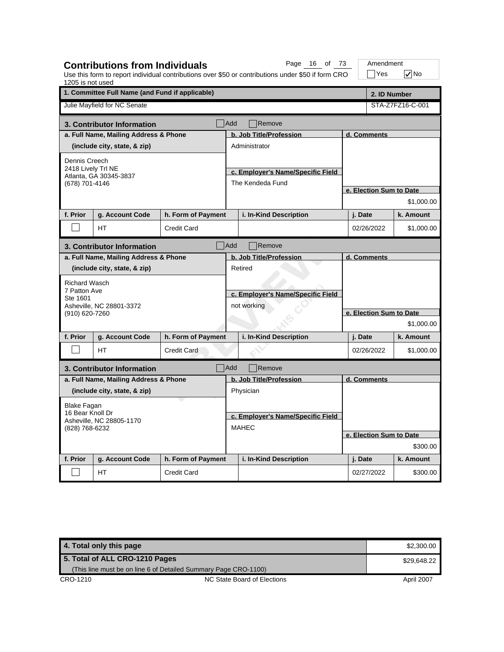| 1205 is not used                                                | <b>Contributions from Individuals</b> |                    |                                                  | Page 16 of 73<br>Use this form to report individual contributions over \$50 or contributions under \$50 if form CRO |                         | Amendment<br>$\exists$ Yes | $\sqrt{}$ No     |  |  |
|-----------------------------------------------------------------|---------------------------------------|--------------------|--------------------------------------------------|---------------------------------------------------------------------------------------------------------------------|-------------------------|----------------------------|------------------|--|--|
| 1. Committee Full Name (and Fund if applicable)<br>2. ID Number |                                       |                    |                                                  |                                                                                                                     |                         |                            |                  |  |  |
|                                                                 | Julie Mayfield for NC Senate          |                    |                                                  |                                                                                                                     |                         |                            | STA-Z7FZ16-C-001 |  |  |
|                                                                 | 3. Contributor Information            |                    | <b>Add</b>                                       | Remove                                                                                                              |                         |                            |                  |  |  |
|                                                                 | a. Full Name, Mailing Address & Phone |                    |                                                  | b. Job Title/Profession                                                                                             |                         | d. Comments                |                  |  |  |
|                                                                 | (include city, state, & zip)          |                    |                                                  | Administrator                                                                                                       |                         |                            |                  |  |  |
| Dennis Creech                                                   |                                       |                    |                                                  |                                                                                                                     |                         |                            |                  |  |  |
| 2418 Lively Trl NE                                              | Atlanta, GA 30345-3837                |                    |                                                  | c. Employer's Name/Specific Field                                                                                   |                         |                            |                  |  |  |
| (678) 701-4146                                                  |                                       |                    |                                                  | The Kendeda Fund                                                                                                    |                         |                            |                  |  |  |
|                                                                 |                                       |                    |                                                  |                                                                                                                     |                         | e. Election Sum to Date    |                  |  |  |
|                                                                 |                                       |                    |                                                  |                                                                                                                     |                         |                            | \$1,000.00       |  |  |
| f. Prior                                                        | g. Account Code                       | h. Form of Payment |                                                  | i. In-Kind Description                                                                                              |                         | j. Date                    | k. Amount        |  |  |
|                                                                 | <b>HT</b>                             | <b>Credit Card</b> |                                                  |                                                                                                                     |                         | 02/26/2022                 | \$1,000.00       |  |  |
|                                                                 | 3. Contributor Information            |                    | Add                                              | Remove                                                                                                              |                         |                            |                  |  |  |
|                                                                 | a. Full Name, Mailing Address & Phone |                    |                                                  | b. Job Title/Profession                                                                                             |                         | d. Comments                |                  |  |  |
|                                                                 | (include city, state, & zip)          |                    |                                                  | Retired                                                                                                             |                         |                            |                  |  |  |
| <b>Richard Wasch</b>                                            |                                       |                    |                                                  |                                                                                                                     |                         |                            |                  |  |  |
| 7 Patton Ave<br>Ste 1601                                        |                                       |                    | c. Employer's Name/Specific Field<br>not working |                                                                                                                     |                         |                            |                  |  |  |
|                                                                 | Asheville, NC 28801-3372              |                    |                                                  |                                                                                                                     |                         |                            |                  |  |  |
| (910) 620-7260                                                  |                                       |                    |                                                  |                                                                                                                     | e. Election Sum to Date |                            |                  |  |  |
|                                                                 |                                       |                    |                                                  |                                                                                                                     | \$1,000.00              |                            |                  |  |  |
| f. Prior                                                        | g. Account Code                       | h. Form of Payment |                                                  | i. In-Kind Description                                                                                              |                         | j. Date                    | k. Amount        |  |  |
|                                                                 | <b>HT</b>                             | <b>Credit Card</b> |                                                  |                                                                                                                     |                         | 02/26/2022                 | \$1,000.00       |  |  |
|                                                                 | 3. Contributor Information            |                    | Add                                              | Remove                                                                                                              |                         |                            |                  |  |  |
|                                                                 | a. Full Name, Mailing Address & Phone |                    |                                                  | b. Job Title/Profession                                                                                             | d. Comments             |                            |                  |  |  |
|                                                                 | (include city, state, & zip)          |                    |                                                  | Physician                                                                                                           |                         |                            |                  |  |  |
| Blake Fagan                                                     |                                       |                    |                                                  |                                                                                                                     |                         |                            |                  |  |  |
| 16 Bear Knoll Dr<br>Asheville, NC 28805-1170<br>(828) 768-6232  |                                       |                    |                                                  | c. Employer's Name/Specific Field                                                                                   |                         |                            |                  |  |  |
|                                                                 |                                       |                    |                                                  | <b>MAHEC</b>                                                                                                        |                         |                            |                  |  |  |
|                                                                 |                                       |                    |                                                  |                                                                                                                     |                         | e. Election Sum to Date    |                  |  |  |
|                                                                 |                                       |                    |                                                  |                                                                                                                     |                         |                            | \$300.00         |  |  |
| f. Prior                                                        | g. Account Code                       | h. Form of Payment |                                                  | i. In-Kind Description                                                                                              |                         | j. Date                    | k. Amount        |  |  |
|                                                                 | НT                                    | <b>Credit Card</b> |                                                  |                                                                                                                     |                         | 02/27/2022                 | \$300.00         |  |  |

**4. Total only this page \$2,300.00** \$2,300.00 CRO-1210 CRO-1210 NC State Board of Elections April 2007 **5. Total of ALL CRO-1210 Pages** (This line must be on line 6 of Detailed Summary Page CRO-1100) \$29,648.22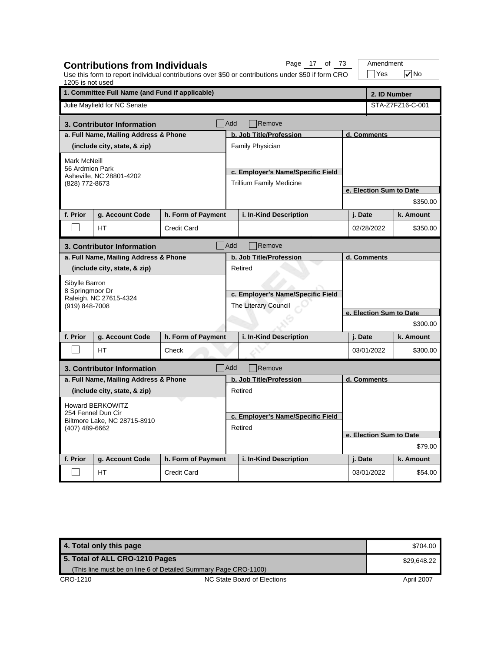| 1205 is not used                               | <b>Contributions from Individuals</b>           |                    |                                   | Page 17 of 73<br>Use this form to report individual contributions over \$50 or contributions under \$50 if form CRO |                         | Amendment<br>$\exists$ Yes |  | $\nabla$ No      |
|------------------------------------------------|-------------------------------------------------|--------------------|-----------------------------------|---------------------------------------------------------------------------------------------------------------------|-------------------------|----------------------------|--|------------------|
|                                                | 1. Committee Full Name (and Fund if applicable) |                    |                                   |                                                                                                                     |                         |                            |  | 2. ID Number     |
|                                                | Julie Mayfield for NC Senate                    |                    |                                   |                                                                                                                     |                         |                            |  | STA-Z7FZ16-C-001 |
|                                                | 3. Contributor Information                      |                    | <b>Add</b>                        | Remove                                                                                                              |                         |                            |  |                  |
|                                                | a. Full Name, Mailing Address & Phone           |                    |                                   | b. Job Title/Profession                                                                                             |                         | d. Comments                |  |                  |
|                                                | (include city, state, & zip)                    |                    |                                   | Family Physician                                                                                                    |                         |                            |  |                  |
| Mark McNeill                                   |                                                 |                    |                                   |                                                                                                                     |                         |                            |  |                  |
| 56 Ardmion Park                                | Asheville, NC 28801-4202                        |                    |                                   | c. Employer's Name/Specific Field                                                                                   |                         |                            |  |                  |
| (828) 772-8673                                 |                                                 |                    |                                   | <b>Trillium Family Medicine</b>                                                                                     |                         |                            |  |                  |
|                                                |                                                 |                    |                                   |                                                                                                                     |                         | e. Election Sum to Date    |  |                  |
|                                                |                                                 |                    |                                   |                                                                                                                     |                         |                            |  | \$350.00         |
| f. Prior                                       | g. Account Code                                 | h. Form of Payment |                                   | i. In-Kind Description                                                                                              |                         | j. Date                    |  | k. Amount        |
|                                                | <b>HT</b>                                       | <b>Credit Card</b> |                                   |                                                                                                                     |                         | 02/28/2022                 |  | \$350.00         |
|                                                | 3. Contributor Information                      |                    | Add                               | Remove                                                                                                              |                         |                            |  |                  |
|                                                | a. Full Name, Mailing Address & Phone           |                    |                                   | b. Job Title/Profession                                                                                             |                         | d. Comments                |  |                  |
|                                                | (include city, state, & zip)                    |                    |                                   | Retired                                                                                                             |                         |                            |  |                  |
| Sibylle Barron                                 |                                                 |                    |                                   |                                                                                                                     |                         |                            |  |                  |
| 8 Springmoor Dr                                |                                                 |                    |                                   | c. Employer's Name/Specific Field                                                                                   |                         |                            |  |                  |
| (919) 848-7008                                 | Raleigh, NC 27615-4324                          |                    |                                   | The Literary Council                                                                                                |                         |                            |  |                  |
|                                                |                                                 |                    |                                   |                                                                                                                     | e. Election Sum to Date |                            |  |                  |
|                                                |                                                 |                    |                                   |                                                                                                                     |                         |                            |  | \$300.00         |
| f. Prior                                       | g. Account Code                                 | h. Form of Payment |                                   | i. In-Kind Description                                                                                              |                         | j. Date                    |  | k. Amount        |
|                                                | <b>HT</b>                                       | Check              |                                   |                                                                                                                     |                         | 03/01/2022                 |  | \$300.00         |
|                                                | 3. Contributor Information                      |                    | Add                               | Remove                                                                                                              |                         |                            |  |                  |
|                                                | a. Full Name, Mailing Address & Phone           |                    |                                   | b. Job Title/Profession                                                                                             |                         | d. Comments                |  |                  |
|                                                | (include city, state, & zip)                    |                    |                                   | Retired                                                                                                             |                         |                            |  |                  |
|                                                | <b>Howard BERKOWITZ</b>                         |                    |                                   |                                                                                                                     |                         |                            |  |                  |
| 254 Fennel Dun Cir                             |                                                 |                    | c. Employer's Name/Specific Field |                                                                                                                     |                         |                            |  |                  |
| Biltmore Lake, NC 28715-8910<br>(407) 489-6662 |                                                 |                    |                                   | Retired                                                                                                             |                         |                            |  |                  |
|                                                |                                                 |                    |                                   |                                                                                                                     |                         | e. Election Sum to Date    |  |                  |
|                                                |                                                 |                    |                                   |                                                                                                                     |                         |                            |  | \$79.00          |
| f. Prior                                       | g. Account Code                                 | h. Form of Payment |                                   | i. In-Kind Description                                                                                              |                         | j. Date                    |  | k. Amount        |
|                                                | HT                                              | <b>Credit Card</b> |                                   |                                                                                                                     |                         | 03/01/2022                 |  | \$54.00          |

| 4. Total only this page                                         |                             | \$704.00   |
|-----------------------------------------------------------------|-----------------------------|------------|
| 5. Total of ALL CRO-1210 Pages                                  | \$29.648.22                 |            |
| (This line must be on line 6 of Detailed Summary Page CRO-1100) |                             |            |
| CRO-1210                                                        | NC State Board of Elections | April 2007 |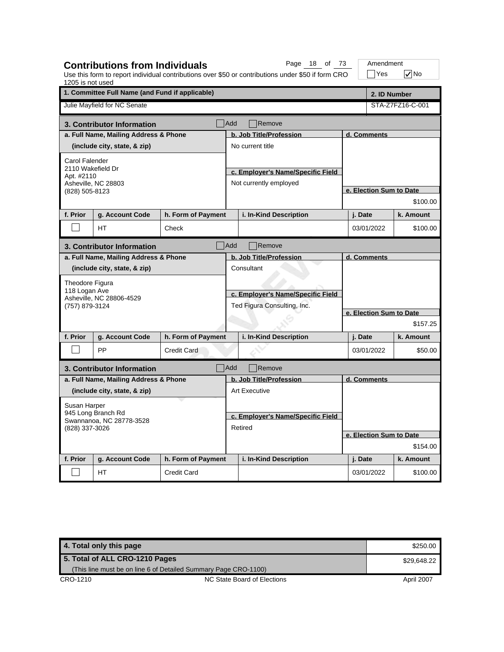| 1205 is not used                                                 | <b>Contributions from Individuals</b>                           |                    |            | Page 18 of 73<br>Use this form to report individual contributions over \$50 or contributions under \$50 if form CRO |                         | Amendment<br>∏Yes       | $\sqrt{}$ No     |
|------------------------------------------------------------------|-----------------------------------------------------------------|--------------------|------------|---------------------------------------------------------------------------------------------------------------------|-------------------------|-------------------------|------------------|
|                                                                  | 1. Committee Full Name (and Fund if applicable)<br>2. ID Number |                    |            |                                                                                                                     |                         |                         |                  |
|                                                                  | Julie Mayfield for NC Senate                                    |                    |            |                                                                                                                     |                         |                         | STA-Z7FZ16-C-001 |
|                                                                  | 3. Contributor Information                                      |                    | <b>Add</b> | Remove                                                                                                              |                         |                         |                  |
|                                                                  | a. Full Name, Mailing Address & Phone                           |                    |            | b. Job Title/Profession                                                                                             |                         | d. Comments             |                  |
|                                                                  | (include city, state, & zip)                                    |                    |            | No current title                                                                                                    |                         |                         |                  |
| Carol Falender                                                   |                                                                 |                    |            |                                                                                                                     |                         |                         |                  |
| 2110 Wakefield Dr<br>Apt. #2110                                  |                                                                 |                    |            | c. Employer's Name/Specific Field                                                                                   |                         |                         |                  |
|                                                                  | Asheville, NC 28803                                             |                    |            | Not currently employed                                                                                              |                         |                         |                  |
| (828) 505-8123                                                   |                                                                 |                    |            |                                                                                                                     |                         | e. Election Sum to Date |                  |
|                                                                  |                                                                 |                    |            |                                                                                                                     |                         |                         | \$100.00         |
| f. Prior                                                         | g. Account Code                                                 | h. Form of Payment |            | i. In-Kind Description                                                                                              |                         | j. Date                 | k. Amount        |
|                                                                  | <b>HT</b>                                                       | Check              |            |                                                                                                                     |                         | 03/01/2022              | \$100.00         |
|                                                                  | 3. Contributor Information                                      |                    | <b>Add</b> | Remove                                                                                                              |                         |                         |                  |
|                                                                  | a. Full Name, Mailing Address & Phone                           |                    |            | b. Job Title/Profession                                                                                             | d. Comments             |                         |                  |
|                                                                  | (include city, state, & zip)                                    |                    |            | Consultant                                                                                                          |                         |                         |                  |
| Theodore Figura                                                  |                                                                 |                    |            |                                                                                                                     |                         |                         |                  |
| 118 Logan Ave                                                    |                                                                 |                    |            | c. Employer's Name/Specific Field                                                                                   |                         |                         |                  |
| (757) 879-3124                                                   | Asheville, NC 28806-4529                                        |                    |            | Ted Figura Consulting, Inc.                                                                                         |                         |                         |                  |
|                                                                  |                                                                 |                    |            |                                                                                                                     | e. Election Sum to Date |                         |                  |
|                                                                  |                                                                 |                    |            |                                                                                                                     |                         |                         | \$157.25         |
| f. Prior                                                         | g. Account Code                                                 | h. Form of Payment |            | i. In-Kind Description                                                                                              |                         | j. Date                 | k. Amount        |
|                                                                  | PP                                                              | <b>Credit Card</b> |            |                                                                                                                     |                         | 03/01/2022              | \$50.00          |
|                                                                  | 3. Contributor Information                                      |                    | <b>Add</b> | Remove                                                                                                              |                         |                         |                  |
|                                                                  | a. Full Name, Mailing Address & Phone                           |                    |            | b. Job Title/Profession                                                                                             | d. Comments             |                         |                  |
|                                                                  | (include city, state, & zip)                                    |                    |            | <b>Art Executive</b>                                                                                                |                         |                         |                  |
| Susan Harper                                                     |                                                                 |                    |            |                                                                                                                     |                         |                         |                  |
| 945 Long Branch Rd<br>Swannanoa, NC 28778-3528<br>(828) 337-3026 |                                                                 |                    |            | c. Employer's Name/Specific Field                                                                                   |                         |                         |                  |
|                                                                  |                                                                 |                    |            | Retired                                                                                                             |                         |                         |                  |
|                                                                  |                                                                 |                    |            |                                                                                                                     |                         | e. Election Sum to Date |                  |
|                                                                  |                                                                 |                    |            | \$154.00                                                                                                            |                         |                         |                  |
| f. Prior                                                         | g. Account Code                                                 | h. Form of Payment |            | i. In-Kind Description                                                                                              |                         | j. Date                 | k. Amount        |
|                                                                  | НT                                                              | <b>Credit Card</b> |            |                                                                                                                     |                         | 03/01/2022              | \$100.00         |

**4. Total only this page \$250.00 and \$250.00 and \$250.00 and \$250.00 and \$250.00 and \$250.00 and \$250.00 and \$250.00 and \$250.00 and \$250.00 and \$250.00 and \$250.00 and \$250.00 and \$250.00 and \$250.00 and \$250.00 and \$250.** CRO-1210 CRO-1210 NC State Board of Elections April 2007 **5. Total of ALL CRO-1210 Pages** (This line must be on line 6 of Detailed Summary Page CRO-1100) \$29,648.22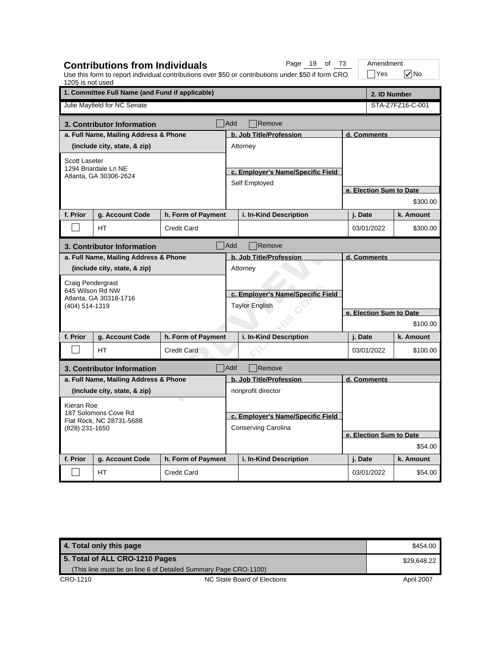| 1205 is not used                                                   | <b>Contributions from Individuals</b>           |                    |                                                                                                   | Page 19 of 73<br>Use this form to report individual contributions over \$50 or contributions under \$50 if form CRO |                         | Amendment<br>Yes        | $\sqrt{}$ No     |  |  |
|--------------------------------------------------------------------|-------------------------------------------------|--------------------|---------------------------------------------------------------------------------------------------|---------------------------------------------------------------------------------------------------------------------|-------------------------|-------------------------|------------------|--|--|
|                                                                    | 1. Committee Full Name (and Fund if applicable) |                    |                                                                                                   |                                                                                                                     |                         |                         | 2. ID Number     |  |  |
|                                                                    | Julie Mayfield for NC Senate                    |                    |                                                                                                   |                                                                                                                     |                         |                         | STA-Z7FZ16-C-001 |  |  |
|                                                                    | 3. Contributor Information                      |                    | Add                                                                                               | Remove                                                                                                              |                         |                         |                  |  |  |
|                                                                    | a. Full Name, Mailing Address & Phone           |                    |                                                                                                   | b. Job Title/Profession                                                                                             |                         | d. Comments             |                  |  |  |
|                                                                    | (include city, state, & zip)                    |                    |                                                                                                   | Attorney                                                                                                            |                         |                         |                  |  |  |
| Scott Laseter                                                      |                                                 |                    |                                                                                                   |                                                                                                                     |                         |                         |                  |  |  |
|                                                                    | 1294 Briardale Ln NE<br>Atlanta, GA 30306-2624  |                    |                                                                                                   | c. Employer's Name/Specific Field                                                                                   |                         |                         |                  |  |  |
|                                                                    |                                                 |                    |                                                                                                   | Self Employed                                                                                                       |                         |                         |                  |  |  |
|                                                                    |                                                 |                    |                                                                                                   |                                                                                                                     |                         | e. Election Sum to Date |                  |  |  |
|                                                                    |                                                 |                    |                                                                                                   |                                                                                                                     |                         |                         | \$300.00         |  |  |
| f. Prior                                                           | g. Account Code                                 | h. Form of Payment |                                                                                                   | i. In-Kind Description                                                                                              |                         | j. Date                 | k. Amount        |  |  |
|                                                                    | HT                                              | <b>Credit Card</b> |                                                                                                   |                                                                                                                     |                         | 03/01/2022              | \$300.00         |  |  |
|                                                                    | 3. Contributor Information                      |                    | <b>Add</b>                                                                                        | Remove                                                                                                              |                         |                         |                  |  |  |
|                                                                    | a. Full Name, Mailing Address & Phone           |                    | b. Job Title/Profession<br>Attorney<br>c. Employer's Name/Specific Field<br><b>Taylor English</b> |                                                                                                                     |                         | d. Comments             |                  |  |  |
|                                                                    | (include city, state, & zip)                    |                    |                                                                                                   |                                                                                                                     |                         |                         |                  |  |  |
| Craig Pendergrast                                                  |                                                 |                    |                                                                                                   |                                                                                                                     |                         |                         |                  |  |  |
| 645 Wilson Rd NW                                                   |                                                 |                    |                                                                                                   |                                                                                                                     |                         |                         |                  |  |  |
| (404) 514-1319                                                     | Atlanta, GA 30318-1716                          |                    |                                                                                                   |                                                                                                                     |                         |                         |                  |  |  |
|                                                                    |                                                 |                    |                                                                                                   |                                                                                                                     | e. Election Sum to Date |                         |                  |  |  |
|                                                                    |                                                 |                    |                                                                                                   |                                                                                                                     |                         |                         | \$100.00         |  |  |
| f. Prior                                                           | g. Account Code                                 | h. Form of Payment |                                                                                                   | i. In-Kind Description                                                                                              |                         | j. Date                 | k. Amount        |  |  |
|                                                                    | <b>HT</b>                                       | <b>Credit Card</b> |                                                                                                   |                                                                                                                     |                         | 03/01/2022              | \$100.00         |  |  |
|                                                                    | 3. Contributor Information                      |                    | Add                                                                                               | Remove                                                                                                              |                         |                         |                  |  |  |
|                                                                    | a. Full Name, Mailing Address & Phone           |                    |                                                                                                   | b. Job Title/Profession                                                                                             |                         | d. Comments             |                  |  |  |
|                                                                    | (include city, state, & zip)                    |                    |                                                                                                   | nonprofit director                                                                                                  |                         |                         |                  |  |  |
| Kieran Roe                                                         |                                                 |                    |                                                                                                   |                                                                                                                     |                         |                         |                  |  |  |
| 187 Solomons Cove Rd<br>Flat Rock, NC 28731-5688<br>(828) 231-1650 |                                                 |                    | c. Employer's Name/Specific Field                                                                 |                                                                                                                     |                         |                         |                  |  |  |
|                                                                    |                                                 |                    | Conserving Carolina                                                                               |                                                                                                                     |                         |                         |                  |  |  |
|                                                                    |                                                 |                    |                                                                                                   |                                                                                                                     | e. Election Sum to Date |                         |                  |  |  |
|                                                                    |                                                 |                    |                                                                                                   |                                                                                                                     | \$54.00                 |                         |                  |  |  |
| f. Prior                                                           | g. Account Code                                 | h. Form of Payment |                                                                                                   | i. In-Kind Description                                                                                              |                         | j. Date                 | k. Amount        |  |  |
|                                                                    | HT                                              | <b>Credit Card</b> |                                                                                                   |                                                                                                                     |                         | 03/01/2022              | \$54.00          |  |  |

| 4. Total only this page                                         |                             | \$454.00   |
|-----------------------------------------------------------------|-----------------------------|------------|
| 5. Total of ALL CRO-1210 Pages                                  | \$29,648.22                 |            |
| (This line must be on line 6 of Detailed Summary Page CRO-1100) |                             |            |
| CRO-1210                                                        | NC State Board of Elections | April 2007 |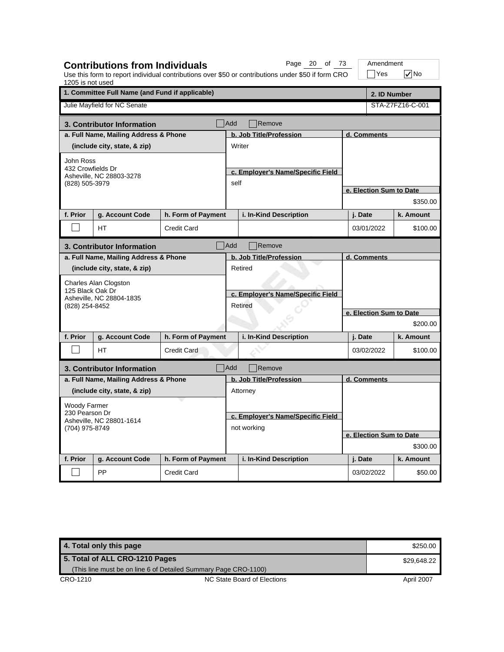| 1205 is not used                           | <b>Contributions from Individuals</b>           |                    |                                              | Page 20 of 73<br>Use this form to report individual contributions over \$50 or contributions under \$50 if form CRO |                                     | Amendment<br>$\exists$ Yes | $\nabla$ No      |  |  |
|--------------------------------------------|-------------------------------------------------|--------------------|----------------------------------------------|---------------------------------------------------------------------------------------------------------------------|-------------------------------------|----------------------------|------------------|--|--|
|                                            | 1. Committee Full Name (and Fund if applicable) |                    |                                              |                                                                                                                     | 2. ID Number                        |                            |                  |  |  |
|                                            | Julie Mayfield for NC Senate                    |                    |                                              |                                                                                                                     |                                     |                            | STA-Z7FZ16-C-001 |  |  |
|                                            | 3. Contributor Information                      |                    | <b>Add</b>                                   | Remove                                                                                                              |                                     |                            |                  |  |  |
|                                            | a. Full Name, Mailing Address & Phone           |                    |                                              | b. Job Title/Profession                                                                                             |                                     | d. Comments                |                  |  |  |
|                                            | (include city, state, & zip)                    |                    |                                              | Writer                                                                                                              |                                     |                            |                  |  |  |
| John Ross                                  |                                                 |                    |                                              |                                                                                                                     |                                     |                            |                  |  |  |
| 432 Crowfields Dr                          | Asheville, NC 28803-3278                        |                    |                                              | c. Employer's Name/Specific Field                                                                                   |                                     |                            |                  |  |  |
| (828) 505-3979                             |                                                 |                    | self                                         |                                                                                                                     |                                     |                            |                  |  |  |
|                                            |                                                 |                    |                                              |                                                                                                                     |                                     | e. Election Sum to Date    | \$350.00         |  |  |
|                                            |                                                 |                    |                                              |                                                                                                                     |                                     |                            |                  |  |  |
| f. Prior                                   | g. Account Code                                 | h. Form of Payment |                                              | i. In-Kind Description                                                                                              |                                     | j. Date                    | k. Amount        |  |  |
|                                            | <b>HT</b>                                       | <b>Credit Card</b> |                                              |                                                                                                                     |                                     | 03/01/2022                 | \$100.00         |  |  |
|                                            | 3. Contributor Information                      |                    | Add                                          | Remove                                                                                                              |                                     |                            |                  |  |  |
|                                            | a. Full Name, Mailing Address & Phone           |                    |                                              | b. Job Title/Profession                                                                                             |                                     | d. Comments                |                  |  |  |
|                                            | (include city, state, & zip)                    |                    |                                              | Retired                                                                                                             |                                     |                            |                  |  |  |
|                                            | Charles Alan Clogston                           |                    |                                              |                                                                                                                     |                                     |                            |                  |  |  |
| 125 Black Oak Dr                           | Asheville, NC 28804-1835                        |                    | c. Employer's Name/Specific Field<br>Retired |                                                                                                                     |                                     |                            |                  |  |  |
| (828) 254-8452                             |                                                 |                    |                                              |                                                                                                                     |                                     |                            |                  |  |  |
|                                            |                                                 |                    |                                              |                                                                                                                     | e. Election Sum to Date<br>\$200.00 |                            |                  |  |  |
| f. Prior                                   | g. Account Code                                 | h. Form of Payment |                                              | i. In-Kind Description                                                                                              |                                     |                            | k. Amount        |  |  |
|                                            |                                                 |                    |                                              |                                                                                                                     |                                     | j. Date                    |                  |  |  |
|                                            | <b>HT</b>                                       | <b>Credit Card</b> |                                              |                                                                                                                     |                                     | 03/02/2022                 | \$100.00         |  |  |
|                                            | 3. Contributor Information                      |                    | Add                                          | Remove                                                                                                              |                                     |                            |                  |  |  |
|                                            | a. Full Name, Mailing Address & Phone           |                    |                                              | b. Job Title/Profession                                                                                             |                                     | d. Comments                |                  |  |  |
|                                            | (include city, state, & zip)                    |                    |                                              | Attorney                                                                                                            |                                     |                            |                  |  |  |
| <b>Woody Farmer</b>                        |                                                 |                    |                                              |                                                                                                                     |                                     |                            |                  |  |  |
| 230 Pearson Dr<br>Asheville, NC 28801-1614 |                                                 |                    | c. Employer's Name/Specific Field            |                                                                                                                     |                                     |                            |                  |  |  |
| (704) 975-8749                             |                                                 |                    |                                              | not working                                                                                                         |                                     |                            |                  |  |  |
|                                            |                                                 |                    |                                              |                                                                                                                     |                                     | e. Election Sum to Date    |                  |  |  |
|                                            |                                                 |                    |                                              |                                                                                                                     |                                     |                            | \$300.00         |  |  |
| f. Prior                                   | g. Account Code                                 | h. Form of Payment |                                              | i. In-Kind Description                                                                                              |                                     | j. Date                    | k. Amount        |  |  |
|                                            | PP                                              | <b>Credit Card</b> |                                              |                                                                                                                     |                                     | 03/02/2022                 | \$50.00          |  |  |

| 4. Total only this page                                         |                             | \$250.00   |
|-----------------------------------------------------------------|-----------------------------|------------|
| 5. Total of ALL CRO-1210 Pages                                  | \$29.648.22                 |            |
| (This line must be on line 6 of Detailed Summary Page CRO-1100) |                             |            |
| CRO-1210                                                        | NC State Board of Elections | April 2007 |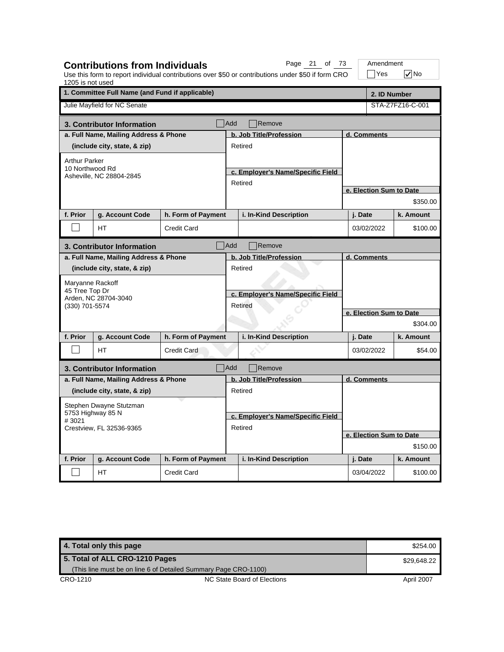| 1205 is not used                                       |                                                            |                    |                                              | Use this form to report individual contributions over \$50 or contributions under \$50 if form CRO |                         | Yes                     | √∣No             |  |
|--------------------------------------------------------|------------------------------------------------------------|--------------------|----------------------------------------------|----------------------------------------------------------------------------------------------------|-------------------------|-------------------------|------------------|--|
|                                                        | 1. Committee Full Name (and Fund if applicable)            |                    | 2. ID Number                                 |                                                                                                    |                         |                         |                  |  |
|                                                        | Julie Mayfield for NC Senate                               |                    |                                              |                                                                                                    |                         |                         | STA-Z7FZ16-C-001 |  |
|                                                        | 3. Contributor Information                                 |                    | <b>Add</b>                                   | Remove                                                                                             |                         |                         |                  |  |
|                                                        | a. Full Name, Mailing Address & Phone                      |                    |                                              | b. Job Title/Profession                                                                            |                         | d. Comments             |                  |  |
|                                                        | (include city, state, & zip)                               |                    |                                              | Retired                                                                                            |                         |                         |                  |  |
| <b>Arthur Parker</b><br>10 Northwood Rd                | Asheville, NC 28804-2845                                   |                    |                                              | c. Employer's Name/Specific Field<br>Retired                                                       |                         |                         |                  |  |
|                                                        |                                                            |                    |                                              |                                                                                                    |                         | e. Election Sum to Date |                  |  |
|                                                        |                                                            |                    |                                              |                                                                                                    |                         |                         | \$350.00         |  |
| f. Prior                                               | g. Account Code                                            | h. Form of Payment |                                              | i. In-Kind Description                                                                             |                         | j. Date                 | k. Amount        |  |
|                                                        | HТ                                                         | <b>Credit Card</b> |                                              |                                                                                                    |                         | 03/02/2022              | \$100.00         |  |
|                                                        | 3. Contributor Information                                 |                    | Add                                          | Remove                                                                                             |                         |                         |                  |  |
|                                                        | a. Full Name, Mailing Address & Phone                      |                    |                                              | b. Job Title/Profession                                                                            |                         | d. Comments             |                  |  |
|                                                        | (include city, state, & zip)                               |                    |                                              | Retired                                                                                            |                         |                         |                  |  |
| (330) 701-5574                                         | Maryanne Rackoff<br>45 Tree Top Dr<br>Arden, NC 28704-3040 |                    | c. Employer's Name/Specific Field<br>Retired |                                                                                                    |                         |                         |                  |  |
|                                                        |                                                            |                    |                                              |                                                                                                    | e. Election Sum to Date |                         |                  |  |
|                                                        |                                                            |                    |                                              |                                                                                                    |                         |                         | \$304.00         |  |
| f. Prior                                               | g. Account Code                                            | h. Form of Payment |                                              | i. In-Kind Description                                                                             |                         | j. Date                 | k. Amount        |  |
|                                                        | HТ                                                         | <b>Credit Card</b> |                                              |                                                                                                    |                         | 03/02/2022              | \$54.00          |  |
|                                                        | 3. Contributor Information                                 |                    | <b>Add</b>                                   | Remove                                                                                             |                         |                         |                  |  |
|                                                        | a. Full Name, Mailing Address & Phone                      |                    |                                              | b. Job Title/Profession                                                                            |                         | d. Comments             |                  |  |
|                                                        | (include city, state, & zip)                               |                    |                                              | Retired                                                                                            |                         |                         |                  |  |
|                                                        | Stephen Dwayne Stutzman                                    |                    |                                              |                                                                                                    |                         |                         |                  |  |
| 5753 Highway 85 N<br>#3021<br>Crestview, FL 32536-9365 |                                                            |                    | c. Employer's Name/Specific Field            |                                                                                                    |                         |                         |                  |  |
|                                                        |                                                            |                    | Retired                                      |                                                                                                    |                         |                         |                  |  |
|                                                        |                                                            |                    |                                              |                                                                                                    |                         | e. Election Sum to Date |                  |  |
|                                                        |                                                            |                    |                                              |                                                                                                    |                         |                         | \$150.00         |  |
| f. Prior                                               | g. Account Code                                            | h. Form of Payment |                                              | i. In-Kind Description                                                                             |                         | j. Date                 | k. Amount        |  |
|                                                        | HT                                                         | <b>Credit Card</b> |                                              |                                                                                                    |                         | 03/04/2022              | \$100.00         |  |

**Contributions from Individuals**

Page 21 of 73 | Amendment

| 4. Total only this page                                         |                             | \$254.00   |
|-----------------------------------------------------------------|-----------------------------|------------|
| 5. Total of ALL CRO-1210 Pages                                  | \$29,648.22                 |            |
| (This line must be on line 6 of Detailed Summary Page CRO-1100) |                             |            |
| CRO-1210                                                        | NC State Board of Elections | April 2007 |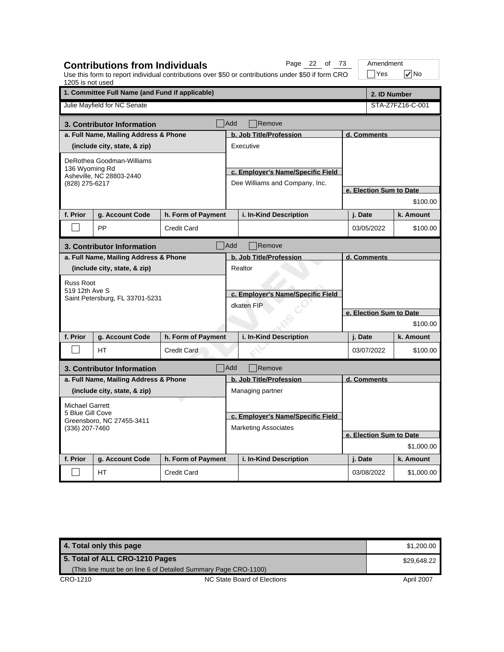| 1205 is not used                                | <b>Contributions from Individuals</b> |                    |                                   | Page 22 of 73<br>Use this form to report individual contributions over \$50 or contributions under \$50 if form CRO |                         | Amendment<br>$\exists$ Yes | $\sqrt{}$ No     |  |  |
|-------------------------------------------------|---------------------------------------|--------------------|-----------------------------------|---------------------------------------------------------------------------------------------------------------------|-------------------------|----------------------------|------------------|--|--|
| 1. Committee Full Name (and Fund if applicable) |                                       |                    |                                   |                                                                                                                     |                         |                            | 2. ID Number     |  |  |
|                                                 | Julie Mayfield for NC Senate          |                    |                                   |                                                                                                                     |                         |                            | STA-Z7FZ16-C-001 |  |  |
|                                                 | 3. Contributor Information            |                    | <b>Add</b>                        | Remove                                                                                                              |                         |                            |                  |  |  |
|                                                 | a. Full Name, Mailing Address & Phone |                    |                                   | b. Job Title/Profession                                                                                             |                         | d. Comments                |                  |  |  |
|                                                 | (include city, state, & zip)          |                    |                                   | Executive                                                                                                           |                         |                            |                  |  |  |
|                                                 | DeRothea Goodman-Williams             |                    |                                   |                                                                                                                     |                         |                            |                  |  |  |
| 136 Wyoming Rd                                  | Asheville, NC 28803-2440              |                    |                                   | c. Employer's Name/Specific Field                                                                                   |                         |                            |                  |  |  |
| (828) 275-6217                                  |                                       |                    |                                   | Dee Williams and Company, Inc.                                                                                      |                         |                            |                  |  |  |
|                                                 |                                       |                    |                                   |                                                                                                                     |                         | e. Election Sum to Date    |                  |  |  |
|                                                 |                                       |                    |                                   |                                                                                                                     |                         |                            | \$100.00         |  |  |
| f. Prior                                        | g. Account Code                       | h. Form of Payment |                                   | i. In-Kind Description                                                                                              |                         | j. Date                    | k. Amount        |  |  |
|                                                 | PP                                    | <b>Credit Card</b> |                                   |                                                                                                                     |                         | 03/05/2022                 | \$100.00         |  |  |
|                                                 | 3. Contributor Information            |                    | Add                               | Remove                                                                                                              |                         |                            |                  |  |  |
|                                                 | a. Full Name, Mailing Address & Phone |                    |                                   | b. Job Title/Profession                                                                                             | d. Comments             |                            |                  |  |  |
|                                                 | (include city, state, & zip)          |                    |                                   | Realtor                                                                                                             |                         |                            |                  |  |  |
| <b>Russ Root</b>                                |                                       |                    |                                   |                                                                                                                     |                         |                            |                  |  |  |
| 519 12th Ave S                                  | Saint Petersburg, FL 33701-5231       |                    | c. Employer's Name/Specific Field |                                                                                                                     |                         |                            |                  |  |  |
|                                                 |                                       |                    | dkaten FIP                        |                                                                                                                     |                         |                            |                  |  |  |
|                                                 |                                       |                    |                                   |                                                                                                                     | e. Election Sum to Date |                            |                  |  |  |
|                                                 |                                       |                    |                                   |                                                                                                                     |                         |                            | \$100.00         |  |  |
| f. Prior                                        | g. Account Code                       | h. Form of Payment |                                   | i. In-Kind Description                                                                                              |                         | j. Date                    | k. Amount        |  |  |
|                                                 | <b>HT</b>                             | <b>Credit Card</b> |                                   |                                                                                                                     |                         | 03/07/2022                 | \$100.00         |  |  |
|                                                 | 3. Contributor Information            |                    | Add                               | Remove                                                                                                              |                         |                            |                  |  |  |
|                                                 | a. Full Name, Mailing Address & Phone |                    |                                   | b. Job Title/Profession                                                                                             | d. Comments             |                            |                  |  |  |
|                                                 | (include city, state, & zip)          |                    |                                   | Managing partner                                                                                                    |                         |                            |                  |  |  |
| <b>Michael Garrett</b>                          |                                       |                    |                                   |                                                                                                                     |                         |                            |                  |  |  |
| 5 Blue Gill Cove                                |                                       |                    | c. Employer's Name/Specific Field |                                                                                                                     |                         |                            |                  |  |  |
| Greensboro, NC 27455-3411<br>(336) 207-7460     |                                       |                    |                                   | <b>Marketing Associates</b>                                                                                         |                         |                            |                  |  |  |
|                                                 |                                       |                    |                                   |                                                                                                                     |                         | e. Election Sum to Date    |                  |  |  |
|                                                 |                                       |                    |                                   |                                                                                                                     |                         |                            | \$1,000.00       |  |  |
| f. Prior                                        | g. Account Code                       | h. Form of Payment |                                   | i. In-Kind Description                                                                                              |                         | j. Date                    | k. Amount        |  |  |
|                                                 | НT                                    | <b>Credit Card</b> |                                   |                                                                                                                     |                         | 03/08/2022                 | \$1,000.00       |  |  |

| 4. Total only this page                                         |                             | \$1,200,00 |
|-----------------------------------------------------------------|-----------------------------|------------|
| 5. Total of ALL CRO-1210 Pages                                  | \$29.648.22                 |            |
| (This line must be on line 6 of Detailed Summary Page CRO-1100) |                             |            |
| CRO-1210                                                        | NC State Board of Elections | April 2007 |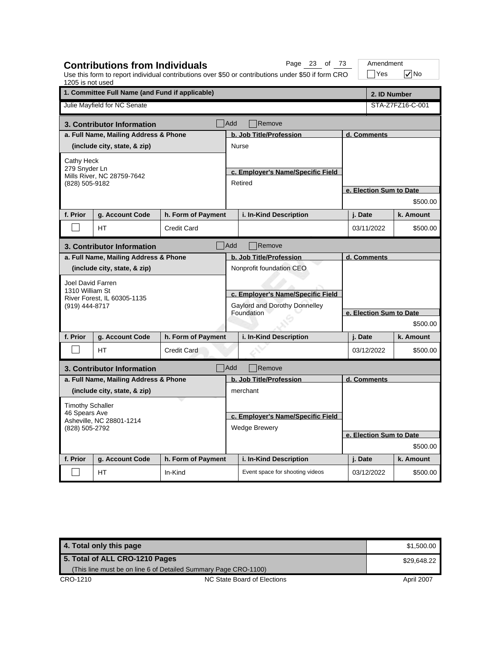| 1205 is not used                                            | <b>Contributions from Individuals</b>           |                    |                                                    | Page 23 of 73<br>Use this form to report individual contributions over \$50 or contributions under \$50 if form CRO |                         | Amendment<br>Yes        | $\sqrt{}$ No     |  |  |
|-------------------------------------------------------------|-------------------------------------------------|--------------------|----------------------------------------------------|---------------------------------------------------------------------------------------------------------------------|-------------------------|-------------------------|------------------|--|--|
|                                                             | 1. Committee Full Name (and Fund if applicable) |                    |                                                    |                                                                                                                     |                         | 2. ID Number            |                  |  |  |
|                                                             | Julie Mayfield for NC Senate                    |                    |                                                    |                                                                                                                     |                         |                         | STA-Z7FZ16-C-001 |  |  |
|                                                             | 3. Contributor Information                      |                    | Add                                                | Remove                                                                                                              |                         |                         |                  |  |  |
|                                                             | a. Full Name, Mailing Address & Phone           |                    |                                                    | b. Job Title/Profession                                                                                             |                         | d. Comments             |                  |  |  |
|                                                             | (include city, state, & zip)                    |                    |                                                    | <b>Nurse</b>                                                                                                        |                         |                         |                  |  |  |
| Cathy Heck                                                  |                                                 |                    |                                                    |                                                                                                                     |                         |                         |                  |  |  |
| 279 Snyder Ln                                               | Mills River, NC 28759-7642                      |                    |                                                    | c. Employer's Name/Specific Field                                                                                   |                         |                         |                  |  |  |
| (828) 505-9182                                              |                                                 |                    |                                                    | Retired                                                                                                             |                         |                         |                  |  |  |
|                                                             |                                                 |                    |                                                    |                                                                                                                     |                         | e. Election Sum to Date |                  |  |  |
|                                                             |                                                 |                    |                                                    |                                                                                                                     |                         |                         | \$500.00         |  |  |
| f. Prior                                                    | g. Account Code                                 | h. Form of Payment |                                                    | i. In-Kind Description                                                                                              |                         | j. Date                 | k. Amount        |  |  |
|                                                             | <b>HT</b>                                       | <b>Credit Card</b> |                                                    |                                                                                                                     |                         | 03/11/2022              | \$500.00         |  |  |
|                                                             | 3. Contributor Information                      |                    | Add                                                | Remove                                                                                                              |                         |                         |                  |  |  |
|                                                             | a. Full Name, Mailing Address & Phone           |                    |                                                    | b. Job Title/Profession                                                                                             | d. Comments             |                         |                  |  |  |
|                                                             | (include city, state, & zip)                    |                    |                                                    | Nonprofit foundation CEO                                                                                            |                         |                         |                  |  |  |
| Joel David Farren                                           |                                                 |                    |                                                    |                                                                                                                     |                         |                         |                  |  |  |
| 1310 William St                                             |                                                 |                    |                                                    | c. Employer's Name/Specific Field                                                                                   |                         |                         |                  |  |  |
| (919) 444-8717                                              | River Forest, IL 60305-1135                     |                    | Gaylord and Dorothy Donnelley<br><b>Foundation</b> |                                                                                                                     |                         |                         |                  |  |  |
|                                                             |                                                 |                    |                                                    |                                                                                                                     |                         | e. Election Sum to Date |                  |  |  |
|                                                             |                                                 |                    |                                                    |                                                                                                                     |                         | \$500.00                |                  |  |  |
| f. Prior                                                    | g. Account Code                                 | h. Form of Payment |                                                    | i. In-Kind Description                                                                                              |                         | j. Date                 | k. Amount        |  |  |
|                                                             | <b>HT</b>                                       | <b>Credit Card</b> |                                                    |                                                                                                                     |                         | 03/12/2022              | \$500.00         |  |  |
|                                                             | 3. Contributor Information                      |                    | <b>Add</b>                                         | Remove                                                                                                              |                         |                         |                  |  |  |
|                                                             | a. Full Name, Mailing Address & Phone           |                    |                                                    | b. Job Title/Profession                                                                                             | d. Comments             |                         |                  |  |  |
|                                                             | (include city, state, & zip)                    |                    |                                                    | merchant                                                                                                            |                         |                         |                  |  |  |
| <b>Timothy Schaller</b>                                     |                                                 |                    |                                                    |                                                                                                                     |                         |                         |                  |  |  |
| 46 Spears Ave<br>Asheville, NC 28801-1214<br>(828) 505-2792 |                                                 |                    |                                                    | c. Employer's Name/Specific Field                                                                                   |                         |                         |                  |  |  |
|                                                             |                                                 |                    |                                                    | <b>Wedge Brewery</b>                                                                                                |                         |                         |                  |  |  |
|                                                             |                                                 |                    |                                                    |                                                                                                                     | e. Election Sum to Date |                         |                  |  |  |
|                                                             |                                                 |                    |                                                    |                                                                                                                     | \$500.00                |                         |                  |  |  |
| f. Prior                                                    | g. Account Code                                 | h. Form of Payment |                                                    | i. In-Kind Description                                                                                              |                         | j. Date                 | k. Amount        |  |  |
|                                                             | HT.                                             | In-Kind            |                                                    | Event space for shooting videos                                                                                     |                         | 03/12/2022              | \$500.00         |  |  |

| 4. Total only this page                                         |                             | \$1,500.00 |
|-----------------------------------------------------------------|-----------------------------|------------|
| 5. Total of ALL CRO-1210 Pages                                  | \$29,648.22                 |            |
| (This line must be on line 6 of Detailed Summary Page CRO-1100) |                             |            |
| CRO-1210                                                        | NC State Board of Elections | April 2007 |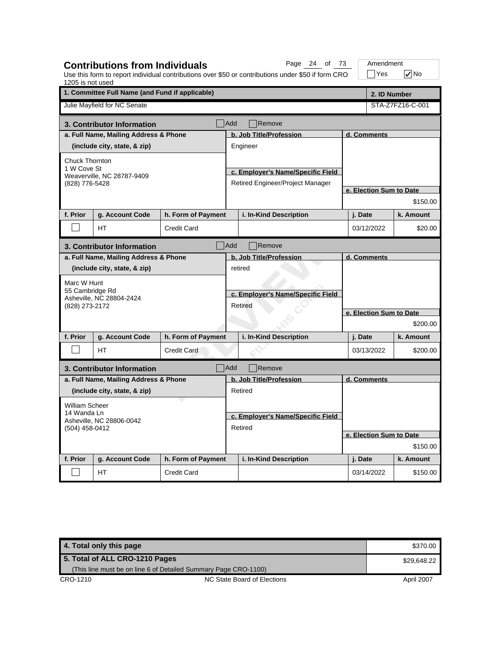| 1205 is not used                                          | <b>Contributions from Individuals</b>           |                    |                                   | Page 24 of 73<br>Use this form to report individual contributions over \$50 or contributions under \$50 if form CRO |                         | Amendment<br>$\exists$ Yes | $\sqrt{}$ No     |  |  |
|-----------------------------------------------------------|-------------------------------------------------|--------------------|-----------------------------------|---------------------------------------------------------------------------------------------------------------------|-------------------------|----------------------------|------------------|--|--|
|                                                           | 1. Committee Full Name (and Fund if applicable) |                    |                                   |                                                                                                                     |                         | 2. ID Number               |                  |  |  |
|                                                           | Julie Mayfield for NC Senate                    |                    |                                   |                                                                                                                     |                         |                            | STA-Z7FZ16-C-001 |  |  |
|                                                           | 3. Contributor Information                      |                    | <b>Add</b>                        | Remove                                                                                                              |                         |                            |                  |  |  |
|                                                           | a. Full Name, Mailing Address & Phone           |                    |                                   | b. Job Title/Profession                                                                                             |                         | d. Comments                |                  |  |  |
|                                                           | (include city, state, & zip)                    |                    |                                   | Engineer                                                                                                            |                         |                            |                  |  |  |
| Chuck Thornton                                            |                                                 |                    |                                   |                                                                                                                     |                         |                            |                  |  |  |
| 1 W Cove St                                               | Weaverville, NC 28787-9409                      |                    |                                   | c. Employer's Name/Specific Field                                                                                   |                         |                            |                  |  |  |
| (828) 776-5428                                            |                                                 |                    |                                   | Retired Engineer/Project Manager                                                                                    |                         |                            |                  |  |  |
|                                                           |                                                 |                    |                                   |                                                                                                                     |                         | e. Election Sum to Date    |                  |  |  |
|                                                           |                                                 |                    |                                   |                                                                                                                     |                         |                            | \$150.00         |  |  |
| f. Prior                                                  | g. Account Code                                 | h. Form of Payment |                                   | i. In-Kind Description                                                                                              |                         | j. Date                    | k. Amount        |  |  |
|                                                           | <b>HT</b>                                       | <b>Credit Card</b> |                                   |                                                                                                                     |                         | 03/12/2022                 | \$20.00          |  |  |
|                                                           | 3. Contributor Information                      |                    | Add                               | Remove                                                                                                              |                         |                            |                  |  |  |
|                                                           | a. Full Name, Mailing Address & Phone           |                    |                                   | b. Job Title/Profession                                                                                             | d. Comments             |                            |                  |  |  |
|                                                           | (include city, state, & zip)                    |                    |                                   | retired                                                                                                             |                         |                            |                  |  |  |
| Marc W Hunt                                               |                                                 |                    |                                   |                                                                                                                     |                         |                            |                  |  |  |
| 55 Cambridge Rd                                           | Asheville, NC 28804-2424                        |                    | c. Employer's Name/Specific Field |                                                                                                                     |                         |                            |                  |  |  |
| (828) 273-2172                                            |                                                 |                    |                                   | Retired                                                                                                             |                         |                            |                  |  |  |
|                                                           |                                                 |                    |                                   |                                                                                                                     | e. Election Sum to Date |                            |                  |  |  |
|                                                           |                                                 |                    |                                   |                                                                                                                     | \$200.00                |                            |                  |  |  |
| f. Prior                                                  | g. Account Code                                 | h. Form of Payment |                                   | i. In-Kind Description                                                                                              |                         | j. Date                    | k. Amount        |  |  |
|                                                           | <b>HT</b>                                       | <b>Credit Card</b> |                                   |                                                                                                                     |                         | 03/13/2022                 | \$200.00         |  |  |
|                                                           | 3. Contributor Information                      |                    | Add                               | Remove                                                                                                              |                         |                            |                  |  |  |
|                                                           | a. Full Name, Mailing Address & Phone           |                    |                                   | b. Job Title/Profession                                                                                             | d. Comments             |                            |                  |  |  |
|                                                           | (include city, state, & zip)                    |                    |                                   | Retired                                                                                                             |                         |                            |                  |  |  |
| William Scheer                                            |                                                 |                    |                                   |                                                                                                                     |                         |                            |                  |  |  |
| 14 Wanda Ln<br>Asheville, NC 28806-0042<br>(504) 458-0412 |                                                 |                    |                                   | c. Employer's Name/Specific Field                                                                                   |                         |                            |                  |  |  |
|                                                           |                                                 |                    |                                   | Retired                                                                                                             |                         |                            |                  |  |  |
|                                                           |                                                 |                    |                                   |                                                                                                                     | e. Election Sum to Date |                            |                  |  |  |
|                                                           |                                                 |                    |                                   |                                                                                                                     |                         |                            | \$150.00         |  |  |
| f. Prior                                                  | g. Account Code                                 | h. Form of Payment |                                   | i. In-Kind Description                                                                                              |                         | j. Date                    | k. Amount        |  |  |
|                                                           | НT                                              | <b>Credit Card</b> |                                   |                                                                                                                     |                         | 03/14/2022                 | \$150.00         |  |  |

**4. Total only this page \$370.00** \$370.00 CRO-1210 CRO-1210 NC State Board of Elections April 2007 **5. Total of ALL CRO-1210 Pages** (This line must be on line 6 of Detailed Summary Page CRO-1100) \$29,648.22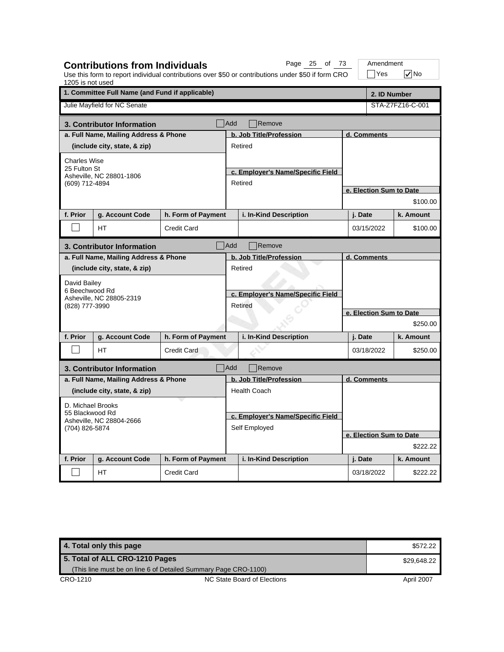| 1205 is not used                                              | <b>Contributions from Individuals</b>           |                    |                                              | Page 25 of 73<br>Use this form to report individual contributions over \$50 or contributions under \$50 if form CRO |                         | Amendment<br>Yes        | $\sqrt{}$ No     |  |  |
|---------------------------------------------------------------|-------------------------------------------------|--------------------|----------------------------------------------|---------------------------------------------------------------------------------------------------------------------|-------------------------|-------------------------|------------------|--|--|
|                                                               | 1. Committee Full Name (and Fund if applicable) |                    |                                              |                                                                                                                     |                         | 2. ID Number            |                  |  |  |
|                                                               | Julie Mayfield for NC Senate                    |                    |                                              |                                                                                                                     |                         |                         | STA-Z7FZ16-C-001 |  |  |
|                                                               | 3. Contributor Information                      |                    | Add                                          | Remove                                                                                                              |                         |                         |                  |  |  |
|                                                               | a. Full Name, Mailing Address & Phone           |                    |                                              | b. Job Title/Profession                                                                                             |                         | d. Comments             |                  |  |  |
|                                                               | (include city, state, & zip)                    |                    |                                              | Retired                                                                                                             |                         |                         |                  |  |  |
| <b>Charles Wise</b>                                           |                                                 |                    |                                              |                                                                                                                     |                         |                         |                  |  |  |
| 25 Fulton St                                                  |                                                 |                    |                                              | c. Employer's Name/Specific Field                                                                                   |                         |                         |                  |  |  |
| (609) 712-4894                                                | Asheville, NC 28801-1806                        |                    |                                              | Retired                                                                                                             |                         |                         |                  |  |  |
|                                                               |                                                 |                    |                                              |                                                                                                                     |                         | e. Election Sum to Date |                  |  |  |
|                                                               |                                                 |                    |                                              |                                                                                                                     |                         |                         | \$100.00         |  |  |
| f. Prior                                                      | g. Account Code                                 | h. Form of Payment |                                              | i. In-Kind Description                                                                                              |                         | j. Date                 | k. Amount        |  |  |
|                                                               | HT                                              | <b>Credit Card</b> |                                              |                                                                                                                     |                         | 03/15/2022              | \$100.00         |  |  |
|                                                               | 3. Contributor Information                      |                    | <b>Add</b>                                   | Remove                                                                                                              |                         |                         |                  |  |  |
|                                                               | a. Full Name, Mailing Address & Phone           |                    | b. Job Title/Profession<br>d. Comments       |                                                                                                                     |                         |                         |                  |  |  |
|                                                               | (include city, state, & zip)                    |                    |                                              | Retired                                                                                                             |                         |                         |                  |  |  |
| David Bailey                                                  |                                                 |                    |                                              |                                                                                                                     |                         |                         |                  |  |  |
| 6 Beechwood Rd                                                |                                                 |                    | c. Employer's Name/Specific Field<br>Retired |                                                                                                                     |                         |                         |                  |  |  |
| (828) 777-3990                                                | Asheville, NC 28805-2319                        |                    |                                              |                                                                                                                     |                         |                         |                  |  |  |
|                                                               |                                                 |                    |                                              |                                                                                                                     | e. Election Sum to Date |                         |                  |  |  |
|                                                               |                                                 |                    |                                              |                                                                                                                     |                         | \$250.00                |                  |  |  |
| f. Prior                                                      | g. Account Code                                 | h. Form of Payment |                                              | i. In-Kind Description                                                                                              |                         | j. Date                 | k. Amount        |  |  |
|                                                               | HT.                                             | <b>Credit Card</b> |                                              |                                                                                                                     |                         | 03/18/2022              | \$250.00         |  |  |
|                                                               | 3. Contributor Information                      |                    | Add                                          | Remove                                                                                                              |                         |                         |                  |  |  |
|                                                               | a. Full Name, Mailing Address & Phone           |                    |                                              | b. Job Title/Profession                                                                                             |                         | d. Comments             |                  |  |  |
|                                                               | (include city, state, & zip)                    |                    |                                              | <b>Health Coach</b>                                                                                                 |                         |                         |                  |  |  |
| D. Michael Brooks                                             |                                                 |                    |                                              |                                                                                                                     |                         |                         |                  |  |  |
| 55 Blackwood Rd<br>Asheville, NC 28804-2666<br>(704) 826-5874 |                                                 |                    | c. Employer's Name/Specific Field            |                                                                                                                     |                         |                         |                  |  |  |
|                                                               |                                                 |                    | Self Employed                                |                                                                                                                     |                         |                         |                  |  |  |
|                                                               |                                                 |                    |                                              |                                                                                                                     | e. Election Sum to Date |                         |                  |  |  |
|                                                               |                                                 |                    |                                              |                                                                                                                     | \$222.22                |                         |                  |  |  |
| f. Prior                                                      | g. Account Code                                 | h. Form of Payment |                                              | i. In-Kind Description                                                                                              |                         | j. Date                 | k. Amount        |  |  |
|                                                               | HT                                              | <b>Credit Card</b> |                                              |                                                                                                                     |                         | 03/18/2022              | \$222.22         |  |  |

| 4. Total only this page                                         |                             | \$572.22   |
|-----------------------------------------------------------------|-----------------------------|------------|
| 5. Total of ALL CRO-1210 Pages                                  | \$29.648.22                 |            |
| (This line must be on line 6 of Detailed Summary Page CRO-1100) |                             |            |
| CRO-1210                                                        | NC State Board of Elections | April 2007 |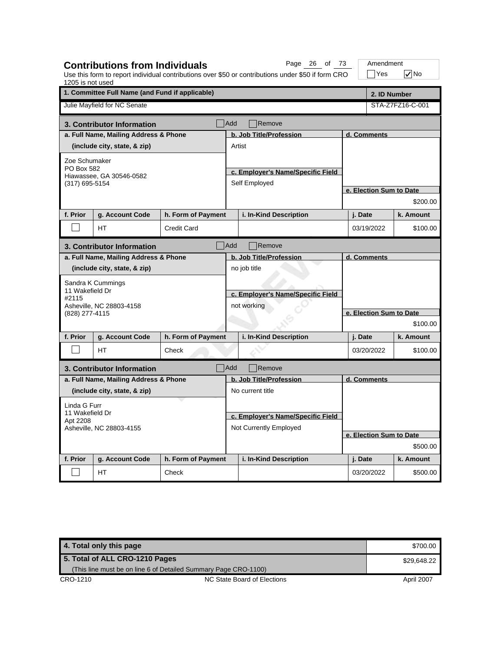| 1205 is not used                                        | <b>Contributions from Individuals</b>           |                    |                                   | Page 26 of 73<br>Use this form to report individual contributions over \$50 or contributions under \$50 if form CRO |                         | Amendment<br>$\exists$ Yes | $\sqrt{}$ No     |  |
|---------------------------------------------------------|-------------------------------------------------|--------------------|-----------------------------------|---------------------------------------------------------------------------------------------------------------------|-------------------------|----------------------------|------------------|--|
|                                                         | 1. Committee Full Name (and Fund if applicable) |                    |                                   |                                                                                                                     |                         | 2. ID Number               |                  |  |
|                                                         | Julie Mayfield for NC Senate                    |                    |                                   |                                                                                                                     |                         |                            | STA-Z7FZ16-C-001 |  |
|                                                         | 3. Contributor Information                      |                    | Add                               | Remove                                                                                                              |                         |                            |                  |  |
|                                                         | a. Full Name, Mailing Address & Phone           |                    |                                   | b. Job Title/Profession                                                                                             |                         | d. Comments                |                  |  |
|                                                         | (include city, state, & zip)                    |                    | Artist                            |                                                                                                                     |                         |                            |                  |  |
| Zoe Schumaker                                           |                                                 |                    |                                   |                                                                                                                     |                         |                            |                  |  |
| PO Box 582                                              | Hiawassee, GA 30546-0582                        |                    |                                   | c. Employer's Name/Specific Field                                                                                   |                         |                            |                  |  |
| (317) 695-5154                                          |                                                 |                    |                                   | Self Employed                                                                                                       |                         |                            |                  |  |
|                                                         |                                                 |                    |                                   |                                                                                                                     |                         | e. Election Sum to Date    |                  |  |
|                                                         |                                                 |                    |                                   |                                                                                                                     |                         |                            | \$200.00         |  |
| f. Prior                                                | g. Account Code                                 | h. Form of Payment |                                   | i. In-Kind Description                                                                                              |                         | j. Date                    | k. Amount        |  |
|                                                         | HТ                                              | Credit Card        |                                   |                                                                                                                     |                         | 03/19/2022                 | \$100.00         |  |
|                                                         | 3. Contributor Information                      |                    | Add                               | Remove                                                                                                              |                         |                            |                  |  |
|                                                         | a. Full Name, Mailing Address & Phone           |                    |                                   | b. Job Title/Profession                                                                                             | d. Comments             |                            |                  |  |
|                                                         | (include city, state, & zip)                    |                    |                                   | no job title                                                                                                        |                         |                            |                  |  |
|                                                         | Sandra K Cummings                               |                    | c. Employer's Name/Specific Field |                                                                                                                     |                         |                            |                  |  |
| 11 Wakefield Dr                                         |                                                 |                    |                                   |                                                                                                                     |                         |                            |                  |  |
| #2115                                                   | Asheville, NC 28803-4158                        |                    |                                   | not working                                                                                                         |                         |                            |                  |  |
| (828) 277-4115                                          |                                                 |                    |                                   |                                                                                                                     | e. Election Sum to Date |                            |                  |  |
|                                                         |                                                 |                    |                                   |                                                                                                                     | \$100.00                |                            |                  |  |
| f. Prior                                                | g. Account Code                                 | h. Form of Payment |                                   | i. In-Kind Description                                                                                              |                         | j. Date                    | k. Amount        |  |
|                                                         | <b>HT</b>                                       | Check              |                                   |                                                                                                                     |                         | 03/20/2022                 | \$100.00         |  |
|                                                         | 3. Contributor Information                      |                    | <b>Add</b>                        | Remove                                                                                                              |                         |                            |                  |  |
|                                                         | a. Full Name, Mailing Address & Phone           |                    |                                   | b. Job Title/Profession                                                                                             | d. Comments             |                            |                  |  |
|                                                         | (include city, state, & zip)                    |                    |                                   | No current title                                                                                                    |                         |                            |                  |  |
| Linda G Furr                                            |                                                 |                    |                                   |                                                                                                                     |                         |                            |                  |  |
| 11 Wakefield Dr<br>Apt 2208<br>Asheville, NC 28803-4155 |                                                 |                    |                                   | c. Employer's Name/Specific Field                                                                                   |                         |                            |                  |  |
|                                                         |                                                 |                    |                                   | Not Currently Employed                                                                                              |                         |                            |                  |  |
|                                                         |                                                 |                    |                                   |                                                                                                                     | e. Election Sum to Date |                            |                  |  |
|                                                         |                                                 |                    |                                   |                                                                                                                     | \$500.00                |                            |                  |  |
| f. Prior                                                | g. Account Code                                 | h. Form of Payment |                                   | i. In-Kind Description                                                                                              |                         | j. Date                    | k. Amount        |  |
|                                                         | HT.                                             | Check              |                                   |                                                                                                                     |                         | 03/20/2022                 | \$500.00         |  |

**4. Total only this page \$700.00 and \$700.00 and \$700.00 and \$700.00 and \$700.00 and \$700.00 and \$700.00 and \$700.00 and \$700.00 and \$700.00 and \$700.00 and \$700.00 and \$700.00 and \$700.00 and \$700.00 and \$700.00 and \$700.** CRO-1210 CRO-1210 NC State Board of Elections April 2007 **5. Total of ALL CRO-1210 Pages** (This line must be on line 6 of Detailed Summary Page CRO-1100) \$29,648.22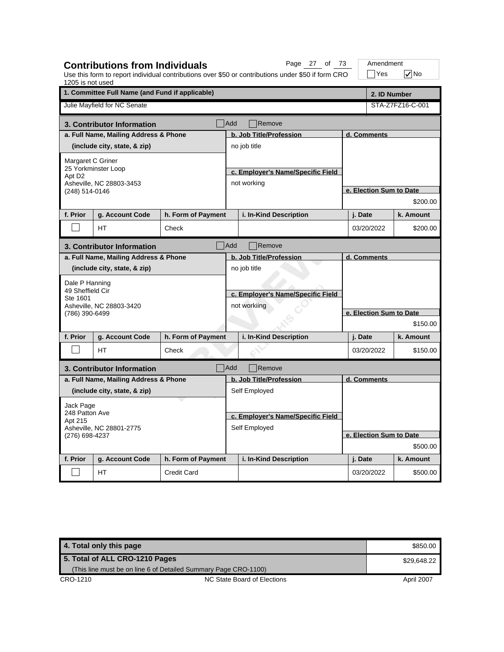| 1205 is not used                                      | <b>Contributions from Individuals</b>           |                    |                                                   | Page 27 of 73<br>Use this form to report individual contributions over \$50 or contributions under \$50 if form CRO |                         | Amendment<br>∣Yes       | l√No             |  |  |
|-------------------------------------------------------|-------------------------------------------------|--------------------|---------------------------------------------------|---------------------------------------------------------------------------------------------------------------------|-------------------------|-------------------------|------------------|--|--|
|                                                       | 1. Committee Full Name (and Fund if applicable) |                    |                                                   |                                                                                                                     | 2. ID Number            |                         |                  |  |  |
|                                                       | Julie Mayfield for NC Senate                    |                    |                                                   |                                                                                                                     |                         |                         | STA-Z7FZ16-C-001 |  |  |
|                                                       | 3. Contributor Information                      |                    | Add                                               | Remove                                                                                                              |                         |                         |                  |  |  |
|                                                       | a. Full Name, Mailing Address & Phone           |                    |                                                   | b. Job Title/Profession                                                                                             |                         | d. Comments             |                  |  |  |
|                                                       | (include city, state, & zip)                    |                    |                                                   | no job title                                                                                                        |                         |                         |                  |  |  |
| Margaret C Griner                                     |                                                 |                    |                                                   |                                                                                                                     |                         |                         |                  |  |  |
| Apt D <sub>2</sub>                                    | 25 Yorkminster Loop                             |                    |                                                   | c. Employer's Name/Specific Field                                                                                   |                         |                         |                  |  |  |
|                                                       | Asheville, NC 28803-3453                        |                    |                                                   | not working                                                                                                         |                         |                         |                  |  |  |
| (248) 514-0146                                        |                                                 |                    |                                                   |                                                                                                                     |                         | e. Election Sum to Date |                  |  |  |
|                                                       |                                                 |                    |                                                   |                                                                                                                     |                         |                         | \$200.00         |  |  |
| f. Prior                                              | g. Account Code                                 | h. Form of Payment |                                                   | i. In-Kind Description                                                                                              |                         | j. Date                 | k. Amount        |  |  |
|                                                       | HТ                                              | Check              |                                                   |                                                                                                                     |                         | 03/20/2022              | \$200.00         |  |  |
|                                                       | 3. Contributor Information                      |                    | <b>Add</b>                                        | Remove                                                                                                              |                         |                         |                  |  |  |
|                                                       | a. Full Name, Mailing Address & Phone           |                    | b. Job Title/Profession<br>d. Comments            |                                                                                                                     |                         |                         |                  |  |  |
|                                                       | (include city, state, & zip)                    |                    |                                                   | no job title                                                                                                        |                         |                         |                  |  |  |
| Dale P Hanning                                        |                                                 |                    | c. Employer's Name/Specific Field<br>not workiing |                                                                                                                     |                         |                         |                  |  |  |
| 49 Sheffield Cir                                      |                                                 |                    |                                                   |                                                                                                                     |                         |                         |                  |  |  |
| Ste 1601                                              | Asheville, NC 28803-3420                        |                    |                                                   |                                                                                                                     |                         |                         |                  |  |  |
| (786) 390-6499                                        |                                                 |                    |                                                   |                                                                                                                     | e. Election Sum to Date |                         |                  |  |  |
|                                                       |                                                 |                    |                                                   |                                                                                                                     |                         | \$150.00                |                  |  |  |
| f. Prior                                              | g. Account Code                                 | h. Form of Payment |                                                   | i. In-Kind Description                                                                                              |                         | j. Date                 | k. Amount        |  |  |
|                                                       | <b>HT</b>                                       | Check              |                                                   |                                                                                                                     |                         | 03/20/2022              | \$150.00         |  |  |
|                                                       | 3. Contributor Information                      |                    | Add                                               | Remove                                                                                                              |                         |                         |                  |  |  |
|                                                       | a. Full Name, Mailing Address & Phone           |                    |                                                   | b. Job Title/Profession                                                                                             | d. Comments             |                         |                  |  |  |
|                                                       | (include city, state, & zip)                    |                    |                                                   | Self Employed                                                                                                       |                         |                         |                  |  |  |
| Jack Page                                             |                                                 |                    |                                                   |                                                                                                                     |                         |                         |                  |  |  |
| 248 Patton Ave<br>Apt 215<br>Asheville, NC 28801-2775 |                                                 |                    |                                                   | c. Employer's Name/Specific Field                                                                                   |                         |                         |                  |  |  |
|                                                       |                                                 |                    |                                                   | Self Employed                                                                                                       |                         |                         |                  |  |  |
| (276) 698-4237                                        |                                                 |                    |                                                   |                                                                                                                     | e. Election Sum to Date |                         |                  |  |  |
|                                                       |                                                 |                    |                                                   |                                                                                                                     |                         |                         | \$500.00         |  |  |
| f. Prior                                              | g. Account Code                                 | h. Form of Payment |                                                   | i. In-Kind Description                                                                                              |                         | j. Date                 | k. Amount        |  |  |
|                                                       | НT                                              | <b>Credit Card</b> |                                                   |                                                                                                                     |                         | 03/20/2022              | \$500.00         |  |  |

| 4. Total only this page                                         |                             | \$850.00   |
|-----------------------------------------------------------------|-----------------------------|------------|
| 5. Total of ALL CRO-1210 Pages                                  | \$29,648.22                 |            |
| (This line must be on line 6 of Detailed Summary Page CRO-1100) |                             |            |
| CRO-1210                                                        | NC State Board of Elections | April 2007 |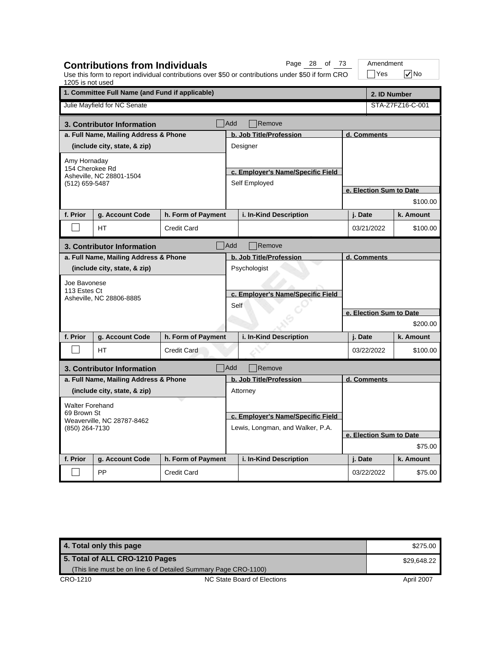| 1205 is not used                             | <b>Contributions from Individuals</b>           |                    |                                   | Page 28 of 73<br>Use this form to report individual contributions over \$50 or contributions under \$50 if form CRO |                         |              | Amendment<br>$\exists$ Yes | $\nabla$ No             |
|----------------------------------------------|-------------------------------------------------|--------------------|-----------------------------------|---------------------------------------------------------------------------------------------------------------------|-------------------------|--------------|----------------------------|-------------------------|
|                                              | 1. Committee Full Name (and Fund if applicable) |                    |                                   |                                                                                                                     |                         | 2. ID Number |                            |                         |
|                                              | Julie Mayfield for NC Senate                    |                    |                                   |                                                                                                                     |                         |              |                            | STA-Z7FZ16-C-001        |
|                                              | 3. Contributor Information                      |                    | <b>Add</b>                        | Remove                                                                                                              |                         |              |                            |                         |
|                                              | a. Full Name, Mailing Address & Phone           |                    |                                   | b. Job Title/Profession                                                                                             |                         | d. Comments  |                            |                         |
|                                              | (include city, state, & zip)                    |                    |                                   | Designer                                                                                                            |                         |              |                            |                         |
| Amy Hornaday                                 |                                                 |                    |                                   |                                                                                                                     |                         |              |                            |                         |
| 154 Cherokee Rd                              | Asheville, NC 28801-1504                        |                    |                                   | c. Employer's Name/Specific Field                                                                                   |                         |              |                            |                         |
| (512) 659-5487                               |                                                 |                    |                                   | Self Employed                                                                                                       |                         |              |                            |                         |
|                                              |                                                 |                    |                                   |                                                                                                                     |                         |              |                            | e. Election Sum to Date |
|                                              |                                                 |                    |                                   |                                                                                                                     |                         |              |                            | \$100.00                |
| f. Prior                                     | g. Account Code                                 | h. Form of Payment |                                   | i. In-Kind Description                                                                                              |                         | j. Date      |                            | k. Amount               |
|                                              | <b>HT</b>                                       | <b>Credit Card</b> |                                   |                                                                                                                     |                         | 03/21/2022   |                            | \$100.00                |
|                                              | 3. Contributor Information                      |                    | Add                               | Remove                                                                                                              |                         |              |                            |                         |
|                                              | a. Full Name, Mailing Address & Phone           |                    |                                   | b. Job Title/Profession                                                                                             | d. Comments             |              |                            |                         |
|                                              | (include city, state, & zip)                    |                    |                                   | Psychologist                                                                                                        |                         |              |                            |                         |
| Joe Bavonese                                 |                                                 |                    |                                   |                                                                                                                     |                         |              |                            |                         |
| 113 Estes Ct                                 | Asheville, NC 28806-8885                        |                    |                                   | c. Employer's Name/Specific Field                                                                                   |                         |              |                            |                         |
|                                              |                                                 |                    | Self                              |                                                                                                                     |                         |              |                            |                         |
|                                              |                                                 |                    |                                   |                                                                                                                     | e. Election Sum to Date |              |                            |                         |
|                                              |                                                 |                    |                                   |                                                                                                                     |                         |              |                            | \$200.00                |
| f. Prior                                     | g. Account Code                                 | h. Form of Payment |                                   | i. In-Kind Description                                                                                              |                         | j. Date      |                            | k. Amount               |
|                                              | <b>HT</b>                                       | <b>Credit Card</b> |                                   |                                                                                                                     |                         |              | 03/22/2022                 | \$100.00                |
|                                              | 3. Contributor Information                      |                    | Add                               | Remove                                                                                                              |                         |              |                            |                         |
|                                              | a. Full Name, Mailing Address & Phone           |                    |                                   | b. Job Title/Profession                                                                                             |                         | d. Comments  |                            |                         |
|                                              | (include city, state, & zip)                    |                    |                                   | Attorney                                                                                                            |                         |              |                            |                         |
| <b>Walter Forehand</b>                       |                                                 |                    |                                   |                                                                                                                     |                         |              |                            |                         |
| 69 Brown St                                  |                                                 |                    | c. Employer's Name/Specific Field |                                                                                                                     |                         |              |                            |                         |
| Weaverville, NC 28787-8462<br>(850) 264-7130 |                                                 |                    |                                   | Lewis, Longman, and Walker, P.A.                                                                                    |                         |              |                            |                         |
|                                              |                                                 |                    |                                   |                                                                                                                     |                         |              |                            | e. Election Sum to Date |
|                                              |                                                 |                    |                                   |                                                                                                                     | \$75.00                 |              |                            |                         |
| f. Prior                                     | g. Account Code                                 | h. Form of Payment |                                   | i. In-Kind Description                                                                                              |                         | j. Date      |                            | k. Amount               |
|                                              | PP                                              | <b>Credit Card</b> |                                   |                                                                                                                     |                         | 03/22/2022   |                            | \$75.00                 |

| 4. Total only this page                                         |                             | \$275.00   |
|-----------------------------------------------------------------|-----------------------------|------------|
| 5. Total of ALL CRO-1210 Pages                                  | \$29.648.22                 |            |
| (This line must be on line 6 of Detailed Summary Page CRO-1100) |                             |            |
| CRO-1210                                                        | NC State Board of Elections | April 2007 |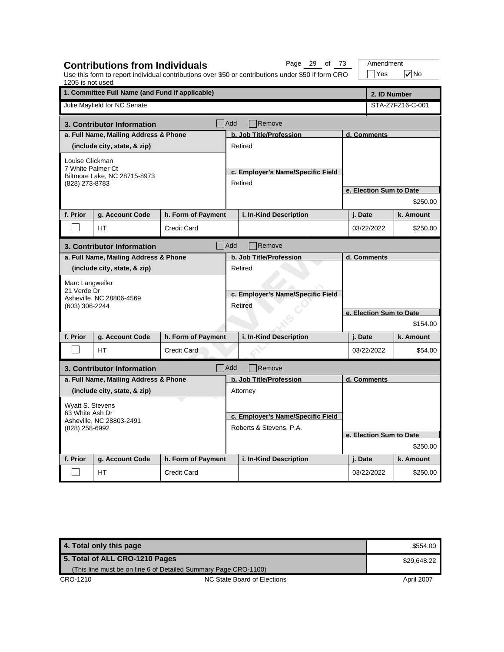| 1205 is not used                            | <b>Contributions from Individuals</b>           |                    |                                   | Page 29 of 73<br>Use this form to report individual contributions over \$50 or contributions under \$50 if form CRO |             |                         | Amendment<br>$\exists$ Yes | $\nabla$ No      |  |
|---------------------------------------------|-------------------------------------------------|--------------------|-----------------------------------|---------------------------------------------------------------------------------------------------------------------|-------------|-------------------------|----------------------------|------------------|--|
|                                             | 1. Committee Full Name (and Fund if applicable) |                    |                                   |                                                                                                                     |             |                         |                            | 2. ID Number     |  |
|                                             | Julie Mayfield for NC Senate                    |                    |                                   |                                                                                                                     |             |                         |                            | STA-Z7FZ16-C-001 |  |
|                                             | 3. Contributor Information                      |                    | l Add                             | Remove                                                                                                              |             |                         |                            |                  |  |
|                                             | a. Full Name, Mailing Address & Phone           |                    |                                   | b. Job Title/Profession                                                                                             |             | d. Comments             |                            |                  |  |
|                                             | (include city, state, & zip)                    |                    |                                   | Retired                                                                                                             |             |                         |                            |                  |  |
| Louise Glickman                             |                                                 |                    |                                   |                                                                                                                     |             |                         |                            |                  |  |
| 7 White Palmer Ct                           | Biltmore Lake, NC 28715-8973                    |                    |                                   | c. Employer's Name/Specific Field                                                                                   |             |                         |                            |                  |  |
| (828) 273-8783                              |                                                 |                    |                                   | Retired                                                                                                             |             |                         |                            |                  |  |
|                                             |                                                 |                    |                                   |                                                                                                                     |             | e. Election Sum to Date |                            |                  |  |
|                                             |                                                 |                    |                                   |                                                                                                                     |             |                         |                            | \$250.00         |  |
| f. Prior                                    | g. Account Code                                 | h. Form of Payment |                                   | i. In-Kind Description                                                                                              |             | j. Date                 |                            | k. Amount        |  |
|                                             | HT                                              | <b>Credit Card</b> |                                   |                                                                                                                     |             | 03/22/2022              |                            | \$250.00         |  |
|                                             | 3. Contributor Information                      |                    | Add                               | Remove                                                                                                              |             |                         |                            |                  |  |
|                                             | a. Full Name, Mailing Address & Phone           |                    |                                   | b. Job Title/Profession                                                                                             | d. Comments |                         |                            |                  |  |
|                                             | (include city, state, & zip)                    |                    |                                   | Retired                                                                                                             |             |                         |                            |                  |  |
| Marc Langweiler                             |                                                 |                    |                                   |                                                                                                                     |             |                         |                            |                  |  |
| 21 Verde Dr                                 | Asheville, NC 28806-4569                        |                    | c. Employer's Name/Specific Field |                                                                                                                     |             |                         |                            |                  |  |
| (603) 306-2244                              |                                                 |                    |                                   | Retired                                                                                                             |             |                         |                            |                  |  |
|                                             |                                                 |                    |                                   |                                                                                                                     |             | e. Election Sum to Date |                            |                  |  |
|                                             |                                                 |                    |                                   |                                                                                                                     |             | \$154.00                |                            |                  |  |
| f. Prior                                    | g. Account Code                                 | h. Form of Payment |                                   | i. In-Kind Description                                                                                              |             | j. Date                 |                            | k. Amount        |  |
|                                             | HT.                                             | <b>Credit Card</b> |                                   |                                                                                                                     |             | 03/22/2022              |                            | \$54.00          |  |
|                                             | 3. Contributor Information                      |                    | <b>Add</b>                        | Remove                                                                                                              |             |                         |                            |                  |  |
|                                             | a. Full Name, Mailing Address & Phone           |                    |                                   | b. Job Title/Profession                                                                                             | d. Comments |                         |                            |                  |  |
|                                             | (include city, state, & zip)                    |                    |                                   | Attorney                                                                                                            |             |                         |                            |                  |  |
| Wyatt S. Stevens                            |                                                 |                    |                                   |                                                                                                                     |             |                         |                            |                  |  |
| 63 White Ash Dr<br>Asheville, NC 28803-2491 |                                                 |                    | c. Employer's Name/Specific Field |                                                                                                                     |             |                         |                            |                  |  |
| (828) 258-6992                              |                                                 |                    |                                   | Roberts & Stevens, P.A.                                                                                             |             |                         |                            |                  |  |
|                                             |                                                 |                    |                                   |                                                                                                                     |             | e. Election Sum to Date |                            |                  |  |
|                                             |                                                 |                    |                                   |                                                                                                                     |             |                         |                            | \$250.00         |  |
| f. Prior                                    | g. Account Code                                 | h. Form of Payment |                                   | i. In-Kind Description                                                                                              |             | j. Date                 |                            | k. Amount        |  |
|                                             | HT.                                             | <b>Credit Card</b> |                                   |                                                                                                                     |             | 03/22/2022              |                            | \$250.00         |  |

| 4. Total only this page        |                                                                 | \$554.00    |
|--------------------------------|-----------------------------------------------------------------|-------------|
| 5. Total of ALL CRO-1210 Pages |                                                                 | \$29.648.22 |
|                                | (This line must be on line 6 of Detailed Summary Page CRO-1100) |             |
| CRO-1210                       | NC State Board of Elections                                     | April 2007  |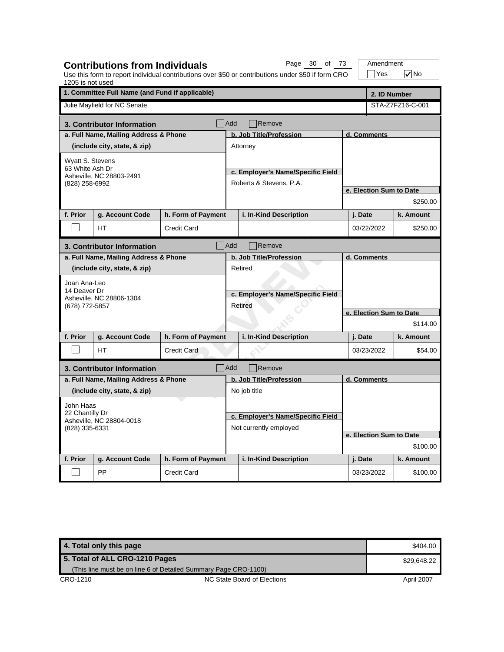| 1205 is not used | <b>Contributions from Individuals</b>           |                    |                                   | Page 30 of 73<br>Use this form to report individual contributions over \$50 or contributions under \$50 if form CRO |  | Amendment<br>$\exists$ Yes | $\sqrt{}$ No     |
|------------------|-------------------------------------------------|--------------------|-----------------------------------|---------------------------------------------------------------------------------------------------------------------|--|----------------------------|------------------|
|                  | 1. Committee Full Name (and Fund if applicable) |                    |                                   |                                                                                                                     |  |                            | 2. ID Number     |
|                  | Julie Mayfield for NC Senate                    |                    |                                   |                                                                                                                     |  |                            | STA-Z7FZ16-C-001 |
|                  | 3. Contributor Information                      |                    | <b>Add</b>                        | Remove                                                                                                              |  |                            |                  |
|                  | a. Full Name, Mailing Address & Phone           |                    |                                   | b. Job Title/Profession                                                                                             |  | d. Comments                |                  |
|                  | (include city, state, & zip)                    |                    |                                   | Attorney                                                                                                            |  |                            |                  |
| Wyatt S. Stevens |                                                 |                    |                                   |                                                                                                                     |  |                            |                  |
| 63 White Ash Dr  | Asheville, NC 28803-2491                        |                    |                                   | c. Employer's Name/Specific Field                                                                                   |  |                            |                  |
| (828) 258-6992   |                                                 |                    |                                   | Roberts & Stevens, P.A.                                                                                             |  |                            |                  |
|                  |                                                 |                    |                                   |                                                                                                                     |  | e. Election Sum to Date    |                  |
|                  |                                                 |                    |                                   |                                                                                                                     |  |                            | \$250.00         |
| f. Prior         | g. Account Code                                 | h. Form of Payment |                                   | i. In-Kind Description                                                                                              |  | j. Date                    | k. Amount        |
|                  | <b>HT</b>                                       | <b>Credit Card</b> |                                   |                                                                                                                     |  | 03/22/2022                 | \$250.00         |
|                  | 3. Contributor Information                      |                    | Add                               | Remove                                                                                                              |  |                            |                  |
|                  | a. Full Name, Mailing Address & Phone           |                    |                                   | b. Job Title/Profession                                                                                             |  | d. Comments                |                  |
|                  | (include city, state, & zip)                    |                    |                                   | Retired                                                                                                             |  |                            |                  |
| Joan Ana-Leo     |                                                 |                    |                                   |                                                                                                                     |  |                            |                  |
| 14 Deaver Dr     |                                                 |                    | c. Employer's Name/Specific Field |                                                                                                                     |  |                            |                  |
| (678) 772-5857   | Asheville, NC 28806-1304                        |                    | Retired                           |                                                                                                                     |  |                            |                  |
|                  |                                                 |                    |                                   |                                                                                                                     |  | e. Election Sum to Date    |                  |
|                  |                                                 |                    |                                   |                                                                                                                     |  |                            | \$114.00         |
| f. Prior         | g. Account Code                                 | h. Form of Payment |                                   | i. In-Kind Description                                                                                              |  | j. Date                    | k. Amount        |
|                  | <b>HT</b>                                       | <b>Credit Card</b> |                                   |                                                                                                                     |  | 03/23/2022                 | \$54.00          |
|                  | 3. Contributor Information                      |                    | Add                               | Remove                                                                                                              |  |                            |                  |
|                  | a. Full Name, Mailing Address & Phone           |                    |                                   | b. Job Title/Profession                                                                                             |  | d. Comments                |                  |
|                  | (include city, state, & zip)                    |                    |                                   | No job title                                                                                                        |  |                            |                  |
| John Haas        |                                                 |                    |                                   |                                                                                                                     |  |                            |                  |
| 22 Chantilly Dr  |                                                 |                    |                                   | c. Employer's Name/Specific Field                                                                                   |  |                            |                  |
| (828) 335-6331   | Asheville, NC 28804-0018                        |                    |                                   | Not currently employed                                                                                              |  |                            |                  |
|                  |                                                 |                    |                                   |                                                                                                                     |  | e. Election Sum to Date    |                  |
|                  |                                                 |                    |                                   |                                                                                                                     |  |                            | \$100.00         |
| f. Prior         | g. Account Code                                 | h. Form of Payment |                                   | i. In-Kind Description                                                                                              |  | j. Date                    | k. Amount        |
|                  | PP                                              | <b>Credit Card</b> |                                   |                                                                                                                     |  | 03/23/2022                 | \$100.00         |

**4. Total only this page \$404.00 and \$404.00 and \$404.00 and \$404.00 and \$404.00 and \$404.00 and \$404.00 and \$404.00 and \$404.00 and \$404.00 and \$404.00 and \$404.00 and \$404.00 and \$404.00 and \$404.00 and \$404.00 and \$404.** CRO-1210 CRO-1210 NC State Board of Elections April 2007 **5. Total of ALL CRO-1210 Pages** (This line must be on line 6 of Detailed Summary Page CRO-1100) \$29,648.22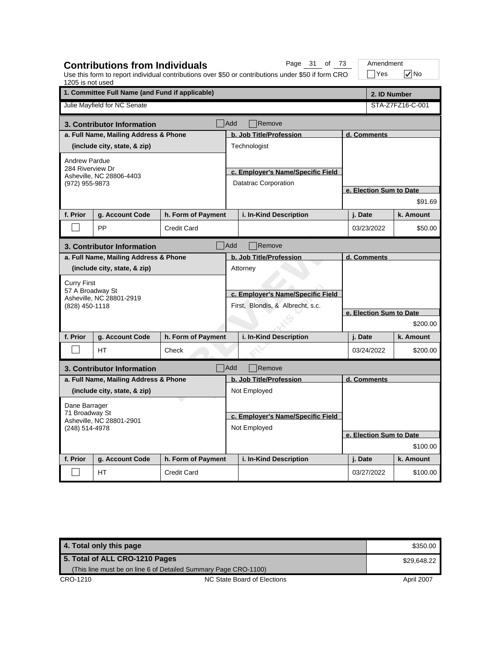| 1205 is not used                                             | <b>Contributions from Individuals</b>           |                    |                                                                       | Page 31 of 73<br>Use this form to report individual contributions over \$50 or contributions under \$50 if form CRO |                         | Amendment<br>$\exists$ Yes | $\nabla$ No      |  |
|--------------------------------------------------------------|-------------------------------------------------|--------------------|-----------------------------------------------------------------------|---------------------------------------------------------------------------------------------------------------------|-------------------------|----------------------------|------------------|--|
|                                                              | 1. Committee Full Name (and Fund if applicable) |                    |                                                                       |                                                                                                                     |                         | 2. ID Number               |                  |  |
|                                                              | Julie Mayfield for NC Senate                    |                    |                                                                       |                                                                                                                     |                         |                            | STA-Z7FZ16-C-001 |  |
|                                                              | 3. Contributor Information                      |                    | Add                                                                   | Remove                                                                                                              |                         |                            |                  |  |
|                                                              | a. Full Name, Mailing Address & Phone           |                    |                                                                       | b. Job Title/Profession                                                                                             |                         | d. Comments                |                  |  |
|                                                              | (include city, state, & zip)                    |                    |                                                                       | Technologist                                                                                                        |                         |                            |                  |  |
| <b>Andrew Pardue</b>                                         |                                                 |                    |                                                                       |                                                                                                                     |                         |                            |                  |  |
| 284 Riverview Dr                                             | Asheville, NC 28806-4403                        |                    |                                                                       | c. Employer's Name/Specific Field                                                                                   |                         |                            |                  |  |
| (972) 955-9873                                               |                                                 |                    |                                                                       | Datatrac Corporation                                                                                                |                         |                            |                  |  |
|                                                              |                                                 |                    |                                                                       |                                                                                                                     |                         | e. Election Sum to Date    |                  |  |
|                                                              |                                                 |                    |                                                                       |                                                                                                                     |                         |                            | \$91.69          |  |
| f. Prior                                                     | g. Account Code                                 | h. Form of Payment |                                                                       | i. In-Kind Description                                                                                              |                         | j. Date                    | k. Amount        |  |
|                                                              | PP                                              | <b>Credit Card</b> |                                                                       |                                                                                                                     |                         | 03/23/2022                 | \$50.00          |  |
|                                                              | 3. Contributor Information                      |                    | Add                                                                   | Remove                                                                                                              |                         |                            |                  |  |
|                                                              | a. Full Name, Mailing Address & Phone           |                    |                                                                       | b. Job Title/Profession                                                                                             |                         | d. Comments                |                  |  |
|                                                              | (include city, state, & zip)                    |                    |                                                                       | Attorney                                                                                                            |                         |                            |                  |  |
| <b>Curry First</b>                                           |                                                 |                    | c. Employer's Name/Specific Field<br>First, Blondis, & Albrecht, s.c. |                                                                                                                     |                         |                            |                  |  |
| 57 A Broadway St                                             |                                                 |                    |                                                                       |                                                                                                                     |                         |                            |                  |  |
| (828) 450-1118                                               | Asheville, NC 28801-2919                        |                    |                                                                       |                                                                                                                     |                         |                            |                  |  |
|                                                              |                                                 |                    |                                                                       |                                                                                                                     | e. Election Sum to Date |                            |                  |  |
|                                                              |                                                 |                    |                                                                       |                                                                                                                     |                         |                            | \$200.00         |  |
| f. Prior                                                     | g. Account Code                                 | h. Form of Payment |                                                                       | i. In-Kind Description                                                                                              |                         | j. Date                    | k. Amount        |  |
|                                                              | <b>HT</b>                                       | Check              |                                                                       |                                                                                                                     |                         | 03/24/2022                 | \$200.00         |  |
|                                                              | 3. Contributor Information                      |                    | Add                                                                   | Remove                                                                                                              |                         |                            |                  |  |
|                                                              | a. Full Name, Mailing Address & Phone           |                    |                                                                       | b. Job Title/Profession                                                                                             |                         | d. Comments                |                  |  |
|                                                              | (include city, state, & zip)                    |                    |                                                                       | Not Employed                                                                                                        |                         |                            |                  |  |
| Dane Barrager                                                |                                                 |                    |                                                                       |                                                                                                                     |                         |                            |                  |  |
| 71 Broadway St<br>Asheville, NC 28801-2901<br>(248) 514-4978 |                                                 |                    | c. Employer's Name/Specific Field                                     |                                                                                                                     |                         |                            |                  |  |
|                                                              |                                                 |                    | Not Employed                                                          |                                                                                                                     |                         |                            |                  |  |
|                                                              |                                                 |                    |                                                                       |                                                                                                                     |                         | e. Election Sum to Date    |                  |  |
|                                                              |                                                 |                    |                                                                       |                                                                                                                     |                         |                            | \$100.00         |  |
| f. Prior                                                     | g. Account Code                                 | h. Form of Payment |                                                                       | i. In-Kind Description                                                                                              |                         | j. Date                    | k. Amount        |  |
|                                                              | HT.                                             | <b>Credit Card</b> |                                                                       |                                                                                                                     |                         | 03/27/2022                 | \$100.00         |  |

**4. Total only this page \$350.00 and \$350.00 and \$350.00 and \$350.00 and \$350.00 and \$350.00 and \$350.00 and \$350.00 and \$350.00 and \$350.00 and \$350.00 and \$350.00 and \$350.00 and \$350.00 and \$350.00 and \$350.00 and \$350.** CRO-1210 CRO-1210 NC State Board of Elections April 2007 **5. Total of ALL CRO-1210 Pages** (This line must be on line 6 of Detailed Summary Page CRO-1100) \$29,648.22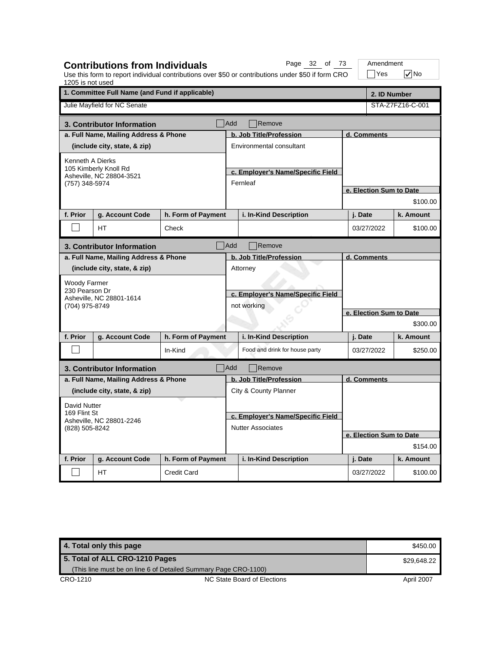| 1205 is not used                           | <b>Contributions from Individuals</b>             |                    |                                                  | Page 32 of 73<br>Use this form to report individual contributions over \$50 or contributions under \$50 if form CRO |                         | Amendment<br>$\exists$ Yes | $\sqrt{}$ No     |  |
|--------------------------------------------|---------------------------------------------------|--------------------|--------------------------------------------------|---------------------------------------------------------------------------------------------------------------------|-------------------------|----------------------------|------------------|--|
|                                            | 1. Committee Full Name (and Fund if applicable)   |                    |                                                  |                                                                                                                     |                         |                            | 2. ID Number     |  |
|                                            | Julie Mayfield for NC Senate                      |                    |                                                  |                                                                                                                     |                         |                            | STA-Z7FZ16-C-001 |  |
|                                            | 3. Contributor Information                        |                    | <b>Add</b>                                       | Remove                                                                                                              |                         |                            |                  |  |
|                                            | a. Full Name, Mailing Address & Phone             |                    |                                                  | b. Job Title/Profession                                                                                             |                         | d. Comments                |                  |  |
|                                            | (include city, state, & zip)                      |                    |                                                  | Environmental consultant                                                                                            |                         |                            |                  |  |
| Kenneth A Dierks                           |                                                   |                    |                                                  |                                                                                                                     |                         |                            |                  |  |
|                                            | 105 Kimberly Knoll Rd<br>Asheville, NC 28804-3521 |                    |                                                  | c. Employer's Name/Specific Field                                                                                   |                         |                            |                  |  |
| (757) 348-5974                             |                                                   |                    |                                                  | Fernleaf                                                                                                            |                         |                            |                  |  |
|                                            |                                                   |                    |                                                  |                                                                                                                     |                         | e. Election Sum to Date    | \$100.00         |  |
|                                            |                                                   |                    |                                                  |                                                                                                                     |                         |                            |                  |  |
| f. Prior                                   | g. Account Code                                   | h. Form of Payment |                                                  | i. In-Kind Description                                                                                              |                         | j. Date                    | k. Amount        |  |
|                                            | <b>HT</b>                                         | Check              |                                                  |                                                                                                                     |                         | 03/27/2022                 | \$100.00         |  |
|                                            | 3. Contributor Information                        |                    | <b>Add</b>                                       | Remove                                                                                                              |                         |                            |                  |  |
|                                            | a. Full Name, Mailing Address & Phone             |                    |                                                  | b. Job Title/Profession                                                                                             |                         | d. Comments                |                  |  |
|                                            | (include city, state, & zip)                      |                    |                                                  | Attorney                                                                                                            |                         |                            |                  |  |
| Woody Farmer                               |                                                   |                    |                                                  |                                                                                                                     |                         |                            |                  |  |
| 230 Pearson Dr                             | Asheville, NC 28801-1614                          |                    | c. Employer's Name/Specific Field<br>not working |                                                                                                                     |                         | e. Election Sum to Date    |                  |  |
| (704) 975-8749                             |                                                   |                    |                                                  |                                                                                                                     |                         |                            |                  |  |
|                                            |                                                   |                    |                                                  |                                                                                                                     |                         |                            |                  |  |
|                                            |                                                   |                    |                                                  |                                                                                                                     |                         |                            | \$300.00         |  |
| f. Prior                                   | g. Account Code                                   | h. Form of Payment |                                                  | i. In-Kind Description                                                                                              |                         | j. Date                    | k. Amount        |  |
|                                            |                                                   | In-Kind            |                                                  | Food and drink for house party                                                                                      |                         | 03/27/2022                 | \$250.00         |  |
|                                            | 3. Contributor Information                        | Add                |                                                  | Remove                                                                                                              |                         |                            |                  |  |
|                                            | a. Full Name, Mailing Address & Phone             |                    |                                                  | b. Job Title/Profession                                                                                             |                         | d. Comments                |                  |  |
|                                            | (include city, state, & zip)                      |                    |                                                  | City & County Planner                                                                                               |                         |                            |                  |  |
| David Nutter                               |                                                   |                    |                                                  |                                                                                                                     |                         |                            |                  |  |
| 169 Flint St                               |                                                   |                    |                                                  | c. Employer's Name/Specific Field                                                                                   |                         |                            |                  |  |
| Asheville, NC 28801-2246<br>(828) 505-8242 |                                                   |                    |                                                  | <b>Nutter Associates</b>                                                                                            |                         |                            |                  |  |
|                                            |                                                   |                    |                                                  |                                                                                                                     | e. Election Sum to Date |                            |                  |  |
|                                            |                                                   |                    |                                                  |                                                                                                                     |                         |                            | \$154.00         |  |
| f. Prior                                   | g. Account Code                                   | h. Form of Payment |                                                  | i. In-Kind Description                                                                                              |                         | j. Date                    | k. Amount        |  |
|                                            | HT                                                | <b>Credit Card</b> |                                                  |                                                                                                                     |                         | 03/27/2022                 | \$100.00         |  |

| 4. Total only this page        |                                                                 | \$450.00    |
|--------------------------------|-----------------------------------------------------------------|-------------|
| 5. Total of ALL CRO-1210 Pages |                                                                 | \$29.648.22 |
|                                | (This line must be on line 6 of Detailed Summary Page CRO-1100) |             |
| CRO-1210                       | NC State Board of Elections                                     | April 2007  |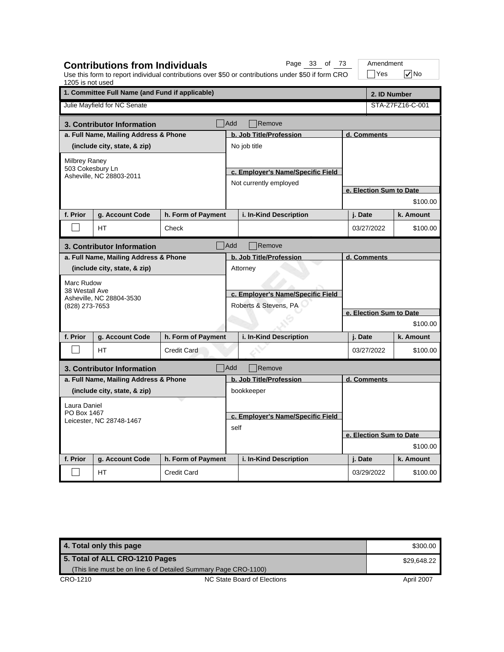| 1205 is not used | <b>Contributions from Individuals</b>           |                    |                                                            | Page 33 of 73<br>Use this form to report individual contributions over \$50 or contributions under \$50 if form CRO |  | Amendment<br> Yes       | $\sqrt{}$ No     |  |  |
|------------------|-------------------------------------------------|--------------------|------------------------------------------------------------|---------------------------------------------------------------------------------------------------------------------|--|-------------------------|------------------|--|--|
|                  | 1. Committee Full Name (and Fund if applicable) |                    |                                                            |                                                                                                                     |  |                         | 2. ID Number     |  |  |
|                  | Julie Mayfield for NC Senate                    |                    |                                                            |                                                                                                                     |  |                         | STA-Z7FZ16-C-001 |  |  |
|                  | 3. Contributor Information                      |                    | <b>Add</b>                                                 | Remove                                                                                                              |  |                         |                  |  |  |
|                  | a. Full Name, Mailing Address & Phone           |                    |                                                            | b. Job Title/Profession                                                                                             |  | d. Comments             |                  |  |  |
|                  | (include city, state, & zip)                    |                    |                                                            | No job title                                                                                                        |  |                         |                  |  |  |
| Milbrey Raney    |                                                 |                    |                                                            |                                                                                                                     |  |                         |                  |  |  |
| 503 Cokesbury Ln | Asheville, NC 28803-2011                        |                    |                                                            | c. Employer's Name/Specific Field                                                                                   |  |                         |                  |  |  |
|                  |                                                 |                    |                                                            | Not currently employed                                                                                              |  |                         |                  |  |  |
|                  |                                                 |                    |                                                            |                                                                                                                     |  | e. Election Sum to Date | \$100.00         |  |  |
|                  |                                                 |                    |                                                            |                                                                                                                     |  |                         |                  |  |  |
| f. Prior         | g. Account Code                                 | h. Form of Payment |                                                            | i. In-Kind Description                                                                                              |  | j. Date                 | k. Amount        |  |  |
|                  | <b>HT</b>                                       | Check              |                                                            |                                                                                                                     |  | 03/27/2022              | \$100.00         |  |  |
|                  | 3. Contributor Information                      |                    | Add                                                        | Remove                                                                                                              |  |                         |                  |  |  |
|                  | a. Full Name, Mailing Address & Phone           |                    |                                                            | b. Job Title/Profession                                                                                             |  | d. Comments             |                  |  |  |
|                  | (include city, state, & zip)                    |                    |                                                            | Attorney                                                                                                            |  |                         |                  |  |  |
| Marc Rudow       |                                                 |                    |                                                            |                                                                                                                     |  |                         |                  |  |  |
| 38 Westall Ave   | Asheville, NC 28804-3530                        |                    | c. Employer's Name/Specific Field<br>Roberts & Stevens, PA |                                                                                                                     |  | e. Election Sum to Date |                  |  |  |
| (828) 273-7653   |                                                 |                    |                                                            |                                                                                                                     |  |                         |                  |  |  |
|                  |                                                 |                    |                                                            |                                                                                                                     |  |                         | \$100.00         |  |  |
| f. Prior         |                                                 |                    |                                                            |                                                                                                                     |  |                         |                  |  |  |
|                  | g. Account Code                                 | h. Form of Payment |                                                            | i. In-Kind Description                                                                                              |  | j. Date                 | k. Amount        |  |  |
|                  | <b>HT</b>                                       | <b>Credit Card</b> |                                                            |                                                                                                                     |  | 03/27/2022              | \$100.00         |  |  |
|                  | 3. Contributor Information                      |                    | <b>Add</b>                                                 | Remove                                                                                                              |  |                         |                  |  |  |
|                  | a. Full Name, Mailing Address & Phone           |                    |                                                            | b. Job Title/Profession                                                                                             |  | d. Comments             |                  |  |  |
|                  | (include city, state, & zip)                    |                    |                                                            | bookkeeper                                                                                                          |  |                         |                  |  |  |
| Laura Daniel     |                                                 |                    |                                                            |                                                                                                                     |  |                         |                  |  |  |
| PO Box 1467      | Leicester, NC 28748-1467                        |                    |                                                            | c. Employer's Name/Specific Field                                                                                   |  |                         |                  |  |  |
|                  |                                                 |                    | self                                                       |                                                                                                                     |  |                         |                  |  |  |
|                  |                                                 |                    |                                                            |                                                                                                                     |  | e. Election Sum to Date | \$100.00         |  |  |
|                  |                                                 |                    |                                                            |                                                                                                                     |  |                         |                  |  |  |
| f. Prior         | g. Account Code                                 | h. Form of Payment |                                                            | i. In-Kind Description                                                                                              |  | j. Date                 | k. Amount        |  |  |
|                  | <b>HT</b>                                       | Credit Card        |                                                            |                                                                                                                     |  | 03/29/2022              | \$100.00         |  |  |

| 4. Total only this page        |                                                                 | \$300.00    |
|--------------------------------|-----------------------------------------------------------------|-------------|
| 5. Total of ALL CRO-1210 Pages |                                                                 | \$29.648.22 |
|                                | (This line must be on line 6 of Detailed Summary Page CRO-1100) |             |
| CRO-1210                       | NC State Board of Elections                                     | April 2007  |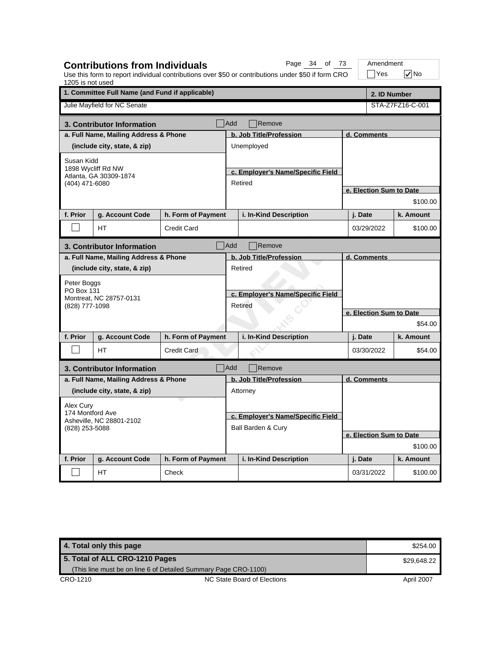| 1205 is not used                                                |                                                                                      |                    | Use this form to report individual contributions over \$50 or contributions under \$50 if form CRO | Yes                     | $\sqrt{}$ No     |  |  |
|-----------------------------------------------------------------|--------------------------------------------------------------------------------------|--------------------|----------------------------------------------------------------------------------------------------|-------------------------|------------------|--|--|
| 1. Committee Full Name (and Fund if applicable)<br>2. ID Number |                                                                                      |                    |                                                                                                    |                         |                  |  |  |
|                                                                 | Julie Mayfield for NC Senate                                                         |                    |                                                                                                    |                         | STA-Z7FZ16-C-001 |  |  |
|                                                                 | 3. Contributor Information                                                           |                    | Add<br>Remove                                                                                      |                         |                  |  |  |
|                                                                 | a. Full Name, Mailing Address & Phone                                                |                    | b. Job Title/Profession                                                                            | d. Comments             |                  |  |  |
|                                                                 | (include city, state, & zip)                                                         |                    | Unemployed                                                                                         |                         |                  |  |  |
| Susan Kidd<br>(404) 471-6080                                    | 1898 Wycliff Rd NW<br>Atlanta, GA 30309-1874                                         |                    | c. Employer's Name/Specific Field<br>Retired                                                       |                         |                  |  |  |
|                                                                 |                                                                                      |                    |                                                                                                    | e. Election Sum to Date |                  |  |  |
|                                                                 |                                                                                      |                    |                                                                                                    |                         | \$100.00         |  |  |
| f. Prior                                                        | g. Account Code                                                                      | h. Form of Payment | i. In-Kind Description                                                                             | j. Date                 | k. Amount        |  |  |
|                                                                 | HТ                                                                                   | <b>Credit Card</b> |                                                                                                    | 03/29/2022              | \$100.00         |  |  |
|                                                                 | 3. Contributor Information                                                           |                    | <b>Add</b><br>Remove                                                                               |                         |                  |  |  |
|                                                                 | a. Full Name, Mailing Address & Phone                                                |                    | b. Job Title/Profession                                                                            | d. Comments             |                  |  |  |
|                                                                 | (include city, state, & zip)<br>Peter Boggs<br>PO Box 131<br>Montreat, NC 28757-0131 |                    | Retired<br>c. Employer's Name/Specific Field<br>Retired                                            |                         |                  |  |  |
| (828) 777-1098                                                  |                                                                                      |                    |                                                                                                    | e. Election Sum to Date |                  |  |  |
|                                                                 |                                                                                      |                    |                                                                                                    |                         | \$54.00          |  |  |
| f. Prior                                                        | g. Account Code                                                                      | h. Form of Payment | i. In-Kind Description                                                                             | j. Date                 | k. Amount        |  |  |
|                                                                 | HT                                                                                   | <b>Credit Card</b> |                                                                                                    | 03/30/2022              | \$54.00          |  |  |
|                                                                 | 3. Contributor Information                                                           | Add                | Remove                                                                                             |                         |                  |  |  |
|                                                                 | a. Full Name, Mailing Address & Phone                                                |                    | b. Job Title/Profession                                                                            | d. Comments             |                  |  |  |
|                                                                 | (include city, state, & zip)                                                         |                    | Attorney                                                                                           |                         |                  |  |  |
| Alex Cury                                                       |                                                                                      |                    |                                                                                                    |                         |                  |  |  |
| 174 Montford Ave<br>Asheville, NC 28801-2102<br>(828) 253-5088  |                                                                                      |                    | c. Employer's Name/Specific Field                                                                  |                         |                  |  |  |
|                                                                 |                                                                                      |                    | Ball Barden & Cury                                                                                 |                         |                  |  |  |
|                                                                 |                                                                                      |                    |                                                                                                    | e. Election Sum to Date | \$100.00         |  |  |
|                                                                 |                                                                                      |                    |                                                                                                    |                         |                  |  |  |
| f. Prior                                                        | g. Account Code                                                                      | h. Form of Payment | i. In-Kind Description                                                                             | j. Date                 | k. Amount        |  |  |
|                                                                 | HT.                                                                                  | Check              |                                                                                                    | 03/31/2022              | \$100.00         |  |  |

**Contributions from Individuals**

Page 34 of 73 | Amendment

**4. Total only this page \$254.00 \$254.00 \$254.00 \$254.00 \$254.00 \$254.00 \$254.00 \$254.00 \$254.00 \$254.00 \$254.00 \$254.00 \$254.00 \$254.00 \$254.00 \$254.00 \$254.00 \$254.00 \$254.00 \$254.00 \$254.00 \$254.00 \$254.00 \$254.00 \$254.** CRO-1210 CRO-1210 NC State Board of Elections April 2007 **5. Total of ALL CRO-1210 Pages** (This line must be on line 6 of Detailed Summary Page CRO-1100) \$29,648.22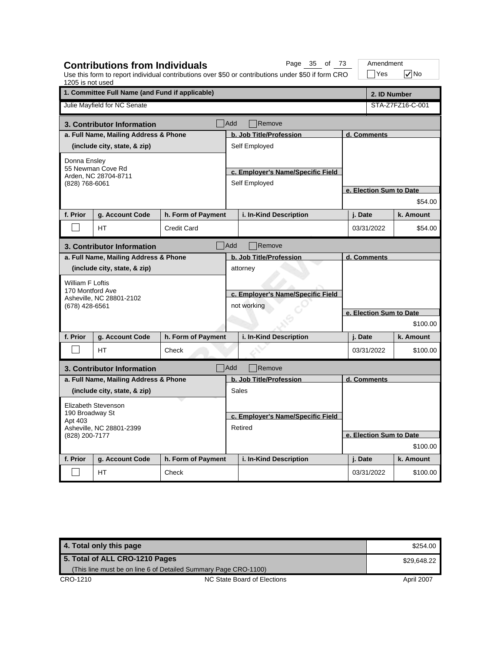| 1205 is not used                                                                   |                                                                 |                    |                                                  | Use this form to report individual contributions over \$50 or contributions under \$50 if form CRO |                         | Yes                     | $\sqrt{}$ No     |  |
|------------------------------------------------------------------------------------|-----------------------------------------------------------------|--------------------|--------------------------------------------------|----------------------------------------------------------------------------------------------------|-------------------------|-------------------------|------------------|--|
|                                                                                    | 1. Committee Full Name (and Fund if applicable)<br>2. ID Number |                    |                                                  |                                                                                                    |                         |                         |                  |  |
|                                                                                    | Julie Mayfield for NC Senate                                    |                    |                                                  |                                                                                                    |                         |                         | STA-Z7FZ16-C-001 |  |
|                                                                                    | 3. Contributor Information                                      |                    | Add                                              | Remove                                                                                             |                         |                         |                  |  |
|                                                                                    | a. Full Name, Mailing Address & Phone                           |                    |                                                  | b. Job Title/Profession                                                                            |                         | d. Comments             |                  |  |
|                                                                                    | (include city, state, & zip)                                    |                    |                                                  | Self Employed                                                                                      |                         |                         |                  |  |
| Donna Ensley<br>(828) 768-6061                                                     | 55 Newman Cove Rd<br>Arden, NC 28704-8711                       |                    |                                                  | c. Employer's Name/Specific Field<br>Self Employed                                                 |                         |                         |                  |  |
|                                                                                    |                                                                 |                    |                                                  |                                                                                                    |                         | e. Election Sum to Date |                  |  |
|                                                                                    |                                                                 |                    |                                                  |                                                                                                    |                         |                         | \$54.00          |  |
| f. Prior                                                                           | g. Account Code                                                 | h. Form of Payment |                                                  | i. In-Kind Description                                                                             |                         | j. Date                 | k. Amount        |  |
|                                                                                    | HТ                                                              | <b>Credit Card</b> |                                                  |                                                                                                    |                         | 03/31/2022              | \$54.00          |  |
|                                                                                    | 3. Contributor Information                                      |                    | Add                                              | Remove                                                                                             |                         |                         |                  |  |
|                                                                                    | a. Full Name, Mailing Address & Phone                           |                    |                                                  | b. Job Title/Profession                                                                            |                         | d. Comments             |                  |  |
|                                                                                    | (include city, state, & zip)                                    |                    |                                                  | attorney                                                                                           |                         |                         |                  |  |
| William F Loftis<br>170 Montford Ave<br>Asheville, NC 28801-2102<br>(678) 428-6561 |                                                                 |                    | c. Employer's Name/Specific Field<br>not working |                                                                                                    |                         |                         |                  |  |
|                                                                                    |                                                                 |                    |                                                  |                                                                                                    | e. Election Sum to Date |                         |                  |  |
|                                                                                    |                                                                 |                    |                                                  |                                                                                                    |                         |                         | \$100.00         |  |
| f. Prior                                                                           | g. Account Code                                                 | h. Form of Payment |                                                  | i. In-Kind Description                                                                             |                         | j. Date                 | k. Amount        |  |
|                                                                                    | HT                                                              | Check              |                                                  |                                                                                                    |                         | 03/31/2022              | \$100.00         |  |
|                                                                                    | 3. Contributor Information                                      |                    | $\n  Add\n$                                      | Remove                                                                                             |                         |                         |                  |  |
|                                                                                    | a. Full Name, Mailing Address & Phone                           |                    |                                                  | b. Job Title/Profession                                                                            |                         | d. Comments             |                  |  |
|                                                                                    | (include city, state, & zip)                                    |                    |                                                  | Sales                                                                                              |                         |                         |                  |  |
|                                                                                    | Elizabeth Stevenson                                             |                    |                                                  |                                                                                                    |                         |                         |                  |  |
| 190 Broadway St                                                                    |                                                                 |                    |                                                  | c. Employer's Name/Specific Field                                                                  |                         |                         |                  |  |
| Apt 403<br>Asheville, NC 28801-2399<br>(828) 200-7177                              |                                                                 |                    | Retired                                          |                                                                                                    |                         |                         |                  |  |
|                                                                                    |                                                                 |                    |                                                  |                                                                                                    |                         | e. Election Sum to Date |                  |  |
|                                                                                    |                                                                 |                    |                                                  |                                                                                                    |                         |                         | \$100.00         |  |
| f. Prior                                                                           | g. Account Code                                                 | h. Form of Payment |                                                  | i. In-Kind Description                                                                             |                         | j. Date                 | k. Amount        |  |
|                                                                                    | <b>HT</b>                                                       | Check              |                                                  |                                                                                                    |                         | 03/31/2022              | \$100.00         |  |

**Contributions from Individuals**

Page 35 of 73 | Amendment

**4. Total only this page \$254.00 \$254.00 \$254.00 \$254.00 \$254.00 \$254.00 \$254.00 \$254.00 \$254.00 \$254.00 \$254.00 \$254.00 \$254.00 \$254.00 \$254.00 \$254.00 \$254.00 \$254.00 \$254.00 \$254.00 \$254.00 \$254.00 \$254.00 \$254.00 \$254.** CRO-1210 CRO-1210 NC State Board of Elections April 2007 **5. Total of ALL CRO-1210 Pages** (This line must be on line 6 of Detailed Summary Page CRO-1100) \$29,648.22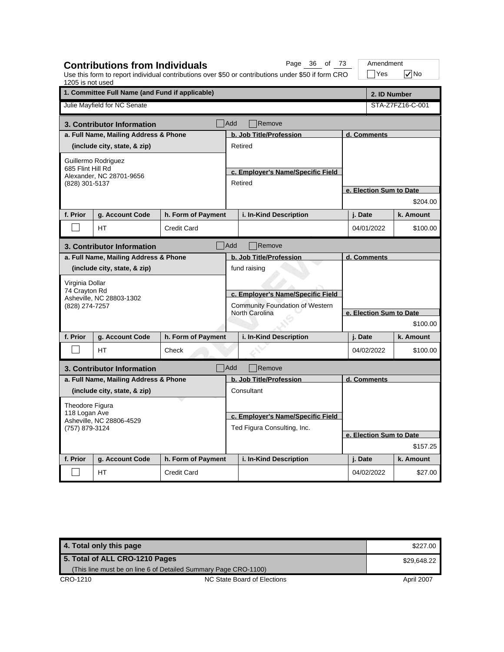| 1205 is not used                                            | <b>Contributions from Individuals</b> |                    |                                                   | Page 36 of 73<br>Use this form to report individual contributions over \$50 or contributions under \$50 if form CRO |              | Amendment<br>$\exists$ Yes | $\nabla$ No      |  |
|-------------------------------------------------------------|---------------------------------------|--------------------|---------------------------------------------------|---------------------------------------------------------------------------------------------------------------------|--------------|----------------------------|------------------|--|
| 1. Committee Full Name (and Fund if applicable)             |                                       |                    |                                                   |                                                                                                                     | 2. ID Number |                            |                  |  |
|                                                             | Julie Mayfield for NC Senate          |                    |                                                   |                                                                                                                     |              |                            | STA-Z7FZ16-C-001 |  |
|                                                             | 3. Contributor Information            |                    | <b>Add</b>                                        | Remove                                                                                                              |              |                            |                  |  |
|                                                             | a. Full Name, Mailing Address & Phone |                    |                                                   | b. Job Title/Profession                                                                                             |              | d. Comments                |                  |  |
|                                                             | (include city, state, & zip)          |                    | Retired                                           |                                                                                                                     |              |                            |                  |  |
|                                                             | Guillermo Rodriguez                   |                    |                                                   |                                                                                                                     |              |                            |                  |  |
| 685 Flint Hill Rd                                           | Alexander, NC 28701-9656              |                    |                                                   | c. Employer's Name/Specific Field                                                                                   |              |                            |                  |  |
| (828) 301-5137                                              |                                       |                    | Retired                                           |                                                                                                                     |              |                            |                  |  |
|                                                             |                                       |                    |                                                   |                                                                                                                     |              | e. Election Sum to Date    | \$204.00         |  |
| f. Prior                                                    |                                       |                    |                                                   |                                                                                                                     |              |                            |                  |  |
|                                                             | g. Account Code                       | h. Form of Payment |                                                   | i. In-Kind Description                                                                                              |              | j. Date                    | k. Amount        |  |
|                                                             | <b>HT</b>                             | <b>Credit Card</b> |                                                   |                                                                                                                     |              | 04/01/2022                 | \$100.00         |  |
|                                                             | 3. Contributor Information            |                    | <b>Add</b>                                        | Remove                                                                                                              |              |                            |                  |  |
|                                                             | a. Full Name, Mailing Address & Phone |                    |                                                   | b. Job Title/Profession                                                                                             |              | d. Comments                |                  |  |
|                                                             | (include city, state, & zip)          |                    |                                                   | fund raising                                                                                                        |              |                            |                  |  |
| Virginia Dollar                                             |                                       |                    |                                                   |                                                                                                                     |              |                            |                  |  |
| 74 Cravton Rd                                               | Asheville, NC 28803-1302              |                    | c. Employer's Name/Specific Field                 |                                                                                                                     |              |                            |                  |  |
| (828) 274-7257                                              |                                       |                    | Community Foundation of Western<br>North Carolina |                                                                                                                     |              | e. Election Sum to Date    |                  |  |
|                                                             |                                       |                    |                                                   |                                                                                                                     |              |                            | \$100.00         |  |
| f. Prior                                                    | g. Account Code                       | h. Form of Payment |                                                   | i. In-Kind Description                                                                                              |              | j. Date                    | k. Amount        |  |
|                                                             |                                       |                    |                                                   |                                                                                                                     |              |                            |                  |  |
|                                                             | HT.                                   | Check              |                                                   |                                                                                                                     |              | 04/02/2022                 | \$100.00         |  |
|                                                             | 3. Contributor Information            |                    | Add                                               | Remove                                                                                                              |              |                            |                  |  |
|                                                             | a. Full Name, Mailing Address & Phone |                    |                                                   | b. Job Title/Profession                                                                                             |              | d. Comments                |                  |  |
|                                                             | (include city, state, & zip)          |                    |                                                   | Consultant                                                                                                          |              |                            |                  |  |
| Theodore Figura                                             |                                       |                    |                                                   |                                                                                                                     |              |                            |                  |  |
| 118 Logan Ave<br>Asheville, NC 28806-4529<br>(757) 879-3124 |                                       |                    | c. Employer's Name/Specific Field                 |                                                                                                                     |              |                            |                  |  |
|                                                             |                                       |                    |                                                   | Ted Figura Consulting, Inc.                                                                                         |              |                            |                  |  |
|                                                             |                                       |                    |                                                   |                                                                                                                     |              | e. Election Sum to Date    |                  |  |
|                                                             |                                       |                    |                                                   |                                                                                                                     |              |                            | \$157.25         |  |
| f. Prior                                                    | g. Account Code                       | h. Form of Payment |                                                   | i. In-Kind Description                                                                                              |              | j. Date                    | k. Amount        |  |
|                                                             | <b>HT</b>                             | <b>Credit Card</b> |                                                   |                                                                                                                     |              | 04/02/2022                 | \$27.00          |  |

| 4. Total only this page        |                                                                 | \$227.00    |
|--------------------------------|-----------------------------------------------------------------|-------------|
| 5. Total of ALL CRO-1210 Pages |                                                                 | \$29.648.22 |
|                                | (This line must be on line 6 of Detailed Summary Page CRO-1100) |             |
| CRO-1210                       | NC State Board of Elections                                     | April 2007  |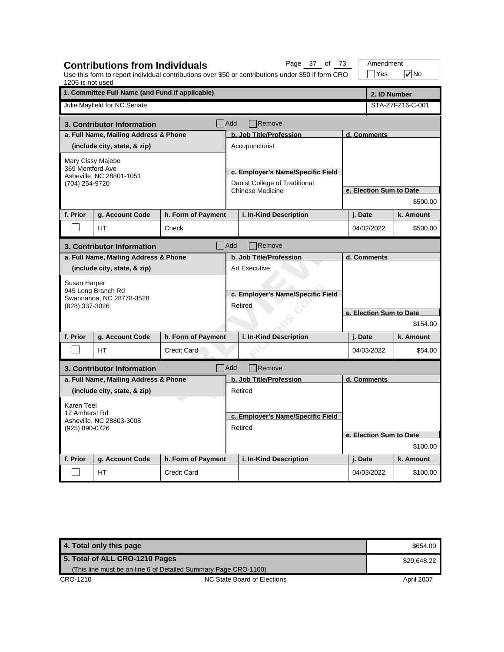| 1205 is not used                                            | <b>Contributions from Individuals</b>           |                    | Page 37 of 73<br>Use this form to report individual contributions over \$50 or contributions under \$50 if form CRO |             | Amendment<br>∏Yes       | $\sqrt{}$ No     |  |
|-------------------------------------------------------------|-------------------------------------------------|--------------------|---------------------------------------------------------------------------------------------------------------------|-------------|-------------------------|------------------|--|
|                                                             | 1. Committee Full Name (and Fund if applicable) |                    |                                                                                                                     |             | 2. ID Number            |                  |  |
|                                                             | Julie Mayfield for NC Senate                    |                    |                                                                                                                     |             |                         | STA-Z7FZ16-C-001 |  |
|                                                             | 3. Contributor Information                      |                    | <b>Add</b><br>Remove                                                                                                |             |                         |                  |  |
|                                                             | a. Full Name, Mailing Address & Phone           |                    | b. Job Title/Profession                                                                                             |             | d. Comments             |                  |  |
|                                                             | (include city, state, & zip)                    |                    | Accupuncturist                                                                                                      |             |                         |                  |  |
| Mary Cissy Majebe                                           |                                                 |                    |                                                                                                                     |             |                         |                  |  |
| 369 Montford Ave                                            | Asheville, NC 28801-1051                        |                    | c. Employer's Name/Specific Field                                                                                   |             |                         |                  |  |
| (704) 254-9720                                              |                                                 |                    | Daoist College of Traditional                                                                                       |             |                         |                  |  |
|                                                             |                                                 |                    | <b>Chinese Medicine</b>                                                                                             |             | e. Election Sum to Date |                  |  |
|                                                             |                                                 |                    |                                                                                                                     |             |                         | \$500.00         |  |
| f. Prior                                                    | g. Account Code                                 | h. Form of Payment | i. In-Kind Description                                                                                              | j. Date     |                         | k. Amount        |  |
|                                                             | <b>HT</b>                                       | Check              |                                                                                                                     |             | 04/02/2022              | \$500.00         |  |
|                                                             | 3. Contributor Information                      |                    | <b>Add</b><br>Remove                                                                                                |             |                         |                  |  |
|                                                             | a. Full Name, Mailing Address & Phone           |                    | b. Job Title/Profession                                                                                             | d. Comments |                         |                  |  |
|                                                             | (include city, state, & zip)                    |                    | <b>Art Executive</b>                                                                                                |             |                         |                  |  |
| Susan Harper                                                |                                                 |                    |                                                                                                                     |             |                         |                  |  |
|                                                             | 945 Long Branch Rd<br>Swannanoa, NC 28778-3528  |                    | c. Employer's Name/Specific Field                                                                                   |             |                         |                  |  |
| (828) 337-3026                                              |                                                 |                    | Retired                                                                                                             |             |                         |                  |  |
|                                                             |                                                 |                    |                                                                                                                     |             | e. Election Sum to Date |                  |  |
|                                                             |                                                 |                    |                                                                                                                     |             |                         | \$154.00         |  |
| f. Prior                                                    | g. Account Code                                 | h. Form of Payment | i. In-Kind Description                                                                                              | j. Date     |                         | k. Amount        |  |
|                                                             | HT                                              | <b>Credit Card</b> |                                                                                                                     |             | 04/03/2022              | \$54.00          |  |
|                                                             | 3. Contributor Information                      | <b>Add</b>         | Remove                                                                                                              |             |                         |                  |  |
|                                                             | a. Full Name, Mailing Address & Phone           |                    | b. Job Title/Profession                                                                                             |             | d. Comments             |                  |  |
|                                                             | (include city, state, & zip)                    |                    | Retired                                                                                                             |             |                         |                  |  |
| Karen Teel                                                  |                                                 |                    |                                                                                                                     |             |                         |                  |  |
| 12 Amherst Rd<br>Asheville, NC 28803-3008<br>(925) 890-0726 |                                                 |                    | c. Employer's Name/Specific Field                                                                                   |             |                         |                  |  |
|                                                             |                                                 |                    | Retired                                                                                                             |             |                         |                  |  |
|                                                             |                                                 |                    |                                                                                                                     |             | e. Election Sum to Date |                  |  |
|                                                             |                                                 |                    |                                                                                                                     |             |                         | \$100.00         |  |
| f. Prior                                                    | g. Account Code                                 | h. Form of Payment | i. In-Kind Description                                                                                              | j. Date     |                         | k. Amount        |  |
|                                                             | НT                                              | <b>Credit Card</b> |                                                                                                                     |             | 04/03/2022              | \$100.00         |  |

**4. Total only this page \$654.00** \$654.00 CRO-1210 CRO-1210 NC State Board of Elections April 2007 **5. Total of ALL CRO-1210 Pages** (This line must be on line 6 of Detailed Summary Page CRO-1100) \$29,648.22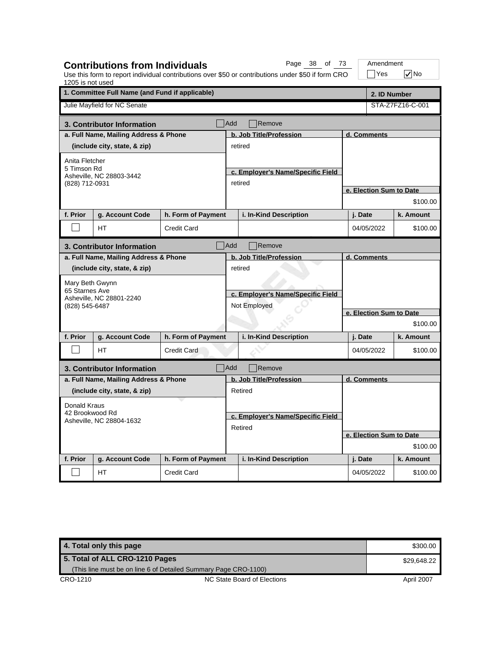| 1205 is not used                            | <b>Contributions from Individuals</b>           |                    |                                              | Page<br>38 of 73<br>Use this form to report individual contributions over \$50 or contributions under \$50 if form CRO |                         | Amendment<br>Yes        | $\sqrt{}$ No     |  |
|---------------------------------------------|-------------------------------------------------|--------------------|----------------------------------------------|------------------------------------------------------------------------------------------------------------------------|-------------------------|-------------------------|------------------|--|
|                                             | 1. Committee Full Name (and Fund if applicable) |                    |                                              |                                                                                                                        |                         | 2. ID Number            |                  |  |
|                                             | Julie Mayfield for NC Senate                    |                    |                                              |                                                                                                                        |                         |                         | STA-Z7FZ16-C-001 |  |
|                                             | 3. Contributor Information                      |                    | Add                                          | Remove                                                                                                                 |                         |                         |                  |  |
|                                             | a. Full Name, Mailing Address & Phone           |                    |                                              | b. Job Title/Profession                                                                                                |                         | d. Comments             |                  |  |
|                                             | (include city, state, & zip)                    |                    |                                              | retired                                                                                                                |                         |                         |                  |  |
| Anita Fletcher                              |                                                 |                    |                                              |                                                                                                                        |                         |                         |                  |  |
| 5 Timson Rd                                 | Asheville, NC 28803-3442                        |                    |                                              | c. Employer's Name/Specific Field                                                                                      |                         |                         |                  |  |
| (828) 712-0931                              |                                                 |                    |                                              | retired                                                                                                                |                         |                         |                  |  |
|                                             |                                                 |                    |                                              |                                                                                                                        |                         | e. Election Sum to Date |                  |  |
|                                             |                                                 |                    |                                              |                                                                                                                        |                         |                         | \$100.00         |  |
| f. Prior                                    | g. Account Code                                 | h. Form of Payment |                                              | i. In-Kind Description                                                                                                 |                         | j. Date                 | k. Amount        |  |
|                                             | HT                                              | <b>Credit Card</b> |                                              |                                                                                                                        | 04/05/2022              |                         | \$100.00         |  |
|                                             | 3. Contributor Information                      |                    | <b>Add</b>                                   | Remove                                                                                                                 |                         |                         |                  |  |
|                                             | a. Full Name, Mailing Address & Phone           |                    |                                              | b. Job Title/Profession                                                                                                |                         | d. Comments             |                  |  |
|                                             | (include city, state, & zip)                    |                    | retired<br>c. Employer's Name/Specific Field |                                                                                                                        |                         |                         |                  |  |
| Mary Beth Gwynn                             |                                                 |                    |                                              |                                                                                                                        |                         |                         |                  |  |
| 65 Starnes Ave                              |                                                 |                    |                                              |                                                                                                                        |                         |                         |                  |  |
| (828) 545-6487                              | Asheville, NC 28801-2240                        |                    |                                              | Not Employed                                                                                                           |                         |                         |                  |  |
|                                             |                                                 |                    |                                              |                                                                                                                        | e. Election Sum to Date |                         |                  |  |
|                                             |                                                 |                    |                                              |                                                                                                                        |                         | \$100.00                |                  |  |
| f. Prior                                    | g. Account Code                                 | h. Form of Payment |                                              | i. In-Kind Description                                                                                                 |                         | j. Date                 | k. Amount        |  |
|                                             | <b>HT</b>                                       | <b>Credit Card</b> |                                              |                                                                                                                        |                         | 04/05/2022              | \$100.00         |  |
|                                             | 3. Contributor Information                      |                    | Add                                          | Remove                                                                                                                 |                         |                         |                  |  |
|                                             | a. Full Name, Mailing Address & Phone           |                    |                                              | b. Job Title/Profession                                                                                                |                         | d. Comments             |                  |  |
|                                             | (include city, state, & zip)                    |                    |                                              | Retired                                                                                                                |                         |                         |                  |  |
| Donald Kraus                                |                                                 |                    |                                              |                                                                                                                        |                         |                         |                  |  |
| 42 Brookwood Rd<br>Asheville, NC 28804-1632 |                                                 |                    |                                              | c. Employer's Name/Specific Field                                                                                      |                         |                         |                  |  |
|                                             |                                                 |                    |                                              | Retired                                                                                                                |                         |                         |                  |  |
|                                             |                                                 |                    |                                              |                                                                                                                        |                         | e. Election Sum to Date |                  |  |
|                                             |                                                 |                    |                                              |                                                                                                                        |                         |                         | \$100.00         |  |
| f. Prior                                    | g. Account Code                                 | h. Form of Payment |                                              | i. In-Kind Description                                                                                                 |                         | j. Date                 | k. Amount        |  |
|                                             | НT                                              | <b>Credit Card</b> |                                              |                                                                                                                        |                         | 04/05/2022              | \$100.00         |  |

| 4. Total only this page        |                                                                 | \$300.00    |
|--------------------------------|-----------------------------------------------------------------|-------------|
| 5. Total of ALL CRO-1210 Pages |                                                                 | \$29,648.22 |
|                                | (This line must be on line 6 of Detailed Summary Page CRO-1100) |             |
| CRO-1210                       | NC State Board of Elections                                     | April 2007  |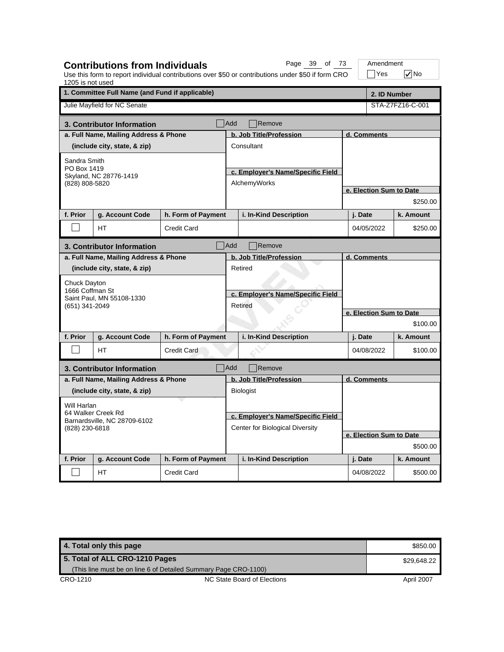| 1205 is not used                                                     | <b>Contributions from Individuals</b>           |                    |                                   | Page 39 of 73<br>Use this form to report individual contributions over \$50 or contributions under \$50 if form CRO |                         |             | Amendment<br>$\exists$ Yes | $\sqrt{}$ No            |  |
|----------------------------------------------------------------------|-------------------------------------------------|--------------------|-----------------------------------|---------------------------------------------------------------------------------------------------------------------|-------------------------|-------------|----------------------------|-------------------------|--|
|                                                                      | 1. Committee Full Name (and Fund if applicable) |                    |                                   |                                                                                                                     |                         |             |                            | 2. ID Number            |  |
|                                                                      | Julie Mayfield for NC Senate                    |                    |                                   |                                                                                                                     |                         |             |                            | STA-Z7FZ16-C-001        |  |
|                                                                      | 3. Contributor Information                      |                    | Add                               | Remove                                                                                                              |                         |             |                            |                         |  |
|                                                                      | a. Full Name, Mailing Address & Phone           |                    |                                   | b. Job Title/Profession                                                                                             |                         | d. Comments |                            |                         |  |
|                                                                      | (include city, state, & zip)                    |                    |                                   | Consultant                                                                                                          |                         |             |                            |                         |  |
| Sandra Smith                                                         |                                                 |                    |                                   |                                                                                                                     |                         |             |                            |                         |  |
| PO Box 1419                                                          | Skyland, NC 28776-1419                          |                    |                                   | c. Employer's Name/Specific Field                                                                                   |                         |             |                            |                         |  |
| (828) 808-5820                                                       |                                                 |                    |                                   | AlchemyWorks                                                                                                        |                         |             |                            |                         |  |
|                                                                      |                                                 |                    |                                   |                                                                                                                     |                         |             |                            | e. Election Sum to Date |  |
|                                                                      |                                                 |                    |                                   |                                                                                                                     |                         |             |                            | \$250.00                |  |
| f. Prior                                                             | g. Account Code                                 | h. Form of Payment |                                   | i. In-Kind Description                                                                                              |                         | j. Date     |                            | k. Amount               |  |
|                                                                      | HT                                              | Credit Card        |                                   |                                                                                                                     |                         | 04/05/2022  |                            | \$250.00                |  |
|                                                                      | 3. Contributor Information                      |                    | Add                               | Remove                                                                                                              |                         |             |                            |                         |  |
|                                                                      | a. Full Name, Mailing Address & Phone           |                    |                                   | b. Job Title/Profession                                                                                             | d. Comments             |             |                            |                         |  |
|                                                                      | (include city, state, & zip)                    |                    |                                   | Retired                                                                                                             |                         |             |                            |                         |  |
| Chuck Dayton                                                         |                                                 |                    |                                   |                                                                                                                     |                         |             |                            |                         |  |
| 1666 Coffman St                                                      | Saint Paul, MN 55108-1330                       |                    | c. Employer's Name/Specific Field |                                                                                                                     |                         |             |                            |                         |  |
| (651) 341-2049                                                       |                                                 |                    |                                   | Retired                                                                                                             |                         |             |                            |                         |  |
|                                                                      |                                                 |                    |                                   |                                                                                                                     | e. Election Sum to Date |             |                            |                         |  |
|                                                                      |                                                 |                    |                                   |                                                                                                                     |                         | \$100.00    |                            |                         |  |
| f. Prior                                                             | g. Account Code                                 | h. Form of Payment |                                   | i. In-Kind Description                                                                                              |                         | j. Date     |                            | k. Amount               |  |
|                                                                      | <b>HT</b>                                       | <b>Credit Card</b> |                                   |                                                                                                                     |                         | 04/08/2022  |                            | \$100.00                |  |
|                                                                      | 3. Contributor Information                      |                    | <b>Add</b>                        | Remove                                                                                                              |                         |             |                            |                         |  |
|                                                                      | a. Full Name, Mailing Address & Phone           |                    |                                   | b. Job Title/Profession                                                                                             |                         | d. Comments |                            |                         |  |
|                                                                      | (include city, state, & zip)                    |                    |                                   | <b>Biologist</b>                                                                                                    |                         |             |                            |                         |  |
| Will Harlan                                                          |                                                 |                    |                                   |                                                                                                                     |                         |             |                            |                         |  |
| 64 Walker Creek Rd<br>Barnardsville, NC 28709-6102<br>(828) 230-6818 |                                                 |                    |                                   | c. Employer's Name/Specific Field                                                                                   |                         |             |                            |                         |  |
|                                                                      |                                                 |                    |                                   | Center for Biological Diversity                                                                                     |                         |             |                            |                         |  |
|                                                                      |                                                 |                    |                                   |                                                                                                                     |                         |             |                            | e. Election Sum to Date |  |
|                                                                      |                                                 |                    |                                   |                                                                                                                     |                         |             |                            | \$500.00                |  |
| f. Prior                                                             | g. Account Code                                 | h. Form of Payment |                                   | i. In-Kind Description                                                                                              |                         | j. Date     |                            | k. Amount               |  |
|                                                                      | HT.                                             | <b>Credit Card</b> |                                   |                                                                                                                     |                         | 04/08/2022  |                            | \$500.00                |  |

**4. Total only this page \$850.00 and \$850.00 and \$850.00 and \$850.00 and \$850.00 and \$850.00 and \$850.00 and \$850.00 and \$850.00 and \$850.00 and \$850.00 and \$850.00 and \$850.00 and \$850.00 and \$850.00 and \$850.00 and \$850.** CRO-1210 CRO-1210 NC State Board of Elections April 2007 **5. Total of ALL CRO-1210 Pages** (This line must be on line 6 of Detailed Summary Page CRO-1100) \$29,648.22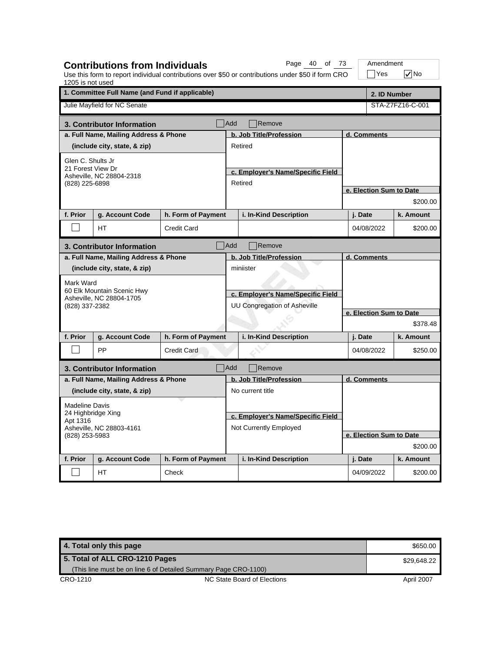| 1205 is not used                                         |                                                                                        |                    |                                                                                | Use this form to report individual contributions over \$50 or contributions under \$50 if form CRO |                         | Yes                     | $\sqrt{}$ No |  |
|----------------------------------------------------------|----------------------------------------------------------------------------------------|--------------------|--------------------------------------------------------------------------------|----------------------------------------------------------------------------------------------------|-------------------------|-------------------------|--------------|--|
|                                                          | 1. Committee Full Name (and Fund if applicable)<br>2. ID Number                        |                    |                                                                                |                                                                                                    |                         |                         |              |  |
|                                                          | Julie Mayfield for NC Senate                                                           |                    |                                                                                |                                                                                                    | STA-Z7FZ16-C-001        |                         |              |  |
|                                                          | 3. Contributor Information                                                             |                    | Add                                                                            | Remove                                                                                             |                         |                         |              |  |
|                                                          | a. Full Name, Mailing Address & Phone                                                  |                    |                                                                                | b. Job Title/Profession                                                                            |                         | d. Comments             |              |  |
|                                                          | (include city, state, & zip)                                                           |                    |                                                                                | Retired                                                                                            |                         |                         |              |  |
| Glen C. Shults Jr<br>21 Forest View Dr<br>(828) 225-6898 | Asheville, NC 28804-2318                                                               |                    | c. Employer's Name/Specific Field<br>Retired                                   |                                                                                                    |                         |                         |              |  |
|                                                          |                                                                                        |                    |                                                                                |                                                                                                    |                         | e. Election Sum to Date |              |  |
|                                                          |                                                                                        |                    |                                                                                |                                                                                                    |                         |                         | \$200.00     |  |
| f. Prior                                                 | g. Account Code                                                                        | h. Form of Payment |                                                                                | i. In-Kind Description                                                                             |                         | j. Date                 | k. Amount    |  |
|                                                          | <b>HT</b>                                                                              | <b>Credit Card</b> |                                                                                |                                                                                                    |                         | 04/08/2022              | \$200.00     |  |
|                                                          | 3. Contributor Information                                                             |                    | Add                                                                            | Remove                                                                                             |                         |                         |              |  |
|                                                          | a. Full Name, Mailing Address & Phone                                                  |                    |                                                                                | b. Job Title/Profession                                                                            |                         | d. Comments             |              |  |
| Mark Ward<br>(828) 337-2382                              | (include city, state, & zip)<br>60 Elk Mountain Scenic Hwy<br>Asheville, NC 28804-1705 |                    | miniister<br>c. Employer's Name/Specific Field<br>UU Congregation of Asheville |                                                                                                    |                         |                         |              |  |
|                                                          |                                                                                        |                    |                                                                                |                                                                                                    | e. Election Sum to Date |                         |              |  |
|                                                          |                                                                                        |                    |                                                                                |                                                                                                    |                         |                         | \$378.48     |  |
| f. Prior                                                 | g. Account Code                                                                        | h. Form of Payment |                                                                                | i. In-Kind Description                                                                             |                         | j. Date                 | k. Amount    |  |
|                                                          | PP                                                                                     | <b>Credit Card</b> |                                                                                |                                                                                                    |                         | 04/08/2022              | \$250.00     |  |
|                                                          | 3. Contributor Information                                                             | Add                |                                                                                | Remove                                                                                             |                         |                         |              |  |
|                                                          | a. Full Name, Mailing Address & Phone                                                  |                    |                                                                                | b. Job Title/Profession                                                                            |                         | d. Comments             |              |  |
|                                                          | (include city, state, & zip)                                                           |                    |                                                                                | No current title                                                                                   |                         |                         |              |  |
| <b>Madeline Davis</b><br>24 Highbridge Xing              |                                                                                        |                    |                                                                                | c. Employer's Name/Specific Field                                                                  |                         |                         |              |  |
| Apt 1316<br>Asheville, NC 28803-4161<br>(828) 253-5983   |                                                                                        |                    |                                                                                | Not Currently Employed                                                                             |                         |                         |              |  |
|                                                          |                                                                                        |                    |                                                                                |                                                                                                    |                         | e. Election Sum to Date |              |  |
|                                                          |                                                                                        |                    |                                                                                |                                                                                                    |                         |                         | \$200.00     |  |
| f. Prior                                                 | g. Account Code                                                                        | h. Form of Payment |                                                                                | i. In-Kind Description                                                                             |                         | j. Date                 | k. Amount    |  |
|                                                          | HT.                                                                                    | Check              |                                                                                |                                                                                                    |                         | 04/09/2022              | \$200.00     |  |

**Contributions from Individuals**

Page 40 of 73 | Amendment

**4. Total only this page \$650.00** \$650.00 CRO-1210 CRO-1210 NC State Board of Elections April 2007 **5. Total of ALL CRO-1210 Pages** (This line must be on line 6 of Detailed Summary Page CRO-1100) \$29,648.22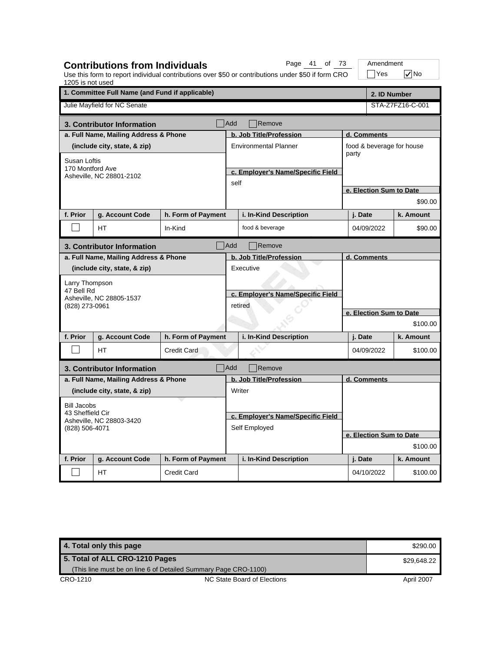| 1205 is not used                                               | <b>Contributions from Individuals</b>           |                    |                                   | Page 41 of 73<br>Use this form to report individual contributions over \$50 or contributions under \$50 if form CRO |                         |          | Amendment<br>$\exists$ Yes | $\sqrt{}$ No              |
|----------------------------------------------------------------|-------------------------------------------------|--------------------|-----------------------------------|---------------------------------------------------------------------------------------------------------------------|-------------------------|----------|----------------------------|---------------------------|
|                                                                | 1. Committee Full Name (and Fund if applicable) |                    |                                   |                                                                                                                     |                         |          | 2. ID Number               |                           |
|                                                                | Julie Mayfield for NC Senate                    |                    |                                   |                                                                                                                     |                         |          |                            | STA-Z7FZ16-C-001          |
|                                                                | 3. Contributor Information                      |                    | Add                               | Remove                                                                                                              |                         |          |                            |                           |
|                                                                | a. Full Name, Mailing Address & Phone           |                    |                                   | b. Job Title/Profession                                                                                             |                         |          | d. Comments                |                           |
|                                                                | (include city, state, & zip)                    |                    |                                   | <b>Environmental Planner</b>                                                                                        |                         |          |                            | food & beverage for house |
| Susan Loftis                                                   |                                                 |                    |                                   |                                                                                                                     |                         | party    |                            |                           |
| 170 Montford Ave                                               | Asheville, NC 28801-2102                        |                    |                                   | c. Employer's Name/Specific Field                                                                                   |                         |          |                            |                           |
|                                                                |                                                 |                    | self                              |                                                                                                                     |                         |          |                            |                           |
|                                                                |                                                 |                    |                                   |                                                                                                                     |                         |          | e. Election Sum to Date    |                           |
|                                                                |                                                 |                    |                                   |                                                                                                                     |                         |          |                            | \$90.00                   |
| f. Prior                                                       | g. Account Code                                 | h. Form of Payment |                                   | i. In-Kind Description                                                                                              |                         | j. Date  |                            | k. Amount                 |
|                                                                | HТ                                              | In-Kind            |                                   | food & beverage                                                                                                     |                         |          | 04/09/2022                 | \$90.00                   |
|                                                                | 3. Contributor Information                      |                    | Add                               | Remove                                                                                                              |                         |          |                            |                           |
|                                                                | a. Full Name, Mailing Address & Phone           |                    |                                   | b. Job Title/Profession                                                                                             |                         |          | d. Comments                |                           |
|                                                                | (include city, state, & zip)                    |                    |                                   | Executive                                                                                                           |                         |          |                            |                           |
| Larry Thompson                                                 |                                                 |                    | c. Employer's Name/Specific Field |                                                                                                                     |                         |          |                            |                           |
| 47 Bell Rd                                                     |                                                 |                    |                                   |                                                                                                                     |                         |          |                            |                           |
| (828) 273-0961                                                 | Asheville, NC 28805-1537                        |                    | retired                           |                                                                                                                     |                         |          |                            |                           |
|                                                                |                                                 |                    |                                   |                                                                                                                     | e. Election Sum to Date |          |                            |                           |
|                                                                |                                                 |                    |                                   |                                                                                                                     |                         | \$100.00 |                            |                           |
| f. Prior                                                       | g. Account Code                                 | h. Form of Payment |                                   | i. In-Kind Description                                                                                              |                         | j. Date  |                            | k. Amount                 |
|                                                                | <b>HT</b>                                       | <b>Credit Card</b> |                                   |                                                                                                                     |                         |          | 04/09/2022                 | \$100.00                  |
|                                                                | 3. Contributor Information                      |                    | <b>Add</b>                        | Remove                                                                                                              |                         |          |                            |                           |
|                                                                | a. Full Name, Mailing Address & Phone           |                    |                                   | b. Job Title/Profession                                                                                             | d. Comments             |          |                            |                           |
|                                                                | (include city, state, & zip)                    |                    |                                   | Writer                                                                                                              |                         |          |                            |                           |
| <b>Bill Jacobs</b>                                             |                                                 |                    |                                   |                                                                                                                     |                         |          |                            |                           |
| 43 Sheffield Cir<br>Asheville, NC 28803-3420<br>(828) 506-4071 |                                                 |                    |                                   | c. Employer's Name/Specific Field                                                                                   |                         |          |                            |                           |
|                                                                |                                                 |                    |                                   | Self Employed                                                                                                       |                         |          |                            |                           |
|                                                                |                                                 |                    |                                   |                                                                                                                     |                         |          |                            | e. Election Sum to Date   |
|                                                                |                                                 |                    |                                   |                                                                                                                     |                         |          |                            | \$100.00                  |
| f. Prior                                                       | g. Account Code                                 | h. Form of Payment |                                   | i. In-Kind Description                                                                                              |                         | j. Date  |                            | k. Amount                 |
|                                                                | HT.                                             | <b>Credit Card</b> |                                   |                                                                                                                     |                         |          | 04/10/2022                 | \$100.00                  |

| 4. Total only this page        |                                                                 | \$290.00    |
|--------------------------------|-----------------------------------------------------------------|-------------|
| 5. Total of ALL CRO-1210 Pages |                                                                 | \$29.648.22 |
|                                | (This line must be on line 6 of Detailed Summary Page CRO-1100) |             |
| CRO-1210                       | NC State Board of Elections                                     | April 2007  |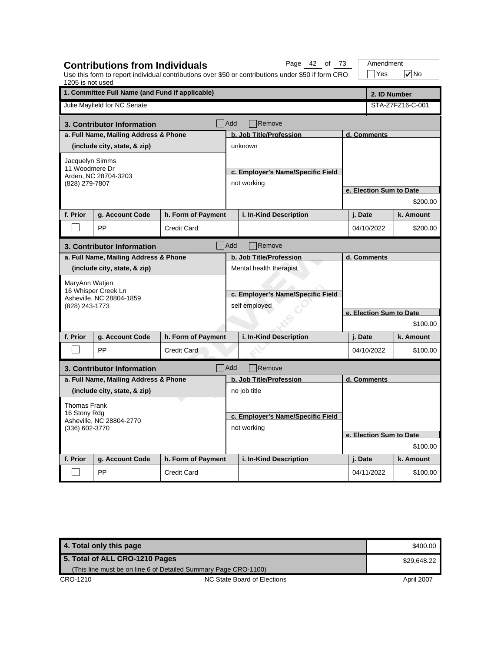| 1205 is not used                           | <b>Contributions from Individuals</b>           |                    |                                   | Page 42 of 73<br>Use this form to report individual contributions over \$50 or contributions under \$50 if form CRO |                         | Amendment<br>$\exists$ Yes | $\nabla$ No      |  |  |
|--------------------------------------------|-------------------------------------------------|--------------------|-----------------------------------|---------------------------------------------------------------------------------------------------------------------|-------------------------|----------------------------|------------------|--|--|
|                                            | 1. Committee Full Name (and Fund if applicable) |                    |                                   |                                                                                                                     |                         |                            | 2. ID Number     |  |  |
|                                            | Julie Mayfield for NC Senate                    |                    |                                   |                                                                                                                     |                         |                            | STA-Z7FZ16-C-001 |  |  |
|                                            | 3. Contributor Information                      |                    | Add                               | Remove                                                                                                              |                         |                            |                  |  |  |
|                                            | a. Full Name, Mailing Address & Phone           |                    |                                   | b. Job Title/Profession                                                                                             |                         | d. Comments                |                  |  |  |
|                                            | (include city, state, & zip)                    |                    |                                   | unknown                                                                                                             |                         |                            |                  |  |  |
| Jacquelyn Simms                            |                                                 |                    |                                   |                                                                                                                     |                         |                            |                  |  |  |
| 11 Woodmere Dr                             | Arden, NC 28704-3203                            |                    |                                   | c. Employer's Name/Specific Field                                                                                   |                         |                            |                  |  |  |
| (828) 279-7807                             |                                                 |                    |                                   | not working                                                                                                         |                         |                            |                  |  |  |
|                                            |                                                 |                    |                                   |                                                                                                                     |                         | e. Election Sum to Date    |                  |  |  |
|                                            |                                                 |                    |                                   |                                                                                                                     |                         |                            | \$200.00         |  |  |
| f. Prior                                   | g. Account Code                                 | h. Form of Payment |                                   | i. In-Kind Description                                                                                              |                         | j. Date                    | k. Amount        |  |  |
|                                            | PP                                              | <b>Credit Card</b> |                                   |                                                                                                                     |                         | 04/10/2022                 | \$200.00         |  |  |
|                                            | 3. Contributor Information                      |                    | Add                               | Remove                                                                                                              |                         |                            |                  |  |  |
|                                            | a. Full Name, Mailing Address & Phone           |                    |                                   | b. Job Title/Profession                                                                                             |                         | d. Comments                |                  |  |  |
|                                            | (include city, state, & zip)                    |                    |                                   | Mental health therapist                                                                                             |                         |                            |                  |  |  |
| MaryAnn Watjen                             |                                                 |                    |                                   |                                                                                                                     |                         |                            |                  |  |  |
|                                            | 16 Whisper Creek Ln                             |                    | c. Employer's Name/Specific Field |                                                                                                                     |                         |                            |                  |  |  |
| (828) 243-1773                             | Asheville, NC 28804-1859                        |                    | self employed                     |                                                                                                                     |                         |                            |                  |  |  |
|                                            |                                                 |                    |                                   |                                                                                                                     | e. Election Sum to Date |                            |                  |  |  |
|                                            |                                                 |                    |                                   |                                                                                                                     |                         |                            | \$100.00         |  |  |
| f. Prior                                   | g. Account Code                                 | h. Form of Payment |                                   | i. In-Kind Description                                                                                              |                         | j. Date                    | k. Amount        |  |  |
|                                            | PP                                              | <b>Credit Card</b> |                                   |                                                                                                                     |                         | 04/10/2022                 | \$100.00         |  |  |
|                                            | 3. Contributor Information                      |                    | Add                               | Remove                                                                                                              |                         |                            |                  |  |  |
|                                            | a. Full Name, Mailing Address & Phone           |                    |                                   | b. Job Title/Profession                                                                                             |                         | d. Comments                |                  |  |  |
|                                            | (include city, state, & zip)                    |                    |                                   | no job title                                                                                                        |                         |                            |                  |  |  |
| <b>Thomas Frank</b>                        |                                                 |                    |                                   |                                                                                                                     |                         |                            |                  |  |  |
| 16 Stony Rdg                               |                                                 |                    | c. Employer's Name/Specific Field |                                                                                                                     |                         |                            |                  |  |  |
| Asheville, NC 28804-2770<br>(336) 602-3770 |                                                 |                    |                                   | not working                                                                                                         |                         |                            |                  |  |  |
|                                            |                                                 |                    |                                   |                                                                                                                     |                         | e. Election Sum to Date    |                  |  |  |
|                                            |                                                 |                    |                                   |                                                                                                                     |                         | \$100.00                   |                  |  |  |
| f. Prior                                   | g. Account Code                                 | h. Form of Payment |                                   | i. In-Kind Description                                                                                              |                         | j. Date                    | k. Amount        |  |  |
|                                            | PP                                              | <b>Credit Card</b> |                                   |                                                                                                                     |                         | 04/11/2022                 | \$100.00         |  |  |

| 4. Total only this page        |                                                                 | \$400.00    |
|--------------------------------|-----------------------------------------------------------------|-------------|
| 5. Total of ALL CRO-1210 Pages |                                                                 | \$29.648.22 |
|                                | (This line must be on line 6 of Detailed Summary Page CRO-1100) |             |
| CRO-1210                       | NC State Board of Elections                                     | April 2007  |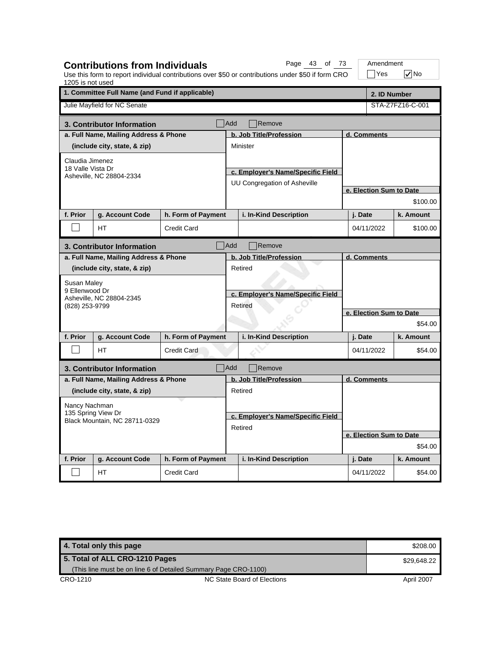| 1205 is not used                                    | <b>Contributions from Individuals</b>           |                    | Page 43 of 73<br>Use this form to report individual contributions over \$50 or contributions under \$50 if form CRO |         | Amendment<br>$\exists$ Yes | $\nabla$ No      |  |
|-----------------------------------------------------|-------------------------------------------------|--------------------|---------------------------------------------------------------------------------------------------------------------|---------|----------------------------|------------------|--|
|                                                     | 1. Committee Full Name (and Fund if applicable) |                    |                                                                                                                     |         | 2. ID Number               |                  |  |
|                                                     | Julie Mayfield for NC Senate                    |                    |                                                                                                                     |         |                            | STA-Z7FZ16-C-001 |  |
|                                                     | 3. Contributor Information                      |                    | <b>Add</b><br>Remove                                                                                                |         |                            |                  |  |
|                                                     | a. Full Name, Mailing Address & Phone           |                    | b. Job Title/Profession                                                                                             |         | d. Comments                |                  |  |
|                                                     | (include city, state, & zip)                    |                    | <b>Minister</b>                                                                                                     |         |                            |                  |  |
| Claudia Jimenez                                     |                                                 |                    |                                                                                                                     |         |                            |                  |  |
| 18 Valle Vista Dr                                   | Asheville, NC 28804-2334                        |                    | c. Employer's Name/Specific Field                                                                                   |         |                            |                  |  |
|                                                     |                                                 |                    | UU Congregation of Asheville                                                                                        |         |                            |                  |  |
|                                                     |                                                 |                    |                                                                                                                     |         | e. Election Sum to Date    |                  |  |
|                                                     |                                                 |                    |                                                                                                                     |         |                            | \$100.00         |  |
| f. Prior                                            | g. Account Code                                 | h. Form of Payment | i. In-Kind Description                                                                                              | j. Date |                            | k. Amount        |  |
|                                                     | <b>HT</b>                                       | <b>Credit Card</b> |                                                                                                                     |         | 04/11/2022                 | \$100.00         |  |
|                                                     | 3. Contributor Information                      |                    | Add<br>Remove                                                                                                       |         |                            |                  |  |
|                                                     | a. Full Name, Mailing Address & Phone           |                    | b. Job Title/Profession                                                                                             |         | d. Comments                |                  |  |
|                                                     | (include city, state, & zip)                    |                    | Retired                                                                                                             |         |                            |                  |  |
| Susan Maley                                         |                                                 |                    |                                                                                                                     |         |                            |                  |  |
| 9 Ellenwood Dr                                      | Asheville, NC 28804-2345                        |                    | c. Employer's Name/Specific Field                                                                                   |         |                            |                  |  |
| (828) 253-9799                                      |                                                 |                    | Retired                                                                                                             |         |                            |                  |  |
|                                                     |                                                 |                    |                                                                                                                     |         | e. Election Sum to Date    |                  |  |
|                                                     |                                                 |                    |                                                                                                                     |         |                            | \$54.00          |  |
| f. Prior                                            | g. Account Code                                 | h. Form of Payment | i. In-Kind Description                                                                                              | j. Date |                            | k. Amount        |  |
|                                                     | <b>HT</b>                                       | <b>Credit Card</b> |                                                                                                                     |         | 04/11/2022                 | \$54.00          |  |
|                                                     | 3. Contributor Information                      | Add                | Remove                                                                                                              |         |                            |                  |  |
|                                                     | a. Full Name, Mailing Address & Phone           |                    | b. Job Title/Profession                                                                                             |         | d. Comments                |                  |  |
|                                                     | (include city, state, & zip)                    |                    | Retired                                                                                                             |         |                            |                  |  |
| Nancy Nachman                                       |                                                 |                    |                                                                                                                     |         |                            |                  |  |
| 135 Spring View Dr<br>Black Mountain, NC 28711-0329 |                                                 |                    | c. Employer's Name/Specific Field                                                                                   |         |                            |                  |  |
|                                                     |                                                 |                    | Retired                                                                                                             |         |                            |                  |  |
|                                                     |                                                 |                    |                                                                                                                     |         | e. Election Sum to Date    |                  |  |
|                                                     |                                                 |                    |                                                                                                                     |         |                            | \$54.00          |  |
| f. Prior                                            | g. Account Code                                 | h. Form of Payment | i. In-Kind Description                                                                                              | j. Date |                            | k. Amount        |  |
|                                                     | HT                                              | <b>Credit Card</b> |                                                                                                                     |         | 04/11/2022                 | \$54.00          |  |

| 4. Total only this page        |                                                                 | \$208.00    |
|--------------------------------|-----------------------------------------------------------------|-------------|
| 5. Total of ALL CRO-1210 Pages |                                                                 | \$29.648.22 |
|                                | (This line must be on line 6 of Detailed Summary Page CRO-1100) |             |
| CRO-1210                       | NC State Board of Elections                                     | April 2007  |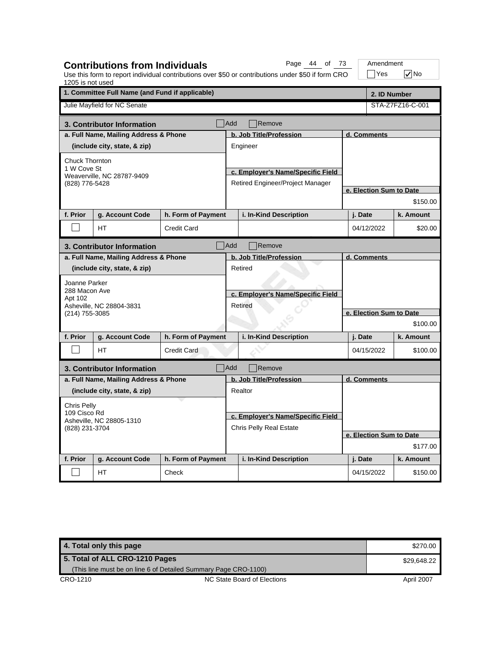| 1205 is not used                                           | <b>Contributions from Individuals</b> |                    |                                              | Page 44 of 73<br>Use this form to report individual contributions over \$50 or contributions under \$50 if form CRO |                         | Amendment<br>$\exists$ Yes | $\sqrt{}$ No     |  |
|------------------------------------------------------------|---------------------------------------|--------------------|----------------------------------------------|---------------------------------------------------------------------------------------------------------------------|-------------------------|----------------------------|------------------|--|
| 1. Committee Full Name (and Fund if applicable)            |                                       |                    |                                              |                                                                                                                     |                         | 2. ID Number               |                  |  |
|                                                            | Julie Mayfield for NC Senate          |                    |                                              |                                                                                                                     |                         |                            | STA-Z7FZ16-C-001 |  |
|                                                            | 3. Contributor Information            |                    | <b>Add</b>                                   | Remove                                                                                                              |                         |                            |                  |  |
|                                                            | a. Full Name, Mailing Address & Phone |                    |                                              | b. Job Title/Profession                                                                                             |                         | d. Comments                |                  |  |
|                                                            | (include city, state, & zip)          |                    |                                              | Engineer                                                                                                            |                         |                            |                  |  |
| Chuck Thornton                                             |                                       |                    |                                              |                                                                                                                     |                         |                            |                  |  |
| 1 W Cove St                                                | Weaverville, NC 28787-9409            |                    |                                              | c. Employer's Name/Specific Field                                                                                   |                         |                            |                  |  |
| (828) 776-5428                                             |                                       |                    |                                              | Retired Engineer/Project Manager                                                                                    |                         |                            |                  |  |
|                                                            |                                       |                    |                                              |                                                                                                                     |                         | e. Election Sum to Date    |                  |  |
|                                                            |                                       |                    |                                              |                                                                                                                     |                         |                            | \$150.00         |  |
| f. Prior                                                   | g. Account Code                       | h. Form of Payment |                                              | i. In-Kind Description                                                                                              |                         | j. Date                    | k. Amount        |  |
|                                                            | <b>HT</b>                             | <b>Credit Card</b> |                                              |                                                                                                                     |                         | 04/12/2022                 | \$20.00          |  |
|                                                            | 3. Contributor Information            |                    | Add                                          | Remove                                                                                                              |                         |                            |                  |  |
|                                                            | a. Full Name, Mailing Address & Phone |                    |                                              | b. Job Title/Profession                                                                                             | d. Comments             |                            |                  |  |
|                                                            | (include city, state, & zip)          |                    |                                              | Retired                                                                                                             |                         |                            |                  |  |
| Joanne Parker                                              |                                       |                    |                                              |                                                                                                                     |                         |                            |                  |  |
| 288 Macon Ave                                              |                                       |                    | c. Employer's Name/Specific Field<br>Retired |                                                                                                                     |                         |                            |                  |  |
| Apt 102                                                    | Asheville, NC 28804-3831              |                    |                                              |                                                                                                                     |                         |                            |                  |  |
| (214) 755-3085                                             |                                       |                    |                                              |                                                                                                                     | e. Election Sum to Date |                            |                  |  |
|                                                            |                                       |                    |                                              |                                                                                                                     |                         | \$100.00                   |                  |  |
| f. Prior                                                   | g. Account Code                       | h. Form of Payment |                                              | i. In-Kind Description                                                                                              |                         | j. Date                    | k. Amount        |  |
|                                                            | <b>HT</b>                             | <b>Credit Card</b> |                                              |                                                                                                                     |                         | 04/15/2022                 | \$100.00         |  |
|                                                            | 3. Contributor Information            |                    | Add                                          | Remove                                                                                                              |                         |                            |                  |  |
|                                                            | a. Full Name, Mailing Address & Phone |                    |                                              | b. Job Title/Profession                                                                                             |                         | d. Comments                |                  |  |
|                                                            | (include city, state, & zip)          |                    |                                              | Realtor                                                                                                             |                         |                            |                  |  |
| Chris Pelly                                                |                                       |                    |                                              |                                                                                                                     |                         |                            |                  |  |
| 109 Cisco Rd<br>Asheville, NC 28805-1310<br>(828) 231-3704 |                                       |                    |                                              | c. Employer's Name/Specific Field                                                                                   |                         |                            |                  |  |
|                                                            |                                       |                    |                                              | <b>Chris Pelly Real Estate</b>                                                                                      |                         |                            |                  |  |
|                                                            |                                       |                    |                                              |                                                                                                                     |                         | e. Election Sum to Date    |                  |  |
|                                                            |                                       |                    |                                              |                                                                                                                     |                         |                            | \$177.00         |  |
| f. Prior                                                   | g. Account Code                       | h. Form of Payment |                                              | i. In-Kind Description                                                                                              |                         | j. Date                    | k. Amount        |  |
|                                                            | НT                                    | Check              |                                              |                                                                                                                     |                         | 04/15/2022                 | \$150.00         |  |

**4. Total only this page \$270.00 \$270.00 \$270.00 \$270.00 \$270.00 \$270.00 \$270.00 \$270.00 \$270.00 \$270.00 \$270.00** CRO-1210 CRO-1210 NC State Board of Elections April 2007 **5. Total of ALL CRO-1210 Pages** (This line must be on line 6 of Detailed Summary Page CRO-1100) \$29,648.22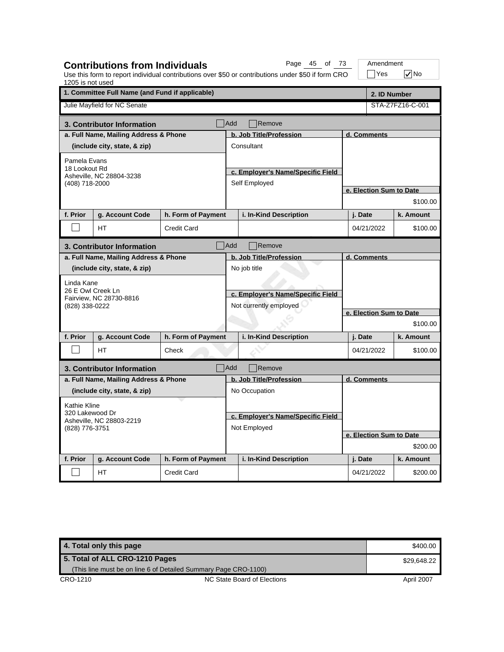| 1205 is not used                                              | <b>Contributions from Individuals</b>           |                    |                                   | Page 45 of 73<br>Use this form to report individual contributions over \$50 or contributions under \$50 if form CRO |                         |                         | Amendment<br>$\exists$ Yes | $\sqrt{}$ No     |  |
|---------------------------------------------------------------|-------------------------------------------------|--------------------|-----------------------------------|---------------------------------------------------------------------------------------------------------------------|-------------------------|-------------------------|----------------------------|------------------|--|
|                                                               | 1. Committee Full Name (and Fund if applicable) |                    |                                   |                                                                                                                     |                         |                         | 2. ID Number               |                  |  |
|                                                               | Julie Mayfield for NC Senate                    |                    |                                   |                                                                                                                     |                         |                         |                            | STA-Z7FZ16-C-001 |  |
|                                                               | 3. Contributor Information                      |                    | Add                               | Remove                                                                                                              |                         |                         |                            |                  |  |
|                                                               | a. Full Name, Mailing Address & Phone           |                    | b. Job Title/Profession           |                                                                                                                     |                         | d. Comments             |                            |                  |  |
|                                                               | (include city, state, & zip)                    |                    |                                   | Consultant                                                                                                          |                         |                         |                            |                  |  |
| Pamela Evans                                                  |                                                 |                    |                                   |                                                                                                                     |                         |                         |                            |                  |  |
| 18 Lookout Rd                                                 | Asheville, NC 28804-3238                        |                    |                                   | c. Employer's Name/Specific Field                                                                                   |                         |                         |                            |                  |  |
| (408) 718-2000                                                |                                                 |                    | Self Employed                     |                                                                                                                     |                         | e. Election Sum to Date |                            |                  |  |
|                                                               |                                                 |                    |                                   |                                                                                                                     |                         |                         |                            |                  |  |
|                                                               |                                                 |                    |                                   |                                                                                                                     |                         |                         |                            | \$100.00         |  |
| f. Prior                                                      | g. Account Code                                 | h. Form of Payment |                                   | i. In-Kind Description                                                                                              |                         | j. Date                 |                            | k. Amount        |  |
|                                                               | HT<br>Credit Card                               |                    |                                   |                                                                                                                     |                         | 04/21/2022              |                            | \$100.00         |  |
| Add<br>Remove<br>3. Contributor Information                   |                                                 |                    |                                   |                                                                                                                     |                         |                         |                            |                  |  |
|                                                               | a. Full Name, Mailing Address & Phone           |                    |                                   | b. Job Title/Profession                                                                                             |                         | d. Comments             |                            |                  |  |
|                                                               | (include city, state, & zip)                    |                    |                                   | No job title                                                                                                        |                         |                         |                            |                  |  |
| Linda Kane                                                    |                                                 |                    |                                   |                                                                                                                     |                         |                         |                            |                  |  |
| 26 E Owl Creek Ln                                             | Fairview, NC 28730-8816                         |                    | c. Employer's Name/Specific Field |                                                                                                                     |                         |                         |                            |                  |  |
| (828) 338-0222                                                |                                                 |                    | Not currently employed            |                                                                                                                     | e. Election Sum to Date |                         |                            |                  |  |
|                                                               |                                                 |                    |                                   |                                                                                                                     |                         |                         |                            |                  |  |
|                                                               |                                                 |                    |                                   |                                                                                                                     |                         |                         |                            | \$100.00         |  |
| f. Prior                                                      | g. Account Code                                 | h. Form of Payment |                                   | i. In-Kind Description                                                                                              |                         | j. Date                 |                            | k. Amount        |  |
|                                                               | <b>HT</b>                                       | Check              |                                   |                                                                                                                     |                         | 04/21/2022              |                            | \$100.00         |  |
|                                                               | 3. Contributor Information                      |                    | <b>Add</b>                        | Remove                                                                                                              |                         |                         |                            |                  |  |
|                                                               | a. Full Name, Mailing Address & Phone           |                    |                                   | b. Job Title/Profession                                                                                             |                         | d. Comments             |                            |                  |  |
|                                                               | (include city, state, & zip)                    |                    |                                   | No Occupation                                                                                                       |                         |                         |                            |                  |  |
| Kathie Kline                                                  |                                                 |                    |                                   |                                                                                                                     |                         |                         |                            |                  |  |
| 320 Lakewood Dr<br>Asheville, NC 28803-2219<br>(828) 776-3751 |                                                 |                    | c. Employer's Name/Specific Field |                                                                                                                     |                         |                         |                            |                  |  |
|                                                               |                                                 | Not Employed       |                                   |                                                                                                                     |                         |                         |                            |                  |  |
|                                                               |                                                 |                    |                                   |                                                                                                                     |                         |                         | e. Election Sum to Date    |                  |  |
|                                                               |                                                 |                    |                                   |                                                                                                                     | \$200.00                |                         |                            |                  |  |
| f. Prior                                                      | g. Account Code                                 | h. Form of Payment |                                   | i. In-Kind Description                                                                                              |                         | j. Date                 |                            | k. Amount        |  |
|                                                               | HT.                                             | <b>Credit Card</b> |                                   |                                                                                                                     |                         | 04/21/2022              |                            | \$200.00         |  |

| 4. Total only this page                                         |                             | \$400.00   |
|-----------------------------------------------------------------|-----------------------------|------------|
| 5. Total of ALL CRO-1210 Pages                                  | \$29,648.22                 |            |
| (This line must be on line 6 of Detailed Summary Page CRO-1100) |                             |            |
| CRO-1210                                                        | NC State Board of Elections | April 2007 |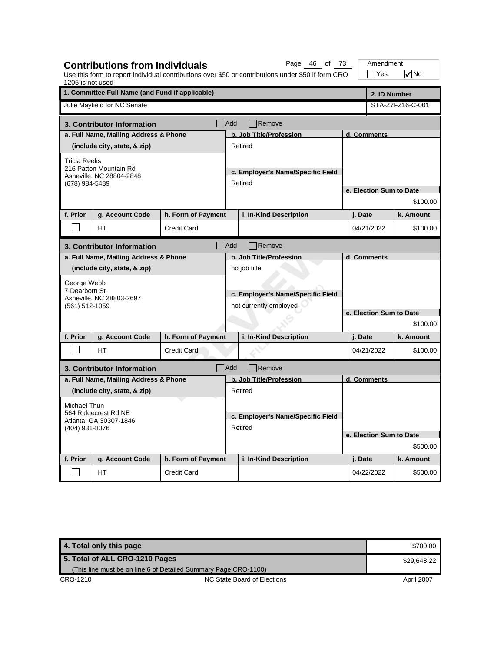| 1205 is not used                                                 | <b>Contributions from Individuals</b>                                |                                              |                                   | Page 46 of 73<br>Use this form to report individual contributions over \$50 or contributions under \$50 if form CRO |                                     | Amendment<br> Yes | l√No             |  |  |
|------------------------------------------------------------------|----------------------------------------------------------------------|----------------------------------------------|-----------------------------------|---------------------------------------------------------------------------------------------------------------------|-------------------------------------|-------------------|------------------|--|--|
|                                                                  | 1. Committee Full Name (and Fund if applicable)                      |                                              |                                   |                                                                                                                     |                                     | 2. ID Number      |                  |  |  |
|                                                                  | Julie Mayfield for NC Senate                                         |                                              |                                   |                                                                                                                     |                                     |                   | STA-Z7FZ16-C-001 |  |  |
|                                                                  | 3. Contributor Information                                           |                                              | Add                               | Remove                                                                                                              |                                     |                   |                  |  |  |
|                                                                  | a. Full Name, Mailing Address & Phone                                |                                              | b. Job Title/Profession           |                                                                                                                     |                                     | d. Comments       |                  |  |  |
| (include city, state, & zip)                                     |                                                                      |                                              |                                   | Retired                                                                                                             |                                     |                   |                  |  |  |
| <b>Tricia Reeks</b>                                              |                                                                      |                                              |                                   |                                                                                                                     |                                     |                   |                  |  |  |
|                                                                  | 216 Patton Mountain Rd<br>Asheville, NC 28804-2848<br>(678) 984-5489 |                                              |                                   | c. Employer's Name/Specific Field                                                                                   |                                     |                   |                  |  |  |
|                                                                  |                                                                      |                                              |                                   | Retired                                                                                                             |                                     |                   |                  |  |  |
|                                                                  |                                                                      |                                              |                                   |                                                                                                                     | e. Election Sum to Date             |                   |                  |  |  |
|                                                                  |                                                                      |                                              |                                   |                                                                                                                     |                                     |                   | \$100.00         |  |  |
| f. Prior                                                         | g. Account Code                                                      | h. Form of Payment                           |                                   | i. In-Kind Description                                                                                              |                                     | j. Date           | k. Amount        |  |  |
|                                                                  | HТ                                                                   | <b>Credit Card</b>                           |                                   |                                                                                                                     |                                     | 04/21/2022        | \$100.00         |  |  |
| <b>Add</b><br>Remove<br>3. Contributor Information               |                                                                      |                                              |                                   |                                                                                                                     |                                     |                   |                  |  |  |
|                                                                  | a. Full Name, Mailing Address & Phone                                |                                              |                                   | b. Job Title/Profession                                                                                             |                                     | d. Comments       |                  |  |  |
| (include city, state, & zip)                                     |                                                                      |                                              |                                   | no job title                                                                                                        |                                     |                   |                  |  |  |
| George Webb                                                      |                                                                      |                                              |                                   |                                                                                                                     |                                     |                   |                  |  |  |
| 7 Dearborn St                                                    |                                                                      |                                              | c. Employer's Name/Specific Field |                                                                                                                     |                                     |                   |                  |  |  |
| (561) 512-1059                                                   | Asheville, NC 28803-2697                                             |                                              | not currently employed            |                                                                                                                     | e. Election Sum to Date<br>\$100.00 |                   |                  |  |  |
|                                                                  |                                                                      |                                              |                                   |                                                                                                                     |                                     |                   |                  |  |  |
|                                                                  |                                                                      |                                              |                                   |                                                                                                                     |                                     |                   |                  |  |  |
| f. Prior                                                         | g. Account Code                                                      | h. Form of Payment                           |                                   | i. In-Kind Description                                                                                              |                                     | j. Date           | k. Amount        |  |  |
|                                                                  | <b>HT</b>                                                            | <b>Credit Card</b>                           |                                   |                                                                                                                     |                                     | 04/21/2022        | \$100.00         |  |  |
|                                                                  | 3. Contributor Information                                           |                                              | Add                               | Remove                                                                                                              |                                     |                   |                  |  |  |
|                                                                  | a. Full Name, Mailing Address & Phone                                |                                              |                                   | b. Job Title/Profession                                                                                             |                                     | d. Comments       |                  |  |  |
|                                                                  | (include city, state, & zip)                                         |                                              |                                   | Retired                                                                                                             |                                     |                   |                  |  |  |
| Michael Thun                                                     |                                                                      |                                              |                                   |                                                                                                                     |                                     |                   |                  |  |  |
| 564 Ridgecrest Rd NE<br>Atlanta, GA 30307-1846<br>(404) 931-8076 |                                                                      |                                              |                                   |                                                                                                                     |                                     |                   |                  |  |  |
|                                                                  |                                                                      | c. Employer's Name/Specific Field<br>Retired |                                   |                                                                                                                     |                                     |                   |                  |  |  |
|                                                                  |                                                                      |                                              |                                   |                                                                                                                     | e. Election Sum to Date             |                   |                  |  |  |
|                                                                  |                                                                      |                                              |                                   |                                                                                                                     | \$500.00                            |                   |                  |  |  |
| f. Prior                                                         | g. Account Code                                                      | h. Form of Payment                           |                                   | i. In-Kind Description                                                                                              |                                     | j. Date           | k. Amount        |  |  |
|                                                                  | НT                                                                   | <b>Credit Card</b>                           |                                   |                                                                                                                     |                                     | 04/22/2022        | \$500.00         |  |  |

**4. Total only this page** \$700.00 CRO-1210 CRO-1210 NC State Board of Elections April 2007 **5. Total of ALL CRO-1210 Pages** (This line must be on line 6 of Detailed Summary Page CRO-1100) \$29,648.22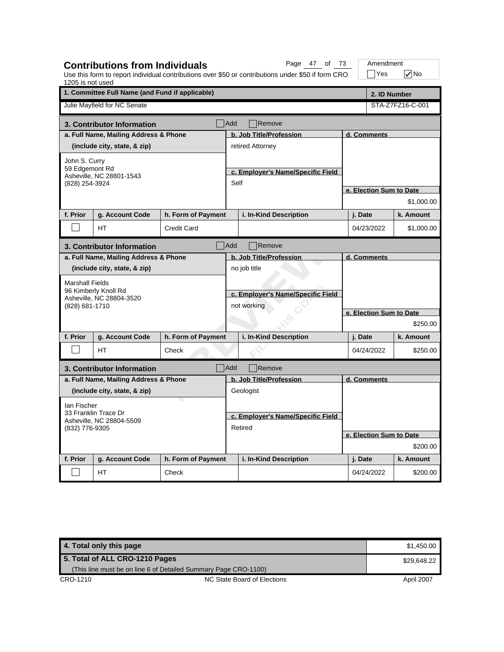| 1205 is not used                                   | <b>Contributions from Individuals</b>            |                    |                                                  | Page 47 of 73<br>Use this form to report individual contributions over \$50 or contributions under \$50 if form CRO |                         | Amendment<br>Yes         | $\sqrt{}$ No     |
|----------------------------------------------------|--------------------------------------------------|--------------------|--------------------------------------------------|---------------------------------------------------------------------------------------------------------------------|-------------------------|--------------------------|------------------|
|                                                    | 1. Committee Full Name (and Fund if applicable)  |                    |                                                  |                                                                                                                     |                         | 2. ID Number             |                  |
|                                                    | Julie Mayfield for NC Senate                     |                    |                                                  |                                                                                                                     |                         |                          | STA-Z7FZ16-C-001 |
|                                                    | 3. Contributor Information                       |                    | Add                                              | Remove                                                                                                              |                         |                          |                  |
|                                                    | a. Full Name, Mailing Address & Phone            |                    |                                                  | b. Job Title/Profession                                                                                             | d. Comments             |                          |                  |
| (include city, state, & zip)                       |                                                  |                    |                                                  | retired Attorney                                                                                                    |                         |                          |                  |
| John S. Curry                                      |                                                  |                    |                                                  |                                                                                                                     |                         |                          |                  |
|                                                    | 59 Edgemont Rd<br>Asheville, NC 28801-1543       |                    |                                                  | c. Employer's Name/Specific Field                                                                                   |                         |                          |                  |
| (828) 254-3924                                     |                                                  | Self               |                                                  | e. Election Sum to Date                                                                                             |                         |                          |                  |
|                                                    |                                                  |                    |                                                  |                                                                                                                     | \$1,000.00              |                          |                  |
| f. Prior                                           |                                                  |                    |                                                  |                                                                                                                     |                         |                          |                  |
|                                                    | g. Account Code                                  | h. Form of Payment |                                                  | i. In-Kind Description                                                                                              |                         | j. Date                  | k. Amount        |
|                                                    | HT                                               | <b>Credit Card</b> |                                                  |                                                                                                                     |                         | 04/23/2022<br>\$1,000.00 |                  |
| <b>Add</b><br>Remove<br>3. Contributor Information |                                                  |                    |                                                  |                                                                                                                     |                         |                          |                  |
|                                                    | a. Full Name, Mailing Address & Phone            |                    |                                                  | b. Job Title/Profession                                                                                             |                         | d. Comments              |                  |
|                                                    | (include city, state, & zip)                     |                    |                                                  | no job title                                                                                                        |                         |                          |                  |
| <b>Marshall Fields</b>                             |                                                  |                    |                                                  |                                                                                                                     |                         |                          |                  |
|                                                    | 96 Kimberly Knoll Rd<br>Asheville, NC 28804-3520 |                    | c. Employer's Name/Specific Field<br>not working |                                                                                                                     |                         |                          |                  |
| (828) 681-1710                                     |                                                  |                    |                                                  |                                                                                                                     |                         |                          |                  |
|                                                    |                                                  |                    |                                                  |                                                                                                                     | e. Election Sum to Date |                          |                  |
|                                                    |                                                  |                    |                                                  |                                                                                                                     |                         |                          | \$250.00         |
| f. Prior                                           | g. Account Code                                  | h. Form of Payment |                                                  | i. In-Kind Description                                                                                              |                         | j. Date                  | k. Amount        |
|                                                    | <b>HT</b>                                        | Check              |                                                  |                                                                                                                     |                         | 04/24/2022               | \$250.00         |
|                                                    | 3. Contributor Information                       |                    | Add                                              | Remove                                                                                                              |                         |                          |                  |
|                                                    | a. Full Name, Mailing Address & Phone            |                    |                                                  | b. Job Title/Profession                                                                                             |                         | d. Comments              |                  |
|                                                    | (include city, state, & zip)                     |                    |                                                  | Geologist                                                                                                           |                         |                          |                  |
| lan Fischer                                        |                                                  |                    |                                                  |                                                                                                                     |                         |                          |                  |
|                                                    | 33 Franklin Trace Dr                             |                    |                                                  | c. Employer's Name/Specific Field                                                                                   |                         |                          |                  |
| Asheville, NC 28804-5509<br>(832) 776-9305         |                                                  | Retired            |                                                  |                                                                                                                     |                         |                          |                  |
|                                                    |                                                  |                    |                                                  |                                                                                                                     |                         | e. Election Sum to Date  |                  |
|                                                    |                                                  |                    |                                                  |                                                                                                                     | \$200.00                |                          |                  |
| f. Prior                                           | g. Account Code                                  | h. Form of Payment |                                                  | i. In-Kind Description                                                                                              |                         | j. Date                  | k. Amount        |
|                                                    | HT                                               | Check              |                                                  |                                                                                                                     |                         | 04/24/2022               | \$200.00         |

| 4. Total only this page        |                                                                 | \$1.450.00  |
|--------------------------------|-----------------------------------------------------------------|-------------|
| 5. Total of ALL CRO-1210 Pages |                                                                 | \$29.648.22 |
|                                | (This line must be on line 6 of Detailed Summary Page CRO-1100) |             |
| CRO-1210                       | NC State Board of Elections                                     | April 2007  |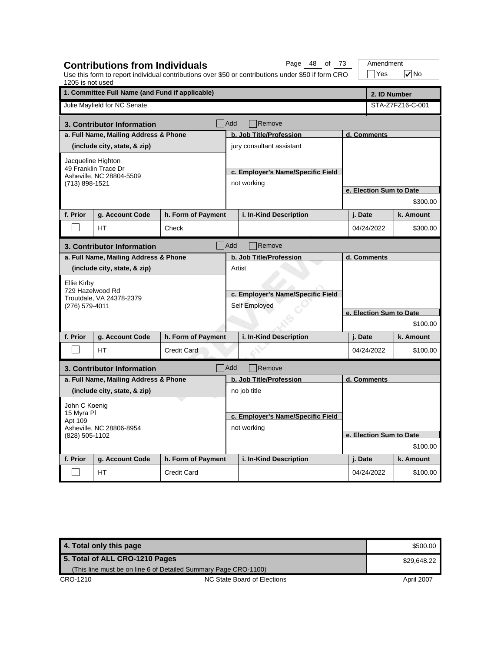| 1. Committee Full Name (and Fund if applicable)<br>2. ID Number<br>Julie Mayfield for NC Senate<br>STA-Z7FZ16-C-001<br><b>Add</b><br>Remove<br>3. Contributor Information<br>a. Full Name, Mailing Address & Phone<br>b. Job Title/Profession<br>d. Comments<br>(include city, state, & zip)<br>jury consultant assistant<br>Jacqueline Highton<br>49 Franklin Trace Dr<br>c. Employer's Name/Specific Field<br>Asheville, NC 28804-5509<br>not working<br>(713) 898-1521<br>e. Election Sum to Date<br>\$300.00<br>f. Prior<br>h. Form of Payment<br>i. In-Kind Description<br>g. Account Code<br>j. Date<br>k. Amount<br><b>HT</b><br>04/24/2022<br>Check<br>\$300.00<br><b>Add</b><br>Remove<br>3. Contributor Information<br>a. Full Name, Mailing Address & Phone<br>b. Job Title/Profession<br>d. Comments<br>(include city, state, & zip)<br>Artist<br>Ellie Kirby<br>729 Hazelwood Rd<br>c. Employer's Name/Specific Field<br>Troutdale, VA 24378-2379<br>Self Employed<br>(276) 579-4011<br>e. Election Sum to Date<br>\$100.00<br>i. In-Kind Description<br>f. Prior<br>g. Account Code<br>h. Form of Payment<br>j. Date<br>k. Amount<br>04/24/2022<br><b>HT</b><br><b>Credit Card</b><br>\$100.00<br><b>Add</b><br>Remove<br>3. Contributor Information<br>a. Full Name, Mailing Address & Phone<br>b. Job Title/Profession<br>d. Comments<br>(include city, state, & zip)<br>no job title<br>John C Koenig<br>15 Myra PI<br>c. Employer's Name/Specific Field<br>Apt 109<br>not working<br>Asheville, NC 28806-8954 |  |                 |  |  |                         |  |  |  |
|---------------------------------------------------------------------------------------------------------------------------------------------------------------------------------------------------------------------------------------------------------------------------------------------------------------------------------------------------------------------------------------------------------------------------------------------------------------------------------------------------------------------------------------------------------------------------------------------------------------------------------------------------------------------------------------------------------------------------------------------------------------------------------------------------------------------------------------------------------------------------------------------------------------------------------------------------------------------------------------------------------------------------------------------------------------------------------------------------------------------------------------------------------------------------------------------------------------------------------------------------------------------------------------------------------------------------------------------------------------------------------------------------------------------------------------------------------------------------------------------------------------------------------|--|-----------------|--|--|-------------------------|--|--|--|
|                                                                                                                                                                                                                                                                                                                                                                                                                                                                                                                                                                                                                                                                                                                                                                                                                                                                                                                                                                                                                                                                                                                                                                                                                                                                                                                                                                                                                                                                                                                                 |  |                 |  |  |                         |  |  |  |
|                                                                                                                                                                                                                                                                                                                                                                                                                                                                                                                                                                                                                                                                                                                                                                                                                                                                                                                                                                                                                                                                                                                                                                                                                                                                                                                                                                                                                                                                                                                                 |  |                 |  |  |                         |  |  |  |
|                                                                                                                                                                                                                                                                                                                                                                                                                                                                                                                                                                                                                                                                                                                                                                                                                                                                                                                                                                                                                                                                                                                                                                                                                                                                                                                                                                                                                                                                                                                                 |  |                 |  |  |                         |  |  |  |
|                                                                                                                                                                                                                                                                                                                                                                                                                                                                                                                                                                                                                                                                                                                                                                                                                                                                                                                                                                                                                                                                                                                                                                                                                                                                                                                                                                                                                                                                                                                                 |  |                 |  |  |                         |  |  |  |
|                                                                                                                                                                                                                                                                                                                                                                                                                                                                                                                                                                                                                                                                                                                                                                                                                                                                                                                                                                                                                                                                                                                                                                                                                                                                                                                                                                                                                                                                                                                                 |  |                 |  |  |                         |  |  |  |
|                                                                                                                                                                                                                                                                                                                                                                                                                                                                                                                                                                                                                                                                                                                                                                                                                                                                                                                                                                                                                                                                                                                                                                                                                                                                                                                                                                                                                                                                                                                                 |  |                 |  |  |                         |  |  |  |
|                                                                                                                                                                                                                                                                                                                                                                                                                                                                                                                                                                                                                                                                                                                                                                                                                                                                                                                                                                                                                                                                                                                                                                                                                                                                                                                                                                                                                                                                                                                                 |  |                 |  |  |                         |  |  |  |
|                                                                                                                                                                                                                                                                                                                                                                                                                                                                                                                                                                                                                                                                                                                                                                                                                                                                                                                                                                                                                                                                                                                                                                                                                                                                                                                                                                                                                                                                                                                                 |  |                 |  |  |                         |  |  |  |
|                                                                                                                                                                                                                                                                                                                                                                                                                                                                                                                                                                                                                                                                                                                                                                                                                                                                                                                                                                                                                                                                                                                                                                                                                                                                                                                                                                                                                                                                                                                                 |  |                 |  |  |                         |  |  |  |
|                                                                                                                                                                                                                                                                                                                                                                                                                                                                                                                                                                                                                                                                                                                                                                                                                                                                                                                                                                                                                                                                                                                                                                                                                                                                                                                                                                                                                                                                                                                                 |  |                 |  |  |                         |  |  |  |
|                                                                                                                                                                                                                                                                                                                                                                                                                                                                                                                                                                                                                                                                                                                                                                                                                                                                                                                                                                                                                                                                                                                                                                                                                                                                                                                                                                                                                                                                                                                                 |  |                 |  |  |                         |  |  |  |
|                                                                                                                                                                                                                                                                                                                                                                                                                                                                                                                                                                                                                                                                                                                                                                                                                                                                                                                                                                                                                                                                                                                                                                                                                                                                                                                                                                                                                                                                                                                                 |  |                 |  |  |                         |  |  |  |
|                                                                                                                                                                                                                                                                                                                                                                                                                                                                                                                                                                                                                                                                                                                                                                                                                                                                                                                                                                                                                                                                                                                                                                                                                                                                                                                                                                                                                                                                                                                                 |  |                 |  |  |                         |  |  |  |
|                                                                                                                                                                                                                                                                                                                                                                                                                                                                                                                                                                                                                                                                                                                                                                                                                                                                                                                                                                                                                                                                                                                                                                                                                                                                                                                                                                                                                                                                                                                                 |  |                 |  |  |                         |  |  |  |
|                                                                                                                                                                                                                                                                                                                                                                                                                                                                                                                                                                                                                                                                                                                                                                                                                                                                                                                                                                                                                                                                                                                                                                                                                                                                                                                                                                                                                                                                                                                                 |  |                 |  |  |                         |  |  |  |
|                                                                                                                                                                                                                                                                                                                                                                                                                                                                                                                                                                                                                                                                                                                                                                                                                                                                                                                                                                                                                                                                                                                                                                                                                                                                                                                                                                                                                                                                                                                                 |  |                 |  |  |                         |  |  |  |
|                                                                                                                                                                                                                                                                                                                                                                                                                                                                                                                                                                                                                                                                                                                                                                                                                                                                                                                                                                                                                                                                                                                                                                                                                                                                                                                                                                                                                                                                                                                                 |  |                 |  |  |                         |  |  |  |
|                                                                                                                                                                                                                                                                                                                                                                                                                                                                                                                                                                                                                                                                                                                                                                                                                                                                                                                                                                                                                                                                                                                                                                                                                                                                                                                                                                                                                                                                                                                                 |  |                 |  |  |                         |  |  |  |
|                                                                                                                                                                                                                                                                                                                                                                                                                                                                                                                                                                                                                                                                                                                                                                                                                                                                                                                                                                                                                                                                                                                                                                                                                                                                                                                                                                                                                                                                                                                                 |  |                 |  |  |                         |  |  |  |
|                                                                                                                                                                                                                                                                                                                                                                                                                                                                                                                                                                                                                                                                                                                                                                                                                                                                                                                                                                                                                                                                                                                                                                                                                                                                                                                                                                                                                                                                                                                                 |  |                 |  |  |                         |  |  |  |
|                                                                                                                                                                                                                                                                                                                                                                                                                                                                                                                                                                                                                                                                                                                                                                                                                                                                                                                                                                                                                                                                                                                                                                                                                                                                                                                                                                                                                                                                                                                                 |  |                 |  |  |                         |  |  |  |
|                                                                                                                                                                                                                                                                                                                                                                                                                                                                                                                                                                                                                                                                                                                                                                                                                                                                                                                                                                                                                                                                                                                                                                                                                                                                                                                                                                                                                                                                                                                                 |  |                 |  |  |                         |  |  |  |
|                                                                                                                                                                                                                                                                                                                                                                                                                                                                                                                                                                                                                                                                                                                                                                                                                                                                                                                                                                                                                                                                                                                                                                                                                                                                                                                                                                                                                                                                                                                                 |  |                 |  |  |                         |  |  |  |
|                                                                                                                                                                                                                                                                                                                                                                                                                                                                                                                                                                                                                                                                                                                                                                                                                                                                                                                                                                                                                                                                                                                                                                                                                                                                                                                                                                                                                                                                                                                                 |  |                 |  |  |                         |  |  |  |
|                                                                                                                                                                                                                                                                                                                                                                                                                                                                                                                                                                                                                                                                                                                                                                                                                                                                                                                                                                                                                                                                                                                                                                                                                                                                                                                                                                                                                                                                                                                                 |  |                 |  |  |                         |  |  |  |
|                                                                                                                                                                                                                                                                                                                                                                                                                                                                                                                                                                                                                                                                                                                                                                                                                                                                                                                                                                                                                                                                                                                                                                                                                                                                                                                                                                                                                                                                                                                                 |  |                 |  |  |                         |  |  |  |
|                                                                                                                                                                                                                                                                                                                                                                                                                                                                                                                                                                                                                                                                                                                                                                                                                                                                                                                                                                                                                                                                                                                                                                                                                                                                                                                                                                                                                                                                                                                                 |  |                 |  |  |                         |  |  |  |
|                                                                                                                                                                                                                                                                                                                                                                                                                                                                                                                                                                                                                                                                                                                                                                                                                                                                                                                                                                                                                                                                                                                                                                                                                                                                                                                                                                                                                                                                                                                                 |  |                 |  |  |                         |  |  |  |
| (828) 505-1102<br>\$100.00                                                                                                                                                                                                                                                                                                                                                                                                                                                                                                                                                                                                                                                                                                                                                                                                                                                                                                                                                                                                                                                                                                                                                                                                                                                                                                                                                                                                                                                                                                      |  |                 |  |  | e. Election Sum to Date |  |  |  |
| f. Prior<br>h. Form of Payment<br>i. In-Kind Description<br>k. Amount<br>j. Date                                                                                                                                                                                                                                                                                                                                                                                                                                                                                                                                                                                                                                                                                                                                                                                                                                                                                                                                                                                                                                                                                                                                                                                                                                                                                                                                                                                                                                                |  |                 |  |  |                         |  |  |  |
| НT<br><b>Credit Card</b><br>04/24/2022<br>\$100.00                                                                                                                                                                                                                                                                                                                                                                                                                                                                                                                                                                                                                                                                                                                                                                                                                                                                                                                                                                                                                                                                                                                                                                                                                                                                                                                                                                                                                                                                              |  | g. Account Code |  |  |                         |  |  |  |

**4. Total only this page \$500.00 and \$500.00 and \$500.00 and \$500.00 and \$500.00 and \$500.00 and \$500.00 and \$500.00 and \$500.00 and \$500.00 and \$500.00 and \$500.00 and \$500.00 and \$500.00 and \$500.00 and \$500.00 and \$500.** CRO-1210 CRO-1210 NC State Board of Elections April 2007 **5. Total of ALL CRO-1210 Pages** (This line must be on line 6 of Detailed Summary Page CRO-1100) \$29,648.22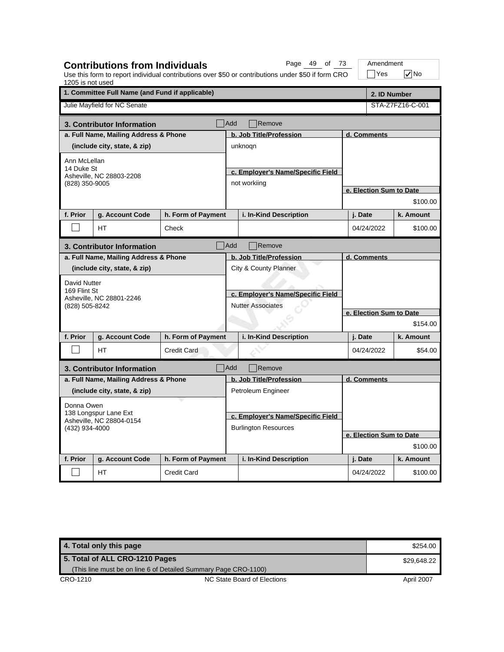| 1205 is not used                                                           |                                                 |                                                               |                                   | Use this form to report individual contributions over \$50 or contributions under \$50 if form CRO |                         | Yes                     | $\sqrt{}$ No |  |  |
|----------------------------------------------------------------------------|-------------------------------------------------|---------------------------------------------------------------|-----------------------------------|----------------------------------------------------------------------------------------------------|-------------------------|-------------------------|--------------|--|--|
|                                                                            | 1. Committee Full Name (and Fund if applicable) |                                                               |                                   |                                                                                                    |                         | 2. ID Number            |              |  |  |
|                                                                            | Julie Mayfield for NC Senate                    |                                                               |                                   |                                                                                                    | STA-Z7FZ16-C-001        |                         |              |  |  |
|                                                                            | 3. Contributor Information                      |                                                               | Add                               | Remove                                                                                             |                         |                         |              |  |  |
|                                                                            | a. Full Name, Mailing Address & Phone           |                                                               |                                   | b. Job Title/Profession                                                                            |                         | d. Comments             |              |  |  |
| (include city, state, & zip)                                               |                                                 |                                                               |                                   | unknogn                                                                                            |                         |                         |              |  |  |
| Ann McLellan<br>14 Duke St<br>Asheville, NC 28803-2208<br>(828) 350-9005   |                                                 |                                                               |                                   | c. Employer's Name/Specific Field<br>not workiing                                                  |                         |                         |              |  |  |
|                                                                            |                                                 |                                                               |                                   |                                                                                                    | e. Election Sum to Date |                         |              |  |  |
|                                                                            |                                                 |                                                               |                                   |                                                                                                    |                         | \$100.00                |              |  |  |
| f. Prior                                                                   | g. Account Code                                 | h. Form of Payment                                            |                                   | i. In-Kind Description                                                                             |                         | j. Date                 | k. Amount    |  |  |
|                                                                            | HΤ                                              | Check                                                         |                                   |                                                                                                    |                         | 04/24/2022              | \$100.00     |  |  |
|                                                                            | 3. Contributor Information                      |                                                               | Add                               | Remove                                                                                             |                         |                         |              |  |  |
|                                                                            | a. Full Name, Mailing Address & Phone           |                                                               |                                   | b. Job Title/Profession                                                                            |                         | d. Comments             |              |  |  |
|                                                                            | (include city, state, & zip)                    |                                                               |                                   | City & County Planner                                                                              |                         |                         |              |  |  |
| David Nutter<br>169 Flint St<br>Asheville, NC 28801-2246<br>(828) 505-8242 |                                                 | c. Employer's Name/Specific Field<br><b>Nutter Associates</b> |                                   |                                                                                                    |                         |                         |              |  |  |
|                                                                            |                                                 |                                                               |                                   |                                                                                                    | e. Election Sum to Date |                         |              |  |  |
|                                                                            |                                                 |                                                               |                                   |                                                                                                    | \$154.00                |                         |              |  |  |
| f. Prior                                                                   | g. Account Code                                 | h. Form of Payment                                            |                                   | i. In-Kind Description                                                                             |                         | j. Date                 | k. Amount    |  |  |
|                                                                            | HT                                              | <b>Credit Card</b>                                            |                                   |                                                                                                    |                         | 04/24/2022              | \$54.00      |  |  |
|                                                                            | 3. Contributor Information                      |                                                               | Add                               | Remove                                                                                             |                         |                         |              |  |  |
|                                                                            | a. Full Name, Mailing Address & Phone           |                                                               |                                   | b. Job Title/Profession                                                                            |                         | d. Comments             |              |  |  |
|                                                                            | (include city, state, & zip)                    |                                                               |                                   | Petroleum Engineer                                                                                 |                         |                         |              |  |  |
| Donna Owen                                                                 |                                                 |                                                               |                                   |                                                                                                    |                         |                         |              |  |  |
| 138 Longspur Lane Ext<br>Asheville, NC 28804-0154<br>(432) 934-4000        |                                                 |                                                               | c. Employer's Name/Specific Field |                                                                                                    |                         |                         |              |  |  |
|                                                                            |                                                 | <b>Burlington Resources</b>                                   |                                   |                                                                                                    |                         |                         |              |  |  |
|                                                                            |                                                 |                                                               |                                   |                                                                                                    |                         | e. Election Sum to Date |              |  |  |
|                                                                            |                                                 |                                                               |                                   |                                                                                                    |                         | \$100.00                |              |  |  |
| f. Prior                                                                   | g. Account Code                                 | h. Form of Payment                                            |                                   | i. In-Kind Description                                                                             |                         | j. Date                 | k. Amount    |  |  |
|                                                                            | <b>HT</b>                                       | Credit Card                                                   |                                   |                                                                                                    |                         | 04/24/2022              | \$100.00     |  |  |

**Contributions from Individuals**

Page 49 of 73 | Amendment

**4. Total only this page \$254.00 \$254.00 \$254.00 \$254.00 \$254.00 \$254.00 \$254.00 \$254.00 \$254.00 \$254.00 \$254.00 \$254.00 \$254.00 \$254.00 \$254.00 \$254.00 \$254.00 \$254.00 \$254.00 \$254.00 \$254.00 \$254.00 \$254.00 \$254.00 \$254.** CRO-1210 CRO-1210 NC State Board of Elections April 2007 **5. Total of ALL CRO-1210 Pages** (This line must be on line 6 of Detailed Summary Page CRO-1100) \$29,648.22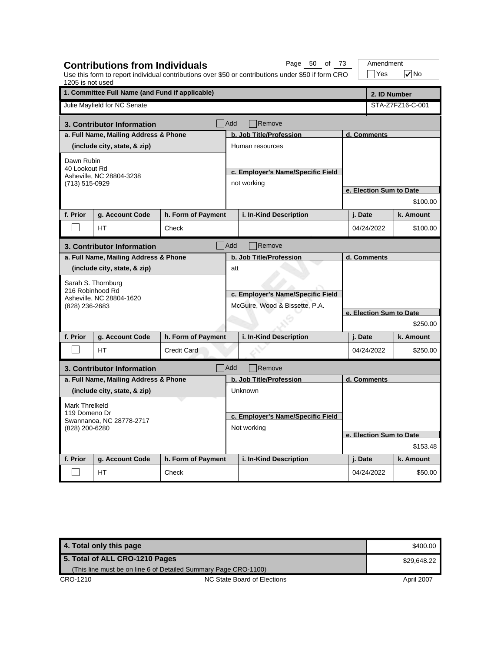| 1205 is not used                                                                                                                                              | <b>Contributions from Individuals</b>           |                                                  |                                                                                                | Page 50 of 73<br>Use this form to report individual contributions over \$50 or contributions under \$50 if form CRO |                                        | Amendment<br> Yes       | l√No                  |  |
|---------------------------------------------------------------------------------------------------------------------------------------------------------------|-------------------------------------------------|--------------------------------------------------|------------------------------------------------------------------------------------------------|---------------------------------------------------------------------------------------------------------------------|----------------------------------------|-------------------------|-----------------------|--|
|                                                                                                                                                               | 1. Committee Full Name (and Fund if applicable) |                                                  |                                                                                                |                                                                                                                     |                                        |                         | 2. ID Number          |  |
|                                                                                                                                                               | Julie Mayfield for NC Senate                    |                                                  |                                                                                                |                                                                                                                     |                                        |                         | STA-Z7FZ16-C-001      |  |
|                                                                                                                                                               | 3. Contributor Information                      |                                                  | Add                                                                                            | Remove                                                                                                              |                                        |                         |                       |  |
|                                                                                                                                                               | a. Full Name, Mailing Address & Phone           |                                                  | b. Job Title/Profession<br>d. Comments                                                         |                                                                                                                     |                                        |                         |                       |  |
| (include city, state, & zip)                                                                                                                                  |                                                 |                                                  |                                                                                                | Human resources                                                                                                     |                                        |                         |                       |  |
| Dawn Rubin<br>40 Lookout Rd<br>Asheville, NC 28804-3238<br>(713) 515-0929                                                                                     |                                                 |                                                  |                                                                                                | c. Employer's Name/Specific Field<br>not working                                                                    |                                        |                         |                       |  |
|                                                                                                                                                               |                                                 |                                                  |                                                                                                |                                                                                                                     | e. Election Sum to Date<br>\$100.00    |                         |                       |  |
| f. Prior                                                                                                                                                      | g. Account Code                                 |                                                  |                                                                                                |                                                                                                                     |                                        | j. Date                 | k. Amount             |  |
|                                                                                                                                                               |                                                 | h. Form of Payment                               |                                                                                                | i. In-Kind Description                                                                                              |                                        |                         |                       |  |
| HТ<br>Check                                                                                                                                                   |                                                 |                                                  |                                                                                                |                                                                                                                     |                                        | 04/24/2022<br>\$100.00  |                       |  |
| <b>Add</b><br>Remove<br>3. Contributor Information                                                                                                            |                                                 |                                                  |                                                                                                |                                                                                                                     |                                        |                         |                       |  |
| a. Full Name, Mailing Address & Phone<br>(include city, state, & zip)<br>Sarah S. Thornburg<br>216 Robinhood Rd<br>Asheville, NC 28804-1620<br>(828) 236-2683 |                                                 | att                                              | b. Job Title/Profession<br>c. Employer's Name/Specific Field<br>McGuire, Wood & Bissette, P.A. |                                                                                                                     | d. Comments<br>e. Election Sum to Date |                         |                       |  |
|                                                                                                                                                               |                                                 |                                                  |                                                                                                |                                                                                                                     |                                        |                         | \$250.00              |  |
| f. Prior                                                                                                                                                      | g. Account Code<br><b>HT</b>                    | h. Form of Payment<br><b>Credit Card</b>         |                                                                                                | i. In-Kind Description                                                                                              |                                        | j. Date<br>04/24/2022   | k. Amount<br>\$250.00 |  |
|                                                                                                                                                               |                                                 |                                                  |                                                                                                |                                                                                                                     |                                        |                         |                       |  |
|                                                                                                                                                               | 3. Contributor Information                      |                                                  | Add                                                                                            | Remove                                                                                                              |                                        |                         |                       |  |
|                                                                                                                                                               | a. Full Name, Mailing Address & Phone           |                                                  |                                                                                                | b. Job Title/Profession                                                                                             |                                        | d. Comments             |                       |  |
|                                                                                                                                                               | (include city, state, & zip)                    |                                                  |                                                                                                | Unknown                                                                                                             |                                        |                         |                       |  |
| Mark Threlkeld<br>119 Domeno Dr<br>Swannanoa, NC 28778-2717<br>(828) 200-6280                                                                                 |                                                 | c. Employer's Name/Specific Field<br>Not working |                                                                                                |                                                                                                                     |                                        |                         |                       |  |
|                                                                                                                                                               |                                                 |                                                  |                                                                                                |                                                                                                                     |                                        | e. Election Sum to Date |                       |  |
|                                                                                                                                                               |                                                 |                                                  |                                                                                                |                                                                                                                     |                                        |                         | \$153.48              |  |
| f. Prior                                                                                                                                                      | g. Account Code                                 | h. Form of Payment                               |                                                                                                | i. In-Kind Description                                                                                              |                                        | j. Date                 | k. Amount             |  |
|                                                                                                                                                               | НT                                              | Check                                            |                                                                                                |                                                                                                                     |                                        | 04/24/2022              | \$50.00               |  |

**4. Total only this page \$400.00 \$400.00 \$400.00 \$400.00 \$400.00 \$400.00 \$400.00 \$400.00 \$400.00 \$400.00 \$400.00 \$400.00 \$400.00 \$400.00 \$400.00 \$400.00 \$400.00 \$400.00 \$400.00 \$400.00 \$400.00 \$\$400.00 \$\$400.00 \$\$400.00 \$\$** CRO-1210 CRO-1210 NC State Board of Elections April 2007 **5. Total of ALL CRO-1210 Pages** (This line must be on line 6 of Detailed Summary Page CRO-1100) \$29,648.22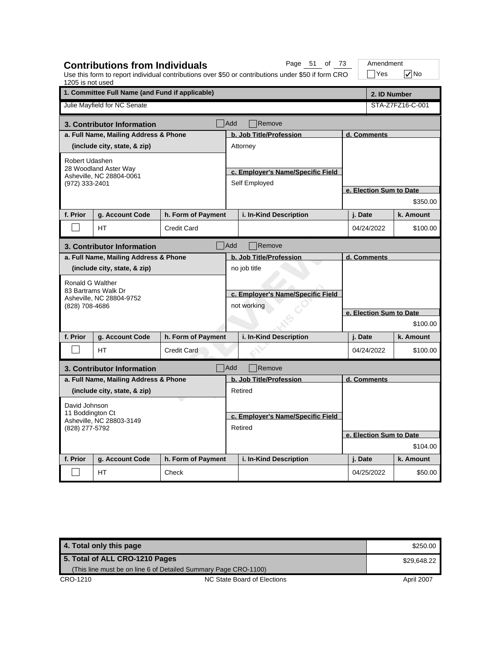| 1205 is not used                            | <b>Contributions from Individuals</b>             |                    |                                   | Page 51 of 73<br>Use this form to report individual contributions over \$50 or contributions under \$50 if form CRO |                         | Amendment<br>$\exists$ Yes | $\nabla$ No      |  |
|---------------------------------------------|---------------------------------------------------|--------------------|-----------------------------------|---------------------------------------------------------------------------------------------------------------------|-------------------------|----------------------------|------------------|--|
|                                             | 1. Committee Full Name (and Fund if applicable)   |                    |                                   |                                                                                                                     |                         | 2. ID Number               |                  |  |
|                                             | Julie Mayfield for NC Senate                      |                    |                                   |                                                                                                                     |                         |                            | STA-Z7FZ16-C-001 |  |
|                                             | 3. Contributor Information                        |                    | <b>Add</b>                        | Remove                                                                                                              |                         |                            |                  |  |
|                                             | a. Full Name, Mailing Address & Phone             |                    | b. Job Title/Profession           |                                                                                                                     |                         | d. Comments                |                  |  |
|                                             | (include city, state, & zip)                      |                    |                                   | Attorney                                                                                                            |                         |                            |                  |  |
| Robert Udashen                              |                                                   |                    |                                   |                                                                                                                     |                         |                            |                  |  |
|                                             | 28 Woodland Aster Way<br>Asheville, NC 28804-0061 |                    |                                   | c. Employer's Name/Specific Field                                                                                   |                         |                            |                  |  |
|                                             | (972) 333-2401                                    |                    |                                   | Self Employed                                                                                                       |                         |                            |                  |  |
|                                             |                                                   |                    |                                   |                                                                                                                     |                         | e. Election Sum to Date    |                  |  |
|                                             |                                                   |                    |                                   |                                                                                                                     |                         |                            | \$350.00         |  |
| f. Prior                                    | g. Account Code                                   | h. Form of Payment |                                   | i. In-Kind Description                                                                                              |                         | j. Date                    | k. Amount        |  |
|                                             | <b>HT</b>                                         | <b>Credit Card</b> |                                   |                                                                                                                     |                         | 04/24/2022                 | \$100.00         |  |
| Add<br>Remove<br>3. Contributor Information |                                                   |                    |                                   |                                                                                                                     |                         |                            |                  |  |
| a. Full Name, Mailing Address & Phone       |                                                   |                    |                                   | b. Job Title/Profession                                                                                             |                         | d. Comments                |                  |  |
|                                             | (include city, state, & zip)                      |                    |                                   | no job title                                                                                                        |                         |                            |                  |  |
| Ronald G Walther                            |                                                   |                    |                                   |                                                                                                                     |                         |                            |                  |  |
|                                             | 83 Bartrams Walk Dr<br>Asheville, NC 28804-9752   |                    | c. Employer's Name/Specific Field |                                                                                                                     |                         |                            |                  |  |
| (828) 708-4686                              |                                                   |                    | not working                       |                                                                                                                     |                         |                            |                  |  |
|                                             |                                                   |                    |                                   |                                                                                                                     | e. Election Sum to Date |                            |                  |  |
|                                             |                                                   |                    |                                   |                                                                                                                     |                         |                            | \$100.00         |  |
| f. Prior                                    | g. Account Code                                   | h. Form of Payment |                                   | i. In-Kind Description                                                                                              |                         | j. Date                    | k. Amount        |  |
|                                             | <b>HT</b>                                         | <b>Credit Card</b> |                                   |                                                                                                                     |                         | 04/24/2022                 | \$100.00         |  |
|                                             | 3. Contributor Information                        |                    | Add                               | Remove                                                                                                              |                         |                            |                  |  |
|                                             | a. Full Name, Mailing Address & Phone             |                    |                                   | b. Job Title/Profession                                                                                             |                         | d. Comments                |                  |  |
|                                             | (include city, state, & zip)                      |                    |                                   | Retired                                                                                                             |                         |                            |                  |  |
| David Johnson                               |                                                   |                    |                                   |                                                                                                                     |                         |                            |                  |  |
| 11 Boddington Ct                            |                                                   |                    | c. Employer's Name/Specific Field |                                                                                                                     |                         |                            |                  |  |
| Asheville, NC 28803-3149<br>(828) 277-5792  |                                                   |                    | Retired                           |                                                                                                                     |                         |                            |                  |  |
|                                             |                                                   |                    |                                   |                                                                                                                     |                         | e. Election Sum to Date    |                  |  |
|                                             |                                                   |                    |                                   |                                                                                                                     |                         | \$104.00                   |                  |  |
| f. Prior                                    | g. Account Code                                   | h. Form of Payment |                                   | i. In-Kind Description                                                                                              |                         | j. Date                    | k. Amount        |  |
|                                             | HT                                                | Check              |                                   |                                                                                                                     |                         | 04/25/2022                 | \$50.00          |  |

| 4. Total only this page                                         |                             | \$250.00    |
|-----------------------------------------------------------------|-----------------------------|-------------|
| 5. Total of ALL CRO-1210 Pages                                  |                             | \$29.648.22 |
| (This line must be on line 6 of Detailed Summary Page CRO-1100) |                             |             |
| CRO-1210                                                        | NC State Board of Elections | April 2007  |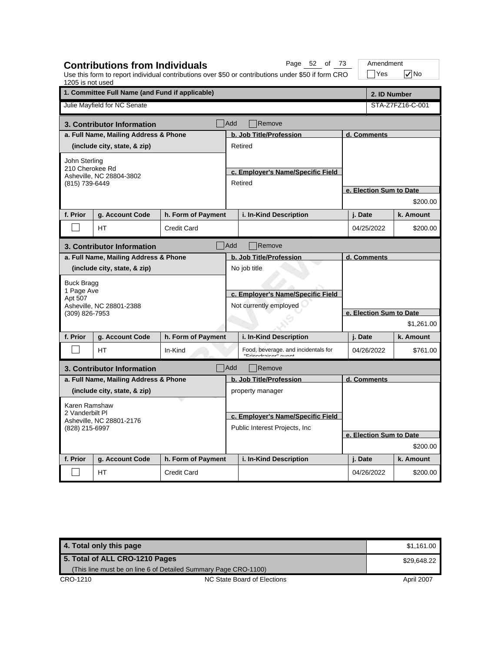| 1205 is not used                                              | <b>Contributions from Individuals</b>           |                                |                                   | Page 52 of 73<br>Use this form to report individual contributions over \$50 or contributions under \$50 if form CRO |                                       | Amendment<br> Yes       | l√No             |  |
|---------------------------------------------------------------|-------------------------------------------------|--------------------------------|-----------------------------------|---------------------------------------------------------------------------------------------------------------------|---------------------------------------|-------------------------|------------------|--|
|                                                               | 1. Committee Full Name (and Fund if applicable) |                                |                                   |                                                                                                                     |                                       | 2. ID Number            |                  |  |
|                                                               | Julie Mayfield for NC Senate                    |                                |                                   |                                                                                                                     |                                       |                         | STA-Z7FZ16-C-001 |  |
|                                                               | 3. Contributor Information                      |                                | Add                               | Remove                                                                                                              |                                       |                         |                  |  |
|                                                               | a. Full Name, Mailing Address & Phone           |                                | b. Job Title/Profession           |                                                                                                                     |                                       | d. Comments             |                  |  |
| (include city, state, & zip)                                  |                                                 |                                |                                   | Retired                                                                                                             |                                       |                         |                  |  |
| John Sterling                                                 |                                                 |                                |                                   |                                                                                                                     |                                       |                         |                  |  |
| 210 Cherokee Rd                                               |                                                 |                                |                                   | c. Employer's Name/Specific Field                                                                                   |                                       |                         |                  |  |
|                                                               | Asheville, NC 28804-3802<br>(815) 739-6449      |                                |                                   | Retired                                                                                                             |                                       |                         |                  |  |
|                                                               |                                                 |                                |                                   |                                                                                                                     |                                       | e. Election Sum to Date |                  |  |
|                                                               |                                                 |                                |                                   |                                                                                                                     |                                       |                         | \$200.00         |  |
| f. Prior                                                      | g. Account Code                                 | h. Form of Payment             |                                   | i. In-Kind Description                                                                                              |                                       | j. Date                 | k. Amount        |  |
|                                                               | HТ                                              | <b>Credit Card</b>             |                                   |                                                                                                                     |                                       | 04/25/2022              | \$200.00         |  |
| <b>Add</b><br>Remove<br>3. Contributor Information            |                                                 |                                |                                   |                                                                                                                     |                                       |                         |                  |  |
| a. Full Name, Mailing Address & Phone                         |                                                 |                                |                                   | b. Job Title/Profession                                                                                             |                                       | d. Comments             |                  |  |
|                                                               | (include city, state, & zip)                    |                                |                                   | No job title                                                                                                        |                                       |                         |                  |  |
| <b>Buck Bragg</b>                                             |                                                 |                                |                                   |                                                                                                                     |                                       |                         |                  |  |
| 1 Page Ave                                                    |                                                 |                                | c. Employer's Name/Specific Field |                                                                                                                     |                                       |                         |                  |  |
| Apt 507                                                       | Asheville, NC 28801-2388                        |                                | Not currently employed            |                                                                                                                     | e. Election Sum to Date<br>\$1,261.00 |                         |                  |  |
| (309) 826-7953                                                |                                                 |                                |                                   |                                                                                                                     |                                       |                         |                  |  |
|                                                               |                                                 |                                |                                   |                                                                                                                     |                                       |                         |                  |  |
| f. Prior                                                      | g. Account Code                                 | h. Form of Payment             |                                   | i. In-Kind Description                                                                                              |                                       | j. Date                 | k. Amount        |  |
|                                                               | <b>HT</b>                                       | In-Kind                        |                                   | Food, beverage. and incidentals for<br>"Eriandrainar" august                                                        |                                       | 04/26/2022              | \$761.00         |  |
|                                                               | 3. Contributor Information                      |                                | Add                               | Remove                                                                                                              |                                       |                         |                  |  |
|                                                               | a. Full Name, Mailing Address & Phone           |                                |                                   | b. Job Title/Profession                                                                                             |                                       | d. Comments             |                  |  |
|                                                               | (include city, state, & zip)                    |                                |                                   | property manager                                                                                                    |                                       |                         |                  |  |
| Karen Ramshaw                                                 |                                                 |                                |                                   |                                                                                                                     |                                       |                         |                  |  |
| 2 Vanderbilt PI<br>Asheville, NC 28801-2176<br>(828) 215-6997 |                                                 |                                | c. Employer's Name/Specific Field |                                                                                                                     |                                       |                         |                  |  |
|                                                               |                                                 | Public Interest Projects, Inc. |                                   |                                                                                                                     |                                       |                         |                  |  |
|                                                               |                                                 |                                |                                   |                                                                                                                     |                                       | e. Election Sum to Date |                  |  |
|                                                               |                                                 |                                |                                   |                                                                                                                     | \$200.00                              |                         |                  |  |
| f. Prior                                                      | g. Account Code                                 | h. Form of Payment             |                                   | i. In-Kind Description                                                                                              |                                       | j. Date                 | k. Amount        |  |
|                                                               | НT                                              | <b>Credit Card</b>             |                                   |                                                                                                                     |                                       | 04/26/2022              | \$200.00         |  |

**4. Total only this page \$1,161.00** \$1,161.00 CRO-1210 CRO-1210 NC State Board of Elections April 2007 **5. Total of ALL CRO-1210 Pages** (This line must be on line 6 of Detailed Summary Page CRO-1100) \$29,648.22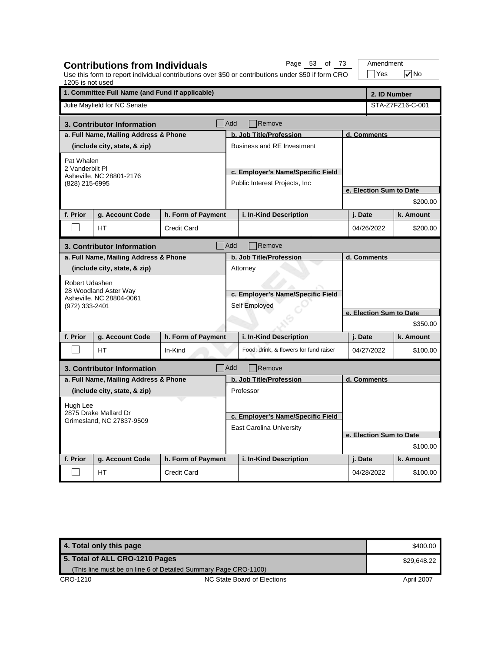| 1205 is not used                            | <b>Contributions from Individuals</b>             |                    |                                   | Page 53 of 73<br>Use this form to report individual contributions over \$50 or contributions under \$50 if form CRO |                         | Amendment<br>$\exists$ Yes | $\sqrt{}$ No     |  |
|---------------------------------------------|---------------------------------------------------|--------------------|-----------------------------------|---------------------------------------------------------------------------------------------------------------------|-------------------------|----------------------------|------------------|--|
|                                             | 1. Committee Full Name (and Fund if applicable)   |                    |                                   |                                                                                                                     |                         | 2. ID Number               |                  |  |
|                                             | Julie Mayfield for NC Senate                      |                    |                                   |                                                                                                                     |                         |                            | STA-Z7FZ16-C-001 |  |
|                                             | 3. Contributor Information                        |                    | Add                               | Remove                                                                                                              |                         |                            |                  |  |
|                                             | a. Full Name, Mailing Address & Phone             |                    |                                   | b. Job Title/Profession                                                                                             | d. Comments             |                            |                  |  |
|                                             | (include city, state, & zip)                      |                    |                                   | <b>Business and RE Investment</b>                                                                                   |                         |                            |                  |  |
| Pat Whalen                                  |                                                   |                    |                                   |                                                                                                                     |                         |                            |                  |  |
|                                             | 2 Vanderbilt Pl                                   |                    |                                   | c. Employer's Name/Specific Field                                                                                   |                         |                            |                  |  |
| Asheville, NC 28801-2176<br>(828) 215-6995  |                                                   |                    |                                   | Public Interest Projects, Inc.                                                                                      |                         |                            |                  |  |
|                                             |                                                   |                    |                                   |                                                                                                                     |                         | e. Election Sum to Date    |                  |  |
|                                             |                                                   |                    |                                   |                                                                                                                     |                         |                            | \$200.00         |  |
| f. Prior                                    | g. Account Code                                   | h. Form of Payment |                                   | i. In-Kind Description                                                                                              |                         | j. Date                    | k. Amount        |  |
|                                             | <b>HT</b>                                         | <b>Credit Card</b> |                                   |                                                                                                                     |                         | 04/26/2022                 | \$200.00         |  |
| Add<br>Remove<br>3. Contributor Information |                                                   |                    |                                   |                                                                                                                     |                         |                            |                  |  |
| a. Full Name, Mailing Address & Phone       |                                                   |                    |                                   | b. Job Title/Profession                                                                                             |                         | d. Comments                |                  |  |
|                                             | (include city, state, & zip)                      |                    |                                   | Attorney                                                                                                            |                         |                            |                  |  |
|                                             | Robert Udashen                                    |                    |                                   |                                                                                                                     |                         |                            |                  |  |
|                                             | 28 Woodland Aster Way<br>Asheville, NC 28804-0061 |                    | c. Employer's Name/Specific Field |                                                                                                                     |                         |                            |                  |  |
| (972) 333-2401                              |                                                   |                    | Self Employed                     |                                                                                                                     |                         |                            |                  |  |
|                                             |                                                   |                    |                                   |                                                                                                                     | e. Election Sum to Date |                            |                  |  |
|                                             |                                                   |                    |                                   |                                                                                                                     |                         |                            | \$350.00         |  |
| f. Prior                                    | g. Account Code                                   | h. Form of Payment |                                   | i. In-Kind Description                                                                                              |                         | j. Date                    | k. Amount        |  |
|                                             | <b>HT</b>                                         | In-Kind            |                                   | Food, drink, & flowers for fund raiser                                                                              |                         | 04/27/2022                 | \$100.00         |  |
|                                             | 3. Contributor Information                        |                    | Add                               | Remove                                                                                                              |                         |                            |                  |  |
|                                             | a. Full Name, Mailing Address & Phone             |                    |                                   | b. Job Title/Profession                                                                                             |                         | d. Comments                |                  |  |
|                                             | (include city, state, & zip)                      |                    |                                   | Professor                                                                                                           |                         |                            |                  |  |
| Hugh Lee                                    |                                                   |                    |                                   |                                                                                                                     |                         |                            |                  |  |
|                                             | 2875 Drake Mallard Dr                             |                    |                                   | c. Employer's Name/Specific Field                                                                                   |                         |                            |                  |  |
| Grimesland, NC 27837-9509                   |                                                   |                    |                                   | <b>East Carolina University</b>                                                                                     |                         |                            |                  |  |
|                                             |                                                   |                    |                                   |                                                                                                                     |                         | e. Election Sum to Date    |                  |  |
|                                             |                                                   |                    |                                   |                                                                                                                     | \$100.00                |                            |                  |  |
| f. Prior                                    | g. Account Code                                   | h. Form of Payment |                                   | i. In-Kind Description                                                                                              |                         | j. Date                    | k. Amount        |  |
|                                             | НT                                                | <b>Credit Card</b> |                                   |                                                                                                                     |                         | 04/28/2022                 | \$100.00         |  |

| 4. Total only this page                                         |                             | \$400.00   |
|-----------------------------------------------------------------|-----------------------------|------------|
| 5. Total of ALL CRO-1210 Pages                                  | \$29.648.22                 |            |
| (This line must be on line 6 of Detailed Summary Page CRO-1100) |                             |            |
| CRO-1210                                                        | NC State Board of Elections | April 2007 |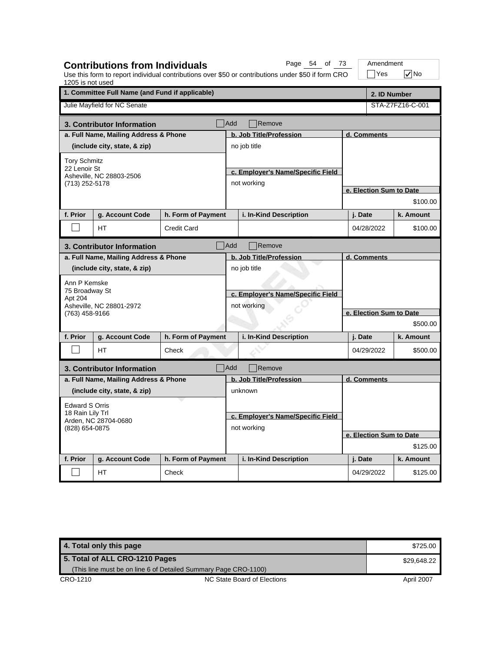| 1205 is not used      | <b>Contributions from Individuals</b>           |                    |                                   | Page 54 of 73<br>Use this form to report individual contributions over \$50 or contributions under \$50 if form CRO |  | Amendment<br>Yes        | l√No             |
|-----------------------|-------------------------------------------------|--------------------|-----------------------------------|---------------------------------------------------------------------------------------------------------------------|--|-------------------------|------------------|
|                       | 1. Committee Full Name (and Fund if applicable) |                    |                                   |                                                                                                                     |  | 2. ID Number            |                  |
|                       | Julie Mayfield for NC Senate                    |                    |                                   |                                                                                                                     |  |                         | STA-Z7FZ16-C-001 |
|                       | 3. Contributor Information                      |                    | Add                               | Remove                                                                                                              |  |                         |                  |
|                       | a. Full Name, Mailing Address & Phone           |                    |                                   | b. Job Title/Profession                                                                                             |  | d. Comments             |                  |
|                       | (include city, state, & zip)                    |                    |                                   | no job title                                                                                                        |  |                         |                  |
| <b>Tory Schmitz</b>   |                                                 |                    |                                   |                                                                                                                     |  |                         |                  |
| 22 Lenoir St          | Asheville, NC 28803-2506                        |                    |                                   | c. Employer's Name/Specific Field                                                                                   |  |                         |                  |
| (713) 252-5178        |                                                 |                    |                                   | not working                                                                                                         |  |                         |                  |
|                       |                                                 |                    |                                   |                                                                                                                     |  | e. Election Sum to Date |                  |
|                       |                                                 |                    |                                   |                                                                                                                     |  |                         | \$100.00         |
| f. Prior              | g. Account Code                                 | h. Form of Payment |                                   | i. In-Kind Description                                                                                              |  | j. Date                 | k. Amount        |
|                       | HТ                                              | <b>Credit Card</b> |                                   |                                                                                                                     |  | 04/28/2022              | \$100.00         |
|                       | 3. Contributor Information                      |                    | <b>Add</b>                        | Remove                                                                                                              |  |                         |                  |
|                       | a. Full Name, Mailing Address & Phone           |                    |                                   | b. Job Title/Profession                                                                                             |  | d. Comments             |                  |
|                       | (include city, state, & zip)                    |                    |                                   | no job title                                                                                                        |  |                         |                  |
| Ann P Kemske          |                                                 |                    |                                   |                                                                                                                     |  |                         |                  |
| 75 Broadway St        |                                                 |                    | c. Employer's Name/Specific Field |                                                                                                                     |  |                         |                  |
| Apt 204               | Asheville, NC 28801-2972                        |                    |                                   | not working                                                                                                         |  |                         |                  |
| (763) 458-9166        |                                                 |                    |                                   |                                                                                                                     |  | e. Election Sum to Date |                  |
|                       |                                                 |                    |                                   |                                                                                                                     |  |                         | \$500.00         |
| f. Prior              | g. Account Code                                 | h. Form of Payment |                                   | i. In-Kind Description                                                                                              |  | j. Date                 | k. Amount        |
|                       | <b>HT</b>                                       | Check              |                                   |                                                                                                                     |  | 04/29/2022              | \$500.00         |
|                       | 3. Contributor Information                      |                    | Add                               | Remove                                                                                                              |  |                         |                  |
|                       | a. Full Name, Mailing Address & Phone           |                    |                                   | b. Job Title/Profession                                                                                             |  | d. Comments             |                  |
|                       | (include city, state, & zip)                    |                    |                                   | unknown                                                                                                             |  |                         |                  |
| <b>Edward S Orris</b> |                                                 |                    |                                   |                                                                                                                     |  |                         |                  |
| 18 Rain Lily Trl      |                                                 |                    |                                   | c. Employer's Name/Specific Field                                                                                   |  |                         |                  |
| (828) 654-0875        | Arden, NC 28704-0680                            |                    |                                   | not working                                                                                                         |  |                         |                  |
|                       |                                                 |                    |                                   |                                                                                                                     |  | e. Election Sum to Date |                  |
|                       |                                                 |                    |                                   |                                                                                                                     |  |                         | \$125.00         |
| f. Prior              | g. Account Code                                 | h. Form of Payment |                                   | i. In-Kind Description                                                                                              |  | j. Date                 | k. Amount        |
|                       | HT                                              | Check              |                                   |                                                                                                                     |  | 04/29/2022              | \$125.00         |

**4. Total only this page \$725.00 \$725.00 \$125.00 \$725.00 \$725.00 \$725.00 \$725.00 \$725.00 \$725.00 \$725.00 \$725.00 \$725.00 \$725.00 \$725.00 \$725.00 \$725.00 \$725.00 \$725.00 \$725.00 \$725.00 \$725.00 \$725.00 \$725.00 \$725.00 \$725.** CRO-1210 CRO-1210 NC State Board of Elections April 2007 **5. Total of ALL CRO-1210 Pages** (This line must be on line 6 of Detailed Summary Page CRO-1100) \$29,648.22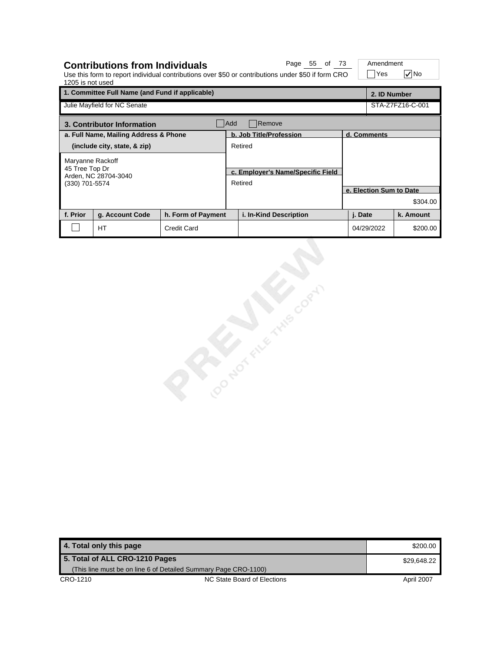| 1205 is not used | <b>Contributions from Individuals</b><br>Use this form to report individual contributions over \$50 or contributions under \$50 if form CRO | Page 55 of 73      | Amendment<br>Yes                             | l√∣No                   |  |                         |                  |  |  |
|------------------|---------------------------------------------------------------------------------------------------------------------------------------------|--------------------|----------------------------------------------|-------------------------|--|-------------------------|------------------|--|--|
|                  | 1. Committee Full Name (and Fund if applicable)                                                                                             |                    |                                              |                         |  | 2. ID Number            |                  |  |  |
|                  | Julie Mayfield for NC Senate                                                                                                                |                    |                                              |                         |  |                         | STA-Z7FZ16-C-001 |  |  |
|                  | Remove<br>Add<br>3. Contributor Information                                                                                                 |                    |                                              |                         |  |                         |                  |  |  |
|                  | a. Full Name, Mailing Address & Phone                                                                                                       |                    |                                              | b. Job Title/Profession |  | d. Comments             |                  |  |  |
|                  | (include city, state, & zip)                                                                                                                |                    |                                              | Retired                 |  |                         |                  |  |  |
| (330) 701-5574   | Maryanne Rackoff<br>45 Tree Top Dr<br>Arden, NC 28704-3040                                                                                  |                    | c. Employer's Name/Specific Field<br>Retired |                         |  |                         |                  |  |  |
|                  |                                                                                                                                             |                    |                                              |                         |  | e. Election Sum to Date |                  |  |  |
|                  |                                                                                                                                             |                    |                                              |                         |  |                         | \$304.00         |  |  |
| f. Prior         | g. Account Code                                                                                                                             | h. Form of Payment |                                              | i. In-Kind Description  |  | j. Date                 | k. Amount        |  |  |
|                  | <b>HT</b>                                                                                                                                   | <b>Credit Card</b> |                                              |                         |  | 04/29/2022              | \$200.00         |  |  |

**4. Total only this page** \$200.00 **5. Total of ALL CRO-1210 Pages** (This line must be on line 6 of Detailed Summary Page CRO-1100) \$29,648.22

Cooker of the corn

**CRO-1210** NC State Board of Elections April 2007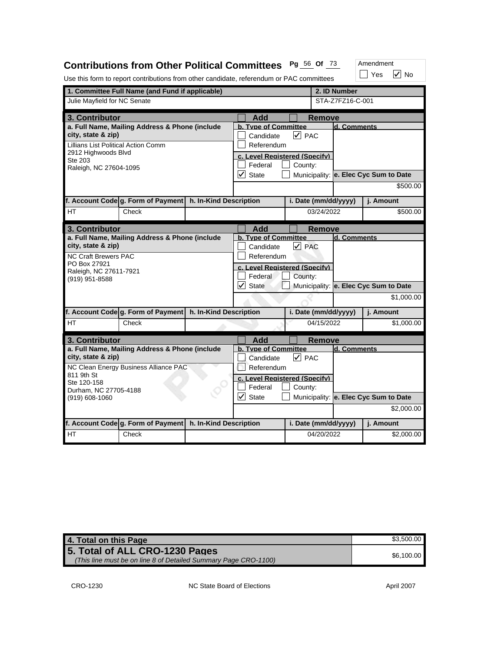# **Contributions from Other Political Committees Pg** <sup>56</sup> **Of** <sup>73</sup>

Use this form to report contributions from other candidate, referendum or PAC committees

|                                                                                                                    | 1. Committee Full Name (and Fund if applicable)                                         |                        |                                                                            |                      | 2. ID Number  |                  |                                       |
|--------------------------------------------------------------------------------------------------------------------|-----------------------------------------------------------------------------------------|------------------------|----------------------------------------------------------------------------|----------------------|---------------|------------------|---------------------------------------|
| Julie Mayfield for NC Senate                                                                                       |                                                                                         |                        |                                                                            |                      |               | STA-Z7FZ16-C-001 |                                       |
|                                                                                                                    |                                                                                         |                        |                                                                            |                      |               |                  |                                       |
| 3. Contributor                                                                                                     |                                                                                         |                        | <b>Add</b><br>b. Tvpe of Committee                                         |                      | <b>Remove</b> | d. Comments      |                                       |
| a. Full Name, Mailing Address & Phone (include<br>city, state & zip)<br><b>Lillians List Political Action Comm</b> |                                                                                         |                        | Candidate<br>Referendum                                                    | $ v $ PAC            |               |                  |                                       |
| 2912 Highwoods Blvd<br>Ste 203<br>Raleigh, NC 27604-1095                                                           |                                                                                         |                        | c. Level Reaistered (Specify)<br>Federal<br>$\vert\!\sqrt{}\vert$<br>State | County:              |               |                  | Municipality: e. Elec Cyc Sum to Date |
|                                                                                                                    |                                                                                         |                        |                                                                            |                      |               |                  | \$500.00                              |
|                                                                                                                    | f. Account Code g. Form of Payment                                                      | h. In-Kind Description |                                                                            | i. Date (mm/dd/yyyy) |               |                  | j. Amount                             |
| <b>HT</b>                                                                                                          | Check                                                                                   |                        |                                                                            |                      | 03/24/2022    |                  | \$500.00                              |
| 3. Contributor                                                                                                     |                                                                                         |                        | Add                                                                        |                      | Remove        |                  |                                       |
| city, state & zip)<br><b>NC Craft Brewers PAC</b>                                                                  | a. Full Name, Mailing Address & Phone (include                                          |                        | <b>b. Type of Committee</b><br>Candidate<br>Referendum                     | $\sqrt{PAC}$         |               | d. Comments      |                                       |
| PO Box 27921<br>Raleigh, NC 27611-7921<br>(919) 951-8588                                                           |                                                                                         |                        | c. Level Registered (Specify)<br>Federal                                   | County:              |               |                  |                                       |
|                                                                                                                    |                                                                                         |                        | $\sqrt{\phantom{a}}$ State                                                 |                      |               |                  | Municipality: e. Elec Cyc Sum to Date |
|                                                                                                                    |                                                                                         |                        |                                                                            |                      |               |                  | \$1,000.00                            |
|                                                                                                                    | f. Account Code g. Form of Payment                                                      | h. In-Kind Description |                                                                            | i. Date (mm/dd/yyyy) |               |                  | i. Amount                             |
| HT.                                                                                                                | Check                                                                                   |                        |                                                                            |                      | 04/15/2022    |                  | \$1,000.00                            |
| 3. Contributor                                                                                                     |                                                                                         |                        | Add                                                                        |                      | <b>Remove</b> |                  |                                       |
| city, state & zip)                                                                                                 | a. Full Name, Mailing Address & Phone (include<br>NC Clean Energy Business Alliance PAC |                        | b. Type of Committee<br>Candidate<br>Referendum                            | $ v $ PAC            |               | ld. Comments     |                                       |
| 811 9th St<br>Ste 120-158<br>Durham, NC 27705-4188                                                                 |                                                                                         |                        | c. Level Reaistered (Specify)<br>Federal                                   | County:              |               |                  |                                       |
| (919) 608-1060                                                                                                     |                                                                                         |                        | $\checkmark$<br>State                                                      |                      |               |                  | Municipality: e. Elec Cyc Sum to Date |
|                                                                                                                    |                                                                                         |                        |                                                                            |                      |               |                  | \$2,000.00                            |
|                                                                                                                    | f. Account Code g. Form of Payment                                                      | h. In-Kind Description |                                                                            | i. Date (mm/dd/yyyy) |               |                  | j. Amount                             |
| НT                                                                                                                 | Check                                                                                   |                        |                                                                            |                      | 04/20/2022    |                  | \$2,000.00                            |

| 4. Total on this Page                                                                             | \$3.500.00 |
|---------------------------------------------------------------------------------------------------|------------|
| 5. Total of ALL CRO-1230 Pages<br>(This line must be on line 8 of Detailed Summary Page CRO-1100) | \$6.100.00 |

 $\Box$  Yes  $\boxed{\checkmark}$  No

Amendment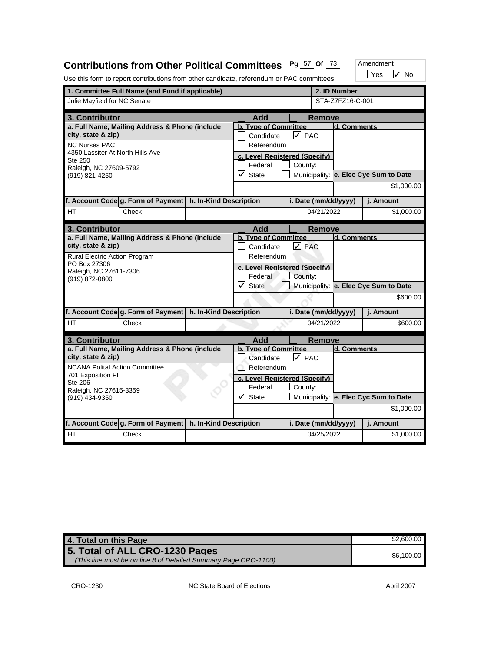## **Contributions from Other Political Committees Pg** <sup>57</sup> **Of** <sup>73</sup>

Amendment

|                                                            |                                                             |                        | Use this form to report contributions from other candidate, referendum or PAC committees |                      |                  | Yes<br><b>No</b>                      |
|------------------------------------------------------------|-------------------------------------------------------------|------------------------|------------------------------------------------------------------------------------------|----------------------|------------------|---------------------------------------|
|                                                            | 1. Committee Full Name (and Fund if applicable)             |                        |                                                                                          |                      | 2. ID Number     |                                       |
| Julie Mayfield for NC Senate                               |                                                             |                        |                                                                                          |                      | STA-Z7FZ16-C-001 |                                       |
| 3. Contributor                                             |                                                             |                        | <b>Add</b>                                                                               | Remove               |                  |                                       |
| city, state & zip)                                         | a. Full Name, Mailing Address & Phone (include              |                        | <b>b. Type of Committee</b><br>Candidate                                                 | $ v $ PAC            | d. Comments      |                                       |
| <b>NC Nurses PAC</b>                                       |                                                             |                        | Referendum                                                                               |                      |                  |                                       |
| 4350 Lassiter At North Hills Ave                           |                                                             |                        | c. Level Reaistered (Specify)                                                            |                      |                  |                                       |
| Ste 250<br>Raleigh, NC 27609-5792                          |                                                             |                        | Federal                                                                                  | County:              |                  |                                       |
| (919) 821-4250                                             |                                                             |                        | $\vert\mathcal{V}\vert$<br><b>State</b>                                                  |                      |                  | Municipality: e. Elec Cyc Sum to Date |
|                                                            |                                                             |                        |                                                                                          |                      |                  | \$1,000.00                            |
|                                                            | f. Account Code g. Form of Payment                          | h. In-Kind Description |                                                                                          | i. Date (mm/dd/yyyy) |                  | j. Amount                             |
| HT                                                         | Check                                                       |                        |                                                                                          | 04/21/2022           |                  | \$1,000.00                            |
| 3. Contributor                                             |                                                             |                        | Add                                                                                      | Remove               |                  |                                       |
|                                                            | a. Full Name, Mailing Address & Phone (include              |                        | b. Type of Committee                                                                     |                      | d. Comments      |                                       |
| city, state & zip)<br>Rural Electric Action Program        |                                                             |                        | Candidate                                                                                | $\triangledown$ PAC  |                  |                                       |
| PO Box 27306                                               |                                                             |                        | Referendum<br>c. Level Reaistered (Specify)                                              |                      |                  |                                       |
| Raleigh, NC 27611-7306<br>(919) 872-0800                   |                                                             |                        | Federal                                                                                  |                      |                  |                                       |
|                                                            |                                                             |                        |                                                                                          | County:              |                  |                                       |
|                                                            |                                                             |                        | $\vert\mathcal{V}\vert$<br><b>State</b>                                                  |                      |                  | Municipality: e. Elec Cyc Sum to Date |
|                                                            |                                                             |                        |                                                                                          |                      |                  | \$600.00                              |
|                                                            | f. Account Code g. Form of Payment   h. In-Kind Description |                        |                                                                                          | i. Date (mm/dd/yyyy) |                  | j. Amount                             |
| HТ                                                         | Check                                                       |                        |                                                                                          | 04/21/2022           |                  | \$600.00                              |
| 3. Contributor                                             |                                                             |                        | Add                                                                                      | <b>Remove</b>        |                  |                                       |
|                                                            | a. Full Name, Mailing Address & Phone (include              |                        | b. Type of Committee                                                                     |                      | d. Comments      |                                       |
| city, state & zip)                                         |                                                             |                        | Candidate                                                                                | $\overline{V}$ PAC   |                  |                                       |
| <b>NCANA Polital Action Committee</b><br>701 Exposition PI |                                                             |                        | Referendum                                                                               |                      |                  |                                       |
| <b>Ste 206</b>                                             |                                                             |                        | c. Level Reaistered (Specify)<br>Federal                                                 | County:              |                  |                                       |
| Raleigh, NC 27615-3359<br>(919) 434-9350                   |                                                             |                        | $\overline{\checkmark}$<br><b>State</b>                                                  |                      |                  | Municipality: e. Elec Cyc Sum to Date |
|                                                            |                                                             |                        |                                                                                          |                      |                  | \$1,000.00                            |
|                                                            | f. Account Code g. Form of Payment   h. In-Kind Description |                        |                                                                                          | i. Date (mm/dd/yyyy) |                  | j. Amount                             |

| 4. Total on this Page                                                                             | \$2,600.00 |
|---------------------------------------------------------------------------------------------------|------------|
| 5. Total of ALL CRO-1230 Pages<br>(This line must be on line 8 of Detailed Summary Page CRO-1100) | \$6.100.00 |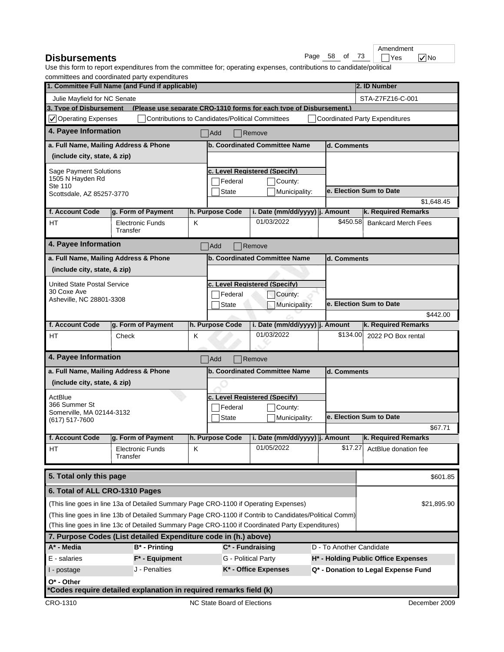| <b>Disbursements</b> | Page 58 of 73 |  |  |  | $\neg$ Yes |  |
|----------------------|---------------|--|--|--|------------|--|
|----------------------|---------------|--|--|--|------------|--|

|            |  |      | Am |
|------------|--|------|----|
| Page 58 of |  | - 73 |    |

Yes *V* No endment

|                                             | commutees and coordinated party experimentes<br>1. Committee Full Name (and Fund if applicable)        |   |                                                  |                                                                     |                          | 2. ID Number                          |  |  |
|---------------------------------------------|--------------------------------------------------------------------------------------------------------|---|--------------------------------------------------|---------------------------------------------------------------------|--------------------------|---------------------------------------|--|--|
| Julie Mayfield for NC Senate                |                                                                                                        |   |                                                  |                                                                     |                          | STA-Z7FZ16-C-001                      |  |  |
| 3. Type of Disbursement                     |                                                                                                        |   |                                                  | (Please use separate CRO-1310 forms for each type of Disbursement.) |                          |                                       |  |  |
| $\sqrt{\phantom{a}}$ Operating Expenses     |                                                                                                        |   | Contributions to Candidates/Political Committees |                                                                     |                          | <b>Coordinated Party Expenditures</b> |  |  |
| 4. Payee Information                        |                                                                                                        |   | Add                                              | $\sqrt{\mathsf{Remove}}$                                            |                          |                                       |  |  |
| a. Full Name, Mailing Address & Phone       |                                                                                                        |   |                                                  | b. Coordinated Committee Name                                       | d. Comments              |                                       |  |  |
| (include city, state, & zip)                |                                                                                                        |   |                                                  |                                                                     |                          |                                       |  |  |
| Sage Payment Solutions                      |                                                                                                        |   |                                                  | c. Level Reaistered (Specify)                                       |                          |                                       |  |  |
| 1505 N Hayden Rd<br>Ste 110                 |                                                                                                        |   | Federal                                          | County:                                                             |                          |                                       |  |  |
| Scottsdale, AZ 85257-3770                   |                                                                                                        |   | <b>State</b>                                     | Municipality:                                                       |                          | e. Election Sum to Date               |  |  |
|                                             |                                                                                                        |   |                                                  |                                                                     |                          | \$1,648.45                            |  |  |
| f. Account Code                             | g. Form of Payment                                                                                     |   | h. Purpose Code                                  | i. Date (mm/dd/yyyy) j. Amount                                      |                          | k. Required Remarks                   |  |  |
| <b>HT</b>                                   | <b>Electronic Funds</b><br>Transfer                                                                    | Κ |                                                  | 01/03/2022                                                          | \$450.58                 | <b>Bankcard Merch Fees</b>            |  |  |
| 4. Payee Information                        |                                                                                                        |   | Add                                              | Remove                                                              |                          |                                       |  |  |
| a. Full Name, Mailing Address & Phone       |                                                                                                        |   |                                                  | b. Coordinated Committee Name                                       | d. Comments              |                                       |  |  |
| (include city, state, & zip)                |                                                                                                        |   |                                                  |                                                                     |                          |                                       |  |  |
| <b>United State Postal Service</b>          |                                                                                                        |   |                                                  | c. Level Reaistered (Specify)                                       |                          |                                       |  |  |
| 30 Coxe Ave                                 |                                                                                                        |   | Federal                                          | County:                                                             |                          |                                       |  |  |
| Asheville, NC 28801-3308                    |                                                                                                        |   | <b>State</b>                                     | Municipality:                                                       |                          | e. Election Sum to Date               |  |  |
|                                             |                                                                                                        |   |                                                  |                                                                     |                          | \$442.00                              |  |  |
| f. Account Code                             | g. Form of Payment                                                                                     |   | h. Purpose Code                                  | i. Date (mm/dd/yyyy) j. Amount                                      |                          | k. Required Remarks                   |  |  |
| HТ                                          | Check                                                                                                  | Κ |                                                  | 01/03/2022                                                          | \$134.00                 | 2022 PO Box rental                    |  |  |
| 4. Payee Information                        |                                                                                                        |   | Add                                              | Remove                                                              |                          |                                       |  |  |
| a. Full Name, Mailing Address & Phone       |                                                                                                        |   |                                                  | b. Coordinated Committee Name                                       | d. Comments              |                                       |  |  |
| (include city, state, & zip)                |                                                                                                        |   |                                                  |                                                                     |                          |                                       |  |  |
| ActBlue                                     |                                                                                                        |   |                                                  | c. Level Reaistered (Specify)                                       |                          |                                       |  |  |
| 366 Summer St                               |                                                                                                        |   | Federal                                          | County:                                                             |                          |                                       |  |  |
| Somerville, MA 02144-3132<br>(617) 517-7600 |                                                                                                        |   | <b>State</b><br>Municipality:                    |                                                                     |                          | e. Election Sum to Date               |  |  |
|                                             |                                                                                                        |   |                                                  |                                                                     |                          | \$67.71                               |  |  |
| f. Account Code                             | g. Form of Payment                                                                                     |   | h. Purpose Code                                  | i. Date (mm/dd/yyyy) j. Amount                                      |                          | k. Required Remarks                   |  |  |
| HТ                                          | Electronic Funds<br>Transfer                                                                           | ĸ |                                                  | 01/05/2022                                                          | \$17.27                  | ActBlue donation fee                  |  |  |
| 5. Total only this page                     |                                                                                                        |   |                                                  |                                                                     |                          | \$601.85                              |  |  |
| 6. Total of ALL CRO-1310 Pages              |                                                                                                        |   |                                                  |                                                                     |                          |                                       |  |  |
|                                             | (This line goes in line 13a of Detailed Summary Page CRO-1100 if Operating Expenses)                   |   |                                                  |                                                                     |                          | \$21,895.90                           |  |  |
|                                             | (This line goes in line 13b of Detailed Summary Page CRO-1100 if Contrib to Candidates/Political Comm) |   |                                                  |                                                                     |                          |                                       |  |  |
|                                             | (This line goes in line 13c of Detailed Summary Page CRO-1100 if Coordinated Party Expenditures)       |   |                                                  |                                                                     |                          |                                       |  |  |
|                                             | 7. Purpose Codes (List detailed Expenditure code in (h.) above)                                        |   |                                                  |                                                                     |                          |                                       |  |  |
| A* - Media                                  | $B^*$ - Printing                                                                                       |   |                                                  | $C^*$ - Fundraising                                                 | D - To Another Candidate |                                       |  |  |
| E - salaries                                | $F^*$ - Equipment                                                                                      |   |                                                  | G - Political Party                                                 |                          | H* - Holding Public Office Expenses   |  |  |
| I - postage                                 | J - Penalties                                                                                          |   |                                                  | K* - Office Expenses                                                |                          | Q* - Donation to Legal Expense Fund   |  |  |
| $O^*$ - Other                               |                                                                                                        |   |                                                  |                                                                     |                          |                                       |  |  |
|                                             | *Codes require detailed explanation in required remarks field (k)                                      |   |                                                  |                                                                     |                          |                                       |  |  |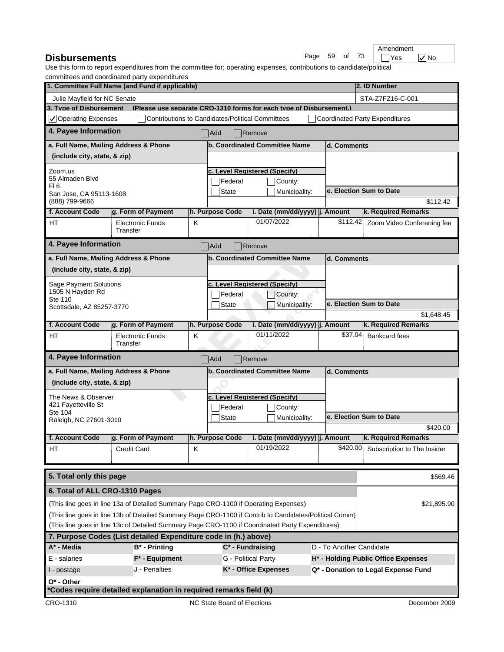| <b>Disbursements</b> |  |  |  | Page 59 of 73 | $\neg$ Yes |  |  |
|----------------------|--|--|--|---------------|------------|--|--|
|----------------------|--|--|--|---------------|------------|--|--|

|         |    |      | Am |
|---------|----|------|----|
| Page 59 | οf | - 73 |    |

Yes *V* No endment

|                                            | commutees and coordinated party experiditures                                                          |   |                                                  |                                          |                          |                                       |
|--------------------------------------------|--------------------------------------------------------------------------------------------------------|---|--------------------------------------------------|------------------------------------------|--------------------------|---------------------------------------|
|                                            | 1. Committee Full Name (and Fund if applicable)                                                        |   |                                                  |                                          |                          | 2. ID Number                          |
| Julie Mayfield for NC Senate               |                                                                                                        |   |                                                  |                                          |                          | STA-Z7FZ16-C-001                      |
|                                            | 3. Type of Disbursement (Please use separate CRO-1310 forms for each type of Disbursement.)            |   |                                                  |                                          |                          |                                       |
| $\sqrt{\phantom{a}}$ Operating Expenses    |                                                                                                        |   | Contributions to Candidates/Political Committees |                                          |                          | <b>Coordinated Party Expenditures</b> |
| 4. Payee Information                       |                                                                                                        |   | Add                                              | $\blacksquare$ Remove                    |                          |                                       |
| a. Full Name, Mailing Address & Phone      |                                                                                                        |   |                                                  | b. Coordinated Committee Name            | d. Comments              |                                       |
| (include city, state, & zip)               |                                                                                                        |   |                                                  |                                          |                          |                                       |
| Zoom.us                                    |                                                                                                        |   |                                                  | c. Level Reaistered (Specify)            |                          |                                       |
| 55 Almaden Blvd                            |                                                                                                        |   | Federal                                          | County:                                  |                          |                                       |
| FI <sub>6</sub><br>San Jose, CA 95113-1608 |                                                                                                        |   | <b>State</b>                                     | Municipality:                            |                          | e. Election Sum to Date               |
| (888) 799-9666                             |                                                                                                        |   |                                                  |                                          |                          | \$112.42                              |
| f. Account Code                            | g. Form of Payment                                                                                     |   | h. Purpose Code                                  | i. Date (mm/dd/yyyy) j. Amount           |                          | k. Required Remarks                   |
| HТ                                         | <b>Electronic Funds</b><br>Transfer                                                                    | Κ |                                                  | 01/07/2022                               | \$112.42                 | Zoom Video Conferening fee            |
| 4. Payee Information                       |                                                                                                        |   | Add                                              | Remove                                   |                          |                                       |
| a. Full Name, Mailing Address & Phone      |                                                                                                        |   |                                                  | b. Coordinated Committee Name            | d. Comments              |                                       |
| (include city, state, & zip)               |                                                                                                        |   |                                                  |                                          |                          |                                       |
|                                            |                                                                                                        |   |                                                  |                                          |                          |                                       |
| Sage Payment Solutions<br>1505 N Hayden Rd |                                                                                                        |   | Federal                                          | c. Level Reaistered (Specify)<br>County: |                          |                                       |
| Ste 110                                    |                                                                                                        |   | <b>State</b>                                     | Municipality:                            |                          | e. Election Sum to Date               |
| Scottsdale, AZ 85257-3770                  |                                                                                                        |   |                                                  |                                          |                          | \$1,648.45                            |
| f. Account Code                            | g. Form of Payment                                                                                     |   | h. Purpose Code                                  | i. Date (mm/dd/yyyy)  j. Amount          |                          | k. Required Remarks                   |
| <b>HT</b>                                  | <b>Electronic Funds</b>                                                                                | Κ |                                                  | 01/11/2022                               | \$37.04                  | <b>Bankcard fees</b>                  |
|                                            | Transfer                                                                                               |   |                                                  |                                          |                          |                                       |
| 4. Payee Information                       |                                                                                                        |   | Add                                              | Remove                                   |                          |                                       |
| a. Full Name, Mailing Address & Phone      |                                                                                                        |   |                                                  | b. Coordinated Committee Name            | d. Comments              |                                       |
| (include city, state, & zip)               |                                                                                                        |   |                                                  |                                          |                          |                                       |
| The News & Observer                        |                                                                                                        |   |                                                  | c. Level Reaistered (Specify)            |                          |                                       |
| 421 Fayetteville St                        |                                                                                                        |   | Federal                                          | County:                                  |                          |                                       |
| Ste 104<br>Raleigh, NC 27601-3010          |                                                                                                        |   | <b>State</b>                                     | Municipality:                            |                          | e. Election Sum to Date               |
|                                            |                                                                                                        |   |                                                  |                                          |                          | \$420.00                              |
| f. Account Code                            | g. Form of Payment                                                                                     |   | h. Purpose Code                                  | i. Date (mm/dd/yyyy) j. Amount           |                          | k. Required Remarks                   |
| НT                                         | Credit Card                                                                                            | κ |                                                  | 01/19/2022                               | \$420.00                 | Subscription to The Insider           |
|                                            |                                                                                                        |   |                                                  |                                          |                          |                                       |
| 5. Total only this page                    |                                                                                                        |   |                                                  |                                          |                          | \$569.46                              |
| 6. Total of ALL CRO-1310 Pages             |                                                                                                        |   |                                                  |                                          |                          |                                       |
|                                            | (This line goes in line 13a of Detailed Summary Page CRO-1100 if Operating Expenses)                   |   |                                                  |                                          |                          | \$21,895.90                           |
|                                            | (This line goes in line 13b of Detailed Summary Page CRO-1100 if Contrib to Candidates/Political Comm) |   |                                                  |                                          |                          |                                       |
|                                            | (This line goes in line 13c of Detailed Summary Page CRO-1100 if Coordinated Party Expenditures)       |   |                                                  |                                          |                          |                                       |
|                                            | 7. Purpose Codes (List detailed Expenditure code in (h.) above)                                        |   |                                                  |                                          |                          |                                       |
| A* - Media                                 | $B^*$ - Printing                                                                                       |   |                                                  | $C^*$ - Fundraising                      | D - To Another Candidate |                                       |
| E - salaries                               | $F^*$ - Equipment                                                                                      |   |                                                  | G - Political Party                      |                          | H* - Holding Public Office Expenses   |
| I - postage                                | J - Penalties                                                                                          |   |                                                  | K* - Office Expenses                     |                          | Q* - Donation to Legal Expense Fund   |
| $O^*$ - Other                              |                                                                                                        |   |                                                  |                                          |                          |                                       |
|                                            | *Codes require detailed explanation in required remarks field (k)                                      |   |                                                  |                                          |                          |                                       |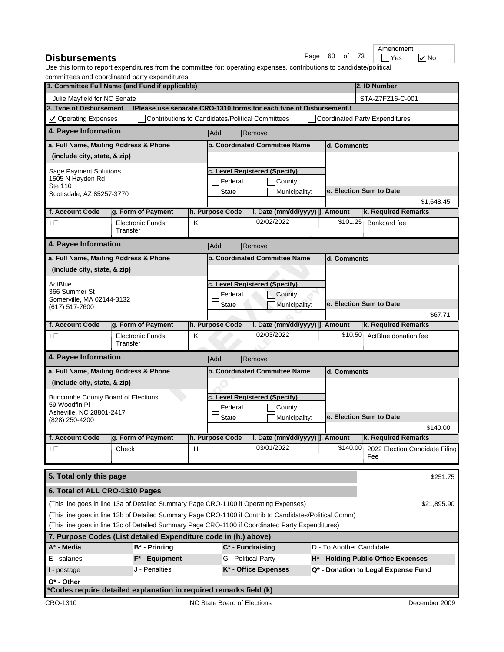| <b>Disbursements</b> | Page 60 |  |  | $\degree$ of 73 | $\neg$ Yes |  |
|----------------------|---------|--|--|-----------------|------------|--|
|----------------------|---------|--|--|-----------------|------------|--|

|            |  | An |
|------------|--|----|
| Page 60 of |  |    |

 $\overline{\phantom{a}}$   $\overline{\phantom{a}}$  Yes  $\overline{\phantom{a}}$  No Amendment

|                                                         | commutees and coordinated party experimentes<br>1. Committee Full Name (and Fund if applicable)        |   |                                                         |                                                                     |                          |             | 2. ID Number                          |
|---------------------------------------------------------|--------------------------------------------------------------------------------------------------------|---|---------------------------------------------------------|---------------------------------------------------------------------|--------------------------|-------------|---------------------------------------|
|                                                         |                                                                                                        |   |                                                         |                                                                     |                          |             |                                       |
| Julie Mayfield for NC Senate<br>3. Type of Disbursement |                                                                                                        |   |                                                         | (Please use separate CRO-1310 forms for each type of Disbursement.) |                          |             | STA-Z7FZ16-C-001                      |
| $\sqrt{}$ Operating Expenses                            |                                                                                                        |   | <b>Contributions to Candidates/Political Committees</b> |                                                                     |                          |             | <b>Coordinated Party Expenditures</b> |
| 4. Payee Information                                    |                                                                                                        |   |                                                         | $\sqrt{\mathsf{Remove}}$                                            |                          |             |                                       |
|                                                         |                                                                                                        |   | Add                                                     |                                                                     |                          |             |                                       |
|                                                         | a. Full Name, Mailing Address & Phone                                                                  |   |                                                         | b. Coordinated Committee Name                                       |                          | d. Comments |                                       |
| (include city, state, & zip)                            |                                                                                                        |   |                                                         |                                                                     |                          |             |                                       |
| Sage Payment Solutions                                  |                                                                                                        |   |                                                         | c. Level Reaistered (Specify)                                       |                          |             |                                       |
| 1505 N Hayden Rd<br>Ste 110                             |                                                                                                        |   | Federal                                                 | County:                                                             |                          |             |                                       |
| Scottsdale, AZ 85257-3770                               |                                                                                                        |   | <b>State</b>                                            | Municipality:                                                       |                          |             | e. Election Sum to Date               |
|                                                         |                                                                                                        |   |                                                         |                                                                     |                          |             | \$1,648.45                            |
| f. Account Code                                         | g. Form of Payment                                                                                     |   | h. Purpose Code                                         | i. Date (mm/dd/yyyy) j. Amount<br>02/02/2022                        |                          | \$101.25    | k. Required Remarks                   |
| <b>HT</b>                                               | <b>Electronic Funds</b><br>Transfer                                                                    | Κ |                                                         |                                                                     |                          |             | Bankcard fee                          |
| 4. Payee Information                                    |                                                                                                        |   | Add                                                     | Remove                                                              |                          |             |                                       |
|                                                         | a. Full Name, Mailing Address & Phone                                                                  |   |                                                         | b. Coordinated Committee Name                                       |                          | d. Comments |                                       |
| (include city, state, & zip)                            |                                                                                                        |   |                                                         |                                                                     |                          |             |                                       |
| ActBlue                                                 |                                                                                                        |   |                                                         | c. Level Reaistered (Specify)                                       |                          |             |                                       |
| 366 Summer St                                           |                                                                                                        |   | Federal                                                 | County:                                                             |                          |             |                                       |
| Somerville, MA 02144-3132                               |                                                                                                        |   | <b>State</b>                                            | Municipality:                                                       |                          |             | e. Election Sum to Date               |
| (617) 517-7600                                          |                                                                                                        |   |                                                         |                                                                     |                          |             | \$67.71                               |
| f. Account Code                                         | g. Form of Payment                                                                                     |   | h. Purpose Code                                         | i. Date (mm/dd/yyyy)  j. Amount                                     |                          |             | k. Required Remarks                   |
| HТ                                                      | <b>Electronic Funds</b><br>Transfer                                                                    | Κ |                                                         | 02/03/2022                                                          |                          | \$10.50     | ActBlue donation fee                  |
| 4. Payee Information                                    |                                                                                                        |   | Add                                                     | $\sqrt{\mathsf{Remove}}$                                            |                          |             |                                       |
|                                                         | a. Full Name, Mailing Address & Phone                                                                  |   |                                                         | b. Coordinated Committee Name                                       |                          | d. Comments |                                       |
| (include city, state, & zip)                            |                                                                                                        |   |                                                         |                                                                     |                          |             |                                       |
| <b>Buncombe County Board of Elections</b>               |                                                                                                        |   |                                                         | c. Level Reaistered (Specify)                                       |                          |             |                                       |
| 59 Woodfin Pl                                           |                                                                                                        |   | Federal                                                 | County:                                                             |                          |             |                                       |
| Asheville, NC 28801-2417<br>(828) 250-4200              |                                                                                                        |   | <b>State</b>                                            | Municipality:                                                       |                          |             | e. Election Sum to Date               |
|                                                         |                                                                                                        |   |                                                         |                                                                     |                          |             | \$140.00                              |
| f. Account Code                                         | g. Form of Payment                                                                                     |   | h. Purpose Code                                         | i. Date (mm/dd/yyyy)  j. Amount                                     |                          |             | k. Required Remarks                   |
| HТ                                                      | Check                                                                                                  | H |                                                         | 03/01/2022                                                          |                          | \$140.00    | 2022 Election Candidate Filing<br>Fee |
| 5. Total only this page                                 |                                                                                                        |   |                                                         |                                                                     |                          |             | \$251.75                              |
| 6. Total of ALL CRO-1310 Pages                          |                                                                                                        |   |                                                         |                                                                     |                          |             |                                       |
|                                                         | (This line goes in line 13a of Detailed Summary Page CRO-1100 if Operating Expenses)                   |   |                                                         |                                                                     |                          |             | \$21,895.90                           |
|                                                         | (This line goes in line 13b of Detailed Summary Page CRO-1100 if Contrib to Candidates/Political Comm) |   |                                                         |                                                                     |                          |             |                                       |
|                                                         | (This line goes in line 13c of Detailed Summary Page CRO-1100 if Coordinated Party Expenditures)       |   |                                                         |                                                                     |                          |             |                                       |
|                                                         | 7. Purpose Codes (List detailed Expenditure code in (h.) above)                                        |   |                                                         |                                                                     |                          |             |                                       |
| A* - Media                                              | $B^*$ - Printing                                                                                       |   |                                                         | $C^*$ - Fundraising                                                 | D - To Another Candidate |             |                                       |
| E - salaries                                            | $F^*$ - Equipment                                                                                      |   |                                                         | G - Political Party                                                 |                          |             | H* - Holding Public Office Expenses   |
| I - postage                                             | J - Penalties                                                                                          |   |                                                         | K* - Office Expenses                                                |                          |             | Q* - Donation to Legal Expense Fund   |
| $O^*$ - Other                                           |                                                                                                        |   |                                                         |                                                                     |                          |             |                                       |
|                                                         | *Codes require detailed explanation in required remarks field (k)                                      |   |                                                         |                                                                     |                          |             |                                       |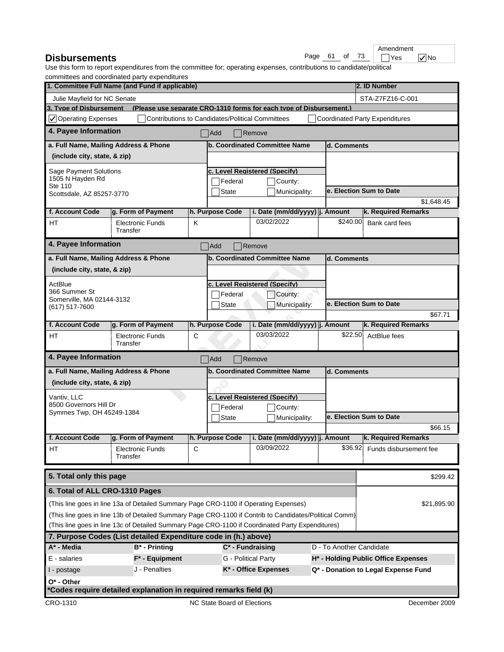| <b>Disbursements</b> |  |  |  | Page 61 of 73   $\vert$ | $\neg$ Yes |  |  |
|----------------------|--|--|--|-------------------------|------------|--|--|
|----------------------|--|--|--|-------------------------|------------|--|--|

|               |  | Am |
|---------------|--|----|
| Page 61 of 73 |  |    |

 $\Box$ Yes  $\bigtriangledown$ No **nendment** 

|                                                         | commutees and coordinated party experimentes<br>1. Committee Full Name (and Fund if applicable)        |   |                                                         |                                                                     |                          |          | 2. ID Number                          |
|---------------------------------------------------------|--------------------------------------------------------------------------------------------------------|---|---------------------------------------------------------|---------------------------------------------------------------------|--------------------------|----------|---------------------------------------|
|                                                         |                                                                                                        |   |                                                         |                                                                     |                          |          |                                       |
| Julie Mayfield for NC Senate<br>3. Type of Disbursement |                                                                                                        |   |                                                         | (Please use separate CRO-1310 forms for each type of Disbursement.) |                          |          | STA-Z7FZ16-C-001                      |
| $\sqrt{}$ Operating Expenses                            |                                                                                                        |   | <b>Contributions to Candidates/Political Committees</b> |                                                                     |                          |          | <b>Coordinated Party Expenditures</b> |
| 4. Payee Information                                    |                                                                                                        |   |                                                         |                                                                     |                          |          |                                       |
|                                                         |                                                                                                        |   | Add                                                     | $\sqrt{\mathsf{Remove}}$                                            |                          |          |                                       |
|                                                         | a. Full Name, Mailing Address & Phone                                                                  |   |                                                         | b. Coordinated Committee Name                                       | d. Comments              |          |                                       |
| (include city, state, & zip)                            |                                                                                                        |   |                                                         |                                                                     |                          |          |                                       |
| Sage Payment Solutions                                  |                                                                                                        |   |                                                         | c. Level Reaistered (Specify)                                       |                          |          |                                       |
| 1505 N Hayden Rd<br>Ste 110                             |                                                                                                        |   | Federal                                                 | County:                                                             |                          |          |                                       |
| Scottsdale, AZ 85257-3770                               |                                                                                                        |   | <b>State</b>                                            | Municipality:                                                       |                          |          | e. Election Sum to Date               |
|                                                         |                                                                                                        |   |                                                         |                                                                     |                          |          | \$1,648.45                            |
| f. Account Code                                         | g. Form of Payment                                                                                     |   | h. Purpose Code                                         | i. Date (mm/dd/yyyy) j. Amount                                      |                          |          | k. Required Remarks                   |
| <b>HT</b>                                               | <b>Electronic Funds</b><br>Transfer                                                                    | Κ |                                                         | 03/02/2022                                                          |                          | \$240.00 | Bank card fees                        |
| 4. Payee Information                                    |                                                                                                        |   | Add                                                     | Remove                                                              |                          |          |                                       |
|                                                         | a. Full Name, Mailing Address & Phone                                                                  |   |                                                         | b. Coordinated Committee Name                                       | d. Comments              |          |                                       |
| (include city, state, & zip)                            |                                                                                                        |   |                                                         |                                                                     |                          |          |                                       |
| ActBlue                                                 |                                                                                                        |   |                                                         | c. Level Reaistered (Specify)                                       |                          |          |                                       |
| 366 Summer St                                           |                                                                                                        |   | Federal                                                 | County:                                                             |                          |          |                                       |
| Somerville, MA 02144-3132                               |                                                                                                        |   | <b>State</b>                                            | Municipality:                                                       |                          |          | e. Election Sum to Date               |
| (617) 517-7600                                          |                                                                                                        |   |                                                         |                                                                     |                          |          | \$67.71                               |
| f. Account Code                                         | g. Form of Payment                                                                                     |   | h. Purpose Code                                         | i. Date (mm/dd/yyyy)  j. Amount                                     |                          |          | k. Required Remarks                   |
| HТ                                                      | <b>Electronic Funds</b><br>Transfer                                                                    | С |                                                         | 03/03/2022                                                          |                          | \$22.50  | ActBlue fees                          |
| 4. Payee Information                                    |                                                                                                        |   | Add                                                     | $\sqrt{\mathsf{Remove}}$                                            |                          |          |                                       |
|                                                         | a. Full Name, Mailing Address & Phone                                                                  |   |                                                         | b. Coordinated Committee Name                                       | d. Comments              |          |                                       |
| (include city, state, & zip)                            |                                                                                                        |   |                                                         |                                                                     |                          |          |                                       |
| Vantiv, LLC                                             |                                                                                                        |   |                                                         | c. Level Reaistered (Specify)                                       |                          |          |                                       |
| 8500 Governors Hill Dr                                  |                                                                                                        |   | Federal                                                 | County:                                                             |                          |          |                                       |
| Symmes Twp, OH 45249-1384                               |                                                                                                        |   | <b>State</b>                                            | Municipality:                                                       |                          |          | e. Election Sum to Date               |
|                                                         |                                                                                                        |   |                                                         |                                                                     |                          |          | \$66.15                               |
| f. Account Code                                         | g. Form of Payment                                                                                     |   | h. Purpose Code                                         | i. Date (mm/dd/yyyy)  j. Amount                                     |                          |          | k. Required Remarks                   |
| HТ                                                      | Electronic Funds<br>Transfer                                                                           | С |                                                         | 03/09/2022                                                          |                          | \$36.92  | Funds disbursement fee                |
| 5. Total only this page                                 |                                                                                                        |   |                                                         |                                                                     |                          |          | \$299.42                              |
| 6. Total of ALL CRO-1310 Pages                          |                                                                                                        |   |                                                         |                                                                     |                          |          |                                       |
|                                                         | (This line goes in line 13a of Detailed Summary Page CRO-1100 if Operating Expenses)                   |   |                                                         |                                                                     |                          |          | \$21,895.90                           |
|                                                         | (This line goes in line 13b of Detailed Summary Page CRO-1100 if Contrib to Candidates/Political Comm) |   |                                                         |                                                                     |                          |          |                                       |
|                                                         | (This line goes in line 13c of Detailed Summary Page CRO-1100 if Coordinated Party Expenditures)       |   |                                                         |                                                                     |                          |          |                                       |
|                                                         | 7. Purpose Codes (List detailed Expenditure code in (h.) above)                                        |   |                                                         |                                                                     |                          |          |                                       |
| A* - Media                                              | $B^*$ - Printing                                                                                       |   |                                                         | $C^*$ - Fundraising                                                 | D - To Another Candidate |          |                                       |
| E - salaries                                            | $F^*$ - Equipment                                                                                      |   |                                                         | G - Political Party                                                 |                          |          | H* - Holding Public Office Expenses   |
| I - postage                                             | J - Penalties                                                                                          |   |                                                         | K* - Office Expenses                                                |                          |          | Q* - Donation to Legal Expense Fund   |
| $O^*$ - Other                                           |                                                                                                        |   |                                                         |                                                                     |                          |          |                                       |
|                                                         | *Codes require detailed explanation in required remarks field (k)                                      |   |                                                         |                                                                     |                          |          |                                       |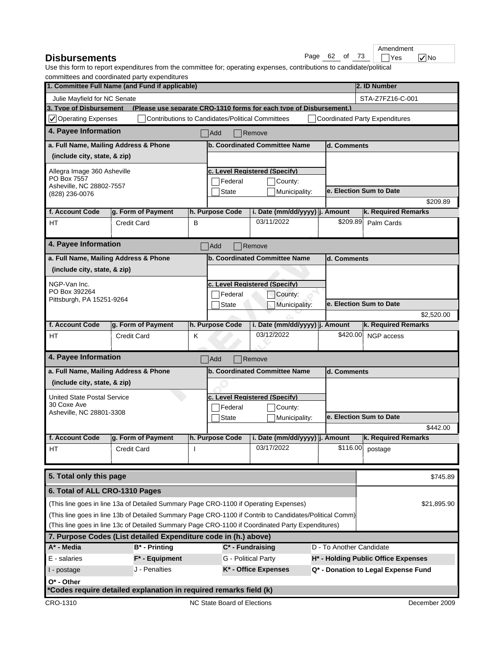| of 73<br>Page 62<br><b>Disbursements</b> | <sup>1</sup> Yes |
|------------------------------------------|------------------|
|------------------------------------------|------------------|

|      |    |    |    | Ame |
|------|----|----|----|-----|
| Page | 62 | Ωt | 73 |     |

 $\sqrt{\frac{1}{10}}$  Yes  $\sqrt{\frac{1}{10}}$  No endment

|                                                   | commutees and coordinated party experiditures<br>1. Committee Full Name (and Fund if applicable)       |   |                                                         |                                                                     |                          | 2. ID Number                          |
|---------------------------------------------------|--------------------------------------------------------------------------------------------------------|---|---------------------------------------------------------|---------------------------------------------------------------------|--------------------------|---------------------------------------|
|                                                   |                                                                                                        |   |                                                         |                                                                     |                          |                                       |
| Julie Mayfield for NC Senate                      |                                                                                                        |   |                                                         |                                                                     |                          | STA-Z7FZ16-C-001                      |
| 3. Tvpe of Disbursement                           |                                                                                                        |   |                                                         | (Please use separate CRO-1310 forms for each type of Disbursement.) |                          |                                       |
| $\sqrt{}$ Operating Expenses                      |                                                                                                        |   | <b>Contributions to Candidates/Political Committees</b> |                                                                     |                          | <b>Coordinated Party Expenditures</b> |
| 4. Payee Information                              |                                                                                                        |   | Add                                                     | <b>Remove</b>                                                       |                          |                                       |
|                                                   | a. Full Name, Mailing Address & Phone                                                                  |   |                                                         | b. Coordinated Committee Name                                       | d. Comments              |                                       |
| (include city, state, & zip)                      |                                                                                                        |   |                                                         |                                                                     |                          |                                       |
| Allegra Image 360 Asheville                       |                                                                                                        |   |                                                         | c. Level Registered (Specify)                                       |                          |                                       |
| PO Box 7557                                       |                                                                                                        |   | Federal                                                 | County:                                                             |                          |                                       |
| Asheville, NC 28802-7557<br>(828) 236-0076        |                                                                                                        |   | State                                                   | Municipality:                                                       |                          | e. Election Sum to Date               |
|                                                   |                                                                                                        |   |                                                         |                                                                     |                          | \$209.89                              |
| f. Account Code                                   | g. Form of Payment                                                                                     |   | h. Purpose Code                                         | i. Date (mm/dd/yyyy) j. Amount                                      |                          | k. Required Remarks                   |
| <b>HT</b>                                         | <b>Credit Card</b>                                                                                     | в |                                                         | 03/11/2022                                                          | \$209.89                 | Palm Cards                            |
| 4. Payee Information                              |                                                                                                        |   | Add                                                     | Remove                                                              |                          |                                       |
|                                                   | a. Full Name, Mailing Address & Phone                                                                  |   |                                                         | b. Coordinated Committee Name                                       | d. Comments              |                                       |
| (include city, state, & zip)                      |                                                                                                        |   |                                                         |                                                                     |                          |                                       |
|                                                   |                                                                                                        |   |                                                         |                                                                     |                          |                                       |
| NGP-Van Inc.<br>PO Box 392264                     |                                                                                                        |   |                                                         | c. Level Reaistered (Specify)                                       |                          |                                       |
| Pittsburgh, PA 15251-9264                         |                                                                                                        |   | Federal<br><b>State</b>                                 | County:<br>Municipality:                                            |                          | e. Election Sum to Date               |
|                                                   |                                                                                                        |   |                                                         |                                                                     |                          | \$2,520.00                            |
| f. Account Code                                   | g. Form of Payment                                                                                     |   | h. Purpose Code                                         | i. Date (mm/dd/yyyy) j. Amount                                      |                          | k. Required Remarks                   |
| HT                                                | <b>Credit Card</b>                                                                                     | K |                                                         | 03/12/2022                                                          | \$420.00                 | NGP access                            |
|                                                   |                                                                                                        |   |                                                         |                                                                     |                          |                                       |
| 4. Payee Information                              |                                                                                                        |   | Add                                                     | Remove                                                              |                          |                                       |
|                                                   | a. Full Name, Mailing Address & Phone                                                                  |   |                                                         | <b>b. Coordinated Committee Name</b>                                | d. Comments              |                                       |
| (include city, state, & zip)                      |                                                                                                        |   |                                                         |                                                                     |                          |                                       |
|                                                   |                                                                                                        |   |                                                         |                                                                     |                          |                                       |
| <b>United State Postal Service</b><br>30 Coxe Ave |                                                                                                        |   | Federal                                                 | c. Level Reaistered (Specify)<br>County:                            |                          |                                       |
| Asheville, NC 28801-3308                          |                                                                                                        |   | <b>State</b>                                            | Municipality:                                                       |                          | e. Election Sum to Date               |
|                                                   |                                                                                                        |   |                                                         |                                                                     |                          | \$442.00                              |
| f. Account Code                                   | g. Form of Payment                                                                                     |   | h. Purpose Code                                         | i. Date (mm/dd/yyyy)  j. Amount                                     |                          | k. Required Remarks                   |
| HT                                                | <b>Credit Card</b>                                                                                     |   |                                                         | 03/17/2022                                                          | \$116.00                 | postage                               |
|                                                   |                                                                                                        |   |                                                         |                                                                     |                          |                                       |
| 5. Total only this page                           |                                                                                                        |   |                                                         |                                                                     |                          | \$745.89                              |
| 6. Total of ALL CRO-1310 Pages                    |                                                                                                        |   |                                                         |                                                                     |                          |                                       |
|                                                   | (This line goes in line 13a of Detailed Summary Page CRO-1100 if Operating Expenses)                   |   |                                                         |                                                                     |                          | \$21,895.90                           |
|                                                   | (This line goes in line 13b of Detailed Summary Page CRO-1100 if Contrib to Candidates/Political Comm) |   |                                                         |                                                                     |                          |                                       |
|                                                   | (This line goes in line 13c of Detailed Summary Page CRO-1100 if Coordinated Party Expenditures)       |   |                                                         |                                                                     |                          |                                       |
|                                                   | 7. Purpose Codes (List detailed Expenditure code in (h.) above)                                        |   |                                                         |                                                                     |                          |                                       |
| A* - Media                                        | $B^*$ - Printing                                                                                       |   |                                                         | $C^*$ - Fundraising                                                 | D - To Another Candidate |                                       |
| E - salaries                                      | $F^*$ - Equipment                                                                                      |   |                                                         | G - Political Party                                                 |                          | H* - Holding Public Office Expenses   |
| I - postage                                       | J - Penalties                                                                                          |   |                                                         | K* - Office Expenses                                                |                          | Q* - Donation to Legal Expense Fund   |
| $O^*$ - Other                                     |                                                                                                        |   |                                                         |                                                                     |                          |                                       |
|                                                   | *Codes require detailed explanation in required remarks field (k)                                      |   |                                                         |                                                                     |                          |                                       |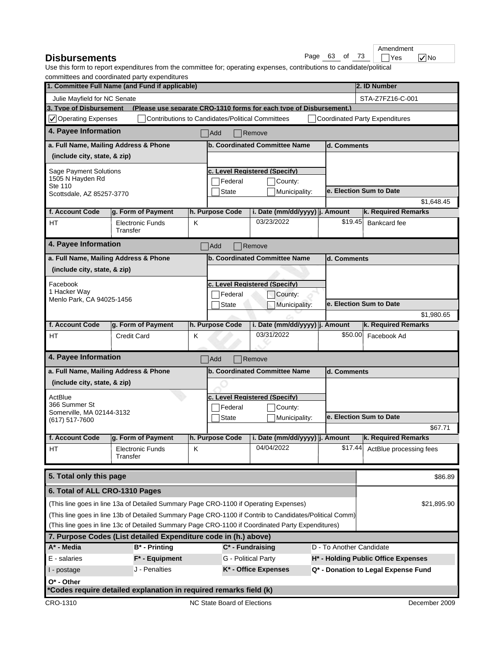| Page 63<br><b>Disbursements</b> |  | of 73 | <sup>1</sup> Yes |
|---------------------------------|--|-------|------------------|
|---------------------------------|--|-------|------------------|

|               |  | Ame          |
|---------------|--|--------------|
| Page 63 of 73 |  | $\mathbf{I}$ |

 $Yes$   $VNo$ endment

| commutees and coordinated party experientates<br>1. Committee Full Name (and Fund if applicable)<br>2. ID Number |                                                                                                        |   |                                                         |                                                                     |                          |         |                                       |
|------------------------------------------------------------------------------------------------------------------|--------------------------------------------------------------------------------------------------------|---|---------------------------------------------------------|---------------------------------------------------------------------|--------------------------|---------|---------------------------------------|
| Julie Mayfield for NC Senate                                                                                     |                                                                                                        |   |                                                         |                                                                     |                          |         | STA-Z7FZ16-C-001                      |
| 3. Type of Disbursement                                                                                          |                                                                                                        |   |                                                         | (Please use separate CRO-1310 forms for each type of Disbursement.) |                          |         |                                       |
| $\sqrt{\phantom{a}}$ Operating Expenses                                                                          |                                                                                                        |   | <b>Contributions to Candidates/Political Committees</b> |                                                                     |                          |         | <b>Coordinated Party Expenditures</b> |
| 4. Payee Information                                                                                             |                                                                                                        |   | Add                                                     | $\sqrt{\mathsf{Remove}}$                                            |                          |         |                                       |
| a. Full Name, Mailing Address & Phone                                                                            |                                                                                                        |   |                                                         | b. Coordinated Committee Name                                       | d. Comments              |         |                                       |
| (include city, state, & zip)                                                                                     |                                                                                                        |   |                                                         |                                                                     |                          |         |                                       |
| Sage Payment Solutions                                                                                           |                                                                                                        |   |                                                         | c. Level Reaistered (Specify)                                       |                          |         |                                       |
| 1505 N Hayden Rd                                                                                                 |                                                                                                        |   | Federal                                                 | County:                                                             |                          |         |                                       |
| Ste 110<br>Scottsdale, AZ 85257-3770                                                                             |                                                                                                        |   | <b>State</b>                                            | Municipality:                                                       |                          |         | e. Election Sum to Date               |
|                                                                                                                  |                                                                                                        |   |                                                         |                                                                     |                          |         | \$1,648.45                            |
| f. Account Code                                                                                                  | g. Form of Payment                                                                                     |   | h. Purpose Code                                         | i. Date (mm/dd/yyyy)  j. Amount                                     |                          |         | k. Required Remarks                   |
| HT                                                                                                               | <b>Electronic Funds</b><br>Transfer                                                                    | K |                                                         | 03/23/2022                                                          |                          | \$19.45 | Bankcard fee                          |
| 4. Payee Information                                                                                             |                                                                                                        |   | Add                                                     | $\blacksquare$ Remove                                               |                          |         |                                       |
| a. Full Name, Mailing Address & Phone                                                                            |                                                                                                        |   |                                                         | b. Coordinated Committee Name                                       | d. Comments              |         |                                       |
| (include city, state, & zip)                                                                                     |                                                                                                        |   |                                                         |                                                                     |                          |         |                                       |
| Facebook                                                                                                         |                                                                                                        |   |                                                         | c. Level Reaistered (Specify)                                       |                          |         |                                       |
| 1 Hacker Way                                                                                                     |                                                                                                        |   | Federal                                                 | County:                                                             |                          |         |                                       |
| Menlo Park, CA 94025-1456<br><b>State</b><br>Municipality:                                                       |                                                                                                        |   |                                                         |                                                                     | e. Election Sum to Date  |         |                                       |
|                                                                                                                  |                                                                                                        |   |                                                         |                                                                     |                          |         | \$1,980.65                            |
| f. Account Code                                                                                                  | g. Form of Payment                                                                                     |   | h. Purpose Code                                         | i. Date (mm/dd/yyyy)  j. Amount                                     |                          |         | k. Required Remarks                   |
| <b>HT</b>                                                                                                        | <b>Credit Card</b>                                                                                     | Κ |                                                         | 03/31/2022                                                          |                          | \$50.00 | Facebook Ad                           |
|                                                                                                                  |                                                                                                        |   |                                                         |                                                                     |                          |         |                                       |
| 4. Payee Information                                                                                             |                                                                                                        |   | Add                                                     | Remove                                                              |                          |         |                                       |
| a. Full Name, Mailing Address & Phone                                                                            |                                                                                                        |   |                                                         | b. Coordinated Committee Name                                       | d. Comments              |         |                                       |
| (include city, state, & zip)                                                                                     |                                                                                                        |   |                                                         |                                                                     |                          |         |                                       |
| ActBlue                                                                                                          |                                                                                                        |   |                                                         | c. Level Reaistered (Specify)                                       |                          |         |                                       |
| 366 Summer St                                                                                                    |                                                                                                        |   | Federal                                                 | County:                                                             |                          |         |                                       |
| Somerville, MA 02144-3132<br>(617) 517-7600                                                                      |                                                                                                        |   | <b>State</b>                                            | Municipality:                                                       |                          |         | e. Election Sum to Date               |
|                                                                                                                  |                                                                                                        |   |                                                         |                                                                     |                          |         | \$67.71                               |
| f. Account Code                                                                                                  | g. Form of Payment                                                                                     |   | h. Purpose Code                                         | i. Date (mm/dd/yyyy) j. Amount                                      |                          |         | k. Required Remarks                   |
| HT                                                                                                               | <b>Electronic Funds</b><br>Transfer                                                                    | Κ |                                                         | 04/04/2022                                                          |                          | \$17.44 | ActBlue processing fees               |
| 5. Total only this page                                                                                          |                                                                                                        |   |                                                         |                                                                     |                          |         | \$86.89                               |
| 6. Total of ALL CRO-1310 Pages                                                                                   |                                                                                                        |   |                                                         |                                                                     |                          |         |                                       |
|                                                                                                                  | (This line goes in line 13a of Detailed Summary Page CRO-1100 if Operating Expenses)                   |   |                                                         |                                                                     |                          |         | \$21,895.90                           |
|                                                                                                                  | (This line goes in line 13b of Detailed Summary Page CRO-1100 if Contrib to Candidates/Political Comm) |   |                                                         |                                                                     |                          |         |                                       |
|                                                                                                                  | (This line goes in line 13c of Detailed Summary Page CRO-1100 if Coordinated Party Expenditures)       |   |                                                         |                                                                     |                          |         |                                       |
|                                                                                                                  | 7. Purpose Codes (List detailed Expenditure code in (h.) above)                                        |   |                                                         |                                                                     |                          |         |                                       |
| A* - Media                                                                                                       | B* - Printing                                                                                          |   |                                                         | $C^*$ - Fundraising                                                 | D - To Another Candidate |         |                                       |
| E - salaries                                                                                                     | $F^*$ - Equipment                                                                                      |   |                                                         | G - Political Party                                                 |                          |         | H* - Holding Public Office Expenses   |
| I - postage                                                                                                      | J - Penalties                                                                                          |   |                                                         | K* - Office Expenses                                                |                          |         | Q* - Donation to Legal Expense Fund   |
| $O^*$ - Other                                                                                                    |                                                                                                        |   |                                                         |                                                                     |                          |         |                                       |
|                                                                                                                  | *Codes require detailed explanation in required remarks field (k)                                      |   |                                                         |                                                                     |                          |         |                                       |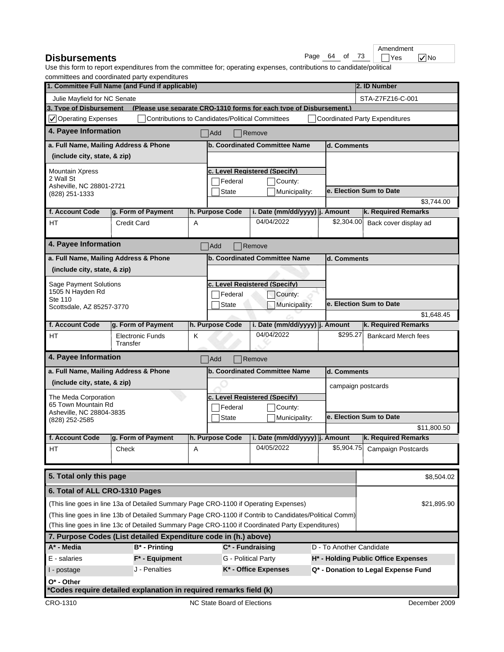| <b>Disbursements</b> |  |  |  | Page 64 of 73 |  | <b>TYes</b> | $\sqrt{}$ No |  |
|----------------------|--|--|--|---------------|--|-------------|--------------|--|
|----------------------|--|--|--|---------------|--|-------------|--------------|--|

|      |    | Amendment                |
|------|----|--------------------------|
| Pane | ∩f | $\overline{\mathcal{L}}$ |

|                                                         | commutees and coordinated party experiditures<br>1. Committee Full Name (and Fund if applicable)       |   |                                                         |                                                                     |                          | 2. ID Number                          |
|---------------------------------------------------------|--------------------------------------------------------------------------------------------------------|---|---------------------------------------------------------|---------------------------------------------------------------------|--------------------------|---------------------------------------|
|                                                         |                                                                                                        |   |                                                         |                                                                     |                          |                                       |
| Julie Mayfield for NC Senate<br>3. Tvpe of Disbursement |                                                                                                        |   |                                                         | (Please use separate CRO-1310 forms for each type of Disbursement.) |                          | STA-Z7FZ16-C-001                      |
| $\sqrt{}$ Operating Expenses                            |                                                                                                        |   | <b>Contributions to Candidates/Political Committees</b> |                                                                     |                          | <b>Coordinated Party Expenditures</b> |
| 4. Payee Information                                    |                                                                                                        |   |                                                         |                                                                     |                          |                                       |
|                                                         |                                                                                                        |   | Add                                                     | Remove                                                              |                          |                                       |
| a. Full Name, Mailing Address & Phone                   |                                                                                                        |   |                                                         | b. Coordinated Committee Name                                       | d. Comments              |                                       |
| (include city, state, & zip)                            |                                                                                                        |   |                                                         |                                                                     |                          |                                       |
| <b>Mountain Xpress</b>                                  |                                                                                                        |   |                                                         | c. Level Reaistered (Specify)                                       |                          |                                       |
| 2 Wall St<br>Asheville, NC 28801-2721                   |                                                                                                        |   | Federal                                                 | County:                                                             |                          |                                       |
| (828) 251-1333                                          |                                                                                                        |   | <b>State</b>                                            | Municipality:                                                       |                          | e. Election Sum to Date               |
|                                                         |                                                                                                        |   |                                                         |                                                                     |                          | \$3,744.00                            |
| f. Account Code                                         | g. Form of Payment                                                                                     |   | h. Purpose Code                                         | i. Date (mm/dd/yyyy)   j. Amount                                    |                          | k. Required Remarks                   |
| <b>HT</b>                                               | <b>Credit Card</b>                                                                                     | Α |                                                         | 04/04/2022                                                          | \$2,304.00               | Back cover display ad                 |
| 4. Payee Information                                    |                                                                                                        |   | Add                                                     | Remove                                                              |                          |                                       |
|                                                         | a. Full Name, Mailing Address & Phone                                                                  |   |                                                         | <b>b. Coordinated Committee Name</b>                                | d. Comments              |                                       |
| (include city, state, & zip)                            |                                                                                                        |   |                                                         |                                                                     |                          |                                       |
|                                                         |                                                                                                        |   |                                                         |                                                                     |                          |                                       |
| <b>Sage Payment Solutions</b><br>1505 N Hayden Rd       |                                                                                                        |   |                                                         | c. Level Reaistered (Specify)                                       |                          |                                       |
| Ste 110                                                 |                                                                                                        |   | Federal                                                 | County:                                                             |                          | e. Election Sum to Date               |
| Scottsdale, AZ 85257-3770                               |                                                                                                        |   | <b>State</b>                                            | Municipality:                                                       |                          | \$1,648.45                            |
| f. Account Code                                         | g. Form of Payment                                                                                     |   | h. Purpose Code                                         | i. Date (mm/dd/yyyy)  j. Amount                                     |                          | k. Required Remarks                   |
| HТ                                                      | <b>Electronic Funds</b>                                                                                | Κ |                                                         | 04/04/2022                                                          | \$295.27                 | <b>Bankcard Merch fees</b>            |
|                                                         | Transfer                                                                                               |   |                                                         |                                                                     |                          |                                       |
| 4. Payee Information                                    |                                                                                                        |   | Add                                                     | Remove                                                              |                          |                                       |
|                                                         | a. Full Name, Mailing Address & Phone                                                                  |   |                                                         | <b>b. Coordinated Committee Name</b>                                | d. Comments              |                                       |
| (include city, state, & zip)                            |                                                                                                        |   |                                                         |                                                                     | campaign postcards       |                                       |
| The Meda Corporation                                    |                                                                                                        |   |                                                         | c. Level Reaistered (Specify)                                       |                          |                                       |
| 65 Town Mountain Rd                                     |                                                                                                        |   | Federal                                                 | County:                                                             |                          |                                       |
| Asheville, NC 28804-3835<br>(828) 252-2585              |                                                                                                        |   | <b>State</b>                                            | Municipality:                                                       |                          | e. Election Sum to Date               |
|                                                         |                                                                                                        |   |                                                         |                                                                     |                          | \$11,800.50                           |
| f. Account Code                                         | g. Form of Payment                                                                                     |   | h. Purpose Code                                         | i. Date (mm/dd/yyyy)  j. Amount                                     |                          | k. Required Remarks                   |
| HТ                                                      | Check                                                                                                  | A |                                                         | 04/05/2022                                                          |                          | \$5,904.75 Campaign Postcards         |
|                                                         |                                                                                                        |   |                                                         |                                                                     |                          |                                       |
| 5. Total only this page                                 |                                                                                                        |   |                                                         |                                                                     |                          | \$8,504.02                            |
| 6. Total of ALL CRO-1310 Pages                          |                                                                                                        |   |                                                         |                                                                     |                          |                                       |
|                                                         | (This line goes in line 13a of Detailed Summary Page CRO-1100 if Operating Expenses)                   |   |                                                         |                                                                     |                          | \$21,895.90                           |
|                                                         | (This line goes in line 13b of Detailed Summary Page CRO-1100 if Contrib to Candidates/Political Comm) |   |                                                         |                                                                     |                          |                                       |
|                                                         | (This line goes in line 13c of Detailed Summary Page CRO-1100 if Coordinated Party Expenditures)       |   |                                                         |                                                                     |                          |                                       |
|                                                         | 7. Purpose Codes (List detailed Expenditure code in (h.) above)                                        |   |                                                         |                                                                     |                          |                                       |
| A* - Media                                              | $B^*$ - Printing                                                                                       |   |                                                         | $C^*$ - Fundraising                                                 | D - To Another Candidate |                                       |
| E - salaries                                            | $F^*$ - Equipment                                                                                      |   |                                                         | G - Political Party                                                 |                          | H* - Holding Public Office Expenses   |
| I - postage                                             | J - Penalties                                                                                          |   |                                                         | K* - Office Expenses                                                |                          | Q* - Donation to Legal Expense Fund   |
| $O^*$ - Other                                           |                                                                                                        |   |                                                         |                                                                     |                          |                                       |
|                                                         | *Codes require detailed explanation in required remarks field (k)                                      |   |                                                         |                                                                     |                          |                                       |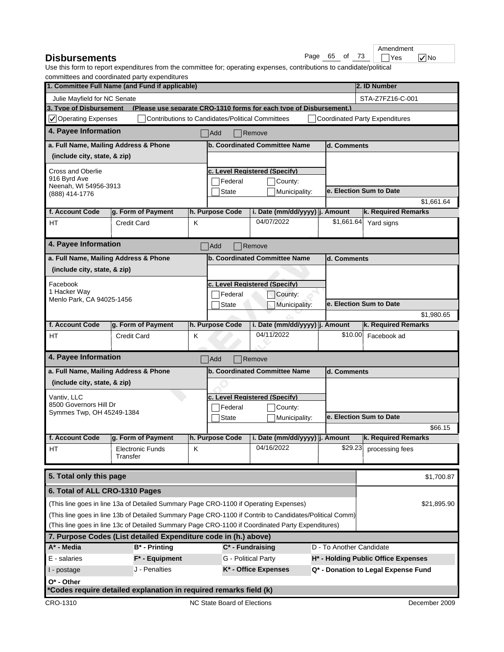| <b>Disbursements</b> |  |  |  | Page 65 of 73 | $\neg$ Yes |  |  |
|----------------------|--|--|--|---------------|------------|--|--|
|----------------------|--|--|--|---------------|------------|--|--|

|            |  |      | Am |
|------------|--|------|----|
| Page 65 of |  | - 73 |    |

 $\Box$ Yes  $\bigtriangledown$ No **nendment** 

| committees and coordinated party experientates<br>1. Committee Full Name (and Fund if applicable)      |   |                                                         |                                                                     |             | 2. ID Number                          |  |  |
|--------------------------------------------------------------------------------------------------------|---|---------------------------------------------------------|---------------------------------------------------------------------|-------------|---------------------------------------|--|--|
| Julie Mayfield for NC Senate                                                                           |   |                                                         |                                                                     |             | STA-Z7FZ16-C-001                      |  |  |
| 3. Tvpe of Disbursement                                                                                |   |                                                         | (Please use separate CRO-1310 forms for each type of Disbursement.) |             |                                       |  |  |
| $\vee$ Operating Expenses                                                                              |   | <b>Contributions to Candidates/Political Committees</b> |                                                                     |             | <b>Coordinated Party Expenditures</b> |  |  |
| 4. Payee Information                                                                                   |   | Add                                                     | Remove                                                              |             |                                       |  |  |
| a. Full Name, Mailing Address & Phone                                                                  |   |                                                         | b. Coordinated Committee Name                                       | d. Comments |                                       |  |  |
| (include city, state, & zip)                                                                           |   |                                                         |                                                                     |             |                                       |  |  |
| Cross and Oberlie                                                                                      |   |                                                         | c. Level Reaistered (Specifv)                                       |             |                                       |  |  |
| 916 Byrd Ave                                                                                           |   | Federal                                                 | County:                                                             |             |                                       |  |  |
| Neenah, WI 54956-3913                                                                                  |   | <b>State</b>                                            | Municipality:                                                       |             | e. Election Sum to Date               |  |  |
| (888) 414-1776                                                                                         |   |                                                         |                                                                     |             | \$1,661.64                            |  |  |
| f. Account Code<br>g. Form of Payment                                                                  |   | h. Purpose Code                                         | i. Date (mm/dd/yyyy)  j. Amount                                     |             | k. Required Remarks                   |  |  |
| <b>HT</b><br><b>Credit Card</b>                                                                        | K |                                                         | 04/07/2022                                                          | \$1,661.64  | Yard signs                            |  |  |
| 4. Payee Information                                                                                   |   | Add                                                     | Remove                                                              |             |                                       |  |  |
| a. Full Name, Mailing Address & Phone                                                                  |   |                                                         | b. Coordinated Committee Name                                       | d. Comments |                                       |  |  |
| (include city, state, & zip)                                                                           |   |                                                         |                                                                     |             |                                       |  |  |
|                                                                                                        |   |                                                         |                                                                     |             |                                       |  |  |
| Facebook<br>1 Hacker Way                                                                               |   |                                                         | c. Level Reaistered (Specify)                                       |             |                                       |  |  |
| Menlo Park, CA 94025-1456                                                                              |   | Federal                                                 | County:                                                             |             |                                       |  |  |
|                                                                                                        |   | <b>State</b>                                            | Municipality:                                                       |             | e. Election Sum to Date               |  |  |
|                                                                                                        |   |                                                         |                                                                     |             | \$1,980.65                            |  |  |
| f. Account Code<br>g. Form of Payment                                                                  |   | h. Purpose Code                                         | i. Date (mm/dd/yyyy)  j. Amount<br>04/11/2022                       | \$10.00     | k. Required Remarks                   |  |  |
| HT<br><b>Credit Card</b>                                                                               | Κ |                                                         |                                                                     |             | Facebook ad                           |  |  |
| 4. Payee Information                                                                                   |   | Add                                                     | Remove                                                              |             |                                       |  |  |
| a. Full Name, Mailing Address & Phone                                                                  |   |                                                         | b. Coordinated Committee Name                                       | d. Comments |                                       |  |  |
| (include city, state, & zip)                                                                           |   |                                                         |                                                                     |             |                                       |  |  |
| Vantiv, LLC                                                                                            |   |                                                         | c. Level Reaistered (Specify)                                       |             |                                       |  |  |
| 8500 Governors Hill Dr                                                                                 |   | Federal                                                 | County:                                                             |             |                                       |  |  |
| Symmes Twp, OH 45249-1384                                                                              |   | <b>State</b>                                            | Municipality:                                                       |             | e. Election Sum to Date               |  |  |
|                                                                                                        |   |                                                         |                                                                     |             | \$66.15                               |  |  |
| f. Account Code<br>g. Form of Payment                                                                  |   | h. Purpose Code                                         | i. Date (mm/dd/yyyy)   j. Amount                                    |             | k. Required Remarks                   |  |  |
| <b>Electronic Funds</b><br>HT                                                                          | Κ |                                                         | 04/16/2022                                                          |             | \$29.23 processing fees               |  |  |
| Transfer                                                                                               |   |                                                         |                                                                     |             |                                       |  |  |
| 5. Total only this page                                                                                |   |                                                         |                                                                     |             | \$1,700.87                            |  |  |
| 6. Total of ALL CRO-1310 Pages                                                                         |   |                                                         |                                                                     |             |                                       |  |  |
| (This line goes in line 13a of Detailed Summary Page CRO-1100 if Operating Expenses)                   |   |                                                         |                                                                     |             | \$21,895.90                           |  |  |
| (This line goes in line 13b of Detailed Summary Page CRO-1100 if Contrib to Candidates/Political Comm) |   |                                                         |                                                                     |             |                                       |  |  |
| (This line goes in line 13c of Detailed Summary Page CRO-1100 if Coordinated Party Expenditures)       |   |                                                         |                                                                     |             |                                       |  |  |
| 7. Purpose Codes (List detailed Expenditure code in (h.) above)                                        |   |                                                         |                                                                     |             |                                       |  |  |
| A* - Media<br><b>B*</b> - Printing                                                                     |   | $C^*$ - Fundraising                                     |                                                                     |             | D - To Another Candidate              |  |  |
| E - salaries<br>$F^*$ - Equipment                                                                      |   |                                                         | G - Political Party                                                 |             | H* - Holding Public Office Expenses   |  |  |
| J - Penalties<br>I - postage                                                                           |   |                                                         | K* - Office Expenses                                                |             | Q* - Donation to Legal Expense Fund   |  |  |
| $O^*$ - Other                                                                                          |   |                                                         |                                                                     |             |                                       |  |  |
| *Codes require detailed explanation in required remarks field (k)                                      |   |                                                         |                                                                     |             |                                       |  |  |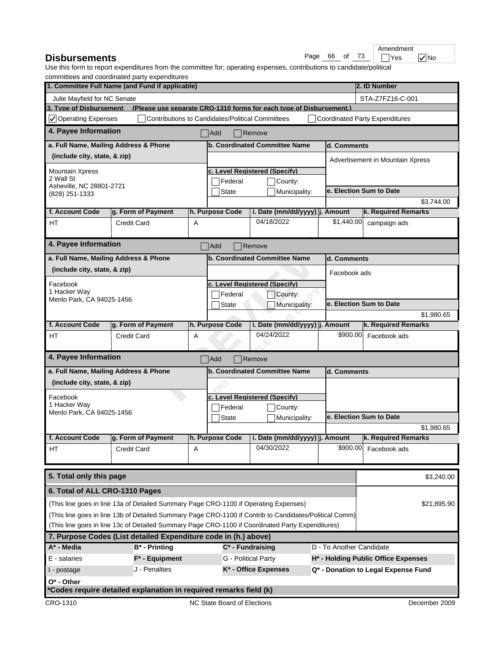| <b>Disbursements</b><br>Paɑe | 66 of 73 | <b>TYes</b> | $\sqrt{}$ No |
|------------------------------|----------|-------------|--------------|
|------------------------------|----------|-------------|--------------|

|      |    |  | Amendment |
|------|----|--|-----------|
| Pane | 66 |  |           |

|                                                         | committees and coordinated party expenditures<br>1. Committee Full Name (and Fund if applicable)       |   |                                                         |                                                                     |                          | 2. ID Number                          |  |  |
|---------------------------------------------------------|--------------------------------------------------------------------------------------------------------|---|---------------------------------------------------------|---------------------------------------------------------------------|--------------------------|---------------------------------------|--|--|
|                                                         |                                                                                                        |   |                                                         |                                                                     |                          | STA-Z7FZ16-C-001                      |  |  |
| Julie Mayfield for NC Senate<br>3. Type of Disbursement |                                                                                                        |   |                                                         | (Please use separate CRO-1310 forms for each type of Disbursement.) |                          |                                       |  |  |
| $\sqrt{}$ Operating Expenses                            |                                                                                                        |   | <b>Contributions to Candidates/Political Committees</b> |                                                                     |                          | <b>Coordinated Party Expenditures</b> |  |  |
| 4. Payee Information                                    |                                                                                                        |   | Add                                                     | Remove                                                              |                          |                                       |  |  |
|                                                         | a. Full Name, Mailing Address & Phone                                                                  |   |                                                         | b. Coordinated Committee Name                                       | d. Comments              |                                       |  |  |
| (include city, state, & zip)                            |                                                                                                        |   |                                                         |                                                                     |                          | Advertisement in Mountain Xpress      |  |  |
| <b>Mountain Xpress</b>                                  |                                                                                                        |   |                                                         | c. Level Reaistered (Specify)                                       |                          |                                       |  |  |
| 2 Wall St                                               |                                                                                                        |   | Federal                                                 | County:                                                             |                          |                                       |  |  |
| Asheville, NC 28801-2721<br>(828) 251-1333              |                                                                                                        |   | <b>State</b>                                            | Municipality:                                                       |                          | e. Election Sum to Date               |  |  |
|                                                         |                                                                                                        |   |                                                         |                                                                     |                          | \$3,744.00                            |  |  |
| f. Account Code                                         | g. Form of Payment                                                                                     |   | h. Purpose Code                                         | i. Date (mm/dd/yyyy)  j. Amount                                     |                          | k. Required Remarks                   |  |  |
| <b>HT</b>                                               | <b>Credit Card</b>                                                                                     | A |                                                         | 04/18/2022                                                          | \$1,440.00               | campaign ads                          |  |  |
| 4. Payee Information                                    |                                                                                                        |   | Add                                                     | $\sqrt{\mathsf{Remove}}$                                            |                          |                                       |  |  |
|                                                         | a. Full Name, Mailing Address & Phone                                                                  |   |                                                         | b. Coordinated Committee Name                                       | d. Comments              |                                       |  |  |
| (include city, state, & zip)                            |                                                                                                        |   |                                                         |                                                                     | Facebook ads             |                                       |  |  |
| Facebook                                                |                                                                                                        |   |                                                         | c. Level Reaistered (Specify)                                       |                          |                                       |  |  |
| 1 Hacker Way                                            |                                                                                                        |   | Federal                                                 | County:                                                             |                          |                                       |  |  |
| Menlo Park, CA 94025-1456                               |                                                                                                        |   | State                                                   | Municipality:                                                       |                          | e. Election Sum to Date               |  |  |
|                                                         |                                                                                                        |   |                                                         |                                                                     |                          | \$1,980.65                            |  |  |
| f. Account Code                                         | g. Form of Payment                                                                                     |   | h. Purpose Code                                         | i. Date (mm/dd/yyyy) j. Amount                                      |                          | k. Required Remarks                   |  |  |
| HT                                                      | <b>Credit Card</b>                                                                                     | Α |                                                         | 04/24/2022                                                          | \$900.00                 | Facebook ads                          |  |  |
| 4. Payee Information                                    |                                                                                                        |   | Add                                                     | Remove                                                              |                          |                                       |  |  |
|                                                         | a. Full Name, Mailing Address & Phone                                                                  |   |                                                         | b. Coordinated Committee Name                                       | d. Comments              |                                       |  |  |
| (include city, state, & zip)                            |                                                                                                        |   |                                                         |                                                                     |                          |                                       |  |  |
| Facebook                                                |                                                                                                        |   |                                                         | c. Level Reaistered (Specify)                                       |                          |                                       |  |  |
| 1 Hacker Way<br>Menlo Park, CA 94025-1456               |                                                                                                        |   | Federal                                                 | County:                                                             |                          |                                       |  |  |
|                                                         |                                                                                                        |   | <b>State</b>                                            | Municipality:                                                       |                          | e. Election Sum to Date               |  |  |
|                                                         |                                                                                                        |   |                                                         |                                                                     |                          | \$1,980.65                            |  |  |
| f. Account Code                                         | g. Form of Payment                                                                                     |   | h. Purpose Code                                         | i. Date (mm/dd/yyyy)   j. Amount                                    |                          | k. Required Remarks                   |  |  |
| ΗT                                                      | <b>Credit Card</b>                                                                                     | Α |                                                         | 04/30/2022                                                          | \$900.00                 | Facebook ads                          |  |  |
| 5. Total only this page                                 |                                                                                                        |   |                                                         |                                                                     |                          | \$3,240.00                            |  |  |
| 6. Total of ALL CRO-1310 Pages                          |                                                                                                        |   |                                                         |                                                                     |                          |                                       |  |  |
|                                                         | (This line goes in line 13a of Detailed Summary Page CRO-1100 if Operating Expenses)                   |   |                                                         |                                                                     |                          | \$21,895.90                           |  |  |
|                                                         | (This line goes in line 13b of Detailed Summary Page CRO-1100 if Contrib to Candidates/Political Comm) |   |                                                         |                                                                     |                          |                                       |  |  |
|                                                         | (This line goes in line 13c of Detailed Summary Page CRO-1100 if Coordinated Party Expenditures)       |   |                                                         |                                                                     |                          |                                       |  |  |
|                                                         | 7. Purpose Codes (List detailed Expenditure code in (h.) above)                                        |   |                                                         |                                                                     |                          |                                       |  |  |
| A* - Media                                              | $B^*$ - Printing                                                                                       |   |                                                         | $C^*$ - Fundraising                                                 | D - To Another Candidate |                                       |  |  |
| E - salaries                                            | $F^*$ - Equipment                                                                                      |   |                                                         | G - Political Party                                                 |                          | H* - Holding Public Office Expenses   |  |  |
| I - postage                                             | J - Penalties                                                                                          |   |                                                         | K* - Office Expenses                                                |                          | Q* - Donation to Legal Expense Fund   |  |  |
| $O^*$ - Other                                           |                                                                                                        |   |                                                         |                                                                     |                          |                                       |  |  |
|                                                         | *Codes require detailed explanation in required remarks field (k)                                      |   |                                                         |                                                                     |                          |                                       |  |  |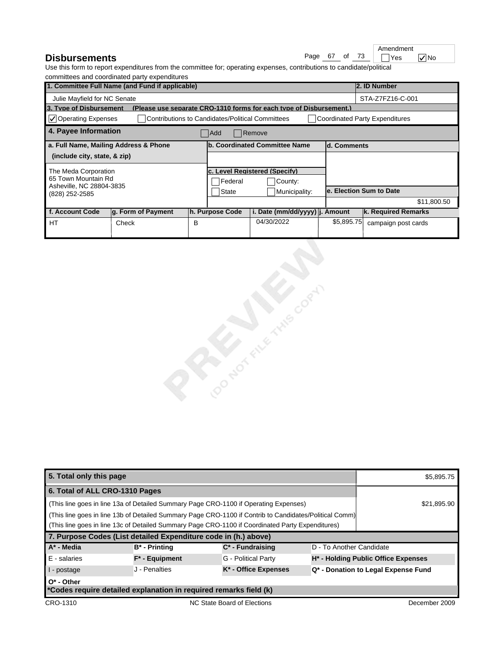**Disbursements** 

|               |  | Amendment |
|---------------|--|-----------|
| Page 67 of 73 |  | Yes       |

 $\nabla$  No

|                                            | 1. Committee Full Name (and Fund if applicable)      |   |                                                  |                                                                     |               | 2. ID Number                          |  |
|--------------------------------------------|------------------------------------------------------|---|--------------------------------------------------|---------------------------------------------------------------------|---------------|---------------------------------------|--|
| Julie Mayfield for NC Senate               |                                                      |   |                                                  |                                                                     |               | STA-Z7FZ16-C-001                      |  |
| 3. Type of Disbursement                    |                                                      |   |                                                  | (Please use separate CRO-1310 forms for each type of Disbursement.) |               |                                       |  |
| $ $ $\checkmark$ Operating Expenses        |                                                      |   | Contributions to Candidates/Political Committees |                                                                     |               | <b>Coordinated Party Expenditures</b> |  |
|                                            | 4. Payee Information<br>Add<br>$\blacksquare$ Remove |   |                                                  |                                                                     |               |                                       |  |
| a. Full Name, Mailing Address & Phone      |                                                      |   |                                                  | lb. Coordinated Committee Name                                      | ld. Comments  |                                       |  |
| (include city, state, & zip)               |                                                      |   |                                                  |                                                                     |               |                                       |  |
| The Meda Corporation                       |                                                      |   |                                                  | lc. Level Reaistered (Specify)                                      |               |                                       |  |
| 65 Town Mountain Rd                        |                                                      |   | Federal                                          | County:                                                             |               |                                       |  |
| Asheville, NC 28804-3835<br>(828) 252-2585 |                                                      |   | <b>State</b>                                     | Municipality:                                                       |               | le. Election Sum to Date              |  |
|                                            |                                                      |   |                                                  |                                                                     |               | \$11,800.50                           |  |
| f. Account Code                            | $ q.$ Form of Payment                                |   | h. Purpose Code                                  | i. Date (mm/dd/yyyy)  j.                                            | <b>Amount</b> | k. Required Remarks                   |  |
| <b>HT</b>                                  | Check                                                | в |                                                  | 04/30/2022                                                          | \$5,895.75    | campaign post cards                   |  |
|                                            |                                                      |   |                                                  |                                                                     |               |                                       |  |



| 5. Total only this page                                                                                |                                                                   |                      |                                                 | \$5,895.75                          |  |
|--------------------------------------------------------------------------------------------------------|-------------------------------------------------------------------|----------------------|-------------------------------------------------|-------------------------------------|--|
| 6. Total of ALL CRO-1310 Pages                                                                         |                                                                   |                      |                                                 |                                     |  |
| (This line goes in line 13a of Detailed Summary Page CRO-1100 if Operating Expenses)                   | \$21,895.90                                                       |                      |                                                 |                                     |  |
| (This line goes in line 13b of Detailed Summary Page CRO-1100 if Contrib to Candidates/Political Comm) |                                                                   |                      |                                                 |                                     |  |
| (This line goes in line 13c of Detailed Summary Page CRO-1100 if Coordinated Party Expenditures)       |                                                                   |                      |                                                 |                                     |  |
| 7. Purpose Codes (List detailed Expenditure code in (h.) above)                                        |                                                                   |                      |                                                 |                                     |  |
| $A^*$ - Media                                                                                          | B* - Printing                                                     | $C^*$ - Fundraising  | D - To Another Candidate                        |                                     |  |
| E - salaries                                                                                           | $F^*$ - Equipment                                                 | G - Political Party  | H <sup>*</sup> - Holding Public Office Expenses |                                     |  |
| I - postage                                                                                            | J - Penalties                                                     | K* - Office Expenses |                                                 | Q* - Donation to Legal Expense Fund |  |
| $O^*$ - Other                                                                                          |                                                                   |                      |                                                 |                                     |  |
|                                                                                                        | *Codes require detailed explanation in required remarks field (k) |                      |                                                 |                                     |  |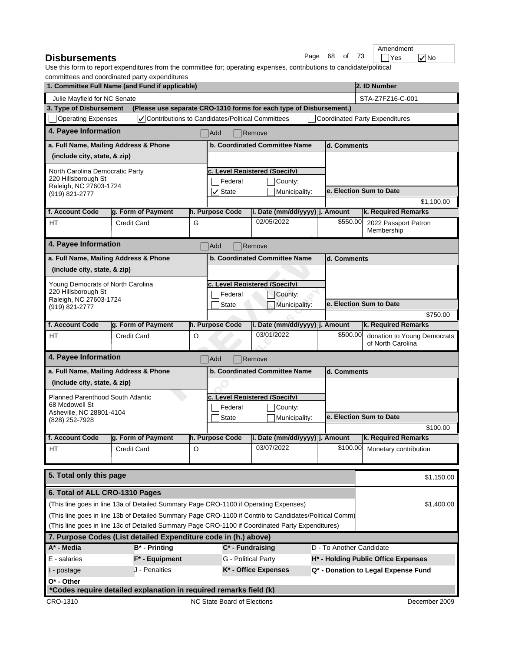|     |    |    |      | Amendment  |              |
|-----|----|----|------|------------|--------------|
| age | 68 | of | - 73 | <b>Yes</b> | $\sqrt{}$ No |

#### **Disbursements**  $\qquad \qquad \qquad$  Page 68 of 73  $\qquad \qquad$  Yes Use this form to report expenditures from the committee for; operating expenses, contributions to candidate/political committees and coordinated party expenditures

|                                               | commuted and coordinated party experientated<br>1. Committee Full Name (and Fund if applicable)        |   |                                |                                                                     |                          | 2. ID Number                                     |  |
|-----------------------------------------------|--------------------------------------------------------------------------------------------------------|---|--------------------------------|---------------------------------------------------------------------|--------------------------|--------------------------------------------------|--|
| Julie Mayfield for NC Senate                  |                                                                                                        |   |                                |                                                                     |                          | STA-Z7FZ16-C-001                                 |  |
| 3. Type of Disbursement                       |                                                                                                        |   |                                | (Please use separate CRO-1310 forms for each type of Disbursement.) |                          |                                                  |  |
| <b>Operating Expenses</b>                     | √ Contributions to Candidates/Political Committees                                                     |   |                                |                                                                     |                          | <b>Coordinated Party Expenditures</b>            |  |
| 4. Payee Information                          |                                                                                                        |   | Add                            | Remove                                                              |                          |                                                  |  |
| a. Full Name, Mailing Address & Phone         |                                                                                                        |   |                                | b. Coordinated Committee Name                                       | d. Comments              |                                                  |  |
| (include city, state, & zip)                  |                                                                                                        |   |                                |                                                                     |                          |                                                  |  |
| North Carolina Democratic Party               |                                                                                                        |   |                                | c. Level Reaistered (Specify)                                       |                          |                                                  |  |
| 220 Hillsborough St<br>Raleigh, NC 27603-1724 |                                                                                                        |   | Federal                        | County:                                                             |                          |                                                  |  |
| (919) 821-2777                                |                                                                                                        |   | $ $ State                      | Municipality:                                                       |                          | e. Election Sum to Date                          |  |
|                                               |                                                                                                        |   |                                |                                                                     |                          | \$1,100.00                                       |  |
| f. Account Code                               | g. Form of Payment                                                                                     |   | h. Purpose Code                | i. Date (mm/dd/yyyy) j. Amount                                      |                          | k. Required Remarks                              |  |
| HT                                            | <b>Credit Card</b>                                                                                     | G |                                | 02/05/2022                                                          | \$550.00                 | 2022 Passport Patron<br>Membership               |  |
| 4. Payee Information                          |                                                                                                        |   | Add                            | Remove                                                              |                          |                                                  |  |
| a. Full Name, Mailing Address & Phone         |                                                                                                        |   |                                | b. Coordinated Committee Name                                       | d. Comments              |                                                  |  |
| (include city, state, & zip)                  |                                                                                                        |   |                                |                                                                     |                          |                                                  |  |
| Young Democrats of North Carolina             |                                                                                                        |   |                                | c. Level Reaistered (Specify)                                       |                          |                                                  |  |
| 220 Hillsborough St                           |                                                                                                        |   | Federal                        | County:                                                             |                          |                                                  |  |
| Raleigh, NC 27603-1724<br>(919) 821-2777      |                                                                                                        |   | State                          | Municipality:                                                       |                          | e. Election Sum to Date                          |  |
|                                               |                                                                                                        |   |                                |                                                                     |                          | \$750.00                                         |  |
| f. Account Code                               | g. Form of Payment                                                                                     |   | h. Purpose Code                | i. Date (mm/dd/yyyy) j. Amount                                      |                          | k. Required Remarks                              |  |
| HT                                            | <b>Credit Card</b>                                                                                     | O |                                | 03/01/2022                                                          | \$500.00                 | donation to Young Democrats<br>of North Carolina |  |
| 4. Payee Information                          |                                                                                                        |   | Add                            | Remove                                                              |                          |                                                  |  |
| a. Full Name, Mailing Address & Phone         |                                                                                                        |   |                                | <b>b. Coordinated Committee Name</b>                                | d. Comments              |                                                  |  |
| (include city, state, & zip)                  |                                                                                                        |   |                                |                                                                     |                          |                                                  |  |
| <b>Planned Parenthood South Atlantic</b>      |                                                                                                        |   |                                | c. Level Reaistered (Specify)                                       |                          |                                                  |  |
| 68 Mcdowell St                                |                                                                                                        |   | Federal                        | County:                                                             |                          |                                                  |  |
| Asheville, NC 28801-4104<br>(828) 252-7928    |                                                                                                        |   | <b>State</b>                   | Municipality:                                                       |                          | e. Election Sum to Date                          |  |
|                                               |                                                                                                        |   |                                |                                                                     |                          | \$100.00                                         |  |
| f. Account Code                               | q. Form of Payment                                                                                     |   | h. Purpose Code                | i. Date (mm/dd/yyyy) j. Amount                                      |                          | k. Required Remarks                              |  |
| HT                                            | Credit Card                                                                                            | O |                                | 03/07/2022                                                          |                          | \$100.00 Monetary contribution                   |  |
|                                               |                                                                                                        |   |                                |                                                                     |                          |                                                  |  |
| 5. Total only this page                       |                                                                                                        |   |                                |                                                                     |                          | \$1,150.00                                       |  |
| 6. Total of ALL CRO-1310 Pages                |                                                                                                        |   |                                |                                                                     |                          |                                                  |  |
|                                               | (This line goes in line 13a of Detailed Summary Page CRO-1100 if Operating Expenses)                   |   |                                |                                                                     |                          | \$1,400.00                                       |  |
|                                               | (This line goes in line 13b of Detailed Summary Page CRO-1100 if Contrib to Candidates/Political Comm) |   |                                |                                                                     |                          |                                                  |  |
|                                               | (This line goes in line 13c of Detailed Summary Page CRO-1100 if Coordinated Party Expenditures)       |   |                                |                                                                     |                          |                                                  |  |
|                                               | 7. Purpose Codes (List detailed Expenditure code in (h.) above)                                        |   |                                |                                                                     |                          |                                                  |  |
| A* - Media                                    | <b>B*</b> - Printing                                                                                   |   | $\overline{C^*}$ - Fundraising |                                                                     | D - To Another Candidate |                                                  |  |
| E - salaries                                  | $F^*$ - Equipment                                                                                      |   | G - Political Party            |                                                                     |                          | H* - Holding Public Office Expenses              |  |
| I - postage                                   | J - Penalties                                                                                          |   |                                | K* - Office Expenses                                                |                          | Q* - Donation to Legal Expense Fund              |  |
| O* - Other                                    |                                                                                                        |   |                                |                                                                     |                          |                                                  |  |
|                                               | *Codes require detailed explanation in required remarks field (k)                                      |   |                                |                                                                     |                          |                                                  |  |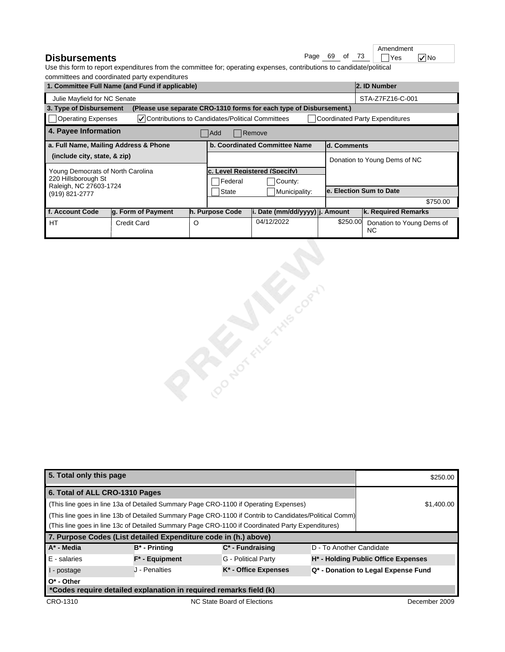|               |  | Amendment |              |
|---------------|--|-----------|--------------|
| Page 69 of 73 |  | Yes       | $\sqrt{}$ No |

### **Disbursements**

| 1. Committee Full Name (and Fund if applicable)                               |                                                           |   |                                   |                                                                     |          | 2. ID Number                           |  |
|-------------------------------------------------------------------------------|-----------------------------------------------------------|---|-----------------------------------|---------------------------------------------------------------------|----------|----------------------------------------|--|
| Julie Mayfield for NC Senate                                                  |                                                           |   |                                   |                                                                     |          | STA-Z7FZ16-C-001                       |  |
| 3. Type of Disbursement                                                       |                                                           |   |                                   | (Please use separate CRO-1310 forms for each type of Disbursement.) |          |                                        |  |
| Operating Expenses                                                            | <b>V</b> Contributions to Candidates/Political Committees |   |                                   |                                                                     |          | Coordinated Party Expenditures         |  |
| 4. Payee Information<br><b>Add</b><br>Remove                                  |                                                           |   |                                   |                                                                     |          |                                        |  |
| a. Full Name, Mailing Address & Phone<br><b>b. Coordinated Committee Name</b> |                                                           |   |                                   | ld. Comments                                                        |          |                                        |  |
| (include city, state, & zip)                                                  |                                                           |   |                                   |                                                                     |          | Donation to Young Dems of NC           |  |
| Young Democrats of North Carolina                                             |                                                           |   | <b>Level Registered (Specify)</b> |                                                                     |          |                                        |  |
| 220 Hillsborough St                                                           |                                                           |   | <b>Federal</b><br>County:         |                                                                     |          |                                        |  |
| Raleigh, NC 27603-1724<br>(919) 821-2777                                      |                                                           |   | State<br>Municipality:            |                                                                     |          | le. Election Sum to Date               |  |
|                                                                               |                                                           |   |                                   |                                                                     |          | \$750.00                               |  |
| f. Account Code                                                               | g. Form of Payment                                        |   | h. Purpose Code                   | i. Date (mm/dd/yyyy) j. Amount                                      |          | k. Required Remarks                    |  |
| HT                                                                            | Credit Card                                               | O |                                   | 04/12/2022                                                          | \$250.00 | Donation to Young Dems of<br><b>NC</b> |  |



| 5. Total only this page                                                                                |                                                                                      |                                  |                                     | \$250.00                                        |
|--------------------------------------------------------------------------------------------------------|--------------------------------------------------------------------------------------|----------------------------------|-------------------------------------|-------------------------------------------------|
| 6. Total of ALL CRO-1310 Pages                                                                         |                                                                                      |                                  |                                     |                                                 |
|                                                                                                        | (This line goes in line 13a of Detailed Summary Page CRO-1100 if Operating Expenses) |                                  |                                     | \$1,400.00                                      |
| (This line goes in line 13b of Detailed Summary Page CRO-1100 if Contrib to Candidates/Political Comm) |                                                                                      |                                  |                                     |                                                 |
| (This line goes in line 13c of Detailed Summary Page CRO-1100 if Coordinated Party Expenditures)       |                                                                                      |                                  |                                     |                                                 |
| 7. Purpose Codes (List detailed Expenditure code in (h.) above)                                        |                                                                                      |                                  |                                     |                                                 |
| A* - Media                                                                                             | $B^*$ - Printing                                                                     | $C^*$ - Fundraising              | D - To Another Candidate            |                                                 |
| $E -$ salaries                                                                                         | $F^*$ - Equipment                                                                    | G - Political Party              |                                     | H <sup>*</sup> - Holding Public Office Expenses |
| I - postage                                                                                            | J - Penalties                                                                        | K <sup>*</sup> - Office Expenses | Q* - Donation to Legal Expense Fund |                                                 |
| $O^*$ - Other                                                                                          |                                                                                      |                                  |                                     |                                                 |
|                                                                                                        | *Codes require detailed explanation in required remarks field (k)                    |                                  |                                     |                                                 |
| CRO-1310                                                                                               |                                                                                      | NC State Board of Elections      |                                     | December 2009                                   |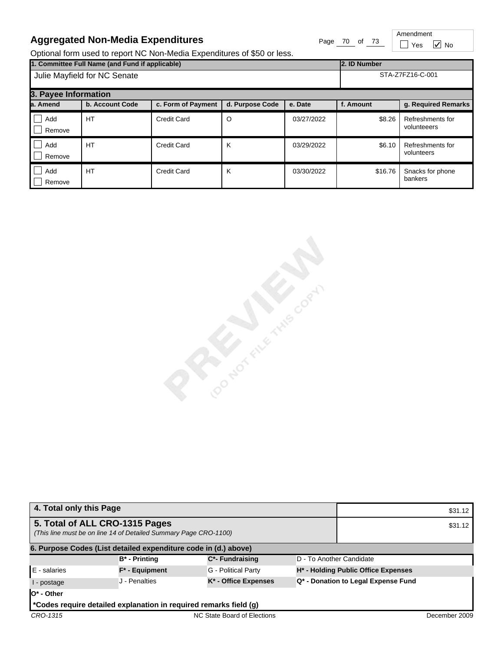# **Aggregated Non-Media Expenditures** Page 70 of 73

Amendment  $\Box$  Yes  $\Box$  No

Optional form used to report NC Non-Media Expenditures of \$50 or less.

| 1. Committee Full Name (and Fund if applicable)<br>2. ID Number |                 |                    |                 |            |           |                                 |
|-----------------------------------------------------------------|-----------------|--------------------|-----------------|------------|-----------|---------------------------------|
| Julie Mayfield for NC Senate                                    |                 |                    |                 |            |           | STA-Z7FZ16-C-001                |
| 3. Payee Information                                            |                 |                    |                 |            |           |                                 |
| la. Amend                                                       | b. Account Code | c. Form of Payment | d. Purpose Code | e. Date    | f. Amount | g. Required Remarks             |
| Add<br>Remove                                                   | HT              | <b>Credit Card</b> | O               | 03/27/2022 | \$8.26    | Refreshments for<br>volunteeers |
| Add<br>Remove                                                   | HT              | <b>Credit Card</b> | K               | 03/29/2022 | \$6.10    | Refreshments for<br>volunteers  |
| Add<br>Remove                                                   | <b>HT</b>       | <b>Credit Card</b> | K               | 03/30/2022 | \$16.76   | Snacks for phone<br>bankers     |

Cocococciones Cococo

| 4. Total only this Page                                         |                                                                   |                                  |  |                                                 | \$31.12       |  |  |
|-----------------------------------------------------------------|-------------------------------------------------------------------|----------------------------------|--|-------------------------------------------------|---------------|--|--|
|                                                                 | 5. Total of ALL CRO-1315 Pages                                    |                                  |  |                                                 | \$31.12       |  |  |
|                                                                 | (This line must be on line 14 of Detailed Summary Page CRO-1100)  |                                  |  |                                                 |               |  |  |
| 6. Purpose Codes (List detailed expenditure code in (d.) above) |                                                                   |                                  |  |                                                 |               |  |  |
|                                                                 | $B^*$ - Printing                                                  | C*- Fundraising                  |  | D - To Another Candidate                        |               |  |  |
| E - salaries                                                    | $F^*$ - Equipment                                                 | G - Political Party              |  | H <sup>*</sup> - Holding Public Office Expenses |               |  |  |
| I - postage                                                     | J - Penalties                                                     | K <sup>*</sup> - Office Expenses |  | Q* - Donation to Legal Expense Fund             |               |  |  |
| $O^*$ - Other                                                   |                                                                   |                                  |  |                                                 |               |  |  |
|                                                                 | *Codes require detailed explanation in required remarks field (g) |                                  |  |                                                 |               |  |  |
| CRO-1315                                                        |                                                                   | NC State Board of Elections      |  |                                                 | December 2009 |  |  |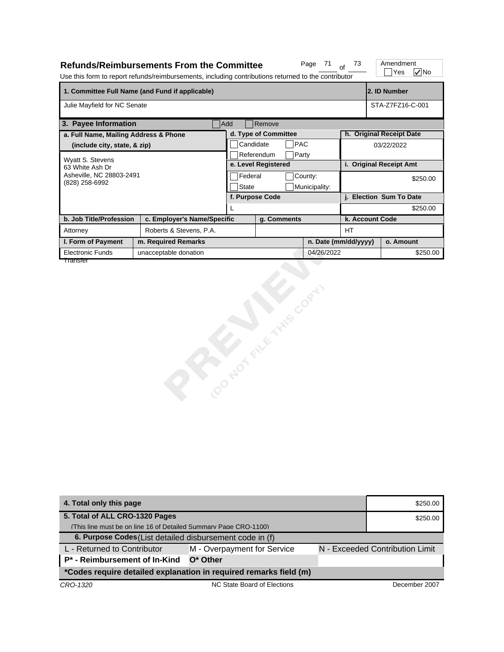|                                            | <b>Refunds/Reimbursements From the Committee</b><br>Use this form to report refunds/reimbursements, including contributions returned to the contributor |              |                      | Page<br>71    | 73                   | Amendment<br>$\nabla$ No<br>Yes |
|--------------------------------------------|---------------------------------------------------------------------------------------------------------------------------------------------------------|--------------|----------------------|---------------|----------------------|---------------------------------|
|                                            | 1. Committee Full Name (and Fund if applicable)                                                                                                         |              |                      |               |                      | 2. ID Number                    |
| Julie Mayfield for NC Senate               |                                                                                                                                                         |              |                      |               |                      | STA-Z7FZ16-C-001                |
| 3. Payee Information                       |                                                                                                                                                         | Add          | Remove               |               |                      |                                 |
| a. Full Name, Mailing Address & Phone      |                                                                                                                                                         |              | d. Type of Committee |               |                      | h. Original Receipt Date        |
| (include city, state, & zip)               |                                                                                                                                                         | Candidate    | PAC                  |               |                      | 03/22/2022                      |
| Wyatt S. Stevens                           |                                                                                                                                                         |              | Referendum<br>Party  |               |                      |                                 |
| 63 White Ash Dr                            |                                                                                                                                                         |              | e. Level Registered  |               |                      | i. Original Receipt Amt         |
| Asheville, NC 28803-2491<br>(828) 258-6992 |                                                                                                                                                         | Federal      |                      | County:       |                      | \$250.00                        |
|                                            |                                                                                                                                                         | <b>State</b> | f. Purpose Code      | Municipality: |                      | j. Election Sum To Date         |
|                                            |                                                                                                                                                         | L            |                      |               |                      | \$250.00                        |
| b. Job Title/Profession                    | c. Employer's Name/Specific                                                                                                                             |              | g. Comments          |               | k. Account Code      |                                 |
| Attorney                                   | Roberts & Stevens, P.A.                                                                                                                                 |              |                      |               | HT.                  |                                 |
| I. Form of Payment                         | m. Required Remarks                                                                                                                                     |              |                      |               | n. Date (mm/dd/yyyy) | o. Amount                       |
| Electronic Funds                           | unacceptable donation                                                                                                                                   |              |                      | 04/26/2022    |                      | \$250.00                        |
| Transfer                                   |                                                                                                                                                         |              | CONDITION STREET     |               |                      |                                 |

| 4. Total only this page                                           | \$250.00                    |  |                                 |
|-------------------------------------------------------------------|-----------------------------|--|---------------------------------|
| 5. Total of ALL CRO-1320 Pages                                    | \$250.00                    |  |                                 |
| (This line must be on line 16 of Detailed Summary Page CRO-1100)  |                             |  |                                 |
| 6. Purpose Codes (List detailed disbursement code in (f)          |                             |  |                                 |
| L - Returned to Contributor                                       | M - Overpayment for Service |  | N - Exceeded Contribution Limit |
| P <sup>*</sup> - Reimbursement of In-Kind                         | $O^*$ Other                 |  |                                 |
| *Codes require detailed explanation in required remarks field (m) |                             |  |                                 |
| CRO-1320                                                          | NC State Board of Elections |  | December 2007                   |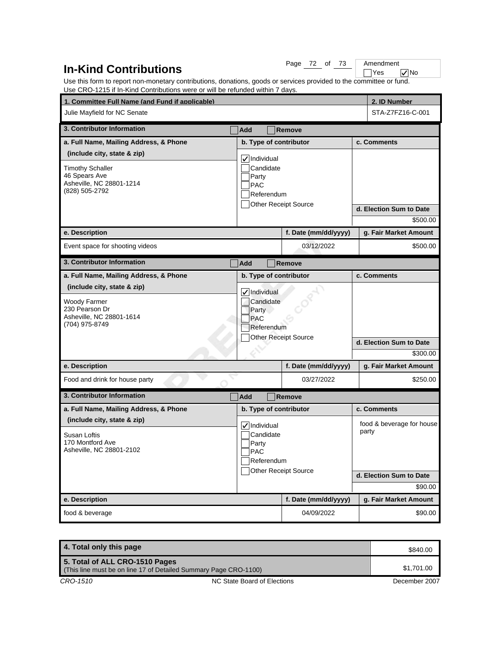# **In-Kind Contributions**

Page 72 of 73

No Amendment<br>
Yes

Use this form to report non-monetary contributions, donations, goods or services provided to the committee or fund. Use CRO-1215 if In-Kind Contributions were or will be refunded within 7 days.

| 1. Committee Full Name (and Fund if applicable)                                                                       |                                                               |                                                                        |                        |  | 2. ID Number                                                             |
|-----------------------------------------------------------------------------------------------------------------------|---------------------------------------------------------------|------------------------------------------------------------------------|------------------------|--|--------------------------------------------------------------------------|
| Julie Mayfield for NC Senate                                                                                          |                                                               |                                                                        |                        |  | STA-Z7FZ16-C-001                                                         |
| 3. Contributor Information                                                                                            | Add                                                           |                                                                        | Remove                 |  |                                                                          |
| a. Full Name, Mailing Address, & Phone                                                                                |                                                               |                                                                        | b. Type of contributor |  | c. Comments                                                              |
| (include city, state & zip)<br><b>Timothy Schaller</b><br>46 Spears Ave<br>Asheville, NC 28801-1214<br>(828) 505-2792 | Party<br><b>PAC</b>                                           | <b>√Individual</b><br>Candidate<br>Referendum<br>Other Receipt Source  |                        |  | d. Election Sum to Date                                                  |
|                                                                                                                       |                                                               |                                                                        |                        |  | \$500.00                                                                 |
| e. Description                                                                                                        |                                                               |                                                                        | f. Date (mm/dd/yyyy)   |  | g. Fair Market Amount                                                    |
| Event space for shooting videos                                                                                       |                                                               |                                                                        | 03/12/2022             |  | \$500.00                                                                 |
| 3. Contributor Information                                                                                            | Add                                                           |                                                                        | Remove                 |  |                                                                          |
| a. Full Name, Mailing Address, & Phone                                                                                |                                                               |                                                                        | b. Type of contributor |  | c. Comments                                                              |
| <b>Woody Farmer</b><br>230 Pearson Dr<br>Asheville, NC 28801-1614<br>(704) 975-8749                                   | VIndividual<br>Candidate<br>Party<br><b>PAC</b><br>Referendum | <b>Other Receipt Source</b>                                            |                        |  |                                                                          |
|                                                                                                                       |                                                               |                                                                        |                        |  | d. Election Sum to Date<br>\$300.00                                      |
| e. Description                                                                                                        |                                                               |                                                                        | f. Date (mm/dd/yyyy)   |  | g. Fair Market Amount                                                    |
| Food and drink for house party                                                                                        |                                                               |                                                                        | 03/27/2022             |  | \$250.00                                                                 |
| 3. Contributor Information                                                                                            | Add                                                           |                                                                        | <b>Remove</b>          |  |                                                                          |
| a. Full Name, Mailing Address, & Phone                                                                                |                                                               |                                                                        | b. Type of contributor |  | c. Comments                                                              |
| (include city, state & zip)<br>Susan Loftis<br>170 Montford Ave<br>Asheville, NC 28801-2102                           | Party<br>PAC                                                  | √ Individual<br>Candidate<br>Referendum<br><b>Other Receipt Source</b> |                        |  | food & beverage for house<br>party<br>d. Election Sum to Date<br>\$90.00 |
| e. Description                                                                                                        |                                                               |                                                                        | f. Date (mm/dd/yyyy)   |  | g. Fair Market Amount                                                    |
| food & beverage                                                                                                       |                                                               |                                                                        | 04/09/2022             |  | \$90.00                                                                  |

| 4. Total only this page                                                                            |                             | \$840.00      |
|----------------------------------------------------------------------------------------------------|-----------------------------|---------------|
| 5. Total of ALL CRO-1510 Pages<br>(This line must be on line 17 of Detailed Summary Page CRO-1100) |                             | \$1.701.00    |
| CRO-1510                                                                                           | NC State Board of Elections | December 2007 |